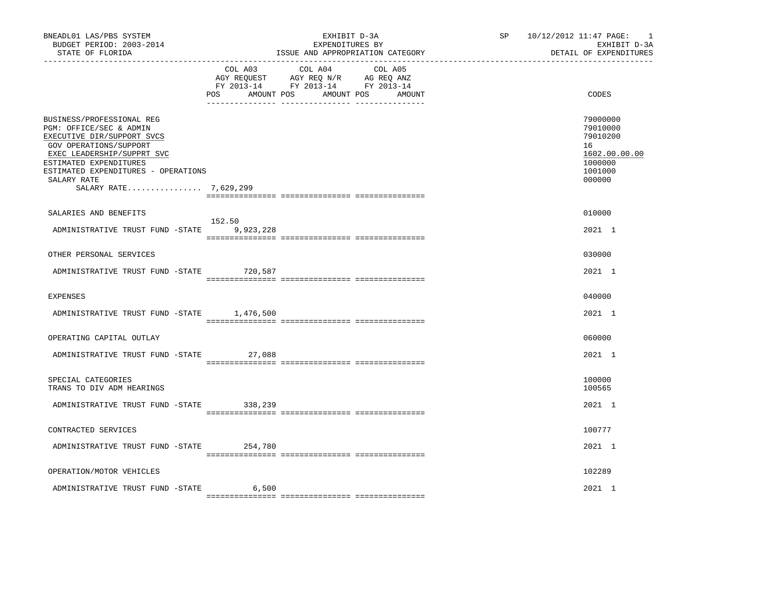| BNEADL01 LAS/PBS SYSTEM<br>BUDGET PERIOD: 2003-2014<br>STATE OF FLORIDA                                                                                                                                                                             |                | EXHIBIT D-3A<br>EXPENDITURES BY<br>ISSUE AND APPROPRIATION CATEGORY                                                          | SP 10/12/2012 11:47 PAGE:<br>$\overline{\phantom{0}}$<br>EXHIBIT D-3A<br>DETAIL OF EXPENDITURES |
|-----------------------------------------------------------------------------------------------------------------------------------------------------------------------------------------------------------------------------------------------------|----------------|------------------------------------------------------------------------------------------------------------------------------|-------------------------------------------------------------------------------------------------|
|                                                                                                                                                                                                                                                     | COL A03<br>POS | COL A04<br>COL A05<br>AGY REQUEST AGY REQ N/R AG REQ ANZ<br>FY 2013-14 FY 2013-14 FY 2013-14<br>AMOUNT POS AMOUNT POS AMOUNT | CODES                                                                                           |
| BUSINESS/PROFESSIONAL REG<br>PGM: OFFICE/SEC & ADMIN<br>EXECUTIVE DIR/SUPPORT SVCS<br>GOV OPERATIONS/SUPPORT<br>EXEC LEADERSHIP/SUPPRT SVC<br>ESTIMATED EXPENDITURES<br>ESTIMATED EXPENDITURES - OPERATIONS<br>SALARY RATE<br>SALARY RATE 7,629,299 |                |                                                                                                                              | 79000000<br>79010000<br>79010200<br>16<br>1602.00.00.00<br>1000000<br>1001000<br>000000         |
| SALARIES AND BENEFITS                                                                                                                                                                                                                               |                |                                                                                                                              | 010000                                                                                          |
| ADMINISTRATIVE TRUST FUND -STATE 9,923,228                                                                                                                                                                                                          | 152.50         |                                                                                                                              | 2021 1                                                                                          |
| OTHER PERSONAL SERVICES                                                                                                                                                                                                                             |                |                                                                                                                              | 030000                                                                                          |
| ADMINISTRATIVE TRUST FUND -STATE 720,587                                                                                                                                                                                                            |                |                                                                                                                              | 2021 1                                                                                          |
| <b>EXPENSES</b>                                                                                                                                                                                                                                     |                |                                                                                                                              | 040000                                                                                          |
| ADMINISTRATIVE TRUST FUND -STATE 1,476,500                                                                                                                                                                                                          |                |                                                                                                                              | 2021 1                                                                                          |
| OPERATING CAPITAL OUTLAY                                                                                                                                                                                                                            |                |                                                                                                                              | 060000                                                                                          |
| ADMINISTRATIVE TRUST FUND -STATE                                                                                                                                                                                                                    | 27,088         |                                                                                                                              | 2021 1                                                                                          |
| SPECIAL CATEGORIES<br>TRANS TO DIV ADM HEARINGS                                                                                                                                                                                                     |                |                                                                                                                              | 100000<br>100565                                                                                |
| ADMINISTRATIVE TRUST FUND -STATE 338,239                                                                                                                                                                                                            |                |                                                                                                                              | 2021 1                                                                                          |
| CONTRACTED SERVICES                                                                                                                                                                                                                                 |                |                                                                                                                              | 100777                                                                                          |
| ADMINISTRATIVE TRUST FUND -STATE 254,780                                                                                                                                                                                                            |                |                                                                                                                              | 2021 1                                                                                          |
| OPERATION/MOTOR VEHICLES                                                                                                                                                                                                                            |                |                                                                                                                              | 102289                                                                                          |
| ADMINISTRATIVE TRUST FUND -STATE                                                                                                                                                                                                                    | 6,500          |                                                                                                                              | 2021 1                                                                                          |
|                                                                                                                                                                                                                                                     |                |                                                                                                                              |                                                                                                 |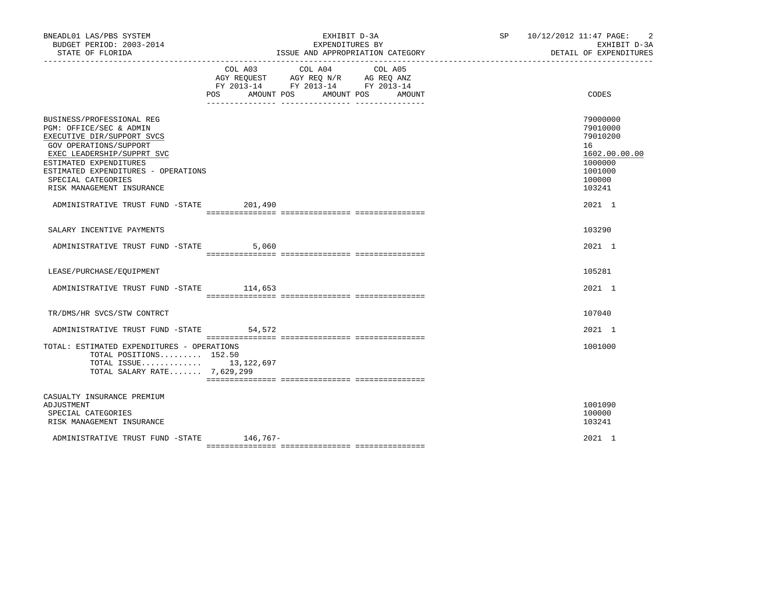| BNEADL01 LAS/PBS SYSTEM<br>BUDGET PERIOD: 2003-2014<br>STATE OF FLORIDA                                                                                                                                                                                        |                | EXHIBIT D-3A<br>EXPENDITURES BY<br>ISSUE AND APPROPRIATION CATEGORY                                        | $\overline{2}$<br>SP 10/12/2012 11:47 PAGE:<br>EXHIBIT D-3A<br>DETAIL OF EXPENDITURES |                                                                                                   |
|----------------------------------------------------------------------------------------------------------------------------------------------------------------------------------------------------------------------------------------------------------------|----------------|------------------------------------------------------------------------------------------------------------|---------------------------------------------------------------------------------------|---------------------------------------------------------------------------------------------------|
|                                                                                                                                                                                                                                                                | COL A03<br>POS | COL A04<br>AGY REQUEST AGY REQ N/R AG REQ ANZ<br>FY 2013-14 FY 2013-14 FY 2013-14<br>AMOUNT POS AMOUNT POS | COL A05<br>AMOUNT                                                                     | CODES                                                                                             |
| BUSINESS/PROFESSIONAL REG<br>PGM: OFFICE/SEC & ADMIN<br>EXECUTIVE DIR/SUPPORT SVCS<br>GOV OPERATIONS/SUPPORT<br>EXEC LEADERSHIP/SUPPRT SVC<br>ESTIMATED EXPENDITURES<br>ESTIMATED EXPENDITURES - OPERATIONS<br>SPECIAL CATEGORIES<br>RISK MANAGEMENT INSURANCE |                |                                                                                                            |                                                                                       | 79000000<br>79010000<br>79010200<br>16<br>1602.00.00.00<br>1000000<br>1001000<br>100000<br>103241 |
| ADMINISTRATIVE TRUST FUND -STATE                                                                                                                                                                                                                               | 201,490        |                                                                                                            |                                                                                       | 2021 1                                                                                            |
| SALARY INCENTIVE PAYMENTS                                                                                                                                                                                                                                      |                |                                                                                                            |                                                                                       | 103290                                                                                            |
| ADMINISTRATIVE TRUST FUND -STATE                                                                                                                                                                                                                               | 5,060          |                                                                                                            |                                                                                       | 2021 1                                                                                            |
| LEASE/PURCHASE/EQUIPMENT                                                                                                                                                                                                                                       |                |                                                                                                            |                                                                                       | 105281                                                                                            |
| ADMINISTRATIVE TRUST FUND -STATE 114,653                                                                                                                                                                                                                       |                |                                                                                                            |                                                                                       | 2021 1                                                                                            |
| TR/DMS/HR SVCS/STW CONTRCT                                                                                                                                                                                                                                     |                |                                                                                                            |                                                                                       | 107040                                                                                            |
| ADMINISTRATIVE TRUST FUND -STATE                                                                                                                                                                                                                               | 54,572         |                                                                                                            |                                                                                       | 2021 1                                                                                            |
| TOTAL: ESTIMATED EXPENDITURES - OPERATIONS<br>TOTAL POSITIONS 152.50<br>TOTAL ISSUE $13,122,697$<br>TOTAL SALARY RATE 7,629,299                                                                                                                                |                |                                                                                                            |                                                                                       | 1001000                                                                                           |
| CASUALTY INSURANCE PREMIUM<br>ADJUSTMENT<br>SPECIAL CATEGORIES<br>RISK MANAGEMENT INSURANCE                                                                                                                                                                    |                |                                                                                                            |                                                                                       | 1001090<br>100000<br>103241                                                                       |
| ADMINISTRATIVE TRUST FUND -STATE 146,767-                                                                                                                                                                                                                      |                |                                                                                                            |                                                                                       | 2021 1                                                                                            |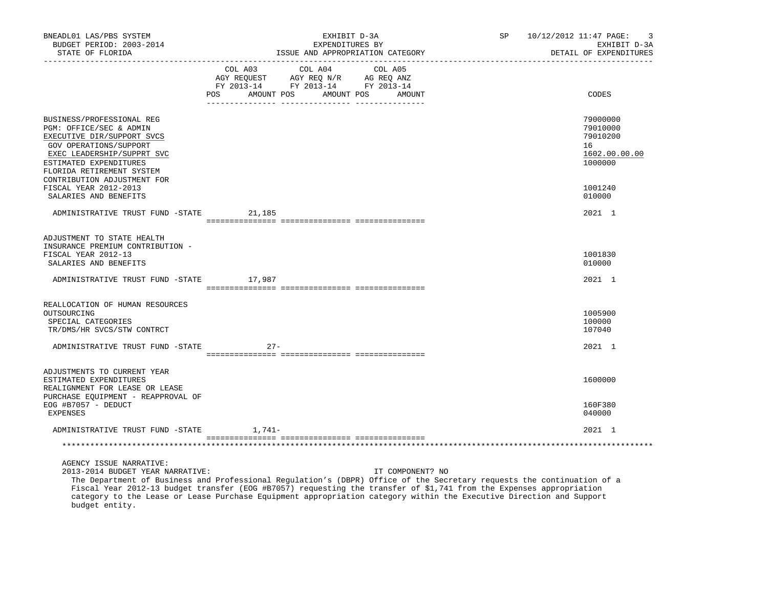| BNEADL01 LAS/PBS SYSTEM<br>BUDGET PERIOD: 2003-2014<br>STATE OF FLORIDA<br>----------------                                                                                                       | EXHIBIT D-3A<br>EXPENDITURES BY<br>ISSUE AND APPROPRIATION CATEGORY                                            |            |                   | SP | 10/12/2012 11:47 PAGE:<br>3<br>EXHIBIT D-3A<br>DETAIL OF EXPENDITURES |
|---------------------------------------------------------------------------------------------------------------------------------------------------------------------------------------------------|----------------------------------------------------------------------------------------------------------------|------------|-------------------|----|-----------------------------------------------------------------------|
|                                                                                                                                                                                                   | COL A03 COL A04<br>AGY REQUEST AGY REQ N/R AG REQ ANZ<br>FY 2013-14 FY 2013-14 FY 2013-14<br>POS<br>AMOUNT POS | AMOUNT POS | COL A05<br>AMOUNT |    | CODES                                                                 |
| BUSINESS/PROFESSIONAL REG<br>PGM: OFFICE/SEC & ADMIN<br>EXECUTIVE DIR/SUPPORT SVCS<br>GOV OPERATIONS/SUPPORT<br>EXEC LEADERSHIP/SUPPRT SVC<br>ESTIMATED EXPENDITURES<br>FLORIDA RETIREMENT SYSTEM |                                                                                                                |            |                   |    | 79000000<br>79010000<br>79010200<br>16<br>1602.00.00.00<br>1000000    |
| CONTRIBUTION ADJUSTMENT FOR<br>FISCAL YEAR 2012-2013<br>SALARIES AND BENEFITS                                                                                                                     |                                                                                                                |            |                   |    | 1001240<br>010000                                                     |
| ADMINISTRATIVE TRUST FUND -STATE                                                                                                                                                                  | 21,185                                                                                                         |            |                   |    | 2021 1                                                                |
| ADJUSTMENT TO STATE HEALTH<br>INSURANCE PREMIUM CONTRIBUTION -<br>FISCAL YEAR 2012-13<br>SALARIES AND BENEFITS<br>ADMINISTRATIVE TRUST FUND -STATE                                                | 17,987                                                                                                         |            |                   |    | 1001830<br>010000<br>2021 1                                           |
| REALLOCATION OF HUMAN RESOURCES                                                                                                                                                                   |                                                                                                                |            |                   |    |                                                                       |
| OUTSOURCING<br>SPECIAL CATEGORIES<br>TR/DMS/HR SVCS/STW CONTRCT                                                                                                                                   |                                                                                                                |            |                   |    | 1005900<br>100000<br>107040                                           |
| ADMINISTRATIVE TRUST FUND -STATE                                                                                                                                                                  | $27 -$                                                                                                         |            |                   |    | 2021 1                                                                |
| ADJUSTMENTS TO CURRENT YEAR<br>ESTIMATED EXPENDITURES<br>REALIGNMENT FOR LEASE OR LEASE<br>PURCHASE EOUIPMENT - REAPPROVAL OF                                                                     |                                                                                                                |            |                   |    | 1600000                                                               |
| EOG #B7057 - DEDUCT<br>EXPENSES                                                                                                                                                                   |                                                                                                                |            |                   |    | 160F380<br>040000                                                     |
| ADMINISTRATIVE TRUST FUND -STATE 1,741-                                                                                                                                                           |                                                                                                                |            |                   |    | 2021 1                                                                |
|                                                                                                                                                                                                   |                                                                                                                |            |                   |    |                                                                       |
| AGENCY ISSUE NARRATIVE:<br>2013-2014 BUDGET YEAR NARRATIVE:                                                                                                                                       |                                                                                                                |            | IT COMPONENT? NO  |    |                                                                       |

 The Department of Business and Professional Regulation's (DBPR) Office of the Secretary requests the continuation of a Fiscal Year 2012-13 budget transfer (EOG #B7057) requesting the transfer of \$1,741 from the Expenses appropriation category to the Lease or Lease Purchase Equipment appropriation category within the Executive Direction and Support budget entity.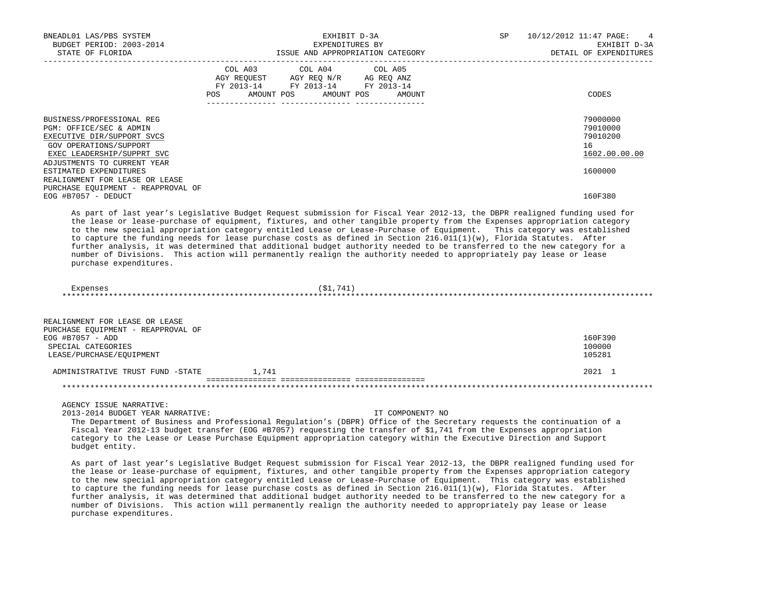| BNEADL01 LAS/PBS SYSTEM<br>BUDGET PERIOD: 2003-2014<br>STATE OF FLORIDA                                                                                                   | EXHIBIT D-3A<br>EXPENDITURES BY<br>ISSUE AND APPROPRIATION CATEGORY                                                                                                                                                                                   | 10/12/2012 11:47 PAGE:<br>$\overline{4}$<br>SP.<br>EXHIBIT D-3A<br>DETAIL OF EXPENDITURES |  |
|---------------------------------------------------------------------------------------------------------------------------------------------------------------------------|-------------------------------------------------------------------------------------------------------------------------------------------------------------------------------------------------------------------------------------------------------|-------------------------------------------------------------------------------------------|--|
|                                                                                                                                                                           | COL A03 COL A04 COL A05<br>AGY REQUEST AGY REQ N/R AG REQ ANZ<br>FY 2013-14 FY 2013-14 FY 2013-14<br>AMOUNT POS AMOUNT POS<br>POS<br>AMOUNT                                                                                                           | CODES                                                                                     |  |
| BUSINESS/PROFESSIONAL REG<br>PGM: OFFICE/SEC & ADMIN<br>EXECUTIVE DIR/SUPPORT SVCS<br>GOV OPERATIONS/SUPPORT<br>EXEC LEADERSHIP/SUPPRT SVC<br>ADJUSTMENTS TO CURRENT YEAR |                                                                                                                                                                                                                                                       | 79000000<br>79010000<br>79010200<br>16<br>1602.00.00.00                                   |  |
| ESTIMATED EXPENDITURES<br>REALIGNMENT FOR LEASE OR LEASE<br>PURCHASE EQUIPMENT - REAPPROVAL OF                                                                            |                                                                                                                                                                                                                                                       | 1600000                                                                                   |  |
| EOG #B7057 - DEDUCT                                                                                                                                                       |                                                                                                                                                                                                                                                       | 160F380                                                                                   |  |
|                                                                                                                                                                           | As part of last year's Legislative Budget Request submission for Fiscal Year 2012-13, the DBPR realigned funding used for<br>the lease or lease-purchase of equipment, fixtures, and other tangible property from the Expenses appropriation category |                                                                                           |  |

 to the new special appropriation category entitled Lease or Lease-Purchase of Equipment. This category was established to capture the funding needs for lease purchase costs as defined in Section  $216.011(1)(w)$ , Florida Statutes. After further analysis, it was determined that additional budget authority needed to be transferred to the new category for a number of Divisions. This action will permanently realign the authority needed to appropriately pay lease or lease purchase expenditures.

 Expenses (\$1,741) \*\*\*\*\*\*\*\*\*\*\*\*\*\*\*\*\*\*\*\*\*\*\*\*\*\*\*\*\*\*\*\*\*\*\*\*\*\*\*\*\*\*\*\*\*\*\*\*\*\*\*\*\*\*\*\*\*\*\*\*\*\*\*\*\*\*\*\*\*\*\*\*\*\*\*\*\*\*\*\*\*\*\*\*\*\*\*\*\*\*\*\*\*\*\*\*\*\*\*\*\*\*\*\*\*\*\*\*\*\*\*\*\*\*\*\*\*\*\*\*\*\*\*\*\*\*\*

| REALIGNMENT FOR LEASE OR LEASE     |       |         |
|------------------------------------|-------|---------|
| PURCHASE EOUIPMENT - REAPPROVAL OF |       |         |
| $EOG$ #B7057 - ADD                 |       | 160F390 |
| SPECIAL CATEGORIES                 |       | 100000  |
| LEASE/PURCHASE/EOUIPMENT           |       | 105281  |
|                                    |       |         |
| ADMINISTRATIVE TRUST FUND -STATE   | 1,741 | 2021 1  |
|                                    |       |         |
|                                    |       |         |

AGENCY ISSUE NARRATIVE:

2013-2014 BUDGET YEAR NARRATIVE: IT COMPONENT? NO

 The Department of Business and Professional Regulation's (DBPR) Office of the Secretary requests the continuation of a Fiscal Year 2012-13 budget transfer (EOG #B7057) requesting the transfer of \$1,741 from the Expenses appropriation category to the Lease or Lease Purchase Equipment appropriation category within the Executive Direction and Support budget entity.

 As part of last year's Legislative Budget Request submission for Fiscal Year 2012-13, the DBPR realigned funding used for the lease or lease-purchase of equipment, fixtures, and other tangible property from the Expenses appropriation category to the new special appropriation category entitled Lease or Lease-Purchase of Equipment. This category was established to capture the funding needs for lease purchase costs as defined in Section 216.011(1)(w), Florida Statutes. After further analysis, it was determined that additional budget authority needed to be transferred to the new category for a number of Divisions. This action will permanently realign the authority needed to appropriately pay lease or lease purchase expenditures.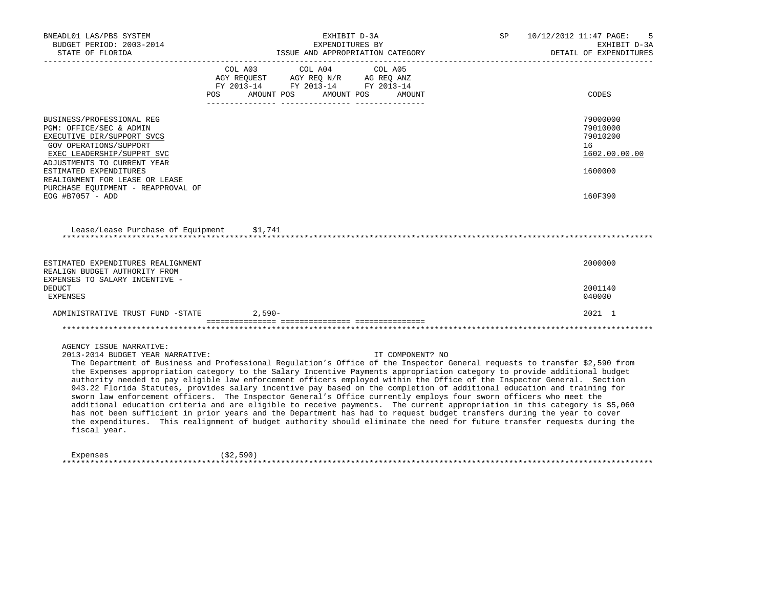| BNEADL01 LAS/PBS SYSTEM<br>BUDGET PERIOD: 2003-2014<br>STATE OF FLORIDA<br>_____________________                                                                                                                                                                                                                                                                                                                                                                                                                                                                                                                                                                                                                                                                                                                                                                                                                                                                                                                                                                                                   |         | EXHIBIT D-3A<br>EXPENDITURES BY                                                                                                                                                                                                                           | ISSUE AND APPROPRIATION CATEGORY | <b>SP</b> | 10/12/2012 11:47 PAGE:<br>5<br>EXHIBIT D-3A<br>DETAIL OF EXPENDITURES |
|----------------------------------------------------------------------------------------------------------------------------------------------------------------------------------------------------------------------------------------------------------------------------------------------------------------------------------------------------------------------------------------------------------------------------------------------------------------------------------------------------------------------------------------------------------------------------------------------------------------------------------------------------------------------------------------------------------------------------------------------------------------------------------------------------------------------------------------------------------------------------------------------------------------------------------------------------------------------------------------------------------------------------------------------------------------------------------------------------|---------|-----------------------------------------------------------------------------------------------------------------------------------------------------------------------------------------------------------------------------------------------------------|----------------------------------|-----------|-----------------------------------------------------------------------|
|                                                                                                                                                                                                                                                                                                                                                                                                                                                                                                                                                                                                                                                                                                                                                                                                                                                                                                                                                                                                                                                                                                    |         | COL A03 COL A04<br>$\begin{tabular}{lllllll} \bf AGY \,\, REQUEST \,\, & \bf AGY \,\, REQ \,\, N/R & \,\, AG \,\, REQ \,\, ANZ \\ \bf FY \,\, 2013-14 & \,\, FY \,\, 2013-14 & \,\, FY \,\, 2013-14 \\ \end{tabular}$<br>POS AMOUNT POS AMOUNT POS AMOUNT | COL A05                          |           | CODES                                                                 |
| BUSINESS/PROFESSIONAL REG<br>PGM: OFFICE/SEC & ADMIN<br>EXECUTIVE DIR/SUPPORT SVCS<br>GOV OPERATIONS/SUPPORT<br>EXEC LEADERSHIP/SUPPRT SVC<br>ADJUSTMENTS TO CURRENT YEAR<br>ESTIMATED EXPENDITURES                                                                                                                                                                                                                                                                                                                                                                                                                                                                                                                                                                                                                                                                                                                                                                                                                                                                                                |         |                                                                                                                                                                                                                                                           |                                  |           | 79000000<br>79010000<br>79010200<br>16<br>1602.00.00.00<br>1600000    |
| REALIGNMENT FOR LEASE OR LEASE<br>PURCHASE EQUIPMENT - REAPPROVAL OF<br>EOG #B7057 - ADD                                                                                                                                                                                                                                                                                                                                                                                                                                                                                                                                                                                                                                                                                                                                                                                                                                                                                                                                                                                                           |         |                                                                                                                                                                                                                                                           |                                  |           | 160F390                                                               |
| Lease/Lease Purchase of Equipment                                                                                                                                                                                                                                                                                                                                                                                                                                                                                                                                                                                                                                                                                                                                                                                                                                                                                                                                                                                                                                                                  | \$1,741 |                                                                                                                                                                                                                                                           |                                  |           |                                                                       |
| ESTIMATED EXPENDITURES REALIGNMENT<br>REALIGN BUDGET AUTHORITY FROM<br>EXPENSES TO SALARY INCENTIVE -                                                                                                                                                                                                                                                                                                                                                                                                                                                                                                                                                                                                                                                                                                                                                                                                                                                                                                                                                                                              |         |                                                                                                                                                                                                                                                           |                                  |           | 2000000                                                               |
| <b>DEDUCT</b><br><b>EXPENSES</b>                                                                                                                                                                                                                                                                                                                                                                                                                                                                                                                                                                                                                                                                                                                                                                                                                                                                                                                                                                                                                                                                   |         |                                                                                                                                                                                                                                                           |                                  |           | 2001140<br>040000                                                     |
| ADMINISTRATIVE TRUST FUND -STATE 2,590-                                                                                                                                                                                                                                                                                                                                                                                                                                                                                                                                                                                                                                                                                                                                                                                                                                                                                                                                                                                                                                                            |         |                                                                                                                                                                                                                                                           |                                  |           | $2021$ 1                                                              |
|                                                                                                                                                                                                                                                                                                                                                                                                                                                                                                                                                                                                                                                                                                                                                                                                                                                                                                                                                                                                                                                                                                    |         |                                                                                                                                                                                                                                                           |                                  |           |                                                                       |
| AGENCY ISSUE NARRATIVE:<br>2013-2014 BUDGET YEAR NARRATIVE:<br>The Department of Business and Professional Regulation's Office of the Inspector General requests to transfer \$2,590 from<br>the Expenses appropriation category to the Salary Incentive Payments appropriation category to provide additional budget<br>authority needed to pay eligible law enforcement officers employed within the Office of the Inspector General. Section<br>943.22 Florida Statutes, provides salary incentive pay based on the completion of additional education and training for<br>sworn law enforcement officers. The Inspector General's Office currently employs four sworn officers who meet the<br>additional education criteria and are eligible to receive payments. The current appropriation in this category is \$5,060<br>has not been sufficient in prior years and the Department has had to request budget transfers during the year to cover<br>the expenditures. This realignment of budget authority should eliminate the need for future transfer requests during the<br>fiscal year. |         |                                                                                                                                                                                                                                                           | IT COMPONENT? NO                 |           |                                                                       |

| Expenses | (\$2,590 |  |
|----------|----------|--|
|          |          |  |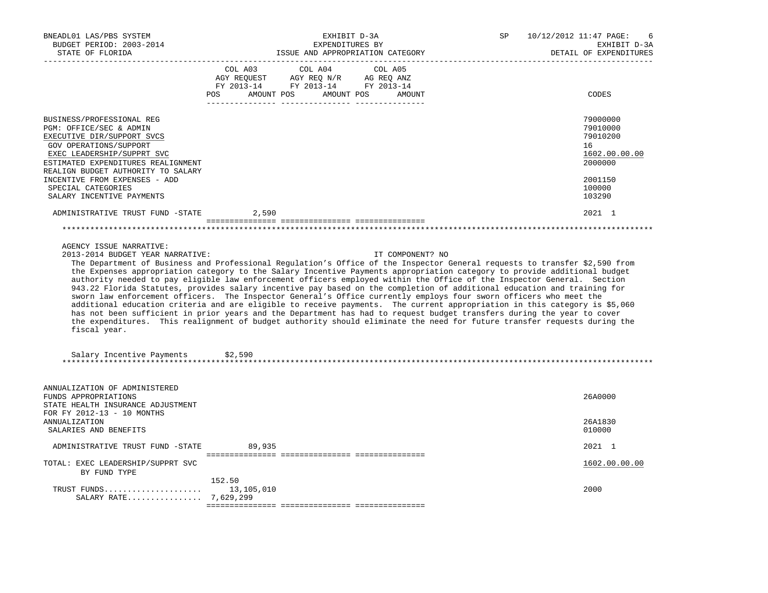| BNEADL01 LAS/PBS SYSTEM<br>BUDGET PERIOD: 2003-2014<br>STATE OF FLORIDA                                                                                                                                                                                                                                    | EXHIBIT D-3A<br>EXPENDITURES BY<br>ISSUE AND APPROPRIATION CATEGORY                                                                                                                                                                                                                                                                                                                                                                                                                                                                                                                                                                                                                                                                                                                                                                                                                                                                                                                                                                                | 10/12/2012 11:47 PAGE:<br>SP<br>6<br>EXHIBIT D-3A<br>DETAIL OF EXPENDITURES                       |
|------------------------------------------------------------------------------------------------------------------------------------------------------------------------------------------------------------------------------------------------------------------------------------------------------------|----------------------------------------------------------------------------------------------------------------------------------------------------------------------------------------------------------------------------------------------------------------------------------------------------------------------------------------------------------------------------------------------------------------------------------------------------------------------------------------------------------------------------------------------------------------------------------------------------------------------------------------------------------------------------------------------------------------------------------------------------------------------------------------------------------------------------------------------------------------------------------------------------------------------------------------------------------------------------------------------------------------------------------------------------|---------------------------------------------------------------------------------------------------|
|                                                                                                                                                                                                                                                                                                            | COL A03<br>COL A04<br>COL A05<br>AGY REQUEST AGY REQ N/R AG REQ ANZ<br>FY 2013-14 FY 2013-14 FY 2013-14<br>POS AMOUNT POS AMOUNT POS AMOUNT                                                                                                                                                                                                                                                                                                                                                                                                                                                                                                                                                                                                                                                                                                                                                                                                                                                                                                        | CODES                                                                                             |
| BUSINESS/PROFESSIONAL REG<br>PGM: OFFICE/SEC & ADMIN<br>EXECUTIVE DIR/SUPPORT SVCS<br>GOV OPERATIONS/SUPPORT<br>EXEC LEADERSHIP/SUPPRT SVC<br>ESTIMATED EXPENDITURES REALIGNMENT<br>REALIGN BUDGET AUTHORITY TO SALARY<br>INCENTIVE FROM EXPENSES - ADD<br>SPECIAL CATEGORIES<br>SALARY INCENTIVE PAYMENTS |                                                                                                                                                                                                                                                                                                                                                                                                                                                                                                                                                                                                                                                                                                                                                                                                                                                                                                                                                                                                                                                    | 79000000<br>79010000<br>79010200<br>16<br>1602.00.00.00<br>2000000<br>2001150<br>100000<br>103290 |
| ADMINISTRATIVE TRUST FUND -STATE                                                                                                                                                                                                                                                                           | 2,590                                                                                                                                                                                                                                                                                                                                                                                                                                                                                                                                                                                                                                                                                                                                                                                                                                                                                                                                                                                                                                              | 2021 1                                                                                            |
|                                                                                                                                                                                                                                                                                                            |                                                                                                                                                                                                                                                                                                                                                                                                                                                                                                                                                                                                                                                                                                                                                                                                                                                                                                                                                                                                                                                    |                                                                                                   |
| AGENCY ISSUE NARRATIVE:<br>2013-2014 BUDGET YEAR NARRATIVE:<br>fiscal year.<br>Salary Incentive Payments                                                                                                                                                                                                   | IT COMPONENT? NO<br>The Department of Business and Professional Regulation's Office of the Inspector General requests to transfer \$2,590 from<br>the Expenses appropriation category to the Salary Incentive Payments appropriation category to provide additional budget<br>authority needed to pay eligible law enforcement officers employed within the Office of the Inspector General. Section<br>943.22 Florida Statutes, provides salary incentive pay based on the completion of additional education and training for<br>sworn law enforcement officers. The Inspector General's Office currently employs four sworn officers who meet the<br>additional education criteria and are eligible to receive payments. The current appropriation in this category is \$5,060<br>has not been sufficient in prior years and the Department has had to request budget transfers during the year to cover<br>the expenditures. This realignment of budget authority should eliminate the need for future transfer requests during the<br>\$2,590 |                                                                                                   |
| ANNUALIZATION OF ADMINISTERED<br>FUNDS APPROPRIATIONS<br>STATE HEALTH INSURANCE ADJUSTMENT<br>FOR FY 2012-13 - 10 MONTHS<br><b>ANNUALIZATION</b><br>SALARIES AND BENEFITS                                                                                                                                  |                                                                                                                                                                                                                                                                                                                                                                                                                                                                                                                                                                                                                                                                                                                                                                                                                                                                                                                                                                                                                                                    | 26A0000<br>26A1830<br>010000                                                                      |
| ADMINISTRATIVE TRUST FUND -STATE                                                                                                                                                                                                                                                                           | 89,935                                                                                                                                                                                                                                                                                                                                                                                                                                                                                                                                                                                                                                                                                                                                                                                                                                                                                                                                                                                                                                             | 2021 1                                                                                            |
| TOTAL: EXEC LEADERSHIP/SUPPRT SVC<br>BY FUND TYPE                                                                                                                                                                                                                                                          |                                                                                                                                                                                                                                                                                                                                                                                                                                                                                                                                                                                                                                                                                                                                                                                                                                                                                                                                                                                                                                                    | 1602.00.00.00                                                                                     |
| TRUST FUNDS $13,105,010$<br>SALARY RATE 7,629,299                                                                                                                                                                                                                                                          | 152.50                                                                                                                                                                                                                                                                                                                                                                                                                                                                                                                                                                                                                                                                                                                                                                                                                                                                                                                                                                                                                                             | 2000                                                                                              |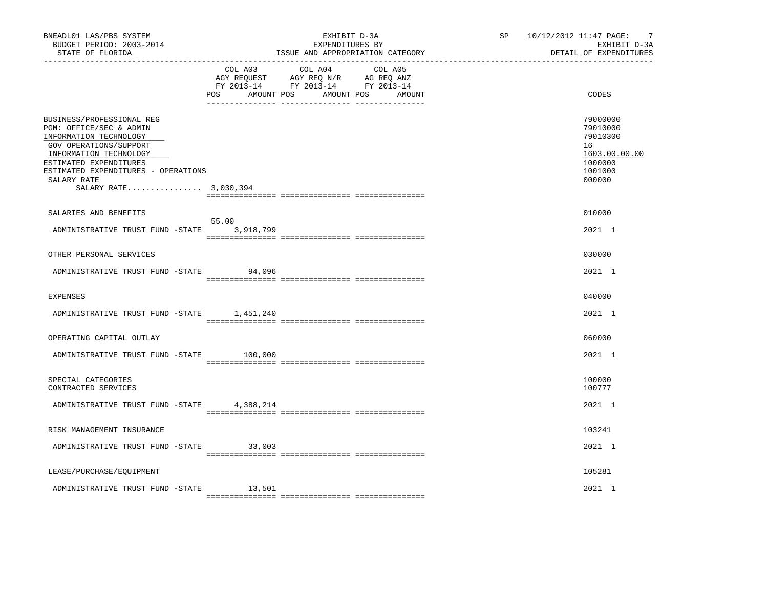| BNEADL01 LAS/PBS SYSTEM<br>BUDGET PERIOD: 2003-2014<br>STATE OF FLORIDA                                                                                                                                                                     |                | EXHIBIT D-3A<br>EXPENDITURES BY<br>ISSUE AND APPROPRIATION CATEGORY                                                       | $\overline{7}$<br>SP 10/12/2012 11:47 PAGE:<br>EXHIBIT D-3A<br>DETAIL OF EXPENDITURES   |
|---------------------------------------------------------------------------------------------------------------------------------------------------------------------------------------------------------------------------------------------|----------------|---------------------------------------------------------------------------------------------------------------------------|-----------------------------------------------------------------------------------------|
|                                                                                                                                                                                                                                             | COL A03<br>POS | COL A04 COL A05<br>AGY REQUEST AGY REQ N/R AG REQ ANZ<br>FY 2013-14 FY 2013-14 FY 2013-14<br>AMOUNT POS AMOUNT POS AMOUNT | CODES                                                                                   |
| BUSINESS/PROFESSIONAL REG<br>PGM: OFFICE/SEC & ADMIN<br>INFORMATION TECHNOLOGY<br>GOV OPERATIONS/SUPPORT<br>INFORMATION TECHNOLOGY<br>ESTIMATED EXPENDITURES<br>ESTIMATED EXPENDITURES - OPERATIONS<br>SALARY RATE<br>SALARY RATE 3,030,394 |                |                                                                                                                           | 79000000<br>79010000<br>79010300<br>16<br>1603.00.00.00<br>1000000<br>1001000<br>000000 |
| SALARIES AND BENEFITS                                                                                                                                                                                                                       |                |                                                                                                                           | 010000                                                                                  |
| ADMINISTRATIVE TRUST FUND -STATE 3,918,799                                                                                                                                                                                                  | 55.00          |                                                                                                                           | 2021 1                                                                                  |
| OTHER PERSONAL SERVICES                                                                                                                                                                                                                     |                |                                                                                                                           | 030000                                                                                  |
| ADMINISTRATIVE TRUST FUND -STATE                                                                                                                                                                                                            | 94,096         |                                                                                                                           | 2021 1                                                                                  |
| <b>EXPENSES</b>                                                                                                                                                                                                                             |                |                                                                                                                           | 040000                                                                                  |
| ADMINISTRATIVE TRUST FUND -STATE 1,451,240                                                                                                                                                                                                  |                |                                                                                                                           | 2021 1                                                                                  |
| OPERATING CAPITAL OUTLAY                                                                                                                                                                                                                    |                |                                                                                                                           | 060000                                                                                  |
| ADMINISTRATIVE TRUST FUND -STATE                                                                                                                                                                                                            | 100,000        |                                                                                                                           | 2021 1                                                                                  |
| SPECIAL CATEGORIES<br>CONTRACTED SERVICES                                                                                                                                                                                                   |                |                                                                                                                           | 100000<br>100777                                                                        |
| ADMINISTRATIVE TRUST FUND -STATE 4,388,214                                                                                                                                                                                                  |                |                                                                                                                           | 2021 1                                                                                  |
| RISK MANAGEMENT INSURANCE                                                                                                                                                                                                                   |                |                                                                                                                           | 103241                                                                                  |
| ADMINISTRATIVE TRUST FUND -STATE 33,003                                                                                                                                                                                                     |                |                                                                                                                           | 2021 1                                                                                  |
| LEASE/PURCHASE/EQUIPMENT                                                                                                                                                                                                                    |                |                                                                                                                           | 105281                                                                                  |
| ADMINISTRATIVE TRUST FUND -STATE                                                                                                                                                                                                            | 13,501         |                                                                                                                           | 2021 1                                                                                  |
|                                                                                                                                                                                                                                             |                |                                                                                                                           |                                                                                         |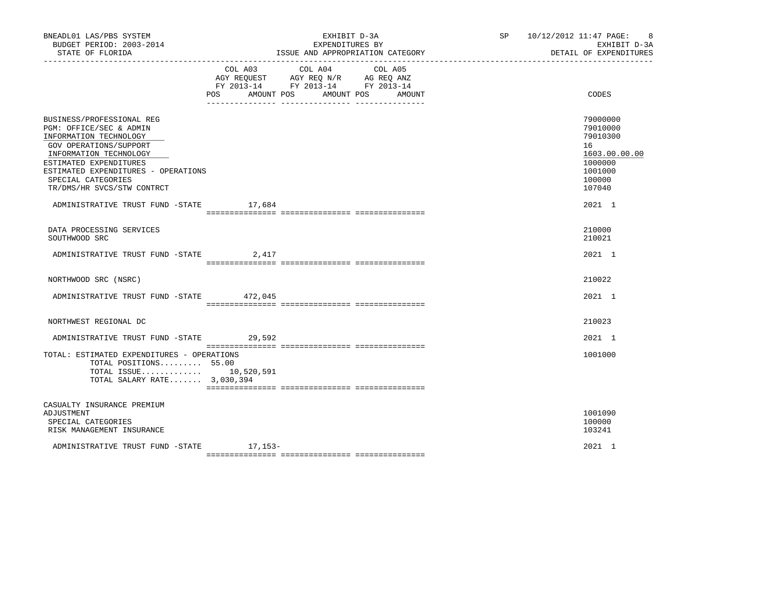| BNEADL01 LAS/PBS SYSTEM<br>BUDGET PERIOD: 2003-2014<br>STATE OF FLORIDA                                                                                                                                                                                 |     | EXHIBIT D-3A<br>EXPENDITURES BY<br>ISSUE AND APPROPRIATION CATEGORY                                                                                                                                                                                                                    | SP 10/12/2012 11:47 PAGE: 8<br>EXHIBIT D-3A<br>DETAIL OF EXPENDITURES                             |
|---------------------------------------------------------------------------------------------------------------------------------------------------------------------------------------------------------------------------------------------------------|-----|----------------------------------------------------------------------------------------------------------------------------------------------------------------------------------------------------------------------------------------------------------------------------------------|---------------------------------------------------------------------------------------------------|
|                                                                                                                                                                                                                                                         | POS | COL A03 COL A04 COL A05<br>$\begin{tabular}{lllllll} \bf AGY \,\,\, REQUEST \,\,\, & \bf AGY \,\, REQ \,\, N/R & \,\, & \bf AG \,\, REQ \,\, ANZ \\ \bf FY \,\, 2013-14 & \,\, & \bf FY \,\, 2013-14 & \,\, & \bf FY \,\, 2013-14 \\ \end{tabular}$<br>AMOUNT POS AMOUNT POS<br>AMOUNT | CODES                                                                                             |
| BUSINESS/PROFESSIONAL REG<br>PGM: OFFICE/SEC & ADMIN<br>INFORMATION TECHNOLOGY<br>GOV OPERATIONS/SUPPORT<br>INFORMATION TECHNOLOGY<br>ESTIMATED EXPENDITURES<br>ESTIMATED EXPENDITURES - OPERATIONS<br>SPECIAL CATEGORIES<br>TR/DMS/HR SVCS/STW CONTRCT |     |                                                                                                                                                                                                                                                                                        | 79000000<br>79010000<br>79010300<br>16<br>1603.00.00.00<br>1000000<br>1001000<br>100000<br>107040 |
| ADMINISTRATIVE TRUST FUND -STATE 17,684                                                                                                                                                                                                                 |     |                                                                                                                                                                                                                                                                                        | 2021 1                                                                                            |
| DATA PROCESSING SERVICES<br>SOUTHWOOD SRC                                                                                                                                                                                                               |     |                                                                                                                                                                                                                                                                                        | 210000<br>210021                                                                                  |
| ADMINISTRATIVE TRUST FUND -STATE 2,417                                                                                                                                                                                                                  |     |                                                                                                                                                                                                                                                                                        | 2021 1                                                                                            |
| NORTHWOOD SRC (NSRC)                                                                                                                                                                                                                                    |     |                                                                                                                                                                                                                                                                                        | 210022                                                                                            |
| ADMINISTRATIVE TRUST FUND -STATE 472,045                                                                                                                                                                                                                |     |                                                                                                                                                                                                                                                                                        | 2021 1                                                                                            |
| NORTHWEST REGIONAL DC                                                                                                                                                                                                                                   |     |                                                                                                                                                                                                                                                                                        | 210023                                                                                            |
| ADMINISTRATIVE TRUST FUND -STATE 29,592                                                                                                                                                                                                                 |     |                                                                                                                                                                                                                                                                                        | 2021 1                                                                                            |
| TOTAL: ESTIMATED EXPENDITURES - OPERATIONS<br>TOTAL POSITIONS 55.00<br>TOTAL ISSUE 10,520,591<br>TOTAL SALARY RATE 3,030,394                                                                                                                            |     |                                                                                                                                                                                                                                                                                        | 1001000                                                                                           |
| CASUALTY INSURANCE PREMIUM<br>ADJUSTMENT<br>SPECIAL CATEGORIES<br>RISK MANAGEMENT INSURANCE                                                                                                                                                             |     |                                                                                                                                                                                                                                                                                        | 1001090<br>100000<br>103241                                                                       |
| ADMINISTRATIVE TRUST FUND -STATE 17,153-                                                                                                                                                                                                                |     |                                                                                                                                                                                                                                                                                        | 2021 1                                                                                            |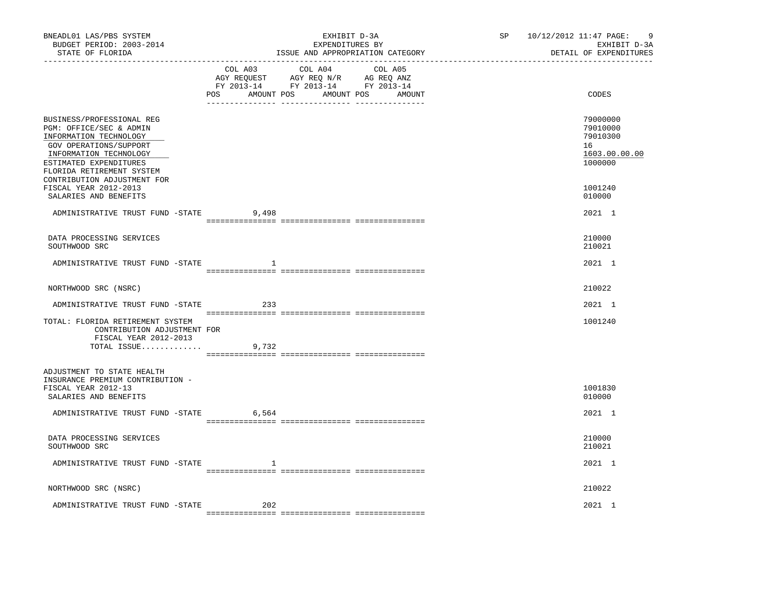| BNEADL01 LAS/PBS SYSTEM<br>BUDGET PERIOD: 2003-2014<br>STATE OF FLORIDA                                                                                                                                                  |         | EXHIBIT D-3A<br>EXPENDITURES BY<br>ISSUE AND APPROPRIATION CATEGORY                                                              | SP | 10/12/2012 11:47 PAGE:<br>9<br>EXHIBIT D-3A<br>DETAIL OF EXPENDITURES |
|--------------------------------------------------------------------------------------------------------------------------------------------------------------------------------------------------------------------------|---------|----------------------------------------------------------------------------------------------------------------------------------|----|-----------------------------------------------------------------------|
|                                                                                                                                                                                                                          | COL A03 | COL A04<br>COL A05<br>AGY REQUEST AGY REQ N/R AG REQ ANZ<br>FY 2013-14 FY 2013-14 FY 2013-14<br>POS AMOUNT POS AMOUNT POS AMOUNT |    | CODES                                                                 |
| BUSINESS/PROFESSIONAL REG<br>PGM: OFFICE/SEC & ADMIN<br>INFORMATION TECHNOLOGY<br>GOV OPERATIONS/SUPPORT<br>INFORMATION TECHNOLOGY<br>ESTIMATED EXPENDITURES<br>FLORIDA RETIREMENT SYSTEM<br>CONTRIBUTION ADJUSTMENT FOR |         |                                                                                                                                  |    | 79000000<br>79010000<br>79010300<br>16<br>1603.00.00.00<br>1000000    |
| FISCAL YEAR 2012-2013<br>SALARIES AND BENEFITS                                                                                                                                                                           |         |                                                                                                                                  |    | 1001240<br>010000                                                     |
| ADMINISTRATIVE TRUST FUND -STATE                                                                                                                                                                                         | 9,498   |                                                                                                                                  |    | 2021 1                                                                |
| DATA PROCESSING SERVICES<br>SOUTHWOOD SRC                                                                                                                                                                                |         |                                                                                                                                  |    | 210000<br>210021                                                      |
| ADMINISTRATIVE TRUST FUND -STATE                                                                                                                                                                                         | 1       |                                                                                                                                  |    | 2021 1                                                                |
| NORTHWOOD SRC (NSRC)                                                                                                                                                                                                     |         |                                                                                                                                  |    | 210022                                                                |
| ADMINISTRATIVE TRUST FUND -STATE                                                                                                                                                                                         | 233     |                                                                                                                                  |    | 2021 1                                                                |
| TOTAL: FLORIDA RETIREMENT SYSTEM<br>CONTRIBUTION ADJUSTMENT FOR<br>FISCAL YEAR 2012-2013                                                                                                                                 |         |                                                                                                                                  |    | 1001240                                                               |
| TOTAL ISSUE                                                                                                                                                                                                              | 9,732   |                                                                                                                                  |    |                                                                       |
| ADJUSTMENT TO STATE HEALTH<br>INSURANCE PREMIUM CONTRIBUTION -<br>FISCAL YEAR 2012-13<br>SALARIES AND BENEFITS                                                                                                           |         |                                                                                                                                  |    | 1001830<br>010000                                                     |
| ADMINISTRATIVE TRUST FUND -STATE                                                                                                                                                                                         | 6,564   |                                                                                                                                  |    | 2021 1                                                                |
| DATA PROCESSING SERVICES<br>SOUTHWOOD SRC                                                                                                                                                                                |         |                                                                                                                                  |    | 210000<br>210021                                                      |
| ADMINISTRATIVE TRUST FUND -STATE                                                                                                                                                                                         | 1       |                                                                                                                                  |    | 2021 1                                                                |
| NORTHWOOD SRC (NSRC)                                                                                                                                                                                                     |         |                                                                                                                                  |    | 210022                                                                |
| ADMINISTRATIVE TRUST FUND -STATE                                                                                                                                                                                         | 202     |                                                                                                                                  |    | 2021 1                                                                |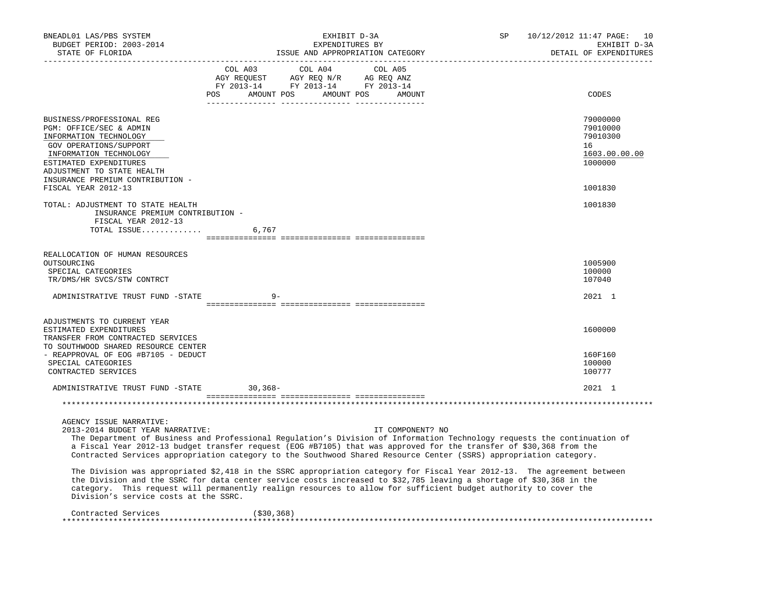| BNEADL01 LAS/PBS SYSTEM<br>BUDGET PERIOD: 2003-2014<br>STATE OF FLORIDA                                                                                                                                                                                                                                                                                                                                                                                                                                                                                                                                                                                                                                                                                                                                                                          |                                                                                                                | EXHIBIT D-3A<br>EXPENDITURES BY<br>________________________ | ISSUE AND APPROPRIATION CATEGORY | SP | 10/12/2012 11:47 PAGE:<br>10<br>EXHIBIT D-3A<br>DETAIL OF EXPENDITURES        |
|--------------------------------------------------------------------------------------------------------------------------------------------------------------------------------------------------------------------------------------------------------------------------------------------------------------------------------------------------------------------------------------------------------------------------------------------------------------------------------------------------------------------------------------------------------------------------------------------------------------------------------------------------------------------------------------------------------------------------------------------------------------------------------------------------------------------------------------------------|----------------------------------------------------------------------------------------------------------------|-------------------------------------------------------------|----------------------------------|----|-------------------------------------------------------------------------------|
|                                                                                                                                                                                                                                                                                                                                                                                                                                                                                                                                                                                                                                                                                                                                                                                                                                                  | COL A03<br>AGY REQUEST AGY REQ N/R AG REQ ANZ<br>FY 2013-14 FY 2013-14 FY 2013-14<br>POS AMOUNT POS AMOUNT POS | COL A04                                                     | COL A05<br>AMOUNT                |    | CODES                                                                         |
| BUSINESS/PROFESSIONAL REG<br>PGM: OFFICE/SEC & ADMIN<br>INFORMATION TECHNOLOGY<br>GOV OPERATIONS/SUPPORT<br>INFORMATION TECHNOLOGY<br>ESTIMATED EXPENDITURES<br>ADJUSTMENT TO STATE HEALTH<br>INSURANCE PREMIUM CONTRIBUTION -<br>FISCAL YEAR 2012-13                                                                                                                                                                                                                                                                                                                                                                                                                                                                                                                                                                                            |                                                                                                                |                                                             |                                  |    | 79000000<br>79010000<br>79010300<br>16<br>1603.00.00.00<br>1000000<br>1001830 |
| TOTAL: ADJUSTMENT TO STATE HEALTH<br>INSURANCE PREMIUM CONTRIBUTION -<br>FISCAL YEAR 2012-13<br>TOTAL ISSUE                                                                                                                                                                                                                                                                                                                                                                                                                                                                                                                                                                                                                                                                                                                                      | 6,767                                                                                                          |                                                             |                                  |    | 1001830                                                                       |
| REALLOCATION OF HUMAN RESOURCES<br>OUTSOURCING<br>SPECIAL CATEGORIES<br>TR/DMS/HR SVCS/STW CONTRCT                                                                                                                                                                                                                                                                                                                                                                                                                                                                                                                                                                                                                                                                                                                                               |                                                                                                                |                                                             |                                  |    | 1005900<br>100000<br>107040                                                   |
| ADMINISTRATIVE TRUST FUND -STATE                                                                                                                                                                                                                                                                                                                                                                                                                                                                                                                                                                                                                                                                                                                                                                                                                 | $9 -$                                                                                                          |                                                             |                                  |    | 2021 1                                                                        |
| ADJUSTMENTS TO CURRENT YEAR<br>ESTIMATED EXPENDITURES<br>TRANSFER FROM CONTRACTED SERVICES<br>TO SOUTHWOOD SHARED RESOURCE CENTER<br>- REAPPROVAL OF EOG #B7105 - DEDUCT<br>SPECIAL CATEGORIES<br>CONTRACTED SERVICES                                                                                                                                                                                                                                                                                                                                                                                                                                                                                                                                                                                                                            |                                                                                                                |                                                             |                                  |    | 1600000<br>160F160<br>100000<br>100777                                        |
| ADMINISTRATIVE TRUST FUND -STATE                                                                                                                                                                                                                                                                                                                                                                                                                                                                                                                                                                                                                                                                                                                                                                                                                 | $30,368-$                                                                                                      |                                                             |                                  |    | 2021 1                                                                        |
|                                                                                                                                                                                                                                                                                                                                                                                                                                                                                                                                                                                                                                                                                                                                                                                                                                                  |                                                                                                                |                                                             |                                  |    |                                                                               |
| AGENCY ISSUE NARRATIVE:<br>2013-2014 BUDGET YEAR NARRATIVE:<br>The Department of Business and Professional Regulation's Division of Information Technology requests the continuation of<br>a Fiscal Year 2012-13 budget transfer request (EOG #B7105) that was approved for the transfer of \$30,368 from the<br>Contracted Services appropriation category to the Southwood Shared Resource Center (SSRS) appropriation category.<br>The Division was appropriated \$2,418 in the SSRC appropriation category for Fiscal Year 2012-13. The agreement between<br>the Division and the SSRC for data center service costs increased to \$32,785 leaving a shortage of \$30,368 in the<br>category. This request will permanently realign resources to allow for sufficient budget authority to cover the<br>Division's service costs at the SSRC. |                                                                                                                |                                                             | IT COMPONENT? NO                 |    |                                                                               |
| Contracted Services<br>*********************                                                                                                                                                                                                                                                                                                                                                                                                                                                                                                                                                                                                                                                                                                                                                                                                     | ( \$30, 368)                                                                                                   |                                                             |                                  |    |                                                                               |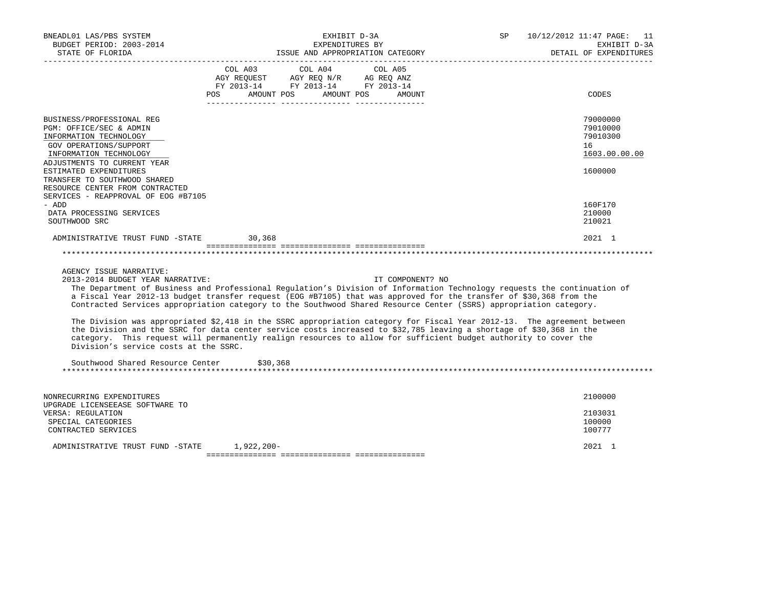| BNEADL01 LAS/PBS SYSTEM<br>BUDGET PERIOD: 2003-2014<br>STATE OF FLORIDA                                                                                                                | EXHIBIT D-3A<br>EXPENDITURES BY<br>ISSUE AND APPROPRIATION CATEGORY                                                                                                                                                                                                                                                                                                                                                                                                                                                                                                                                                                                                                                                                                                      | SP 10/12/2012 11:47 PAGE: 11<br>EXHIBIT D-3A<br>DETAIL OF EXPENDITURES |
|----------------------------------------------------------------------------------------------------------------------------------------------------------------------------------------|--------------------------------------------------------------------------------------------------------------------------------------------------------------------------------------------------------------------------------------------------------------------------------------------------------------------------------------------------------------------------------------------------------------------------------------------------------------------------------------------------------------------------------------------------------------------------------------------------------------------------------------------------------------------------------------------------------------------------------------------------------------------------|------------------------------------------------------------------------|
|                                                                                                                                                                                        | COL A03 COL A04 COL A05<br>AGY REQUEST AGY REQ N/R AG REQ ANZ<br>FY 2013-14 FY 2013-14 FY 2013-14<br>POS AMOUNT POS AMOUNT POS AMOUNT                                                                                                                                                                                                                                                                                                                                                                                                                                                                                                                                                                                                                                    | CODES                                                                  |
| BUSINESS/PROFESSIONAL REG<br>PGM: OFFICE/SEC & ADMIN<br>INFORMATION TECHNOLOGY<br>GOV OPERATIONS/SUPPORT<br>INFORMATION TECHNOLOGY<br>ADJUSTMENTS TO CURRENT YEAR                      |                                                                                                                                                                                                                                                                                                                                                                                                                                                                                                                                                                                                                                                                                                                                                                          | 79000000<br>79010000<br>79010300<br>16<br>1603.00.00.00                |
| ESTIMATED EXPENDITURES<br>TRANSFER TO SOUTHWOOD SHARED<br>RESOURCE CENTER FROM CONTRACTED<br>SERVICES - REAPPROVAL OF EOG #B7105<br>- ADD<br>DATA PROCESSING SERVICES<br>SOUTHWOOD SRC |                                                                                                                                                                                                                                                                                                                                                                                                                                                                                                                                                                                                                                                                                                                                                                          | 1600000<br>160F170<br>210000<br>210021                                 |
| ADMINISTRATIVE TRUST FUND -STATE 30,368                                                                                                                                                |                                                                                                                                                                                                                                                                                                                                                                                                                                                                                                                                                                                                                                                                                                                                                                          | 2021 1                                                                 |
| AGENCY ISSUE NARRATIVE:<br>2013-2014 BUDGET YEAR NARRATIVE:<br>Division's service costs at the SSRC.<br>Southwood Shared Resource Center                                               | IT COMPONENT? NO<br>The Department of Business and Professional Regulation's Division of Information Technology requests the continuation of<br>a Fiscal Year 2012-13 budget transfer request (EOG #B7105) that was approved for the transfer of \$30,368 from the<br>Contracted Services appropriation category to the Southwood Shared Resource Center (SSRS) appropriation category.<br>The Division was appropriated \$2,418 in the SSRC appropriation category for Fiscal Year 2012-13. The agreement between<br>the Division and the SSRC for data center service costs increased to \$32,785 leaving a shortage of \$30,368 in the<br>category. This request will permanently realign resources to allow for sufficient budget authority to cover the<br>\$30,368 |                                                                        |
| NONRECURRING EXPENDITURES<br>UPGRADE LICENSEEASE SOFTWARE TO<br>VERSA: REGULATION<br>SPECIAL CATEGORIES<br>CONTRACTED SERVICES                                                         |                                                                                                                                                                                                                                                                                                                                                                                                                                                                                                                                                                                                                                                                                                                                                                          | 2100000<br>2103031<br>100000<br>100777                                 |
| ADMINISTRATIVE TRUST FUND -STATE 1,922,200-                                                                                                                                            |                                                                                                                                                                                                                                                                                                                                                                                                                                                                                                                                                                                                                                                                                                                                                                          | 2021 1                                                                 |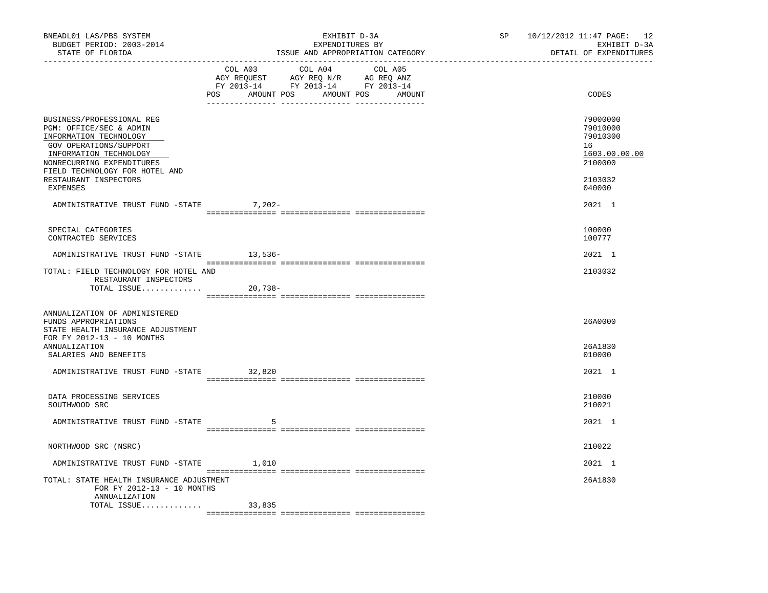|                                                                                                                                                                                                   |           | SP 10/12/2012 11:47 PAGE: 12<br>EXHIBIT D-3A<br>EXPENDITURES BY<br>ISSUE AND APPROPRIATION CATEGORY<br>________________________________<br>____________________________ |                   |  | DETAIL OF EXPENDITURES                                             | EXHIBIT D-3A |
|---------------------------------------------------------------------------------------------------------------------------------------------------------------------------------------------------|-----------|-------------------------------------------------------------------------------------------------------------------------------------------------------------------------|-------------------|--|--------------------------------------------------------------------|--------------|
|                                                                                                                                                                                                   | COL A03   | COL A04<br>AGY REQUEST AGY REQ N/R AG REQ ANZ<br>FY 2013-14 FY 2013-14 FY 2013-14<br>POS AMOUNT POS AMOUNT POS                                                          | COL A05<br>AMOUNT |  | CODES                                                              |              |
| BUSINESS/PROFESSIONAL REG<br>PGM: OFFICE/SEC & ADMIN<br>INFORMATION TECHNOLOGY<br>GOV OPERATIONS/SUPPORT<br>INFORMATION TECHNOLOGY<br>NONRECURRING EXPENDITURES<br>FIELD TECHNOLOGY FOR HOTEL AND |           |                                                                                                                                                                         |                   |  | 79000000<br>79010000<br>79010300<br>16<br>1603.00.00.00<br>2100000 |              |
| RESTAURANT INSPECTORS<br>EXPENSES                                                                                                                                                                 |           |                                                                                                                                                                         |                   |  | 2103032<br>040000                                                  |              |
| ADMINISTRATIVE TRUST FUND -STATE                                                                                                                                                                  | $7,202-$  |                                                                                                                                                                         |                   |  | 2021 1                                                             |              |
| SPECIAL CATEGORIES<br>CONTRACTED SERVICES                                                                                                                                                         |           |                                                                                                                                                                         |                   |  | 100000<br>100777                                                   |              |
| ADMINISTRATIVE TRUST FUND -STATE 13,536-                                                                                                                                                          |           |                                                                                                                                                                         |                   |  | 2021 1                                                             |              |
| TOTAL: FIELD TECHNOLOGY FOR HOTEL AND<br>RESTAURANT INSPECTORS<br>TOTAL ISSUE                                                                                                                     | $20,738-$ |                                                                                                                                                                         |                   |  | 2103032                                                            |              |
| ANNUALIZATION OF ADMINISTERED<br>FUNDS APPROPRIATIONS<br>STATE HEALTH INSURANCE ADJUSTMENT<br>FOR FY 2012-13 - 10 MONTHS<br>ANNUALIZATION<br>SALARIES AND BENEFITS                                |           |                                                                                                                                                                         |                   |  | 26A0000<br>26A1830<br>010000                                       |              |
| ADMINISTRATIVE TRUST FUND -STATE                                                                                                                                                                  | 32,820    |                                                                                                                                                                         |                   |  | 2021 1                                                             |              |
|                                                                                                                                                                                                   |           |                                                                                                                                                                         |                   |  |                                                                    |              |
| DATA PROCESSING SERVICES<br>SOUTHWOOD SRC                                                                                                                                                         |           |                                                                                                                                                                         |                   |  | 210000<br>210021                                                   |              |
| ADMINISTRATIVE TRUST FUND -STATE                                                                                                                                                                  | -5        |                                                                                                                                                                         |                   |  | 2021 1                                                             |              |
| NORTHWOOD SRC (NSRC)                                                                                                                                                                              |           |                                                                                                                                                                         |                   |  | 210022                                                             |              |
| ADMINISTRATIVE TRUST FUND -STATE 1,010                                                                                                                                                            |           |                                                                                                                                                                         |                   |  | 2021 1                                                             |              |
| TOTAL: STATE HEALTH INSURANCE ADJUSTMENT<br>FOR FY 2012-13 - 10 MONTHS<br>ANNUALIZATION                                                                                                           |           |                                                                                                                                                                         |                   |  | 26A1830                                                            |              |
| TOTAL ISSUE                                                                                                                                                                                       | 33,835    |                                                                                                                                                                         |                   |  |                                                                    |              |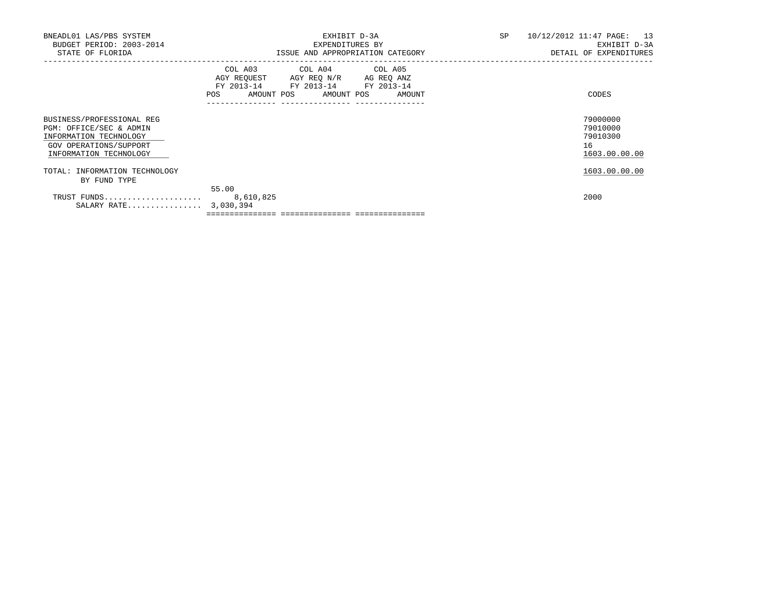| BNEADL01 LAS/PBS SYSTEM<br>BUDGET PERIOD: 2003-2014<br>STATE OF FLORIDA                                                            | EXHIBIT D-3A<br>EXPENDITURES BY<br>ISSUE AND APPROPRIATION CATEGORY                                                                   | SP<br>10/12/2012 11:47 PAGE: 13<br>EXHIBIT D-3A<br>DETAIL OF EXPENDITURES |
|------------------------------------------------------------------------------------------------------------------------------------|---------------------------------------------------------------------------------------------------------------------------------------|---------------------------------------------------------------------------|
|                                                                                                                                    | COL A03 COL A04 COL A05<br>AGY REQUEST AGY REQ N/R AG REQ ANZ<br>FY 2013-14 FY 2013-14 FY 2013-14<br>POS AMOUNT POS AMOUNT POS AMOUNT | CODES                                                                     |
| BUSINESS/PROFESSIONAL REG<br>PGM: OFFICE/SEC & ADMIN<br>INFORMATION TECHNOLOGY<br>GOV OPERATIONS/SUPPORT<br>INFORMATION TECHNOLOGY |                                                                                                                                       | 79000000<br>79010000<br>79010300<br>16<br>1603.00.00.00                   |
| TOTAL: INFORMATION TECHNOLOGY<br>BY FUND TYPE                                                                                      |                                                                                                                                       | 1603.00.00.00                                                             |
| TRUST FUNDS<br>SALARY RATE 3,030,394                                                                                               | 55.00<br>8,610,825                                                                                                                    | 2000                                                                      |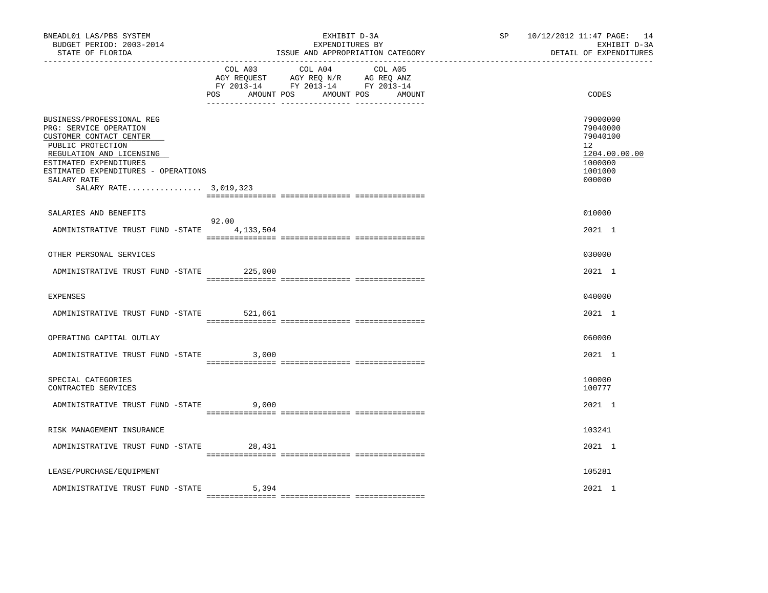| BNEADL01 LAS/PBS SYSTEM<br>BUDGET PERIOD: 2003-2014<br>STATE OF FLORIDA                                                                                                                                                                  | EXHIBIT D-3A<br>EXPENDITURES BY<br>ISSUE AND APPROPRIATION CATEGORY |                                                                                                                                   | SP 10/12/2012 11:47 PAGE: 14<br>EXHIBIT D-3A<br>DETAIL OF EXPENDITURES                  |
|------------------------------------------------------------------------------------------------------------------------------------------------------------------------------------------------------------------------------------------|---------------------------------------------------------------------|-----------------------------------------------------------------------------------------------------------------------------------|-----------------------------------------------------------------------------------------|
|                                                                                                                                                                                                                                          | <b>POS</b>                                                          | COL A03 COL A04 COL A05<br>AGY REQUEST AGY REQ N/R AG REQ ANZ<br>FY 2013-14 FY 2013-14 FY 2013-14<br>AMOUNT POS AMOUNT POS AMOUNT | CODES                                                                                   |
| BUSINESS/PROFESSIONAL REG<br>PRG: SERVICE OPERATION<br>CUSTOMER CONTACT CENTER<br>PUBLIC PROTECTION<br>REGULATION AND LICENSING<br>ESTIMATED EXPENDITURES<br>ESTIMATED EXPENDITURES - OPERATIONS<br>SALARY RATE<br>SALARY RATE 3,019,323 |                                                                     |                                                                                                                                   | 79000000<br>79040000<br>79040100<br>12<br>1204.00.00.00<br>1000000<br>1001000<br>000000 |
| SALARIES AND BENEFITS                                                                                                                                                                                                                    |                                                                     |                                                                                                                                   | 010000                                                                                  |
| ADMINISTRATIVE TRUST FUND -STATE 4, 133, 504                                                                                                                                                                                             | 92.00                                                               |                                                                                                                                   | 2021 1                                                                                  |
| OTHER PERSONAL SERVICES                                                                                                                                                                                                                  |                                                                     |                                                                                                                                   | 030000                                                                                  |
| ADMINISTRATIVE TRUST FUND -STATE 225,000                                                                                                                                                                                                 |                                                                     |                                                                                                                                   | 2021 1                                                                                  |
| <b>EXPENSES</b>                                                                                                                                                                                                                          |                                                                     |                                                                                                                                   | 040000                                                                                  |
| ADMINISTRATIVE TRUST FUND -STATE                                                                                                                                                                                                         | 521,661                                                             |                                                                                                                                   | 2021 1                                                                                  |
| OPERATING CAPITAL OUTLAY                                                                                                                                                                                                                 |                                                                     |                                                                                                                                   | 060000                                                                                  |
| ADMINISTRATIVE TRUST FUND -STATE                                                                                                                                                                                                         | 3,000                                                               |                                                                                                                                   | 2021 1                                                                                  |
| SPECIAL CATEGORIES<br>CONTRACTED SERVICES                                                                                                                                                                                                |                                                                     |                                                                                                                                   | 100000<br>100777                                                                        |
| ADMINISTRATIVE TRUST FUND -STATE                                                                                                                                                                                                         | 9,000                                                               |                                                                                                                                   | 2021 1                                                                                  |
| RISK MANAGEMENT INSURANCE                                                                                                                                                                                                                |                                                                     |                                                                                                                                   | 103241                                                                                  |
| ADMINISTRATIVE TRUST FUND -STATE 28,431                                                                                                                                                                                                  |                                                                     |                                                                                                                                   | 2021 1                                                                                  |
| LEASE/PURCHASE/EQUIPMENT                                                                                                                                                                                                                 |                                                                     |                                                                                                                                   | 105281                                                                                  |
| ADMINISTRATIVE TRUST FUND -STATE                                                                                                                                                                                                         | 5,394                                                               |                                                                                                                                   | 2021 1                                                                                  |
|                                                                                                                                                                                                                                          |                                                                     |                                                                                                                                   |                                                                                         |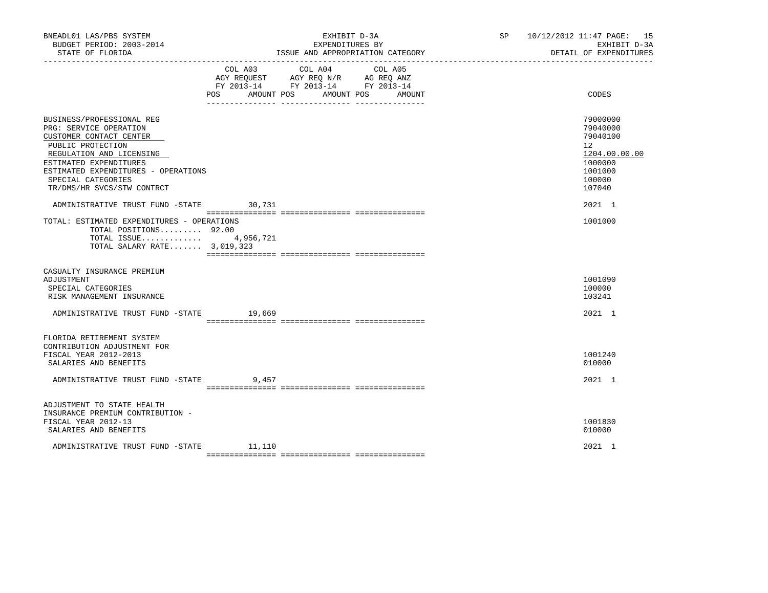| BNEADL01 LAS/PBS SYSTEM<br>BUDGET PERIOD: 2003-2014<br>STATE OF FLORIDA                                                                                                                                                                              |                              | EXHIBIT D-3A<br>EXPENDITURES BY<br>ISSUE AND APPROPRIATION CATEGORY                                                  | SP 10/12/2012 11:47 PAGE: 15<br>EXHIBIT D-3A<br>DETAIL OF EXPENDITURES                                         |
|------------------------------------------------------------------------------------------------------------------------------------------------------------------------------------------------------------------------------------------------------|------------------------------|----------------------------------------------------------------------------------------------------------------------|----------------------------------------------------------------------------------------------------------------|
|                                                                                                                                                                                                                                                      | COL A03<br>POS<br>AMOUNT POS | COL A04<br>COL A05<br>AGY REQUEST AGY REQ N/R AG REQ ANZ<br>FY 2013-14 FY 2013-14 FY 2013-14<br>AMOUNT POS<br>AMOUNT | CODES                                                                                                          |
| BUSINESS/PROFESSIONAL REG<br>PRG: SERVICE OPERATION<br>CUSTOMER CONTACT CENTER<br>PUBLIC PROTECTION<br>REGULATION AND LICENSING<br>ESTIMATED EXPENDITURES<br>ESTIMATED EXPENDITURES - OPERATIONS<br>SPECIAL CATEGORIES<br>TR/DMS/HR SVCS/STW CONTRCT |                              |                                                                                                                      | 79000000<br>79040000<br>79040100<br>12 <sup>°</sup><br>1204.00.00.00<br>1000000<br>1001000<br>100000<br>107040 |
| ADMINISTRATIVE TRUST FUND -STATE 30,731<br>TOTAL: ESTIMATED EXPENDITURES - OPERATIONS<br>TOTAL POSITIONS 92.00<br>TOTAL ISSUE $4,956,721$<br>TOTAL SALARY RATE 3,019,323                                                                             |                              |                                                                                                                      | 2021 1<br>1001000                                                                                              |
| CASUALTY INSURANCE PREMIUM<br>ADJUSTMENT<br>SPECIAL CATEGORIES<br>RISK MANAGEMENT INSURANCE                                                                                                                                                          |                              |                                                                                                                      | 1001090<br>100000<br>103241                                                                                    |
| ADMINISTRATIVE TRUST FUND -STATE 19,669                                                                                                                                                                                                              |                              |                                                                                                                      | 2021 1                                                                                                         |
| FLORIDA RETIREMENT SYSTEM<br>CONTRIBUTION ADJUSTMENT FOR<br>FISCAL YEAR 2012-2013<br>SALARIES AND BENEFITS<br>ADMINISTRATIVE TRUST FUND -STATE                                                                                                       | 9,457                        |                                                                                                                      | 1001240<br>010000<br>2021 1                                                                                    |
| ADJUSTMENT TO STATE HEALTH<br>INSURANCE PREMIUM CONTRIBUTION -<br>FISCAL YEAR 2012-13<br>SALARIES AND BENEFITS                                                                                                                                       |                              |                                                                                                                      | 1001830<br>010000                                                                                              |
| ADMINISTRATIVE TRUST FUND -STATE                                                                                                                                                                                                                     | 11,110                       |                                                                                                                      | 2021 1                                                                                                         |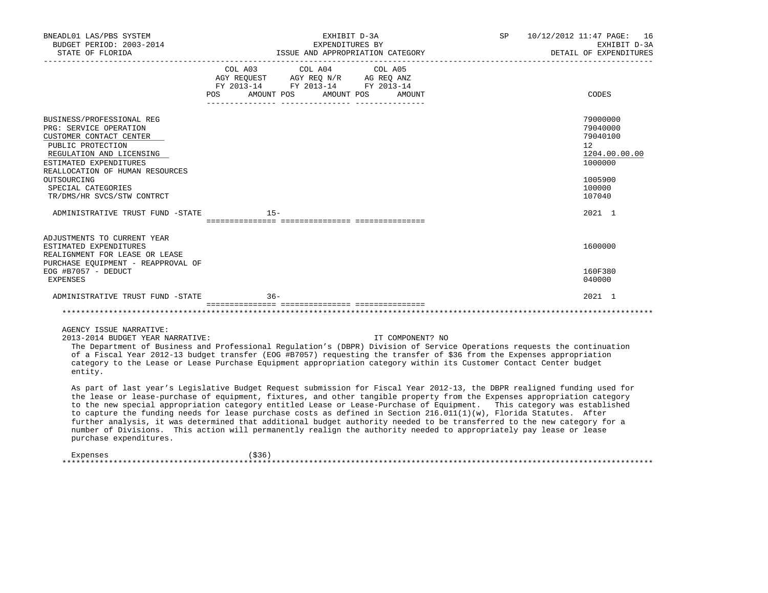| BNEADL01 LAS/PBS SYSTEM<br>BUDGET PERIOD: 2003-2014<br>STATE OF FLORIDA                                                                                                                      |                                             | EXHIBIT D-3A<br>EXPENDITURES BY                                                   |                  | SP                                                                                                                                                                                                                                                                                                                                                                                                                                                                                                                                                                                                                                                                                                                                                     | 10/12/2012 11:47 PAGE: 16<br>EXHIBIT D-3A<br>DETAIL OF EXPENDITURES |
|----------------------------------------------------------------------------------------------------------------------------------------------------------------------------------------------|---------------------------------------------|-----------------------------------------------------------------------------------|------------------|--------------------------------------------------------------------------------------------------------------------------------------------------------------------------------------------------------------------------------------------------------------------------------------------------------------------------------------------------------------------------------------------------------------------------------------------------------------------------------------------------------------------------------------------------------------------------------------------------------------------------------------------------------------------------------------------------------------------------------------------------------|---------------------------------------------------------------------|
|                                                                                                                                                                                              | COL A03<br>POS AMOUNT POS AMOUNT POS AMOUNT | COL A04<br>AGY REQUEST AGY REQ N/R AG REQ ANZ<br>FY 2013-14 FY 2013-14 FY 2013-14 | COL A05          |                                                                                                                                                                                                                                                                                                                                                                                                                                                                                                                                                                                                                                                                                                                                                        | CODES                                                               |
| BUSINESS/PROFESSIONAL REG<br>PRG: SERVICE OPERATION<br>CUSTOMER CONTACT CENTER<br>PUBLIC PROTECTION<br>REGULATION AND LICENSING<br>ESTIMATED EXPENDITURES<br>REALLOCATION OF HUMAN RESOURCES |                                             |                                                                                   |                  |                                                                                                                                                                                                                                                                                                                                                                                                                                                                                                                                                                                                                                                                                                                                                        | 79000000<br>79040000<br>79040100<br>12<br>1204.00.00.00<br>1000000  |
| OUTSOURCING<br>SPECIAL CATEGORIES<br>TR/DMS/HR SVCS/STW CONTRCT                                                                                                                              |                                             |                                                                                   |                  |                                                                                                                                                                                                                                                                                                                                                                                                                                                                                                                                                                                                                                                                                                                                                        | 1005900<br>100000<br>107040                                         |
| ADMINISTRATIVE TRUST FUND -STATE                                                                                                                                                             | $15 -$                                      |                                                                                   |                  |                                                                                                                                                                                                                                                                                                                                                                                                                                                                                                                                                                                                                                                                                                                                                        | 2021 1                                                              |
| ADJUSTMENTS TO CURRENT YEAR<br>ESTIMATED EXPENDITURES<br>REALIGNMENT FOR LEASE OR LEASE<br>PURCHASE EQUIPMENT - REAPPROVAL OF                                                                |                                             |                                                                                   |                  |                                                                                                                                                                                                                                                                                                                                                                                                                                                                                                                                                                                                                                                                                                                                                        | 1600000                                                             |
| EOG #B7057 - DEDUCT<br>EXPENSES                                                                                                                                                              |                                             |                                                                                   |                  |                                                                                                                                                                                                                                                                                                                                                                                                                                                                                                                                                                                                                                                                                                                                                        | 160F380<br>040000                                                   |
| ADMINISTRATIVE TRUST FUND -STATE                                                                                                                                                             | $36 -$                                      |                                                                                   |                  |                                                                                                                                                                                                                                                                                                                                                                                                                                                                                                                                                                                                                                                                                                                                                        | 2021 1                                                              |
|                                                                                                                                                                                              |                                             |                                                                                   |                  |                                                                                                                                                                                                                                                                                                                                                                                                                                                                                                                                                                                                                                                                                                                                                        |                                                                     |
| AGENCY ISSUE NARRATIVE:<br>2013-2014 BUDGET YEAR NARRATIVE:<br>entity.                                                                                                                       |                                             |                                                                                   | IT COMPONENT? NO | The Department of Business and Professional Regulation's (DBPR) Division of Service Operations requests the continuation<br>of a Fiscal Year 2012-13 budget transfer (EOG #B7057) requesting the transfer of \$36 from the Expenses appropriation<br>category to the Lease or Lease Purchase Equipment appropriation category within its Customer Contact Center budget                                                                                                                                                                                                                                                                                                                                                                                |                                                                     |
| purchase expenditures.                                                                                                                                                                       |                                             |                                                                                   |                  | As part of last year's Legislative Budget Request submission for Fiscal Year 2012-13, the DBPR realigned funding used for<br>the lease or lease-purchase of equipment, fixtures, and other tangible property from the Expenses appropriation category<br>to the new special appropriation category entitled Lease or Lease-Purchase of Equipment. This category was established<br>to capture the funding needs for lease purchase costs as defined in Section 216.011(1)(w), Florida Statutes. After<br>further analysis, it was determined that additional budget authority needed to be transferred to the new category for a<br>number of Divisions. This action will permanently realign the authority needed to appropriately pay lease or lease |                                                                     |
|                                                                                                                                                                                              |                                             |                                                                                   |                  |                                                                                                                                                                                                                                                                                                                                                                                                                                                                                                                                                                                                                                                                                                                                                        |                                                                     |

 Expenses (\$36) \*\*\*\*\*\*\*\*\*\*\*\*\*\*\*\*\*\*\*\*\*\*\*\*\*\*\*\*\*\*\*\*\*\*\*\*\*\*\*\*\*\*\*\*\*\*\*\*\*\*\*\*\*\*\*\*\*\*\*\*\*\*\*\*\*\*\*\*\*\*\*\*\*\*\*\*\*\*\*\*\*\*\*\*\*\*\*\*\*\*\*\*\*\*\*\*\*\*\*\*\*\*\*\*\*\*\*\*\*\*\*\*\*\*\*\*\*\*\*\*\*\*\*\*\*\*\*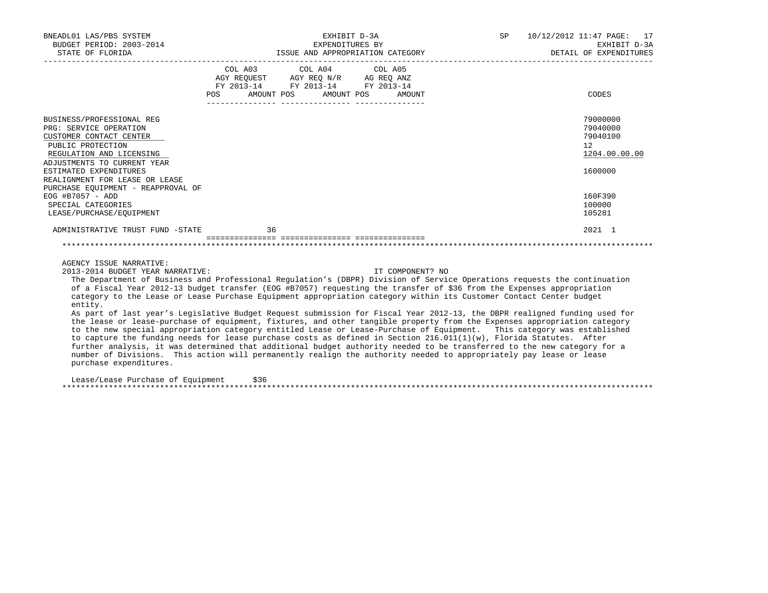| BNEADL01 LAS/PBS SYSTEM<br>BUDGET PERIOD: 2003-2014<br>STATE OF FLORIDA                                                                                                                                                                                                                                                                                                                                                                                                                                                                                                                                                                                                                                                                                                                                                                                                                                                                                                                                                                                                                                                                                                                                    |      | ISSUE AND APPROPRIATION CATEGORY                                                                                                      | EXHIBIT D-3A<br>EXPENDITURES BY |                  | SP <sub>2</sub> | 10/12/2012 11:47 PAGE: 17<br>EXHIBIT D-3A<br>DETAIL OF EXPENDITURES |
|------------------------------------------------------------------------------------------------------------------------------------------------------------------------------------------------------------------------------------------------------------------------------------------------------------------------------------------------------------------------------------------------------------------------------------------------------------------------------------------------------------------------------------------------------------------------------------------------------------------------------------------------------------------------------------------------------------------------------------------------------------------------------------------------------------------------------------------------------------------------------------------------------------------------------------------------------------------------------------------------------------------------------------------------------------------------------------------------------------------------------------------------------------------------------------------------------------|------|---------------------------------------------------------------------------------------------------------------------------------------|---------------------------------|------------------|-----------------|---------------------------------------------------------------------|
|                                                                                                                                                                                                                                                                                                                                                                                                                                                                                                                                                                                                                                                                                                                                                                                                                                                                                                                                                                                                                                                                                                                                                                                                            |      | COL A03 COL A04 COL A05<br>AGY REQUEST AGY REQ N/R AG REQ ANZ<br>FY 2013-14 FY 2013-14 FY 2013-14<br>POS AMOUNT POS AMOUNT POS AMOUNT |                                 |                  |                 | CODES                                                               |
| BUSINESS/PROFESSIONAL REG<br>PRG: SERVICE OPERATION<br>CUSTOMER CONTACT CENTER<br>PUBLIC PROTECTION<br>REGULATION AND LICENSING<br>ADJUSTMENTS TO CURRENT YEAR                                                                                                                                                                                                                                                                                                                                                                                                                                                                                                                                                                                                                                                                                                                                                                                                                                                                                                                                                                                                                                             |      |                                                                                                                                       |                                 |                  |                 | 79000000<br>79040000<br>79040100<br>12<br>1204.00.00.00             |
| ESTIMATED EXPENDITURES<br>REALIGNMENT FOR LEASE OR LEASE<br>PURCHASE EQUIPMENT - REAPPROVAL OF                                                                                                                                                                                                                                                                                                                                                                                                                                                                                                                                                                                                                                                                                                                                                                                                                                                                                                                                                                                                                                                                                                             |      |                                                                                                                                       |                                 |                  |                 | 1600000                                                             |
| EOG #B7057 - ADD<br>SPECIAL CATEGORIES<br>LEASE/PURCHASE/EQUIPMENT                                                                                                                                                                                                                                                                                                                                                                                                                                                                                                                                                                                                                                                                                                                                                                                                                                                                                                                                                                                                                                                                                                                                         |      |                                                                                                                                       |                                 |                  |                 | 160F390<br>100000<br>105281                                         |
| ADMINISTRATIVE TRUST FUND -STATE                                                                                                                                                                                                                                                                                                                                                                                                                                                                                                                                                                                                                                                                                                                                                                                                                                                                                                                                                                                                                                                                                                                                                                           |      | 36                                                                                                                                    |                                 |                  |                 | 2021 1                                                              |
| AGENCY ISSUE NARRATIVE:                                                                                                                                                                                                                                                                                                                                                                                                                                                                                                                                                                                                                                                                                                                                                                                                                                                                                                                                                                                                                                                                                                                                                                                    |      |                                                                                                                                       |                                 |                  |                 |                                                                     |
| 2013-2014 BUDGET YEAR NARRATIVE:<br>The Department of Business and Professional Regulation's (DBPR) Division of Service Operations requests the continuation<br>of a Fiscal Year 2012-13 budget transfer (EOG #B7057) requesting the transfer of \$36 from the Expenses appropriation<br>category to the Lease or Lease Purchase Equipment appropriation category within its Customer Contact Center budget<br>entity.<br>As part of last year's Legislative Budget Request submission for Fiscal Year 2012-13, the DBPR realigned funding used for<br>the lease or lease-purchase of equipment, fixtures, and other tangible property from the Expenses appropriation category<br>to the new special appropriation category entitled Lease or Lease-Purchase of Equipment. This category was established<br>to capture the funding needs for lease purchase costs as defined in Section 216.011(1)(w), Florida Statutes. After<br>further analysis, it was determined that additional budget authority needed to be transferred to the new category for a<br>number of Divisions. This action will permanently realign the authority needed to appropriately pay lease or lease<br>purchase expenditures. |      |                                                                                                                                       |                                 | IT COMPONENT? NO |                 |                                                                     |
| Lease/Lease Purchase of Equipment                                                                                                                                                                                                                                                                                                                                                                                                                                                                                                                                                                                                                                                                                                                                                                                                                                                                                                                                                                                                                                                                                                                                                                          | \$36 |                                                                                                                                       |                                 |                  |                 |                                                                     |

\*\*\*\*\*\*\*\*\*\*\*\*\*\*\*\*\*\*\*\*\*\*\*\*\*\*\*\*\*\*\*\*\*\*\*\*\*\*\*\*\*\*\*\*\*\*\*\*\*\*\*\*\*\*\*\*\*\*\*\*\*\*\*\*\*\*\*\*\*\*\*\*\*\*\*\*\*\*\*\*\*\*\*\*\*\*\*\*\*\*\*\*\*\*\*\*\*\*\*\*\*\*\*\*\*\*\*\*\*\*\*\*\*\*\*\*\*\*\*\*\*\*\*\*\*\*\*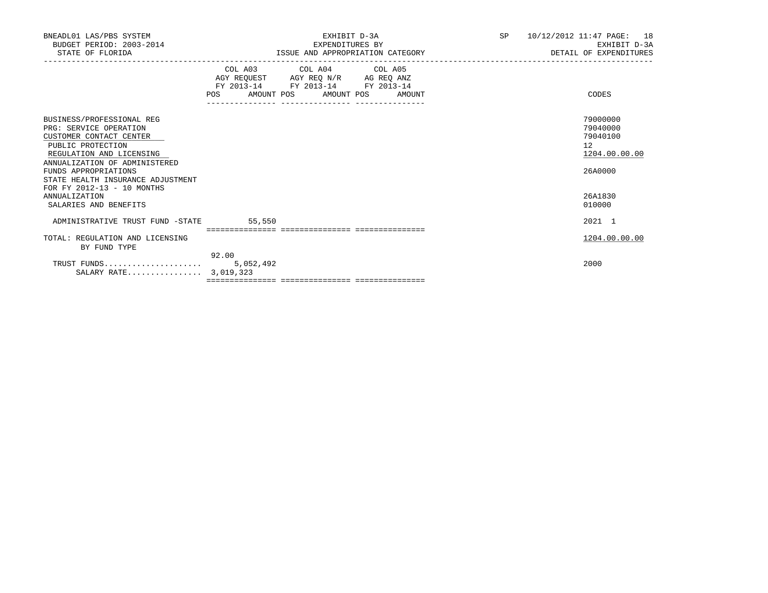| BNEADL01 LAS/PBS SYSTEM<br>BUDGET PERIOD: 2003-2014<br>STATE OF FLORIDA                                                                                                                                                                                     | EXHIBIT D-3A<br>EXPENDITURES BY<br>ISSUE AND APPROPRIATION CATEGORY                                                                   | <b>SP</b><br>10/12/2012 11:47 PAGE:<br>18<br>EXHIBIT D-3A<br>DETAIL OF EXPENDITURES |
|-------------------------------------------------------------------------------------------------------------------------------------------------------------------------------------------------------------------------------------------------------------|---------------------------------------------------------------------------------------------------------------------------------------|-------------------------------------------------------------------------------------|
|                                                                                                                                                                                                                                                             | COL A03 COL A04 COL A05<br>AGY REQUEST AGY REQ N/R AG REQ ANZ<br>FY 2013-14 FY 2013-14 FY 2013-14<br>POS AMOUNT POS AMOUNT POS AMOUNT | CODES                                                                               |
| BUSINESS/PROFESSIONAL REG<br>PRG: SERVICE OPERATION<br>CUSTOMER CONTACT CENTER<br>PUBLIC PROTECTION<br>REGULATION AND LICENSING<br>ANNUALIZATION OF ADMINISTERED<br>FUNDS APPROPRIATIONS<br>STATE HEALTH INSURANCE ADJUSTMENT<br>FOR FY 2012-13 - 10 MONTHS |                                                                                                                                       | 79000000<br>79040000<br>79040100<br>12 <sup>°</sup><br>1204.00.00.00<br>26A0000     |
| <b>ANNUALIZATION</b><br>SALARIES AND BENEFITS                                                                                                                                                                                                               |                                                                                                                                       | 26A1830<br>010000                                                                   |
| ADMINISTRATIVE TRUST FUND -STATE                                                                                                                                                                                                                            | 55,550                                                                                                                                | 2021 1                                                                              |
| TOTAL: REGULATION AND LICENSING<br>BY FUND TYPE                                                                                                                                                                                                             | 92.00                                                                                                                                 | 1204.00.00.00                                                                       |
| SALARY RATE 3,019,323                                                                                                                                                                                                                                       |                                                                                                                                       | 2000                                                                                |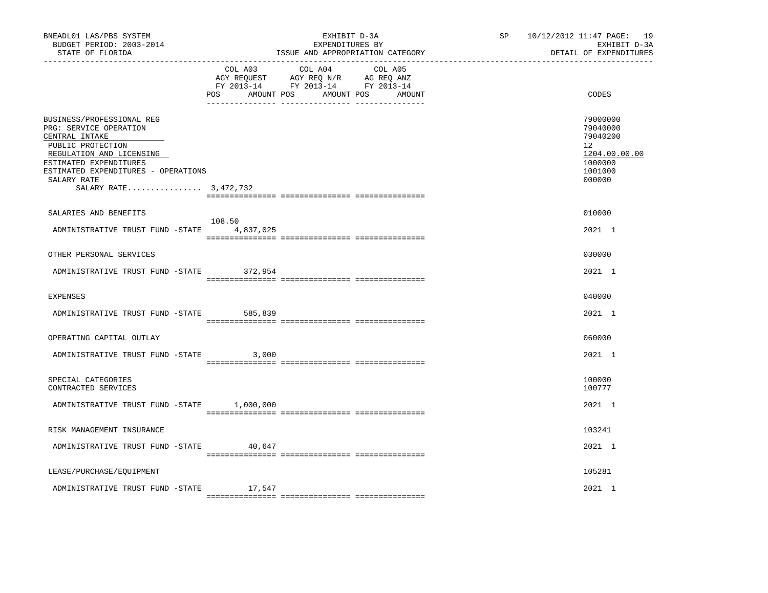| BNEADL01 LAS/PBS SYSTEM<br>BUDGET PERIOD: 2003-2014<br>STATE OF FLORIDA                                                                                                                                                         |         | EXHIBIT D-3A<br>EXPENDITURES BY<br>ISSUE AND APPROPRIATION CATEGORY                                                               | SP 10/12/2012 11:47 PAGE: 19<br>EXHIBIT D-3A<br>DETAIL OF EXPENDITURES                  |
|---------------------------------------------------------------------------------------------------------------------------------------------------------------------------------------------------------------------------------|---------|-----------------------------------------------------------------------------------------------------------------------------------|-----------------------------------------------------------------------------------------|
|                                                                                                                                                                                                                                 | POS     | COL A03 COL A04 COL A05<br>AGY REQUEST AGY REQ N/R AG REQ ANZ<br>FY 2013-14 FY 2013-14 FY 2013-14<br>AMOUNT POS AMOUNT POS AMOUNT | CODES                                                                                   |
| BUSINESS/PROFESSIONAL REG<br>PRG: SERVICE OPERATION<br>CENTRAL INTAKE<br>PUBLIC PROTECTION<br>REGULATION AND LICENSING<br>ESTIMATED EXPENDITURES<br>ESTIMATED EXPENDITURES - OPERATIONS<br>SALARY RATE<br>SALARY RATE 3,472,732 |         |                                                                                                                                   | 79000000<br>79040000<br>79040200<br>12<br>1204.00.00.00<br>1000000<br>1001000<br>000000 |
| SALARIES AND BENEFITS                                                                                                                                                                                                           | 108.50  |                                                                                                                                   | 010000                                                                                  |
| ADMINISTRATIVE TRUST FUND -STATE 4,837,025                                                                                                                                                                                      |         |                                                                                                                                   | 2021 1                                                                                  |
| OTHER PERSONAL SERVICES                                                                                                                                                                                                         |         |                                                                                                                                   | 030000                                                                                  |
| ADMINISTRATIVE TRUST FUND -STATE 372,954                                                                                                                                                                                        |         |                                                                                                                                   | 2021 1                                                                                  |
| <b>EXPENSES</b>                                                                                                                                                                                                                 |         |                                                                                                                                   | 040000                                                                                  |
| ADMINISTRATIVE TRUST FUND -STATE                                                                                                                                                                                                | 585,839 |                                                                                                                                   | 2021 1                                                                                  |
| OPERATING CAPITAL OUTLAY                                                                                                                                                                                                        |         |                                                                                                                                   | 060000                                                                                  |
| ADMINISTRATIVE TRUST FUND -STATE                                                                                                                                                                                                | 3,000   |                                                                                                                                   | 2021 1                                                                                  |
| SPECIAL CATEGORIES<br>CONTRACTED SERVICES                                                                                                                                                                                       |         |                                                                                                                                   | 100000<br>100777                                                                        |
| ADMINISTRATIVE TRUST FUND -STATE 1,000,000                                                                                                                                                                                      |         |                                                                                                                                   | 2021 1                                                                                  |
| RISK MANAGEMENT INSURANCE                                                                                                                                                                                                       |         |                                                                                                                                   | 103241                                                                                  |
| ADMINISTRATIVE TRUST FUND -STATE 40,647                                                                                                                                                                                         |         |                                                                                                                                   | 2021 1                                                                                  |
| LEASE/PURCHASE/EQUIPMENT                                                                                                                                                                                                        |         |                                                                                                                                   | 105281                                                                                  |
| ADMINISTRATIVE TRUST FUND -STATE                                                                                                                                                                                                | 17,547  |                                                                                                                                   | 2021 1                                                                                  |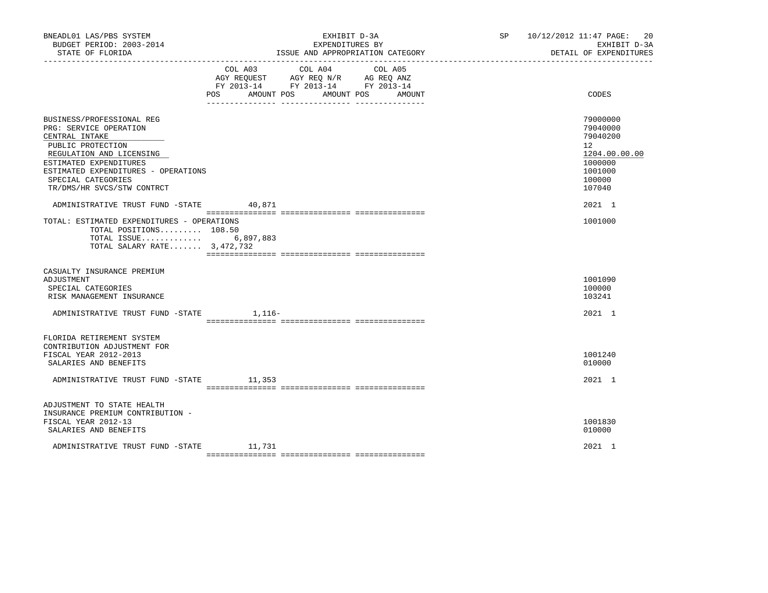| BNEADL01 LAS/PBS SYSTEM<br>BUDGET PERIOD: 2003-2014<br>STATE OF FLORIDA                                                                                                                                                                     |                                                                                                                                                             | EXHIBIT D-3A<br>EXPENDITURES BY<br>ISSUE AND APPROPRIATION CATEGORY | SP 10/12/2012 11:47 PAGE:<br>20<br>EXHIBIT D-3A<br>DETAIL OF EXPENDITURES                                      |  |
|---------------------------------------------------------------------------------------------------------------------------------------------------------------------------------------------------------------------------------------------|-------------------------------------------------------------------------------------------------------------------------------------------------------------|---------------------------------------------------------------------|----------------------------------------------------------------------------------------------------------------|--|
|                                                                                                                                                                                                                                             | COL A03<br>COL A04<br>AGY REQUEST AGY REQ N/R AG REQ ANZ<br>FY 2013-14 FY 2013-14 FY 2013-14<br>AMOUNT POS<br><b>POS</b><br>___ _______________ ___________ | COL A05<br>AMOUNT POS<br>AMOUNT                                     | CODES                                                                                                          |  |
| BUSINESS/PROFESSIONAL REG<br>PRG: SERVICE OPERATION<br>CENTRAL INTAKE<br>PUBLIC PROTECTION<br>REGULATION AND LICENSING<br>ESTIMATED EXPENDITURES<br>ESTIMATED EXPENDITURES - OPERATIONS<br>SPECIAL CATEGORIES<br>TR/DMS/HR SVCS/STW CONTRCT |                                                                                                                                                             |                                                                     | 79000000<br>79040000<br>79040200<br>12 <sup>°</sup><br>1204.00.00.00<br>1000000<br>1001000<br>100000<br>107040 |  |
| ADMINISTRATIVE TRUST FUND -STATE<br>TOTAL: ESTIMATED EXPENDITURES - OPERATIONS<br>TOTAL POSITIONS 108.50<br>TOTAL ISSUE 6,897,883<br>TOTAL SALARY RATE 3,472,732                                                                            | 40,871                                                                                                                                                      |                                                                     | 2021 1<br>1001000                                                                                              |  |
| CASUALTY INSURANCE PREMIUM<br>ADJUSTMENT<br>SPECIAL CATEGORIES<br>RISK MANAGEMENT INSURANCE                                                                                                                                                 |                                                                                                                                                             |                                                                     | 1001090<br>100000<br>103241                                                                                    |  |
| ADMINISTRATIVE TRUST FUND -STATE 1,116-                                                                                                                                                                                                     |                                                                                                                                                             |                                                                     | 2021 1                                                                                                         |  |
| FLORIDA RETIREMENT SYSTEM<br>CONTRIBUTION ADJUSTMENT FOR<br>FISCAL YEAR 2012-2013<br>SALARIES AND BENEFITS<br>ADMINISTRATIVE TRUST FUND -STATE 11,353                                                                                       |                                                                                                                                                             |                                                                     | 1001240<br>010000<br>2021 1                                                                                    |  |
| ADJUSTMENT TO STATE HEALTH<br>INSURANCE PREMIUM CONTRIBUTION -<br>FISCAL YEAR 2012-13<br>SALARIES AND BENEFITS<br>ADMINISTRATIVE TRUST FUND -STATE                                                                                          | 11,731                                                                                                                                                      |                                                                     | 1001830<br>010000<br>2021 1                                                                                    |  |
|                                                                                                                                                                                                                                             |                                                                                                                                                             |                                                                     |                                                                                                                |  |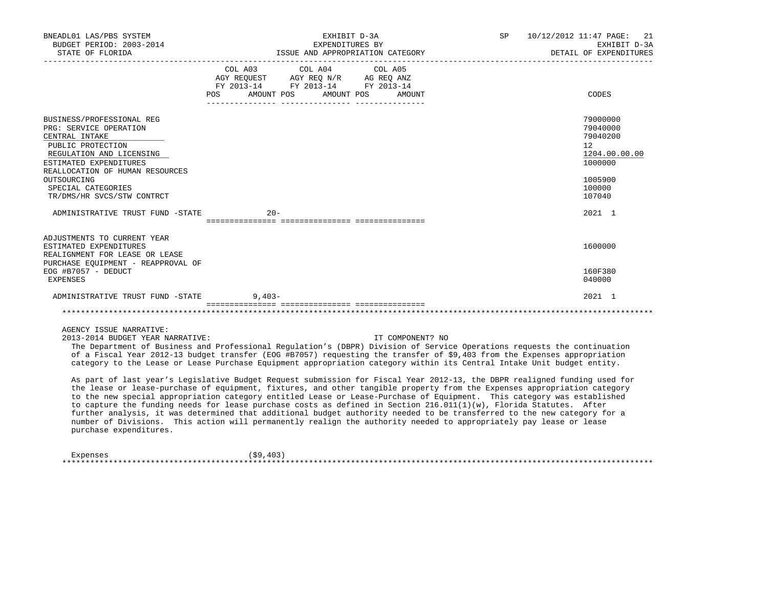| BNEADL01 LAS/PBS SYSTEM<br>BUDGET PERIOD: 2003-2014<br>STATE OF FLORIDA                                                                                                             |                                                                                  | EXHIBIT D-3A<br>EXPENDITURES BY<br>ISSUE AND APPROPRIATION CATEGORY                                                                                                                                                                                                                                                                                                                                                                                                                                                             | SP | 10/12/2012 11:47 PAGE: 21<br>EXHIBIT D-3A<br>DETAIL OF EXPENDITURES |
|-------------------------------------------------------------------------------------------------------------------------------------------------------------------------------------|----------------------------------------------------------------------------------|---------------------------------------------------------------------------------------------------------------------------------------------------------------------------------------------------------------------------------------------------------------------------------------------------------------------------------------------------------------------------------------------------------------------------------------------------------------------------------------------------------------------------------|----|---------------------------------------------------------------------|
|                                                                                                                                                                                     | COL A03 COL A04 COL A05<br>FY 2013-14 FY 2013-14 FY 2013-14<br>AMOUNT POS<br>POS | AMOUNT POS<br>AMOUNT                                                                                                                                                                                                                                                                                                                                                                                                                                                                                                            |    | CODES                                                               |
| BUSINESS/PROFESSIONAL REG<br>PRG: SERVICE OPERATION<br>CENTRAL INTAKE<br>PUBLIC PROTECTION<br>REGULATION AND LICENSING<br>ESTIMATED EXPENDITURES<br>REALLOCATION OF HUMAN RESOURCES |                                                                                  |                                                                                                                                                                                                                                                                                                                                                                                                                                                                                                                                 |    | 79000000<br>79040000<br>79040200<br>12<br>1204.00.00.00<br>1000000  |
| OUTSOURCING<br>SPECIAL CATEGORIES<br>TR/DMS/HR SVCS/STW CONTRCT                                                                                                                     |                                                                                  |                                                                                                                                                                                                                                                                                                                                                                                                                                                                                                                                 |    | 1005900<br>100000<br>107040                                         |
| ADMINISTRATIVE TRUST FUND -STATE                                                                                                                                                    | $20 -$                                                                           |                                                                                                                                                                                                                                                                                                                                                                                                                                                                                                                                 |    | 2021 1                                                              |
| ADJUSTMENTS TO CURRENT YEAR<br>ESTIMATED EXPENDITURES<br>REALIGNMENT FOR LEASE OR LEASE<br>PURCHASE EQUIPMENT - REAPPROVAL OF<br>$EOG$ #B7057 - DEDUCT                              |                                                                                  |                                                                                                                                                                                                                                                                                                                                                                                                                                                                                                                                 |    | 1600000<br>160F380                                                  |
| <b>EXPENSES</b><br>ADMINISTRATIVE TRUST FUND -STATE                                                                                                                                 | $9,403-$                                                                         |                                                                                                                                                                                                                                                                                                                                                                                                                                                                                                                                 |    | 040000<br>2021 1                                                    |
|                                                                                                                                                                                     |                                                                                  |                                                                                                                                                                                                                                                                                                                                                                                                                                                                                                                                 |    |                                                                     |
| AGENCY ISSUE NARRATIVE:<br>2013-2014 BUDGET YEAR NARRATIVE:                                                                                                                         |                                                                                  | IT COMPONENT? NO<br>The Department of Business and Professional Regulation's (DBPR) Division of Service Operations requests the continuation<br>of a Fiscal Year 2012-13 budget transfer (EOG #B7057) requesting the transfer of \$9,403 from the Expenses appropriation<br>category to the Lease or Lease Purchase Equipment appropriation category within its Central Intake Unit budget entity.<br>As part of last year's Legislative Budget Request submission for Fiscal Year 2012-13, the DBPR realigned funding used for |    |                                                                     |
|                                                                                                                                                                                     |                                                                                  | the lease or lease-purchase of equipment, fixtures, and other tangible property from the Expenses appropriation category<br>to the new special appropriation category entitled Lease or Lease-Purchase of Equipment. This category was established                                                                                                                                                                                                                                                                              |    |                                                                     |

 to capture the funding needs for lease purchase costs as defined in Section 216.011(1)(w), Florida Statutes. After further analysis, it was determined that additional budget authority needed to be transferred to the new category for a number of Divisions. This action will permanently realign the authority needed to appropriately pay lease or lease purchase expenditures.

Expenses  $(59, 403)$ \*\*\*\*\*\*\*\*\*\*\*\*\*\*\*\*\*\*\*\*\*\*\*\*\*\*\*\*\*\*\*\*\*\*\*\*\*\*\*\*\*\*\*\*\*\*\*\*\*\*\*\*\*\*\*\*\*\*\*\*\*\*\*\*\*\*\*\*\*\*\*\*\*\*\*\*\*\*\*\*\*\*\*\*\*\*\*\*\*\*\*\*\*\*\*\*\*\*\*\*\*\*\*\*\*\*\*\*\*\*\*\*\*\*\*\*\*\*\*\*\*\*\*\*\*\*\*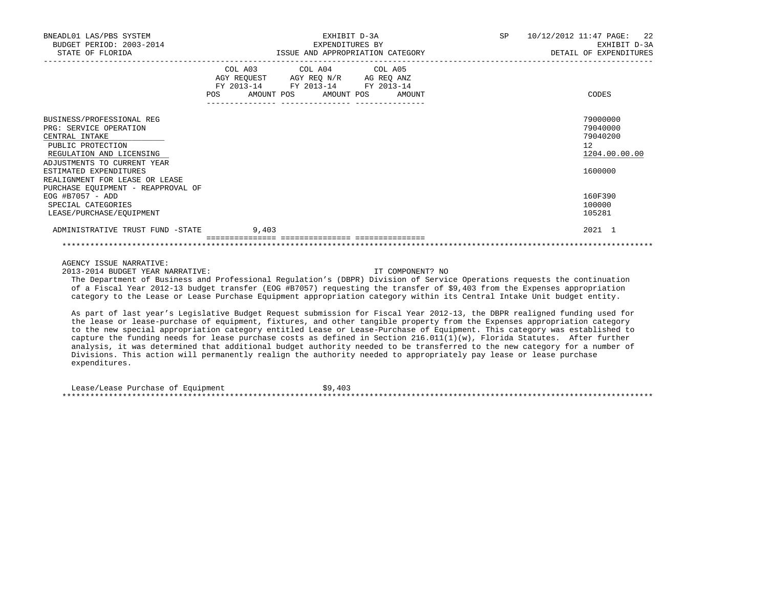| BNEADL01 LAS/PBS SYSTEM<br>BUDGET PERIOD: 2003-2014<br>STATE OF FLORIDA                                                                                                                                                                                                                                                                                                                                                                       | EXHIBIT D-3A<br>EXPENDITURES BY<br>ISSUE AND APPROPRIATION CATEGORY |  |                                                                                                                                    |                  | SP 10/12/2012 11:47 PAGE: 22<br>EXHIBIT D-3A<br>DETAIL OF EXPENDITURES |                                                                    |
|-----------------------------------------------------------------------------------------------------------------------------------------------------------------------------------------------------------------------------------------------------------------------------------------------------------------------------------------------------------------------------------------------------------------------------------------------|---------------------------------------------------------------------|--|------------------------------------------------------------------------------------------------------------------------------------|------------------|------------------------------------------------------------------------|--------------------------------------------------------------------|
|                                                                                                                                                                                                                                                                                                                                                                                                                                               |                                                                     |  | COL A03 COL A04 COL A05<br>AGY REQUEST AGY REQ N/R AG REQ ANZ FY 2013-14 FY 2013-14 FY 2013-14<br>POS AMOUNT POS AMOUNT POS AMOUNT |                  |                                                                        | CODES                                                              |
| BUSINESS/PROFESSIONAL REG<br>PRG: SERVICE OPERATION<br>CENTRAL INTAKE<br>PUBLIC PROTECTION<br>REGULATION AND LICENSING<br>ADJUSTMENTS TO CURRENT YEAR<br>ESTIMATED EXPENDITURES<br>REALIGNMENT FOR LEASE OR LEASE                                                                                                                                                                                                                             |                                                                     |  |                                                                                                                                    |                  |                                                                        | 79000000<br>79040000<br>79040200<br>12<br>1204.00.00.00<br>1600000 |
| PURCHASE EQUIPMENT - REAPPROVAL OF<br>EOG #B7057 - ADD<br>SPECIAL CATEGORIES<br>LEASE/PURCHASE/EOUIPMENT                                                                                                                                                                                                                                                                                                                                      |                                                                     |  |                                                                                                                                    |                  |                                                                        | 160F390<br>100000<br>105281                                        |
| ADMINISTRATIVE TRUST FUND -STATE 9.403                                                                                                                                                                                                                                                                                                                                                                                                        |                                                                     |  |                                                                                                                                    |                  |                                                                        | 2021 1                                                             |
|                                                                                                                                                                                                                                                                                                                                                                                                                                               |                                                                     |  |                                                                                                                                    |                  |                                                                        |                                                                    |
| AGENCY ISSUE NARRATIVE:<br>2013-2014 BUDGET YEAR NARRATIVE:<br>The Department of Business and Professional Requlation's (DBPR) Division of Service Operations requests the continuation<br>of a Fiscal Year 2012-13 budget transfer (EOG #B7057) requesting the transfer of \$9,403 from the Expenses appropriation<br>category to the Lease or Lease Purchase Equipment appropriation category within its Central Intake Unit budget entity. |                                                                     |  |                                                                                                                                    | IT COMPONENT? NO |                                                                        |                                                                    |
| As part of last year's Legislative Budget Request submission for Fiscal Year 2012-13, the DBPR realigned funding used for<br>the lease or lease-purchase of equipment, fixtures, and other tangible property from the Expenses appropriation category                                                                                                                                                                                         |                                                                     |  |                                                                                                                                    |                  |                                                                        |                                                                    |

 to the new special appropriation category entitled Lease or Lease-Purchase of Equipment. This category was established to capture the funding needs for lease purchase costs as defined in Section 216.011(1)(w), Florida Statutes. After further analysis, it was determined that additional budget authority needed to be transferred to the new category for a number of Divisions. This action will permanently realign the authority needed to appropriately pay lease or lease purchase expenditures.

Lease/Lease Purchase of Equipment  $$9,403$ \*\*\*\*\*\*\*\*\*\*\*\*\*\*\*\*\*\*\*\*\*\*\*\*\*\*\*\*\*\*\*\*\*\*\*\*\*\*\*\*\*\*\*\*\*\*\*\*\*\*\*\*\*\*\*\*\*\*\*\*\*\*\*\*\*\*\*\*\*\*\*\*\*\*\*\*\*\*\*\*\*\*\*\*\*\*\*\*\*\*\*\*\*\*\*\*\*\*\*\*\*\*\*\*\*\*\*\*\*\*\*\*\*\*\*\*\*\*\*\*\*\*\*\*\*\*\*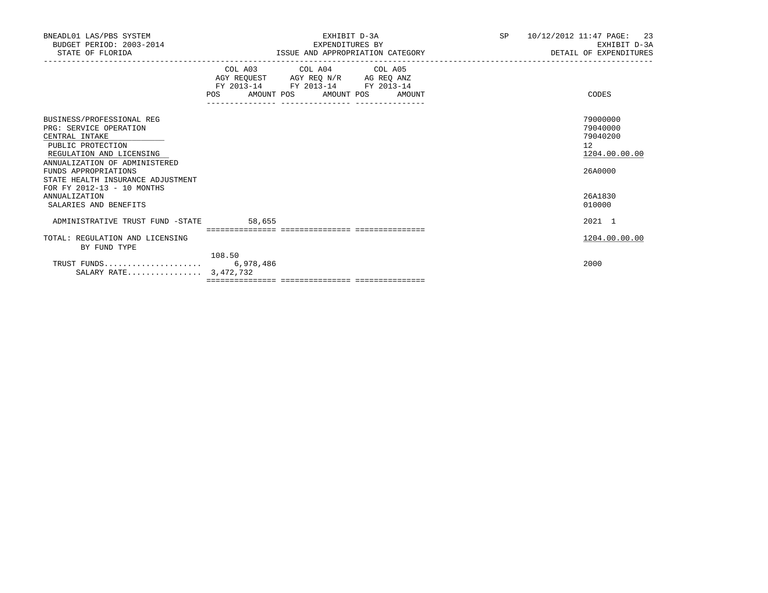| BNEADL01 LAS/PBS SYSTEM<br>BUDGET PERIOD: 2003-2014<br>STATE OF FLORIDA                                                                                                                                                                            | EXHIBIT D-3A<br>EXPENDITURES BY<br>ISSUE AND APPROPRIATION CATEGORY                                                                                                                                                                                            | 10/12/2012 11:47 PAGE: 23<br>SP<br>EXHIBIT D-3A<br>DETAIL OF EXPENDITURES |
|----------------------------------------------------------------------------------------------------------------------------------------------------------------------------------------------------------------------------------------------------|----------------------------------------------------------------------------------------------------------------------------------------------------------------------------------------------------------------------------------------------------------------|---------------------------------------------------------------------------|
|                                                                                                                                                                                                                                                    | COL A03 COL A04 COL A05<br>$\begin{tabular}{lllllll} AGY & \texttt{REQUEST} & \texttt{AGY} & \texttt{REG} & \texttt{N/R} & \texttt{AG} & \texttt{REQ} & \texttt{ANZ} \end{tabular}$<br>FY 2013-14<br>FY 2013-14 FY 2013-14<br>POS AMOUNT POS AMOUNT POS AMOUNT | CODES                                                                     |
| BUSINESS/PROFESSIONAL REG<br>PRG: SERVICE OPERATION<br>CENTRAL INTAKE<br>PUBLIC PROTECTION<br>REGULATION AND LICENSING<br>ANNUALIZATION OF ADMINISTERED<br>FUNDS APPROPRIATIONS<br>STATE HEALTH INSURANCE ADJUSTMENT<br>FOR FY 2012-13 - 10 MONTHS |                                                                                                                                                                                                                                                                | 79000000<br>79040000<br>79040200<br>12<br>1204.00.00.00<br>26A0000        |
| <b>ANNUALIZATION</b><br>SALARIES AND BENEFITS                                                                                                                                                                                                      |                                                                                                                                                                                                                                                                | 26A1830<br>010000                                                         |
| ADMINISTRATIVE TRUST FUND -STATE                                                                                                                                                                                                                   | 58,655                                                                                                                                                                                                                                                         | 2021 1                                                                    |
| TOTAL: REGULATION AND LICENSING<br>BY FUND TYPE                                                                                                                                                                                                    | 108.50                                                                                                                                                                                                                                                         | 1204.00.00.00                                                             |
| SALARY RATE 3,472,732                                                                                                                                                                                                                              |                                                                                                                                                                                                                                                                | 2000                                                                      |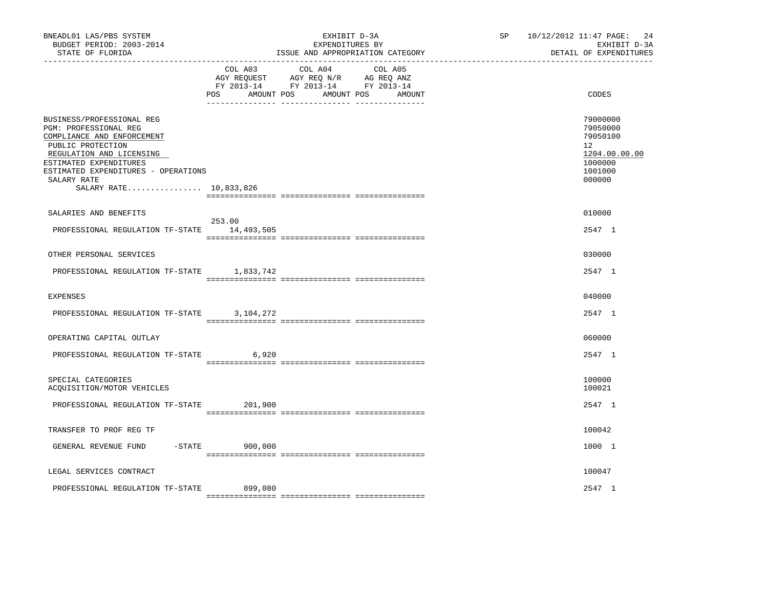| BNEADL01 LAS/PBS SYSTEM<br>BUDGET PERIOD: 2003-2014<br>STATE OF FLORIDA                                                                                                                                                                     |                               | EXHIBIT D-3A<br>EXPENDITURES BY<br>ISSUE AND APPROPRIATION CATEGORY                                               | SP | 10/12/2012 11:47 PAGE:<br>24<br>EXHIBIT D-3A<br>DETAIL OF EXPENDITURES                  |
|---------------------------------------------------------------------------------------------------------------------------------------------------------------------------------------------------------------------------------------------|-------------------------------|-------------------------------------------------------------------------------------------------------------------|----|-----------------------------------------------------------------------------------------|
|                                                                                                                                                                                                                                             | COL A03<br>AMOUNT POS<br>POS. | COL A04 COL A05<br>AGY REQUEST AGY REQ N/R AG REQ ANZ<br>FY 2013-14 FY 2013-14 FY 2013-14<br>AMOUNT POS<br>AMOUNT |    | <b>CODES</b>                                                                            |
| BUSINESS/PROFESSIONAL REG<br>PGM: PROFESSIONAL REG<br>COMPLIANCE AND ENFORCEMENT<br>PUBLIC PROTECTION<br>REGULATION AND LICENSING<br>ESTIMATED EXPENDITURES<br>ESTIMATED EXPENDITURES - OPERATIONS<br>SALARY RATE<br>SALARY RATE 10,833,826 |                               |                                                                                                                   |    | 79000000<br>79050000<br>79050100<br>12<br>1204.00.00.00<br>1000000<br>1001000<br>000000 |
|                                                                                                                                                                                                                                             |                               |                                                                                                                   |    |                                                                                         |
| SALARIES AND BENEFITS<br>PROFESSIONAL REGULATION TF-STATE 14,493,505                                                                                                                                                                        | 253.00                        |                                                                                                                   |    | 010000<br>2547 1                                                                        |
| OTHER PERSONAL SERVICES                                                                                                                                                                                                                     |                               |                                                                                                                   |    | 030000                                                                                  |
| PROFESSIONAL REGULATION TF-STATE 1,833,742                                                                                                                                                                                                  |                               |                                                                                                                   |    | 2547 1                                                                                  |
| <b>EXPENSES</b>                                                                                                                                                                                                                             |                               |                                                                                                                   |    | 040000                                                                                  |
| PROFESSIONAL REGULATION TF-STATE                                                                                                                                                                                                            | 3,104,272                     |                                                                                                                   |    | 2547 1                                                                                  |
| OPERATING CAPITAL OUTLAY                                                                                                                                                                                                                    |                               |                                                                                                                   |    | 060000                                                                                  |
| PROFESSIONAL REGULATION TF-STATE                                                                                                                                                                                                            | 6,920                         |                                                                                                                   |    | 2547 1                                                                                  |
| SPECIAL CATEGORIES<br>ACQUISITION/MOTOR VEHICLES                                                                                                                                                                                            |                               |                                                                                                                   |    | 100000<br>100021                                                                        |
| PROFESSIONAL REGULATION TF-STATE                                                                                                                                                                                                            | 201,900                       |                                                                                                                   |    | 2547 1                                                                                  |
| TRANSFER TO PROF REG TF                                                                                                                                                                                                                     |                               |                                                                                                                   |    | 100042                                                                                  |
| GENERAL REVENUE FUND                                                                                                                                                                                                                        | $-STATE$<br>900,000           |                                                                                                                   |    | 1000 1                                                                                  |
| LEGAL SERVICES CONTRACT                                                                                                                                                                                                                     |                               |                                                                                                                   |    | 100047                                                                                  |
| PROFESSIONAL REGULATION TF-STATE                                                                                                                                                                                                            | 899,080                       |                                                                                                                   |    | 2547 1                                                                                  |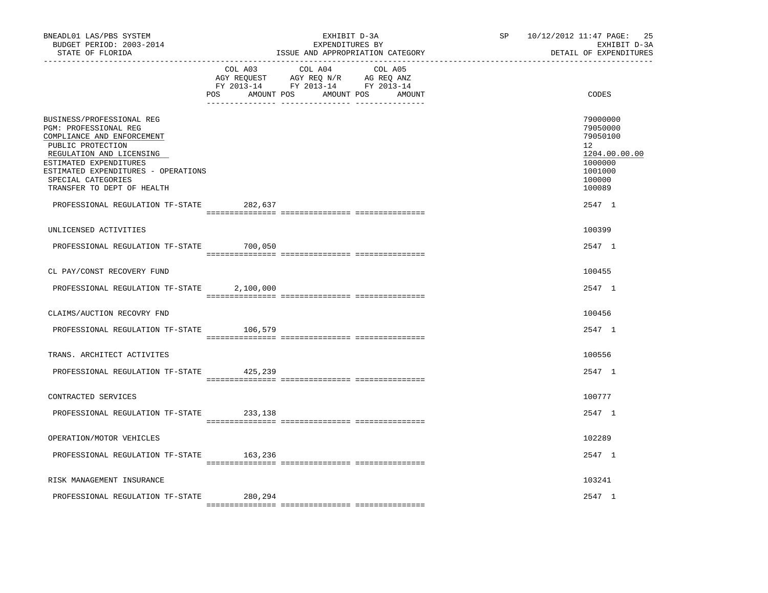| BNEADL01 LAS/PBS SYSTEM<br>BUDGET PERIOD: 2003-2014<br>STATE OF FLORIDA                                                                                                                                                                                                                    |                | EXHIBIT D-3A<br>EXPENDITURES BY<br>ISSUE AND APPROPRIATION CATEGORY                                                          | 25<br>SP 10/12/2012 11:47 PAGE:<br>EXHIBIT D-3A<br>DETAIL OF EXPENDITURES                                   |
|--------------------------------------------------------------------------------------------------------------------------------------------------------------------------------------------------------------------------------------------------------------------------------------------|----------------|------------------------------------------------------------------------------------------------------------------------------|-------------------------------------------------------------------------------------------------------------|
|                                                                                                                                                                                                                                                                                            | COL A03<br>POS | COL A04<br>COL A05<br>AGY REQUEST AGY REQ N/R AG REQ ANZ<br>FY 2013-14 FY 2013-14 FY 2013-14<br>AMOUNT POS AMOUNT POS AMOUNT | CODES                                                                                                       |
| BUSINESS/PROFESSIONAL REG<br>PGM: PROFESSIONAL REG<br>COMPLIANCE AND ENFORCEMENT<br>PUBLIC PROTECTION<br>REGULATION AND LICENSING<br>ESTIMATED EXPENDITURES<br>ESTIMATED EXPENDITURES - OPERATIONS<br>SPECIAL CATEGORIES<br>TRANSFER TO DEPT OF HEALTH<br>PROFESSIONAL REGULATION TF-STATE | 282,637        |                                                                                                                              | 79000000<br>79050000<br>79050100<br>12<br>1204.00.00.00<br>1000000<br>1001000<br>100000<br>100089<br>2547 1 |
| UNLICENSED ACTIVITIES                                                                                                                                                                                                                                                                      |                |                                                                                                                              | 100399                                                                                                      |
| PROFESSIONAL REGULATION TF-STATE                                                                                                                                                                                                                                                           | 700,050        |                                                                                                                              | 2547 1                                                                                                      |
| CL PAY/CONST RECOVERY FUND                                                                                                                                                                                                                                                                 |                |                                                                                                                              | 100455                                                                                                      |
| PROFESSIONAL REGULATION TF-STATE                                                                                                                                                                                                                                                           | 2,100,000      |                                                                                                                              | 2547 1                                                                                                      |
| CLAIMS/AUCTION RECOVRY FND                                                                                                                                                                                                                                                                 |                |                                                                                                                              | 100456                                                                                                      |
| PROFESSIONAL REGULATION TF-STATE                                                                                                                                                                                                                                                           | 106,579        |                                                                                                                              | 2547 1                                                                                                      |
| TRANS. ARCHITECT ACTIVITES                                                                                                                                                                                                                                                                 |                |                                                                                                                              | 100556                                                                                                      |
| PROFESSIONAL REGULATION TF-STATE                                                                                                                                                                                                                                                           | 425,239        |                                                                                                                              | 2547 1                                                                                                      |
| CONTRACTED SERVICES                                                                                                                                                                                                                                                                        |                |                                                                                                                              | 100777                                                                                                      |
| PROFESSIONAL REGULATION TF-STATE                                                                                                                                                                                                                                                           | 233,138        |                                                                                                                              | 2547 1                                                                                                      |
| OPERATION/MOTOR VEHICLES                                                                                                                                                                                                                                                                   |                |                                                                                                                              | 102289                                                                                                      |
| PROFESSIONAL REGULATION TF-STATE 163,236                                                                                                                                                                                                                                                   |                |                                                                                                                              | 2547 1                                                                                                      |
| RISK MANAGEMENT INSURANCE                                                                                                                                                                                                                                                                  |                |                                                                                                                              | 103241                                                                                                      |
| PROFESSIONAL REGULATION TF-STATE                                                                                                                                                                                                                                                           | 280,294        |                                                                                                                              | 2547 1                                                                                                      |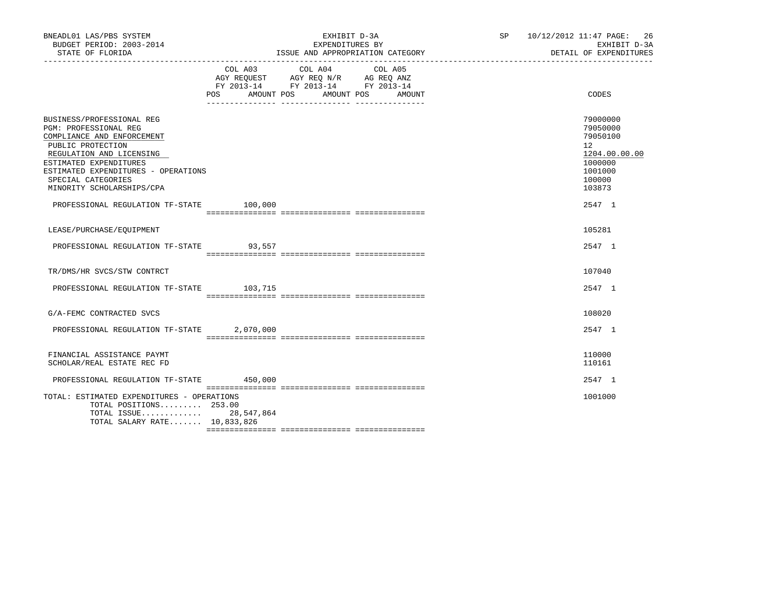| BNEADL01 LAS/PBS SYSTEM                                                                                                                                                                                                                                                                           |           | EXHIBIT D-3A                                                                                                                     | SP 10/12/2012 11:47 PAGE: 26 | EXHIBIT D-3A<br>DETAIL OF EXPENDITURES                                                                                   |
|---------------------------------------------------------------------------------------------------------------------------------------------------------------------------------------------------------------------------------------------------------------------------------------------------|-----------|----------------------------------------------------------------------------------------------------------------------------------|------------------------------|--------------------------------------------------------------------------------------------------------------------------|
|                                                                                                                                                                                                                                                                                                   | COL A03   | COL A04<br>COL A05<br>AGY REQUEST AGY REQ N/R AG REQ ANZ<br>FY 2013-14 FY 2013-14 FY 2013-14<br>POS AMOUNT POS AMOUNT POS AMOUNT |                              | CODES                                                                                                                    |
| BUSINESS/PROFESSIONAL REG<br>PGM: PROFESSIONAL REG<br>COMPLIANCE AND ENFORCEMENT<br>PUBLIC PROTECTION<br>REGULATION AND LICENSING<br>ESTIMATED EXPENDITURES<br>ESTIMATED EXPENDITURES - OPERATIONS<br>SPECIAL CATEGORIES<br>MINORITY SCHOLARSHIPS/CPA<br>PROFESSIONAL REGULATION TF-STATE 100,000 |           |                                                                                                                                  |                              | 79000000<br>79050000<br>79050100<br>12 <sup>°</sup><br>1204.00.00.00<br>1000000<br>1001000<br>100000<br>103873<br>2547 1 |
| LEASE/PURCHASE/EOUIPMENT                                                                                                                                                                                                                                                                          |           |                                                                                                                                  |                              | 105281                                                                                                                   |
| PROFESSIONAL REGULATION TF-STATE 93,557                                                                                                                                                                                                                                                           |           |                                                                                                                                  |                              | 2547 1                                                                                                                   |
| TR/DMS/HR SVCS/STW CONTRCT                                                                                                                                                                                                                                                                        |           |                                                                                                                                  |                              | 107040                                                                                                                   |
| PROFESSIONAL REGULATION TF-STATE 103,715                                                                                                                                                                                                                                                          |           |                                                                                                                                  |                              | 2547 1                                                                                                                   |
| G/A-FEMC CONTRACTED SVCS                                                                                                                                                                                                                                                                          |           |                                                                                                                                  |                              | 108020                                                                                                                   |
| PROFESSIONAL REGULATION TF-STATE                                                                                                                                                                                                                                                                  | 2,070,000 |                                                                                                                                  |                              | 2547 1                                                                                                                   |
| FINANCIAL ASSISTANCE PAYMT<br>SCHOLAR/REAL ESTATE REC FD                                                                                                                                                                                                                                          |           |                                                                                                                                  |                              | 110000<br>110161                                                                                                         |
| PROFESSIONAL REGULATION TF-STATE 450,000                                                                                                                                                                                                                                                          |           |                                                                                                                                  |                              | 2547 1                                                                                                                   |
| TOTAL: ESTIMATED EXPENDITURES - OPERATIONS<br>TOTAL POSITIONS $253.00$<br>TOTAL ISSUE 28,547,864<br>TOTAL SALARY RATE 10,833,826                                                                                                                                                                  |           |                                                                                                                                  |                              | 1001000                                                                                                                  |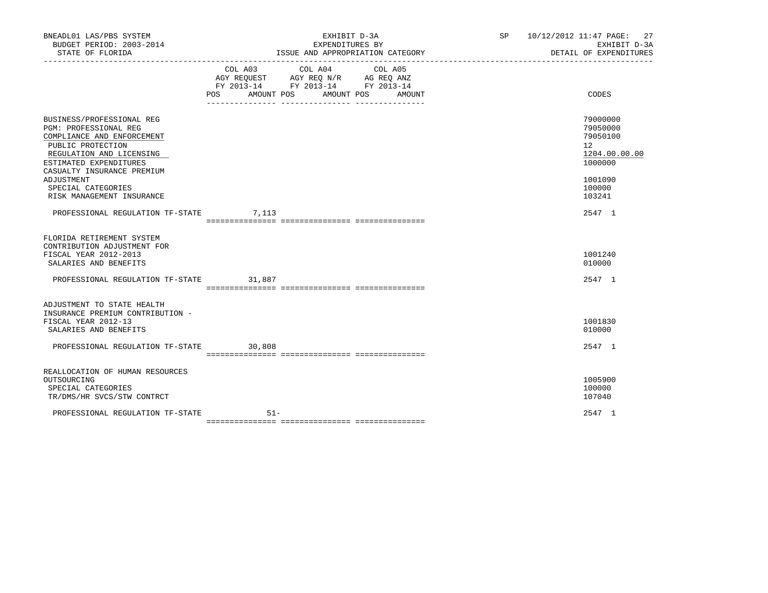| BNEADL01 LAS/PBS SYSTEM<br>BUDGET PERIOD: 2003-2014<br>STATE OF FLORIDA                                                                                                                                                                                           |        | EXHIBIT D-3A<br>EXPENDITURES BY<br>ISSUE AND APPROPRIATION CATEGORY                                                                   | SP 10/12/2012 11:47 PAGE: 27<br>EXHIBIT D-3A<br>DETAIL OF EXPENDITURES                                         |
|-------------------------------------------------------------------------------------------------------------------------------------------------------------------------------------------------------------------------------------------------------------------|--------|---------------------------------------------------------------------------------------------------------------------------------------|----------------------------------------------------------------------------------------------------------------|
|                                                                                                                                                                                                                                                                   |        | COL A03 COL A04 COL A05<br>AGY REQUEST AGY REQ N/R AG REQ ANZ<br>FY 2013-14 FY 2013-14 FY 2013-14<br>POS AMOUNT POS AMOUNT POS AMOUNT | CODES                                                                                                          |
| BUSINESS/PROFESSIONAL REG<br><b>PGM: PROFESSIONAL REG</b><br>COMPLIANCE AND ENFORCEMENT<br>PUBLIC PROTECTION<br>REGULATION AND LICENSING<br>ESTIMATED EXPENDITURES<br>CASUALTY INSURANCE PREMIUM<br>ADJUSTMENT<br>SPECIAL CATEGORIES<br>RISK MANAGEMENT INSURANCE |        |                                                                                                                                       | 79000000<br>79050000<br>79050100<br>12 <sup>2</sup><br>1204.00.00.00<br>1000000<br>1001090<br>100000<br>103241 |
| PROFESSIONAL REGULATION TF-STATE 7,113                                                                                                                                                                                                                            |        |                                                                                                                                       | 2547 1                                                                                                         |
| FLORIDA RETIREMENT SYSTEM<br>CONTRIBUTION ADJUSTMENT FOR<br>FISCAL YEAR 2012-2013<br>SALARIES AND BENEFITS<br>PROFESSIONAL REGULATION TF-STATE 31,887                                                                                                             |        |                                                                                                                                       | 1001240<br>010000<br>2547 1                                                                                    |
|                                                                                                                                                                                                                                                                   |        |                                                                                                                                       |                                                                                                                |
| ADJUSTMENT TO STATE HEALTH<br>INSURANCE PREMIUM CONTRIBUTION -<br>FISCAL YEAR 2012-13<br>SALARIES AND BENEFITS<br>PROFESSIONAL REGULATION TF-STATE 30,808                                                                                                         |        |                                                                                                                                       | 1001830<br>010000<br>2547 1                                                                                    |
| REALLOCATION OF HUMAN RESOURCES<br>OUTSOURCING<br>SPECIAL CATEGORIES<br>TR/DMS/HR SVCS/STW CONTRCT                                                                                                                                                                |        |                                                                                                                                       | 1005900<br>100000<br>107040                                                                                    |
| PROFESSIONAL REGULATION TF-STATE                                                                                                                                                                                                                                  | $51 -$ |                                                                                                                                       | 2547 1                                                                                                         |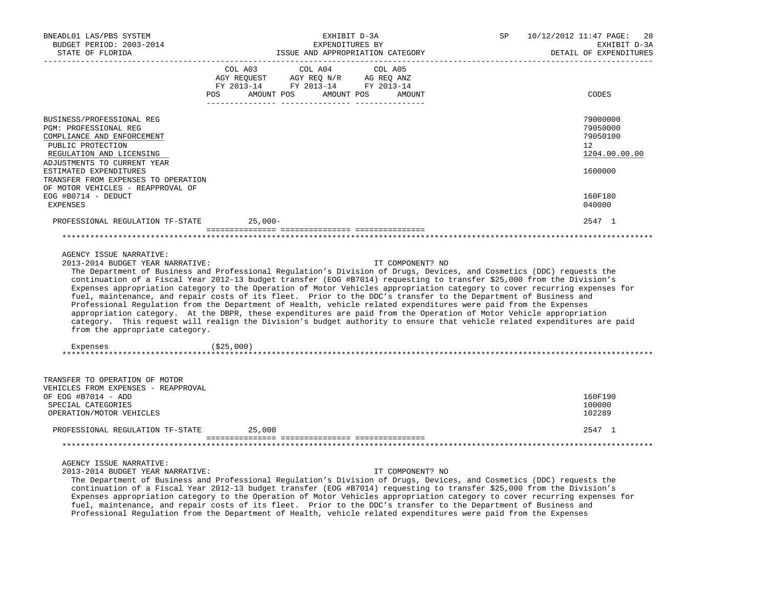| BNEADL01 LAS/PBS SYSTEM<br>BUDGET PERIOD: 2003-2014                                                                                                                                                                                                                    | EXHIBIT D-3A<br>EXPENDITURES BY                                                                                                                                                                                                                                                                                                                                                                                                                                                                                                                                                                                                                                                                                                                                                                                                                                                                         | 10/12/2012 11:47 PAGE:<br>SP<br>28<br>EXHIBIT D-3A                 |  |  |
|------------------------------------------------------------------------------------------------------------------------------------------------------------------------------------------------------------------------------------------------------------------------|---------------------------------------------------------------------------------------------------------------------------------------------------------------------------------------------------------------------------------------------------------------------------------------------------------------------------------------------------------------------------------------------------------------------------------------------------------------------------------------------------------------------------------------------------------------------------------------------------------------------------------------------------------------------------------------------------------------------------------------------------------------------------------------------------------------------------------------------------------------------------------------------------------|--------------------------------------------------------------------|--|--|
| STATE OF FLORIDA                                                                                                                                                                                                                                                       | ISSUE AND APPROPRIATION CATEGORY                                                                                                                                                                                                                                                                                                                                                                                                                                                                                                                                                                                                                                                                                                                                                                                                                                                                        | DETAIL OF EXPENDITURES                                             |  |  |
|                                                                                                                                                                                                                                                                        | COL A03<br>COL A04<br>COL A05<br>AGY REQUEST AGY REQ N/R AG REQ ANZ<br>FY 2013-14 FY 2013-14 FY 2013-14<br>POS AMOUNT POS AMOUNT POS AMOUNT                                                                                                                                                                                                                                                                                                                                                                                                                                                                                                                                                                                                                                                                                                                                                             | CODES                                                              |  |  |
| BUSINESS/PROFESSIONAL REG<br>PGM: PROFESSIONAL REG<br>COMPLIANCE AND ENFORCEMENT<br>PUBLIC PROTECTION<br>REGULATION AND LICENSING<br>ADJUSTMENTS TO CURRENT YEAR<br>ESTIMATED EXPENDITURES<br>TRANSFER FROM EXPENSES TO OPERATION<br>OF MOTOR VEHICLES - REAPPROVAL OF |                                                                                                                                                                                                                                                                                                                                                                                                                                                                                                                                                                                                                                                                                                                                                                                                                                                                                                         | 79000000<br>79050000<br>79050100<br>12<br>1204.00.00.00<br>1600000 |  |  |
| EOG #B0714 - DEDUCT<br><b>EXPENSES</b>                                                                                                                                                                                                                                 |                                                                                                                                                                                                                                                                                                                                                                                                                                                                                                                                                                                                                                                                                                                                                                                                                                                                                                         | 160F180<br>040000                                                  |  |  |
| PROFESSIONAL REGULATION TF-STATE 25,000-                                                                                                                                                                                                                               |                                                                                                                                                                                                                                                                                                                                                                                                                                                                                                                                                                                                                                                                                                                                                                                                                                                                                                         | 2547 1                                                             |  |  |
|                                                                                                                                                                                                                                                                        |                                                                                                                                                                                                                                                                                                                                                                                                                                                                                                                                                                                                                                                                                                                                                                                                                                                                                                         |                                                                    |  |  |
| AGENCY ISSUE NARRATIVE:<br>2013-2014 BUDGET YEAR NARRATIVE:<br>from the appropriate category.<br>Expenses                                                                                                                                                              | IT COMPONENT? NO<br>The Department of Business and Professional Regulation's Division of Drugs, Devices, and Cosmetics (DDC) requests the<br>continuation of a Fiscal Year 2012-13 budget transfer (EOG #B7014) requesting to transfer \$25,000 from the Division's<br>Expenses appropriation category to the Operation of Motor Vehicles appropriation category to cover recurring expenses for<br>fuel, maintenance, and repair costs of its fleet. Prior to the DDC's transfer to the Department of Business and<br>Professional Regulation from the Department of Health, vehicle related expenditures were paid from the Expenses<br>appropriation category. At the DBPR, these expenditures are paid from the Operation of Motor Vehicle appropriation<br>category. This request will realign the Division's budget authority to ensure that vehicle related expenditures are paid<br>( \$25,000) |                                                                    |  |  |
| TRANSFER TO OPERATION OF MOTOR<br>VEHICLES FROM EXPENSES - REAPPROVAL<br>OF EOG #B7014 - ADD<br>SPECIAL CATEGORIES<br>OPERATION/MOTOR VEHICLES                                                                                                                         |                                                                                                                                                                                                                                                                                                                                                                                                                                                                                                                                                                                                                                                                                                                                                                                                                                                                                                         | 160F190<br>100000<br>102289                                        |  |  |
| PROFESSIONAL REGULATION TF-STATE                                                                                                                                                                                                                                       | 25,000                                                                                                                                                                                                                                                                                                                                                                                                                                                                                                                                                                                                                                                                                                                                                                                                                                                                                                  | 2547 1                                                             |  |  |
|                                                                                                                                                                                                                                                                        |                                                                                                                                                                                                                                                                                                                                                                                                                                                                                                                                                                                                                                                                                                                                                                                                                                                                                                         |                                                                    |  |  |
| AGENCY ISSUE NARRATIVE:<br>2013-2014 BUDGET YEAR NARRATIVE:                                                                                                                                                                                                            | IT COMPONENT? NO<br>The Department of Business and Professional Regulation's Division of Drugs, Devices, and Cosmetics (DDC) requests the<br>continuation of a Fiscal Year 2012-13 budget transfer (EOG #B7014) requesting to transfer \$25,000 from the Division's<br>Expenses appropriation category to the Operation of Motor Vehicles appropriation category to cover recurring expenses for<br>fuel, maintenance, and repair costs of its fleet. Prior to the DDC's transfer to the Department of Business and<br>Professional Regulation from the Department of Health, vehicle related expenditures were paid from the Expenses                                                                                                                                                                                                                                                                  |                                                                    |  |  |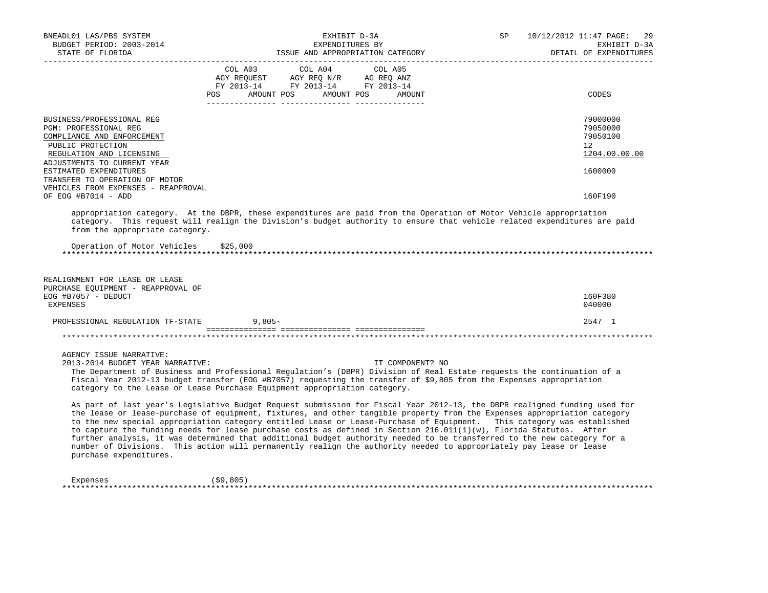| BNEADL01 LAS/PBS SYSTEM<br>BUDGET PERIOD: 2003-2014<br>STATE OF FLORIDA<br>___________________                                                                   | EXHIBIT D-3A<br>EXPENDITURES BY<br>ISSUE AND APPROPRIATION CATEGORY                                                                                                                                                                                                                                                                                                                                                                                                                                                                                                                                                                                                                                                                                    | 10/12/2012 11:47 PAGE:<br>SP<br>29<br>EXHIBIT D-3A<br>DETAIL OF EXPENDITURES |
|------------------------------------------------------------------------------------------------------------------------------------------------------------------|--------------------------------------------------------------------------------------------------------------------------------------------------------------------------------------------------------------------------------------------------------------------------------------------------------------------------------------------------------------------------------------------------------------------------------------------------------------------------------------------------------------------------------------------------------------------------------------------------------------------------------------------------------------------------------------------------------------------------------------------------------|------------------------------------------------------------------------------|
|                                                                                                                                                                  | COL A03<br>COL A04<br>COL A05<br>AGY REQUEST AGY REQ N/R AG REQ ANZ<br>FY 2013-14 FY 2013-14 FY 2013-14<br>AMOUNT POS AMOUNT POS<br>POS<br>AMOUNT                                                                                                                                                                                                                                                                                                                                                                                                                                                                                                                                                                                                      | CODES                                                                        |
| BUSINESS/PROFESSIONAL REG<br>PGM: PROFESSIONAL REG<br>COMPLIANCE AND ENFORCEMENT<br>PUBLIC PROTECTION<br>REGULATION AND LICENSING<br>ADJUSTMENTS TO CURRENT YEAR |                                                                                                                                                                                                                                                                                                                                                                                                                                                                                                                                                                                                                                                                                                                                                        | 79000000<br>79050000<br>79050100<br>$12^{\circ}$<br>1204.00.00.00            |
| ESTIMATED EXPENDITURES<br>TRANSFER TO OPERATION OF MOTOR<br>VEHICLES FROM EXPENSES - REAPPROVAL<br>OF EOG #B7014 - ADD                                           |                                                                                                                                                                                                                                                                                                                                                                                                                                                                                                                                                                                                                                                                                                                                                        | 1600000<br>160F190                                                           |
| from the appropriate category.                                                                                                                                   | appropriation category. At the DBPR, these expenditures are paid from the Operation of Motor Vehicle appropriation<br>category. This request will realign the Division's budget authority to ensure that vehicle related expenditures are paid                                                                                                                                                                                                                                                                                                                                                                                                                                                                                                         |                                                                              |
| Operation of Motor Vehicles \$25,000                                                                                                                             |                                                                                                                                                                                                                                                                                                                                                                                                                                                                                                                                                                                                                                                                                                                                                        |                                                                              |
| REALIGNMENT FOR LEASE OR LEASE<br>PURCHASE EQUIPMENT - REAPPROVAL OF<br>EOG #B7057 - DEDUCT                                                                      |                                                                                                                                                                                                                                                                                                                                                                                                                                                                                                                                                                                                                                                                                                                                                        | 160F380                                                                      |
| <b>EXPENSES</b>                                                                                                                                                  |                                                                                                                                                                                                                                                                                                                                                                                                                                                                                                                                                                                                                                                                                                                                                        | 040000                                                                       |
| PROFESSIONAL REGULATION TF-STATE                                                                                                                                 | $9,805-$                                                                                                                                                                                                                                                                                                                                                                                                                                                                                                                                                                                                                                                                                                                                               | 2547 1                                                                       |
|                                                                                                                                                                  |                                                                                                                                                                                                                                                                                                                                                                                                                                                                                                                                                                                                                                                                                                                                                        |                                                                              |
| AGENCY ISSUE NARRATIVE:<br>2013-2014 BUDGET YEAR NARRATIVE:                                                                                                      | IT COMPONENT? NO<br>The Department of Business and Professional Regulation's (DBPR) Division of Real Estate requests the continuation of a<br>Fiscal Year 2012-13 budget transfer (EOG #B7057) requesting the transfer of \$9,805 from the Expenses appropriation<br>category to the Lease or Lease Purchase Equipment appropriation category.                                                                                                                                                                                                                                                                                                                                                                                                         |                                                                              |
| purchase expenditures.                                                                                                                                           | As part of last year's Legislative Budget Request submission for Fiscal Year 2012-13, the DBPR realigned funding used for<br>the lease or lease-purchase of equipment, fixtures, and other tangible property from the Expenses appropriation category<br>to the new special appropriation category entitled Lease or Lease-Purchase of Equipment. This category was established<br>to capture the funding needs for lease purchase costs as defined in Section 216.011(1)(w), Florida Statutes. After<br>further analysis, it was determined that additional budget authority needed to be transferred to the new category for a<br>number of Divisions. This action will permanently realign the authority needed to appropriately pay lease or lease |                                                                              |
| Expenses                                                                                                                                                         | (\$9,805)                                                                                                                                                                                                                                                                                                                                                                                                                                                                                                                                                                                                                                                                                                                                              |                                                                              |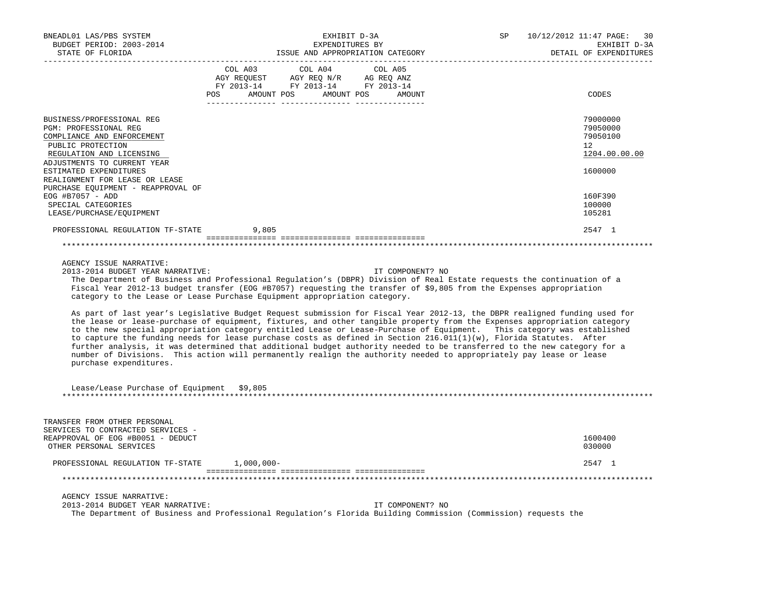| BNEADL01 LAS/PBS SYSTEM<br>BUDGET PERIOD: 2003-2014                                                                                                                                                                          | EXHIBIT D-3A<br>EXPENDITURES BY                                                                                                                                                                                                                                                                                                                                                                                                                                                                                                                                                                                                                                                                                                                                                                                                                                                                                                                                                                                                                                                                             | 10/12/2012 11:47 PAGE:<br>SP<br>30<br>EXHIBIT D-3A                 |
|------------------------------------------------------------------------------------------------------------------------------------------------------------------------------------------------------------------------------|-------------------------------------------------------------------------------------------------------------------------------------------------------------------------------------------------------------------------------------------------------------------------------------------------------------------------------------------------------------------------------------------------------------------------------------------------------------------------------------------------------------------------------------------------------------------------------------------------------------------------------------------------------------------------------------------------------------------------------------------------------------------------------------------------------------------------------------------------------------------------------------------------------------------------------------------------------------------------------------------------------------------------------------------------------------------------------------------------------------|--------------------------------------------------------------------|
| STATE OF FLORIDA                                                                                                                                                                                                             | ISSUE AND APPROPRIATION CATEGORY FOR A DETAIL OF EXPENDENCE ISSUE AND APPROPRIATION CATEGORY                                                                                                                                                                                                                                                                                                                                                                                                                                                                                                                                                                                                                                                                                                                                                                                                                                                                                                                                                                                                                | DETAIL OF EXPENDITURES                                             |
|                                                                                                                                                                                                                              | COL A03 COL A04 COL A05<br>$\begin{tabular}{lllllll} \bf AGY \;\; REQUEST \hspace{1cm} \bf AGY \;\; REQ \;\; N/R \hspace{1cm} \bf AG \;\; REQ \;\; ANZ \\ \bf FY \;\; 2013-14 \hspace{1cm} & \bf FY \;\; 2013-14 \end{tabular}$<br>POS AMOUNT POS AMOUNT POS AMOUNT                                                                                                                                                                                                                                                                                                                                                                                                                                                                                                                                                                                                                                                                                                                                                                                                                                         | CODES                                                              |
| BUSINESS/PROFESSIONAL REG<br>PGM: PROFESSIONAL REG<br>COMPLIANCE AND ENFORCEMENT<br>PUBLIC PROTECTION<br>REGULATION AND LICENSING<br>ADJUSTMENTS TO CURRENT YEAR<br>ESTIMATED EXPENDITURES<br>REALIGNMENT FOR LEASE OR LEASE |                                                                                                                                                                                                                                                                                                                                                                                                                                                                                                                                                                                                                                                                                                                                                                                                                                                                                                                                                                                                                                                                                                             | 79000000<br>79050000<br>79050100<br>12<br>1204.00.00.00<br>1600000 |
| PURCHASE EQUIPMENT - REAPPROVAL OF<br>EOG #B7057 - ADD                                                                                                                                                                       |                                                                                                                                                                                                                                                                                                                                                                                                                                                                                                                                                                                                                                                                                                                                                                                                                                                                                                                                                                                                                                                                                                             | 160F390                                                            |
| SPECIAL CATEGORIES<br>LEASE/PURCHASE/EQUIPMENT                                                                                                                                                                               |                                                                                                                                                                                                                                                                                                                                                                                                                                                                                                                                                                                                                                                                                                                                                                                                                                                                                                                                                                                                                                                                                                             | 100000<br>105281                                                   |
| PROFESSIONAL REGULATION TF-STATE                                                                                                                                                                                             | 9,805                                                                                                                                                                                                                                                                                                                                                                                                                                                                                                                                                                                                                                                                                                                                                                                                                                                                                                                                                                                                                                                                                                       | 2547 1                                                             |
|                                                                                                                                                                                                                              |                                                                                                                                                                                                                                                                                                                                                                                                                                                                                                                                                                                                                                                                                                                                                                                                                                                                                                                                                                                                                                                                                                             |                                                                    |
|                                                                                                                                                                                                                              |                                                                                                                                                                                                                                                                                                                                                                                                                                                                                                                                                                                                                                                                                                                                                                                                                                                                                                                                                                                                                                                                                                             |                                                                    |
| 2013-2014 BUDGET YEAR NARRATIVE:<br>purchase expenditures.<br>Lease/Lease Purchase of Equipment \$9,805                                                                                                                      | IT COMPONENT? NO<br>The Department of Business and Professional Regulation's (DBPR) Division of Real Estate requests the continuation of a<br>Fiscal Year 2012-13 budget transfer (EOG #B7057) requesting the transfer of \$9,805 from the Expenses appropriation<br>category to the Lease or Lease Purchase Equipment appropriation category.<br>As part of last year's Legislative Budget Request submission for Fiscal Year 2012-13, the DBPR realigned funding used for<br>the lease or lease-purchase of equipment, fixtures, and other tangible property from the Expenses appropriation category<br>to the new special appropriation category entitled Lease or Lease-Purchase of Equipment. This category was established<br>to capture the funding needs for lease purchase costs as defined in Section $216.011(1)(w)$ , Florida Statutes. After<br>further analysis, it was determined that additional budget authority needed to be transferred to the new category for a<br>number of Divisions. This action will permanently realign the authority needed to appropriately pay lease or lease |                                                                    |
|                                                                                                                                                                                                                              |                                                                                                                                                                                                                                                                                                                                                                                                                                                                                                                                                                                                                                                                                                                                                                                                                                                                                                                                                                                                                                                                                                             |                                                                    |
| TRANSFER FROM OTHER PERSONAL<br>SERVICES TO CONTRACTED SERVICES -<br>REAPPROVAL OF EOG #B0051 - DEDUCT<br>OTHER PERSONAL SERVICES                                                                                            |                                                                                                                                                                                                                                                                                                                                                                                                                                                                                                                                                                                                                                                                                                                                                                                                                                                                                                                                                                                                                                                                                                             | 1600400<br>030000                                                  |
| PROFESSIONAL REGULATION TF-STATE 1,000,000-                                                                                                                                                                                  |                                                                                                                                                                                                                                                                                                                                                                                                                                                                                                                                                                                                                                                                                                                                                                                                                                                                                                                                                                                                                                                                                                             | 2547 1                                                             |
|                                                                                                                                                                                                                              |                                                                                                                                                                                                                                                                                                                                                                                                                                                                                                                                                                                                                                                                                                                                                                                                                                                                                                                                                                                                                                                                                                             |                                                                    |
| AGENCY ISSUE NARRATIVE:<br>2013-2014 BUDGET YEAR NARRATIVE:                                                                                                                                                                  | IT COMPONENT? NO<br>The Department of Business and Professional Regulation's Florida Building Commission (Commission) requests the                                                                                                                                                                                                                                                                                                                                                                                                                                                                                                                                                                                                                                                                                                                                                                                                                                                                                                                                                                          |                                                                    |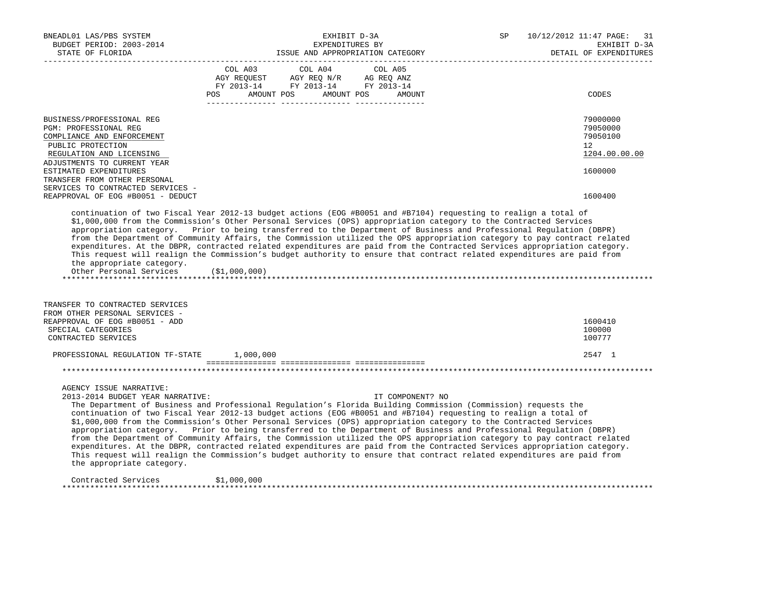| BNEADL01 LAS/PBS SYSTEM<br>BUDGET PERIOD: 2003-2014<br>STATE OF FLORIDA                                                                                                                                                                                                                                                                                                                                                                                                                                                                                                                                                                                                                                                                                                                                                                                                                                                                                     |                |                                                                                                            | EXHIBIT D-3A<br>EXPENDITURES BY<br>ISSUE AND APPROPRIATION CATEGORY |  | 10/12/2012 11:47 PAGE:<br>SP<br>EXHIBIT D-3A<br>DETAIL OF EXPENDITURES |                                                         |
|-------------------------------------------------------------------------------------------------------------------------------------------------------------------------------------------------------------------------------------------------------------------------------------------------------------------------------------------------------------------------------------------------------------------------------------------------------------------------------------------------------------------------------------------------------------------------------------------------------------------------------------------------------------------------------------------------------------------------------------------------------------------------------------------------------------------------------------------------------------------------------------------------------------------------------------------------------------|----------------|------------------------------------------------------------------------------------------------------------|---------------------------------------------------------------------|--|------------------------------------------------------------------------|---------------------------------------------------------|
|                                                                                                                                                                                                                                                                                                                                                                                                                                                                                                                                                                                                                                                                                                                                                                                                                                                                                                                                                             | COL A03<br>POS | COL A04<br>AGY REQUEST AGY REQ N/R AG REQ ANZ<br>FY 2013-14 FY 2013-14 FY 2013-14<br>AMOUNT POS AMOUNT POS | COL A05<br>AMOUNT                                                   |  |                                                                        | CODES                                                   |
|                                                                                                                                                                                                                                                                                                                                                                                                                                                                                                                                                                                                                                                                                                                                                                                                                                                                                                                                                             |                |                                                                                                            |                                                                     |  |                                                                        |                                                         |
| BUSINESS/PROFESSIONAL REG<br>PGM: PROFESSIONAL REG<br>COMPLIANCE AND ENFORCEMENT<br>PUBLIC PROTECTION<br>REGULATION AND LICENSING                                                                                                                                                                                                                                                                                                                                                                                                                                                                                                                                                                                                                                                                                                                                                                                                                           |                |                                                                                                            |                                                                     |  |                                                                        | 79000000<br>79050000<br>79050100<br>12<br>1204.00.00.00 |
| ADJUSTMENTS TO CURRENT YEAR<br>ESTIMATED EXPENDITURES<br>TRANSFER FROM OTHER PERSONAL<br>SERVICES TO CONTRACTED SERVICES -                                                                                                                                                                                                                                                                                                                                                                                                                                                                                                                                                                                                                                                                                                                                                                                                                                  |                |                                                                                                            |                                                                     |  |                                                                        | 1600000                                                 |
| REAPPROVAL OF EOG #B0051 - DEDUCT                                                                                                                                                                                                                                                                                                                                                                                                                                                                                                                                                                                                                                                                                                                                                                                                                                                                                                                           |                |                                                                                                            |                                                                     |  |                                                                        | 1600400                                                 |
| \$1,000,000 from the Commission's Other Personal Services (OPS) appropriation category to the Contracted Services<br>appropriation category. Prior to being transferred to the Department of Business and Professional Regulation (DBPR)<br>from the Department of Community Affairs, the Commission utilized the OPS appropriation category to pay contract related<br>expenditures. At the DBPR, contracted related expenditures are paid from the Contracted Services appropriation category.<br>This request will realign the Commission's budget authority to ensure that contract related expenditures are paid from<br>the appropriate category.<br>Other Personal Services (\$1,000,000)<br>TRANSFER TO CONTRACTED SERVICES                                                                                                                                                                                                                         |                |                                                                                                            |                                                                     |  |                                                                        |                                                         |
| FROM OTHER PERSONAL SERVICES -                                                                                                                                                                                                                                                                                                                                                                                                                                                                                                                                                                                                                                                                                                                                                                                                                                                                                                                              |                |                                                                                                            |                                                                     |  |                                                                        |                                                         |
| REAPPROVAL OF EOG #B0051 - ADD<br>SPECIAL CATEGORIES<br>CONTRACTED SERVICES                                                                                                                                                                                                                                                                                                                                                                                                                                                                                                                                                                                                                                                                                                                                                                                                                                                                                 |                |                                                                                                            |                                                                     |  |                                                                        | 1600410<br>100000<br>100777                             |
| PROFESSIONAL REGULATION TF-STATE 1,000,000                                                                                                                                                                                                                                                                                                                                                                                                                                                                                                                                                                                                                                                                                                                                                                                                                                                                                                                  |                |                                                                                                            |                                                                     |  |                                                                        | 2547 1                                                  |
|                                                                                                                                                                                                                                                                                                                                                                                                                                                                                                                                                                                                                                                                                                                                                                                                                                                                                                                                                             |                |                                                                                                            |                                                                     |  |                                                                        |                                                         |
| AGENCY ISSUE NARRATIVE:<br>2013-2014 BUDGET YEAR NARRATIVE:<br>The Department of Business and Professional Requlation's Florida Building Commission (Commission) requests the<br>continuation of two Fiscal Year 2012-13 budget actions (EOG #B0051 and #B7104) requesting to realign a total of<br>\$1,000,000 from the Commission's Other Personal Services (OPS) appropriation category to the Contracted Services<br>appropriation category. Prior to being transferred to the Department of Business and Professional Regulation (DBPR)<br>from the Department of Community Affairs, the Commission utilized the OPS appropriation category to pay contract related<br>expenditures. At the DBPR, contracted related expenditures are paid from the Contracted Services appropriation category.<br>This request will realign the Commission's budget authority to ensure that contract related expenditures are paid from<br>the appropriate category. |                |                                                                                                            | IT COMPONENT? NO                                                    |  |                                                                        |                                                         |
| Contracted Services                                                                                                                                                                                                                                                                                                                                                                                                                                                                                                                                                                                                                                                                                                                                                                                                                                                                                                                                         | \$1,000,000    |                                                                                                            |                                                                     |  |                                                                        |                                                         |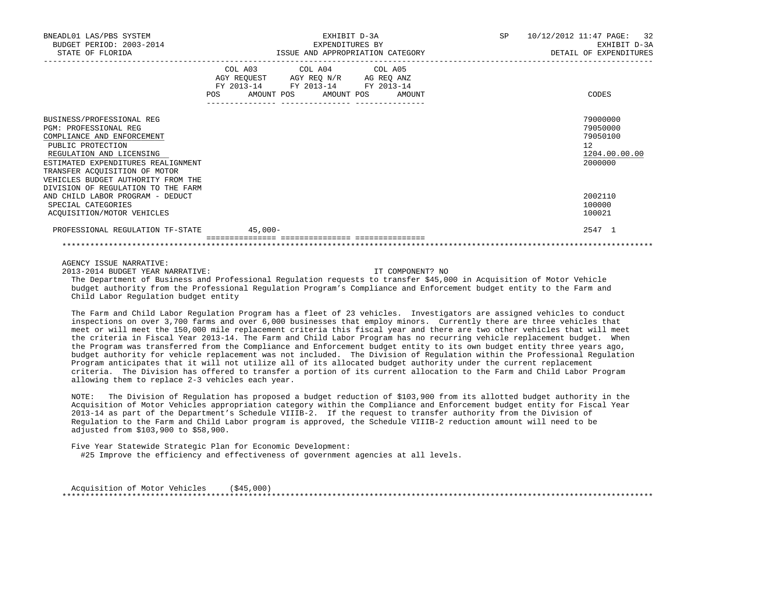| BNEADL01 LAS/PBS SYSTEM<br>BUDGET PERIOD: 2003-2014<br>STATE OF FLORIDA                                                                                                                                                                                                                     | EXHIBIT D-3A<br>EXPENDITURES BY<br>ISSUE AND APPROPRIATION CATEGORY                                                                   | SP 10/12/2012 11:47 PAGE: 32<br>EXHIBIT D-3A<br>DETAIL OF EXPENDITURES |
|---------------------------------------------------------------------------------------------------------------------------------------------------------------------------------------------------------------------------------------------------------------------------------------------|---------------------------------------------------------------------------------------------------------------------------------------|------------------------------------------------------------------------|
|                                                                                                                                                                                                                                                                                             | COL A03 COL A04 COL A05<br>AGY REQUEST AGY REQ N/R AG REQ ANZ<br>FY 2013-14 FY 2013-14 FY 2013-14<br>POS AMOUNT POS AMOUNT POS AMOUNT | CODES                                                                  |
| BUSINESS/PROFESSIONAL REG<br><b>PGM: PROFESSIONAL REG</b><br>COMPLIANCE AND ENFORCEMENT<br>PUBLIC PROTECTION<br>REGULATION AND LICENSING<br>ESTIMATED EXPENDITURES REALIGNMENT<br>TRANSFER ACOUISITION OF MOTOR<br>VEHICLES BUDGET AUTHORITY FROM THE<br>DIVISION OF REGULATION TO THE FARM |                                                                                                                                       | 79000000<br>79050000<br>79050100<br>12<br>1204.00.00.00<br>2000000     |
| AND CHILD LABOR PROGRAM - DEDUCT<br>SPECIAL CATEGORIES<br>ACOUISITION/MOTOR VEHICLES                                                                                                                                                                                                        |                                                                                                                                       | 2002110<br>100000<br>100021                                            |
| PROFESSIONAL REGULATION TF-STATE 45,000-                                                                                                                                                                                                                                                    |                                                                                                                                       | 2547 1                                                                 |

AGENCY ISSUE NARRATIVE:

2013-2014 BUDGET YEAR NARRATIVE: IT COMPONENT? NO

 The Department of Business and Professional Regulation requests to transfer \$45,000 in Acquisition of Motor Vehicle budget authority from the Professional Regulation Program's Compliance and Enforcement budget entity to the Farm and Child Labor Regulation budget entity

 The Farm and Child Labor Regulation Program has a fleet of 23 vehicles. Investigators are assigned vehicles to conduct inspections on over 3,700 farms and over 6,000 businesses that employ minors. Currently there are three vehicles that meet or will meet the 150,000 mile replacement criteria this fiscal year and there are two other vehicles that will meet the criteria in Fiscal Year 2013-14. The Farm and Child Labor Program has no recurring vehicle replacement budget. When the Program was transferred from the Compliance and Enforcement budget entity to its own budget entity three years ago, budget authority for vehicle replacement was not included. The Division of Regulation within the Professional Regulation Program anticipates that it will not utilize all of its allocated budget authority under the current replacement criteria. The Division has offered to transfer a portion of its current allocation to the Farm and Child Labor Program allowing them to replace 2-3 vehicles each year.

 NOTE: The Division of Regulation has proposed a budget reduction of \$103,900 from its allotted budget authority in the Acquisition of Motor Vehicles appropriation category within the Compliance and Enforcement budget entity for Fiscal Year 2013-14 as part of the Department's Schedule VIIIB-2. If the request to transfer authority from the Division of Regulation to the Farm and Child Labor program is approved, the Schedule VIIIB-2 reduction amount will need to be adjusted from \$103,900 to \$58,900.

 Five Year Statewide Strategic Plan for Economic Development: #25 Improve the efficiency and effectiveness of government agencies at all levels.

Acquisition of Motor Vehicles (\$45,000) \*\*\*\*\*\*\*\*\*\*\*\*\*\*\*\*\*\*\*\*\*\*\*\*\*\*\*\*\*\*\*\*\*\*\*\*\*\*\*\*\*\*\*\*\*\*\*\*\*\*\*\*\*\*\*\*\*\*\*\*\*\*\*\*\*\*\*\*\*\*\*\*\*\*\*\*\*\*\*\*\*\*\*\*\*\*\*\*\*\*\*\*\*\*\*\*\*\*\*\*\*\*\*\*\*\*\*\*\*\*\*\*\*\*\*\*\*\*\*\*\*\*\*\*\*\*\*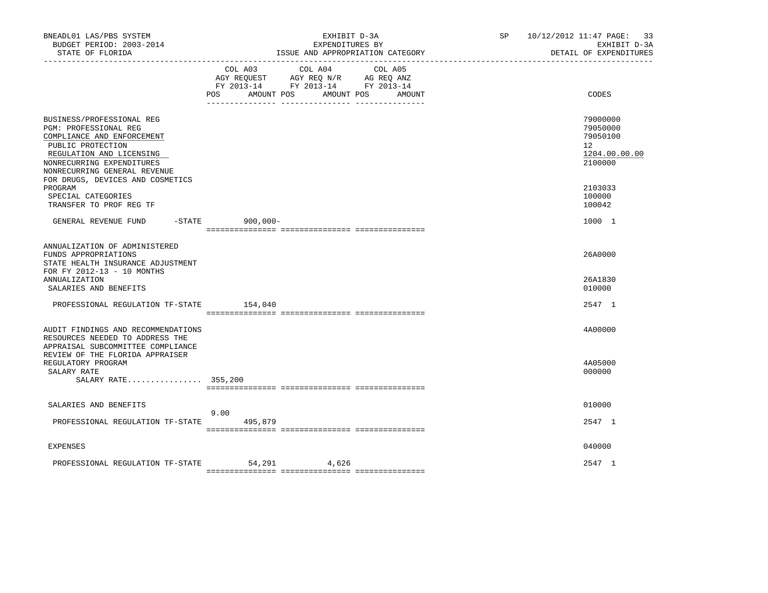| BNEADL01 LAS/PBS SYSTEM<br>BUDGET PERIOD: 2003-2014<br>STATE OF FLORIDA                                                                                                                                                            | EXHIBIT D-3A<br>EXPENDITURES BY<br>ISSUE AND APPROPRIATION CATEGORY                                                                               | 10/12/2012 11:47 PAGE:<br>SP and the set of the set of the set of the set of the set of the set of the set of the set of the set of the set of the set of the set of the set of the set of the set of the set of the set of the set of the set of the se<br>DETAIL OF EXPENDITURES | -33<br>EXHIBIT D-3A |
|------------------------------------------------------------------------------------------------------------------------------------------------------------------------------------------------------------------------------------|---------------------------------------------------------------------------------------------------------------------------------------------------|------------------------------------------------------------------------------------------------------------------------------------------------------------------------------------------------------------------------------------------------------------------------------------|---------------------|
|                                                                                                                                                                                                                                    | COL A03<br>COL A04<br>COL A05<br>AGY REQUEST AGY REQ N/R AG REQ ANZ<br>FY 2013-14 FY 2013-14 FY 2013-14<br>AMOUNT POS<br>POS AMOUNT POS<br>AMOUNT | CODES                                                                                                                                                                                                                                                                              |                     |
| BUSINESS/PROFESSIONAL REG<br>PGM: PROFESSIONAL REG<br>COMPLIANCE AND ENFORCEMENT<br>PUBLIC PROTECTION<br>REGULATION AND LICENSING<br>NONRECURRING EXPENDITURES<br>NONRECURRING GENERAL REVENUE<br>FOR DRUGS, DEVICES AND COSMETICS |                                                                                                                                                   | 79000000<br>79050000<br>79050100<br>12 <sup>12</sup><br>2100000                                                                                                                                                                                                                    | 1204.00.00.00       |
| PROGRAM<br>SPECIAL CATEGORIES<br>TRANSFER TO PROF REG TF                                                                                                                                                                           |                                                                                                                                                   | 2103033<br>100000<br>100042                                                                                                                                                                                                                                                        |                     |
| GENERAL REVENUE FUND<br>$-$ STATE                                                                                                                                                                                                  | $900,000 -$                                                                                                                                       | 1000 1                                                                                                                                                                                                                                                                             |                     |
| ANNUALIZATION OF ADMINISTERED<br>FUNDS APPROPRIATIONS<br>STATE HEALTH INSURANCE ADJUSTMENT<br>FOR FY 2012-13 - 10 MONTHS                                                                                                           |                                                                                                                                                   | 26A0000                                                                                                                                                                                                                                                                            |                     |
| ANNUALIZATION<br>SALARIES AND BENEFITS                                                                                                                                                                                             |                                                                                                                                                   | 26A1830<br>010000                                                                                                                                                                                                                                                                  |                     |
| PROFESSIONAL REGULATION TF-STATE                                                                                                                                                                                                   | 154,040                                                                                                                                           | 2547 1                                                                                                                                                                                                                                                                             |                     |
| AUDIT FINDINGS AND RECOMMENDATIONS<br>RESOURCES NEEDED TO ADDRESS THE<br>APPRAISAL SUBCOMMITTEE COMPLIANCE<br>REVIEW OF THE FLORIDA APPRAISER                                                                                      |                                                                                                                                                   | 4A00000                                                                                                                                                                                                                                                                            |                     |
| REGULATORY PROGRAM<br>SALARY RATE<br>SALARY RATE 355,200                                                                                                                                                                           |                                                                                                                                                   | 4A05000<br>000000                                                                                                                                                                                                                                                                  |                     |
| SALARIES AND BENEFITS                                                                                                                                                                                                              |                                                                                                                                                   | 010000                                                                                                                                                                                                                                                                             |                     |
| PROFESSIONAL REGULATION TF-STATE                                                                                                                                                                                                   | 9.00<br>495,879                                                                                                                                   | 2547 1                                                                                                                                                                                                                                                                             |                     |
| <b>EXPENSES</b>                                                                                                                                                                                                                    |                                                                                                                                                   | 040000                                                                                                                                                                                                                                                                             |                     |
| PROFESSIONAL REGULATION TF-STATE                                                                                                                                                                                                   | 54,291 4,626                                                                                                                                      | 2547 1                                                                                                                                                                                                                                                                             |                     |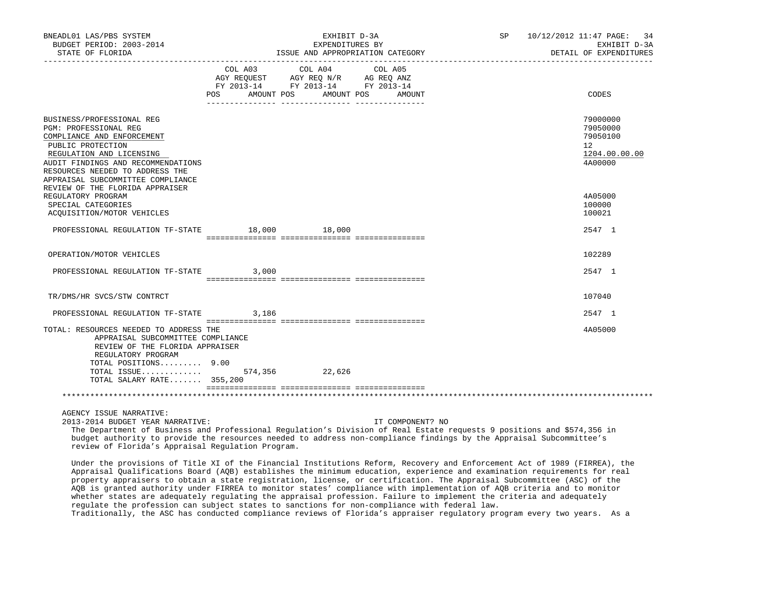| BNEADL01 LAS/PBS SYSTEM<br>BUDGET PERIOD: 2003-2014                                                                                                                                                                                                                                                                                                                                                                                                                                                                                                                                                                              |         | EXHIBIT D-3A<br>EXPENDITURES BY                                                   |                                             | SP | 10/12/2012 11:47 PAGE: 34<br>EXHIBIT D-3A                                    |
|----------------------------------------------------------------------------------------------------------------------------------------------------------------------------------------------------------------------------------------------------------------------------------------------------------------------------------------------------------------------------------------------------------------------------------------------------------------------------------------------------------------------------------------------------------------------------------------------------------------------------------|---------|-----------------------------------------------------------------------------------|---------------------------------------------|----|------------------------------------------------------------------------------|
|                                                                                                                                                                                                                                                                                                                                                                                                                                                                                                                                                                                                                                  |         |                                                                                   |                                             |    | DETAIL OF EXPENDITURES                                                       |
|                                                                                                                                                                                                                                                                                                                                                                                                                                                                                                                                                                                                                                  | COL A03 | COL A04<br>AGY REQUEST AGY REQ N/R AG REQ ANZ<br>FY 2013-14 FY 2013-14 FY 2013-14 | COL A05<br>POS AMOUNT POS AMOUNT POS AMOUNT |    | CODES                                                                        |
| BUSINESS/PROFESSIONAL REG<br>PGM: PROFESSIONAL REG<br>COMPLIANCE AND ENFORCEMENT<br>PUBLIC PROTECTION<br>REGULATION AND LICENSING<br>AUDIT FINDINGS AND RECOMMENDATIONS<br>RESOURCES NEEDED TO ADDRESS THE<br>APPRAISAL SUBCOMMITTEE COMPLIANCE<br>REVIEW OF THE FLORIDA APPRAISER                                                                                                                                                                                                                                                                                                                                               |         |                                                                                   |                                             |    | 79000000<br>79050000<br>79050100<br>$12^{\circ}$<br>1204.00.00.00<br>4A00000 |
| REGULATORY PROGRAM<br>SPECIAL CATEGORIES<br>ACQUISITION/MOTOR VEHICLES                                                                                                                                                                                                                                                                                                                                                                                                                                                                                                                                                           |         |                                                                                   |                                             |    | 4A05000<br>100000<br>100021                                                  |
| PROFESSIONAL REGULATION TF-STATE 18,000 18,000                                                                                                                                                                                                                                                                                                                                                                                                                                                                                                                                                                                   |         |                                                                                   |                                             |    | 2547 1                                                                       |
| OPERATION/MOTOR VEHICLES                                                                                                                                                                                                                                                                                                                                                                                                                                                                                                                                                                                                         |         |                                                                                   |                                             |    | 102289                                                                       |
| PROFESSIONAL REGULATION TF-STATE 3,000                                                                                                                                                                                                                                                                                                                                                                                                                                                                                                                                                                                           |         |                                                                                   |                                             |    | 2547 1                                                                       |
| TR/DMS/HR SVCS/STW CONTRCT                                                                                                                                                                                                                                                                                                                                                                                                                                                                                                                                                                                                       |         |                                                                                   |                                             |    | 107040                                                                       |
| PROFESSIONAL REGULATION TF-STATE                                                                                                                                                                                                                                                                                                                                                                                                                                                                                                                                                                                                 | 3,186   |                                                                                   |                                             |    | 2547 1                                                                       |
| TOTAL: RESOURCES NEEDED TO ADDRESS THE<br>APPRAISAL SUBCOMMITTEE COMPLIANCE<br>REVIEW OF THE FLORIDA APPRAISER<br>REGULATORY PROGRAM<br>TOTAL POSITIONS 9.00                                                                                                                                                                                                                                                                                                                                                                                                                                                                     |         |                                                                                   |                                             |    | 4A05000                                                                      |
| TOTAL ISSUE 574,356 22,626<br>TOTAL SALARY RATE 355,200                                                                                                                                                                                                                                                                                                                                                                                                                                                                                                                                                                          |         |                                                                                   |                                             |    |                                                                              |
|                                                                                                                                                                                                                                                                                                                                                                                                                                                                                                                                                                                                                                  |         |                                                                                   |                                             |    |                                                                              |
|                                                                                                                                                                                                                                                                                                                                                                                                                                                                                                                                                                                                                                  |         |                                                                                   |                                             |    |                                                                              |
| AGENCY ISSUE NARRATIVE:<br>2013-2014 BUDGET YEAR NARRATIVE:<br>The Department of Business and Professional Regulation's Division of Real Estate requests 9 positions and \$574,356 in<br>budget authority to provide the resources needed to address non-compliance findings by the Appraisal Subcommittee's<br>review of Florida's Appraisal Regulation Program.                                                                                                                                                                                                                                                                |         |                                                                                   | IT COMPONENT? NO                            |    |                                                                              |
| Under the provisions of Title XI of the Financial Institutions Reform, Recovery and Enforcement Act of 1989 (FIRREA), the<br>Appraisal Qualifications Board (AQB) establishes the minimum education, experience and examination requirements for real<br>property appraisers to obtain a state registration, license, or certification. The Appraisal Subcommittee (ASC) of the<br>AQB is granted authority under FIRREA to monitor states' compliance with implementation of AQB criteria and to monitor<br>whether states are adequately regulating the appraisal profession. Failure to implement the criteria and adequately |         |                                                                                   |                                             |    |                                                                              |

 regulate the profession can subject states to sanctions for non-compliance with federal law. Traditionally, the ASC has conducted compliance reviews of Florida's appraiser regulatory program every two years. As a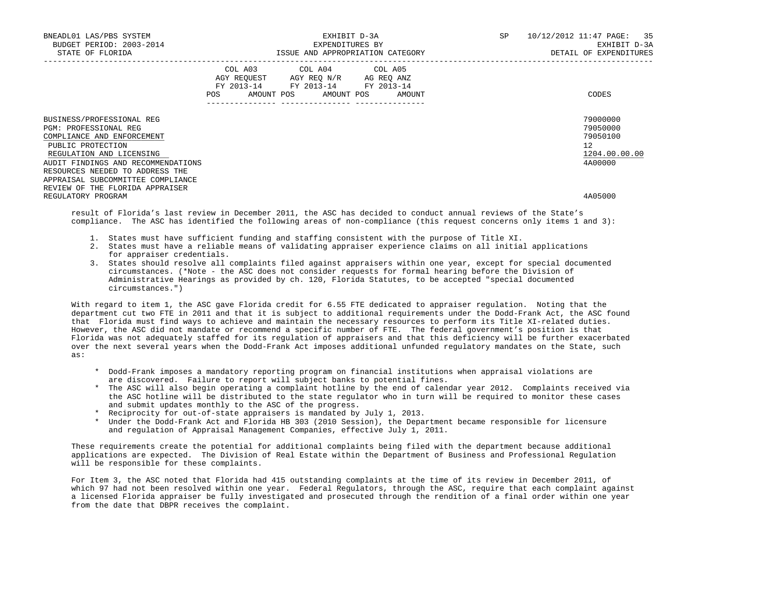| EXHIBIT D-3A<br>EXPENDITURES BY |                                    |  | SP                                                                                                                                                                         | 10/12/2012 11:47 PAGE: 35<br>EXHIBIT D-3A<br>DETAIL OF EXPENDITURES                                                                                |
|---------------------------------|------------------------------------|--|----------------------------------------------------------------------------------------------------------------------------------------------------------------------------|----------------------------------------------------------------------------------------------------------------------------------------------------|
|                                 |                                    |  |                                                                                                                                                                            | CODES                                                                                                                                              |
|                                 |                                    |  |                                                                                                                                                                            | 79000000<br>79050000<br>79050100<br>12<br>1204.00.00.00<br>4A00000                                                                                 |
|                                 |                                    |  |                                                                                                                                                                            | 4A05000                                                                                                                                            |
|                                 | AUDIT FINDINGS AND RECOMMENDATIONS |  | COL A03 COL A04 COL A05<br>AGY REOUEST AGY REO N/R AG REO ANZ<br>FY 2013-14 FY 2013-14 FY 2013-14<br>POS AMOUNT POS AMOUNT POS AMOUNT<br>--------------- ----------------- | ISSUE AND APPROPRIATION CATEGORY<br>recult of Florida's last review in December 2011, the ASC has desided to conduct annual reviews of the State's |

 result of Florida's last review in December 2011, the ASC has decided to conduct annual reviews of the State's compliance. The ASC has identified the following areas of non-compliance (this request concerns only items 1 and 3):

- 1. States must have sufficient funding and staffing consistent with the purpose of Title XI.
- 2. States must have a reliable means of validating appraiser experience claims on all initial applications for appraiser credentials.
- 3. States should resolve all complaints filed against appraisers within one year, except for special documented circumstances. (\*Note - the ASC does not consider requests for formal hearing before the Division of Administrative Hearings as provided by ch. 120, Florida Statutes, to be accepted "special documented circumstances.")

 With regard to item 1, the ASC gave Florida credit for 6.55 FTE dedicated to appraiser regulation. Noting that the department cut two FTE in 2011 and that it is subject to additional requirements under the Dodd-Frank Act, the ASC found that Florida must find ways to achieve and maintain the necessary resources to perform its Title XI-related duties. However, the ASC did not mandate or recommend a specific number of FTE. The federal government's position is that Florida was not adequately staffed for its regulation of appraisers and that this deficiency will be further exacerbated over the next several years when the Dodd-Frank Act imposes additional unfunded regulatory mandates on the State, such as:

- \* Dodd-Frank imposes a mandatory reporting program on financial institutions when appraisal violations are are discovered. Failure to report will subject banks to potential fines.
- \* The ASC will also begin operating a complaint hotline by the end of calendar year 2012. Complaints received via the ASC hotline will be distributed to the state regulator who in turn will be required to monitor these cases and submit updates monthly to the ASC of the progress.
- \* Reciprocity for out-of-state appraisers is mandated by July 1, 2013.
- \* Under the Dodd-Frank Act and Florida HB 303 (2010 Session), the Department became responsible for licensure and regulation of Appraisal Management Companies, effective July 1, 2011.

 These requirements create the potential for additional complaints being filed with the department because additional applications are expected. The Division of Real Estate within the Department of Business and Professional Regulation will be responsible for these complaints.

 For Item 3, the ASC noted that Florida had 415 outstanding complaints at the time of its review in December 2011, of which 97 had not been resolved within one year. Federal Regulators, through the ASC, require that each complaint against a licensed Florida appraiser be fully investigated and prosecuted through the rendition of a final order within one year from the date that DBPR receives the complaint.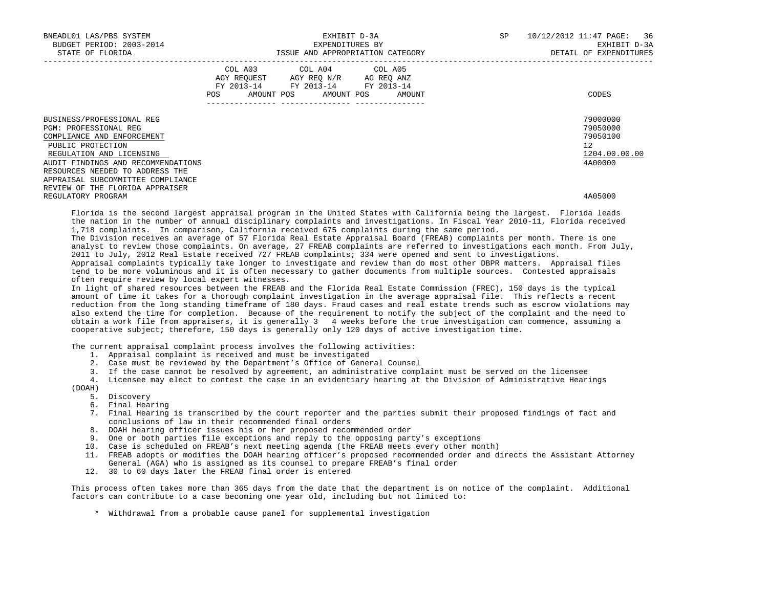| BNEADL01 LAS/PBS SYSTEM<br>BUDGET PERIOD: 2003-2014<br>STATE OF FLORIDA                                                                                                                                                                         | EXHIBIT D-3A<br>EXPENDITURES BY<br>ISSUE AND APPROPRIATION CATEGORY THE SERVICE OF THE DETAIL OF EXPENDITURES |                                                                                                                                        |                                  | SP <sub>2</sub> | 10/12/2012 11:47 PAGE: 36<br>EXHIBIT D-3A                          |  |
|-------------------------------------------------------------------------------------------------------------------------------------------------------------------------------------------------------------------------------------------------|---------------------------------------------------------------------------------------------------------------|----------------------------------------------------------------------------------------------------------------------------------------|----------------------------------|-----------------|--------------------------------------------------------------------|--|
|                                                                                                                                                                                                                                                 |                                                                                                               | COL A03 COL A04 COL A05<br>AGY REQUEST AGY REQ N/R AG REQ ANZ<br>FY 2013-14 FY 2013-14 FY 2013-14<br>---------------- ---------------- | POS AMOUNT POS AMOUNT POS AMOUNT |                 | CODES                                                              |  |
| BUSINESS/PROFESSIONAL REG<br>PGM: PROFESSIONAL REG<br>COMPLIANCE AND ENFORCEMENT<br>PUBLIC PROTECTION<br>REGULATION AND LICENSING<br>AUDIT FINDINGS AND RECOMMENDATIONS<br>RESOURCES NEEDED TO ADDRESS THE<br>APPRAISAL SUBCOMMITTEE COMPLIANCE |                                                                                                               |                                                                                                                                        |                                  |                 | 79000000<br>79050000<br>79050100<br>12<br>1204.00.00.00<br>4A00000 |  |
| REVIEW OF THE FLORIDA APPRAISER<br>REGULATORY PROGRAM                                                                                                                                                                                           |                                                                                                               |                                                                                                                                        |                                  |                 | 4A05000                                                            |  |

 Florida is the second largest appraisal program in the United States with California being the largest. Florida leads the nation in the number of annual disciplinary complaints and investigations. In Fiscal Year 2010-11, Florida received 1,718 complaints. In comparison, California received 675 complaints during the same period.

 The Division receives an average of 57 Florida Real Estate Appraisal Board (FREAB) complaints per month. There is one analyst to review those complaints. On average, 27 FREAB complaints are referred to investigations each month. From July, 2011 to July, 2012 Real Estate received 727 FREAB complaints; 334 were opened and sent to investigations.

 Appraisal complaints typically take longer to investigate and review than do most other DBPR matters. Appraisal files tend to be more voluminous and it is often necessary to gather documents from multiple sources. Contested appraisals often require review by local expert witnesses.

 In light of shared resources between the FREAB and the Florida Real Estate Commission (FREC), 150 days is the typical amount of time it takes for a thorough complaint investigation in the average appraisal file. This reflects a recent reduction from the long standing timeframe of 180 days. Fraud cases and real estate trends such as escrow violations may also extend the time for completion. Because of the requirement to notify the subject of the complaint and the need to obtain a work file from appraisers, it is generally 3 4 weeks before the true investigation can commence, assuming a cooperative subject; therefore, 150 days is generally only 120 days of active investigation time.

The current appraisal complaint process involves the following activities:

- 1. Appraisal complaint is received and must be investigated
- 2. Case must be reviewed by the Department's Office of General Counsel
- 3. If the case cannot be resolved by agreement, an administrative complaint must be served on the licensee
- 4. Licensee may elect to contest the case in an evidentiary hearing at the Division of Administrative Hearings (DOAH)

## 5. Discovery

- 6. Final Hearing
- 7. Final Hearing is transcribed by the court reporter and the parties submit their proposed findings of fact and conclusions of law in their recommended final orders
- 8. DOAH hearing officer issues his or her proposed recommended order
- 9. One or both parties file exceptions and reply to the opposing party's exceptions
- 10. Case is scheduled on FREAB's next meeting agenda (the FREAB meets every other month)
- 11. FREAB adopts or modifies the DOAH hearing officer's proposed recommended order and directs the Assistant Attorney General (AGA) who is assigned as its counsel to prepare FREAB's final order
- 12. 30 to 60 days later the FREAB final order is entered

 This process often takes more than 365 days from the date that the department is on notice of the complaint. Additional factors can contribute to a case becoming one year old, including but not limited to:

\* Withdrawal from a probable cause panel for supplemental investigation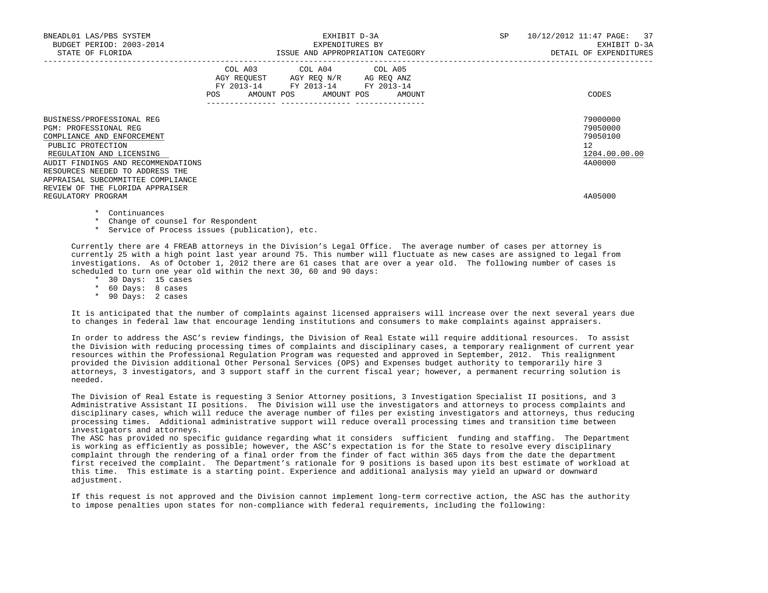| BNEADL01 LAS/PBS SYSTEM<br>BUDGET PERIOD: 2003-2014<br>STATE OF FLORIDA                                                                                                                                                                                                                   | EXHIBIT D-3A<br>EXPENDITURES BY<br>ISSUE AND APPROPRIATION CATEGORY |                                                                                                                                   |  | SP | 10/12/2012 11:47 PAGE: 37<br>EXHIBIT D-3A<br>DETAIL OF EXPENDITURES             |
|-------------------------------------------------------------------------------------------------------------------------------------------------------------------------------------------------------------------------------------------------------------------------------------------|---------------------------------------------------------------------|-----------------------------------------------------------------------------------------------------------------------------------|--|----|---------------------------------------------------------------------------------|
|                                                                                                                                                                                                                                                                                           | POS                                                                 | COL A03 COL A04 COL A05<br>AGY REOUEST AGY REO N/R AG REO ANZ<br>FY 2013-14 FY 2013-14 FY 2013-14<br>AMOUNT POS AMOUNT POS AMOUNT |  |    | CODES                                                                           |
| BUSINESS/PROFESSIONAL REG<br><b>PGM: PROFESSIONAL REG</b><br>COMPLIANCE AND ENFORCEMENT<br>PUBLIC PROTECTION<br>REGULATION AND LICENSING<br>AUDIT FINDINGS AND RECOMMENDATIONS<br>RESOURCES NEEDED TO ADDRESS THE<br>APPRAISAL SUBCOMMITTEE COMPLIANCE<br>REVIEW OF THE FLORIDA APPRAISER |                                                                     |                                                                                                                                   |  |    | 79000000<br>79050000<br>79050100<br>12 <sup>°</sup><br>1204.00.00.00<br>4A00000 |
| REGULATORY PROGRAM                                                                                                                                                                                                                                                                        |                                                                     |                                                                                                                                   |  |    | 4A05000                                                                         |

- \* Continuances
- \* Change of counsel for Respondent
- \* Service of Process issues (publication), etc.

 Currently there are 4 FREAB attorneys in the Division's Legal Office. The average number of cases per attorney is currently 25 with a high point last year around 75. This number will fluctuate as new cases are assigned to legal from investigations. As of October 1, 2012 there are 61 cases that are over a year old. The following number of cases is scheduled to turn one year old within the next 30, 60 and 90 days:

- \* 30 Days: 15 cases
- \* 60 Days: 8 cases
- \* 90 Days: 2 cases

 It is anticipated that the number of complaints against licensed appraisers will increase over the next several years due to changes in federal law that encourage lending institutions and consumers to make complaints against appraisers.

 In order to address the ASC's review findings, the Division of Real Estate will require additional resources. To assist the Division with reducing processing times of complaints and disciplinary cases, a temporary realignment of current year resources within the Professional Regulation Program was requested and approved in September, 2012. This realignment provided the Division additional Other Personal Services (OPS) and Expenses budget authority to temporarily hire 3 attorneys, 3 investigators, and 3 support staff in the current fiscal year; however, a permanent recurring solution is needed.

 The Division of Real Estate is requesting 3 Senior Attorney positions, 3 Investigation Specialist II positions, and 3 Administrative Assistant II positions. The Division will use the investigators and attorneys to process complaints and disciplinary cases, which will reduce the average number of files per existing investigators and attorneys, thus reducing processing times. Additional administrative support will reduce overall processing times and transition time between investigators and attorneys.

 The ASC has provided no specific guidance regarding what it considers sufficient funding and staffing. The Department is working as efficiently as possible; however, the ASC's expectation is for the State to resolve every disciplinary complaint through the rendering of a final order from the finder of fact within 365 days from the date the department first received the complaint. The Department's rationale for 9 positions is based upon its best estimate of workload at this time. This estimate is a starting point. Experience and additional analysis may yield an upward or downward adjustment.

 If this request is not approved and the Division cannot implement long-term corrective action, the ASC has the authority to impose penalties upon states for non-compliance with federal requirements, including the following: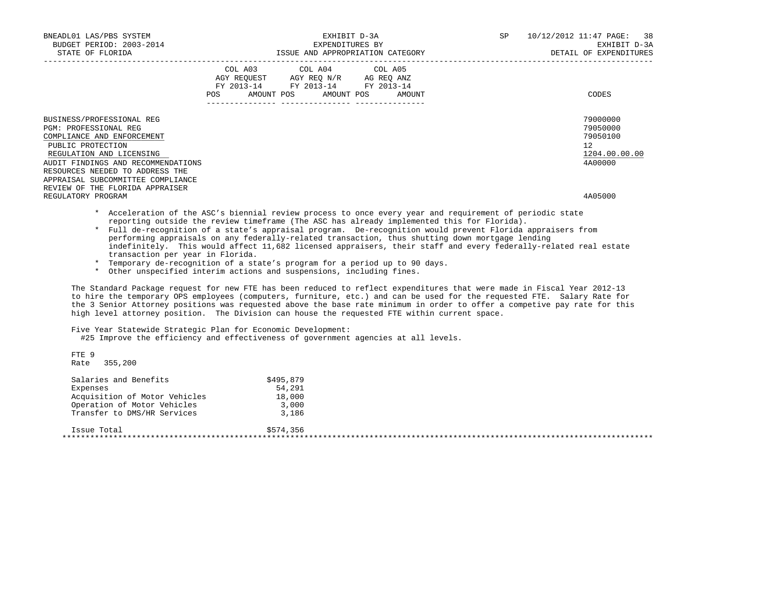| BNEADL01 LAS/PBS SYSTEM<br>BUDGET PERIOD: 2003-2014<br>STATE OF FLORIDA                                                                                                                                                                                | EXHIBIT D-3A<br>EXPENDITURES BY<br>ISSUE AND APPROPRIATION CATEGORY                                                                   | SP 10/12/2012 11:47 PAGE: 38<br>EXHIBIT D-3A<br>DETAIL OF EXPENDITURES |
|--------------------------------------------------------------------------------------------------------------------------------------------------------------------------------------------------------------------------------------------------------|---------------------------------------------------------------------------------------------------------------------------------------|------------------------------------------------------------------------|
|                                                                                                                                                                                                                                                        | COL A03 COL A04 COL A05<br>AGY REQUEST AGY REQ N/R AG REQ ANZ<br>FY 2013-14 FY 2013-14 FY 2013-14<br>POS AMOUNT POS AMOUNT POS AMOUNT | CODES                                                                  |
| BUSINESS/PROFESSIONAL REG<br><b>PGM: PROFESSIONAL REG</b><br>COMPLIANCE AND ENFORCEMENT<br>PUBLIC PROTECTION<br>REGULATION AND LICENSING<br>AUDIT FINDINGS AND RECOMMENDATIONS<br>RESOURCES NEEDED TO ADDRESS THE<br>APPRAISAL SUBCOMMITTEE COMPLIANCE |                                                                                                                                       | 79000000<br>79050000<br>79050100<br>12<br>1204.00.00.00<br>4A00000     |
| REVIEW OF THE FLORIDA APPRAISER<br>REGULATORY PROGRAM                                                                                                                                                                                                  |                                                                                                                                       | 4A05000                                                                |

 \* Acceleration of the ASC's biennial review process to once every year and requirement of periodic state reporting outside the review timeframe (The ASC has already implemented this for Florida).

- \* Full de-recognition of a state's appraisal program. De-recognition would prevent Florida appraisers from performing appraisals on any federally-related transaction, thus shutting down mortgage lending indefinitely. This would affect 11,682 licensed appraisers, their staff and every federally-related real estate transaction per year in Florida.
- \* Temporary de-recognition of a state's program for a period up to 90 days.
- \* Other unspecified interim actions and suspensions, including fines.

 The Standard Package request for new FTE has been reduced to reflect expenditures that were made in Fiscal Year 2012-13 to hire the temporary OPS employees (computers, furniture, etc.) and can be used for the requested FTE. Salary Rate for the 3 Senior Attorney positions was requested above the base rate minimum in order to offer a competive pay rate for this high level attorney position. The Division can house the requested FTE within current space.

## Five Year Statewide Strategic Plan for Economic Development:

#25 Improve the efficiency and effectiveness of government agencies at all levels.

 FTE 9 Rate 355,200

| Salaries and Benefits         | \$495,879 |  |
|-------------------------------|-----------|--|
| Expenses                      | 54,291    |  |
| Acquisition of Motor Vehicles | 18,000    |  |
| Operation of Motor Vehicles   | 3,000     |  |
| Transfer to DMS/HR Services   | 3,186     |  |
| Issue Total                   | \$574,356 |  |
|                               |           |  |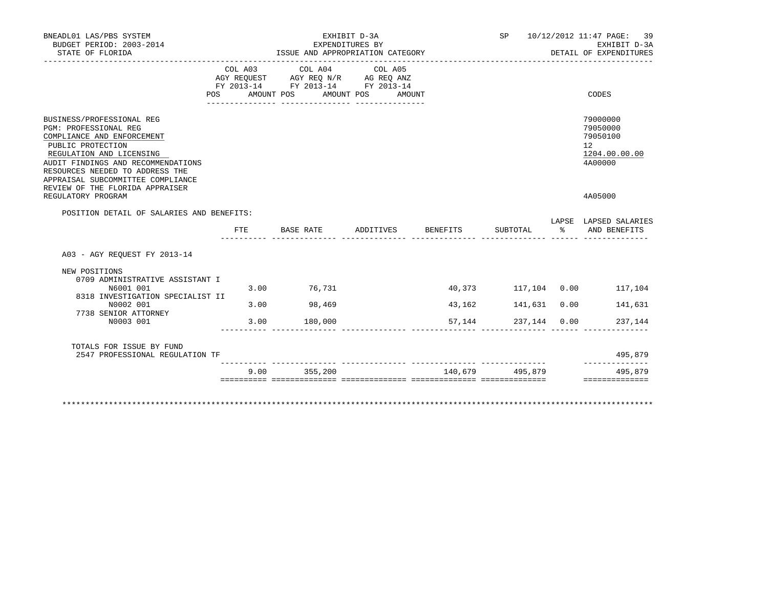| STATE OF FLORIDA                                                                                                                                                                                                                                                                                         |            | EXPENDITURES BY<br>ISSUE AND APPROPRIATION CATEGORY                                       | EXHIBIT D-3A                    |        |                     |    | SP 10/12/2012 11:47 PAGE: 39<br>EXHIBIT D-3A<br>DETAIL OF EXPENDITURES        |
|----------------------------------------------------------------------------------------------------------------------------------------------------------------------------------------------------------------------------------------------------------------------------------------------------------|------------|-------------------------------------------------------------------------------------------|---------------------------------|--------|---------------------|----|-------------------------------------------------------------------------------|
| POS                                                                                                                                                                                                                                                                                                      | AMOUNT POS | COL A03 COL A04<br>AGY REQUEST AGY REQ N/R AG REQ ANZ<br>FY 2013-14 FY 2013-14 FY 2013-14 | COL A05<br>AMOUNT POS<br>AMOUNT |        |                     |    | CODES                                                                         |
| BUSINESS/PROFESSIONAL REG<br>PGM: PROFESSIONAL REG<br>COMPLIANCE AND ENFORCEMENT<br>PUBLIC PROTECTION<br>REGULATION AND LICENSING<br>AUDIT FINDINGS AND RECOMMENDATIONS<br>RESOURCES NEEDED TO ADDRESS THE<br>APPRAISAL SUBCOMMITTEE COMPLIANCE<br>REVIEW OF THE FLORIDA APPRAISER<br>REGULATORY PROGRAM |            |                                                                                           |                                 |        |                     |    | 79000000<br>79050000<br>79050100<br>12<br>1204.00.00.00<br>4A00000<br>4A05000 |
| POSITION DETAIL OF SALARIES AND BENEFITS:                                                                                                                                                                                                                                                                |            |                                                                                           |                                 |        |                     |    |                                                                               |
|                                                                                                                                                                                                                                                                                                          | FTE.       | BASE RATE                                                                                 | ADDITIVES BENEFITS              |        | SUBTOTAL            | န္ | LAPSE LAPSED SALARIES<br>AND BENEFITS                                         |
| A03 - AGY REOUEST FY 2013-14                                                                                                                                                                                                                                                                             |            |                                                                                           |                                 |        |                     |    |                                                                               |
| NEW POSITIONS                                                                                                                                                                                                                                                                                            |            |                                                                                           |                                 |        |                     |    |                                                                               |
| 0709 ADMINISTRATIVE ASSISTANT I                                                                                                                                                                                                                                                                          |            |                                                                                           |                                 |        |                     |    |                                                                               |
| N6001 001<br>8318 INVESTIGATION SPECIALIST II                                                                                                                                                                                                                                                            |            | 3.00 76,731                                                                               |                                 |        | 40,373 117,104 0.00 |    | 117,104                                                                       |
| N0002 001<br>7738 SENIOR ATTORNEY                                                                                                                                                                                                                                                                        |            | 3.00 98,469                                                                               |                                 | 43,162 | 141,631 0.00        |    | 141,631                                                                       |
| N0003 001                                                                                                                                                                                                                                                                                                | 3.00       | 180,000                                                                                   |                                 | 57,144 | 237,144 0.00        |    | 237,144                                                                       |
| TOTALS FOR ISSUE BY FUND<br>2547 PROFESSIONAL REGULATION TF                                                                                                                                                                                                                                              |            |                                                                                           |                                 |        |                     |    | 495,879<br>___________                                                        |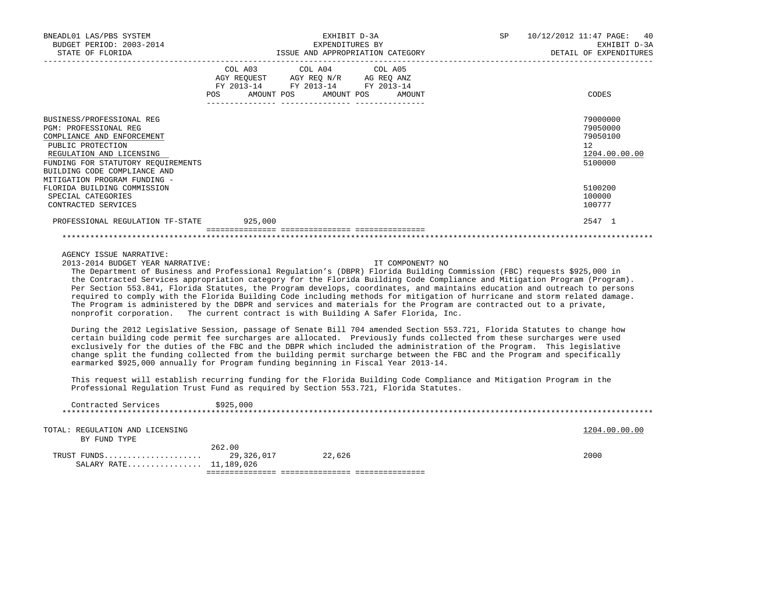| BNEADL01 LAS/PBS SYSTEM<br>BUDGET PERIOD: 2003-2014<br>STATE OF FLORIDA                                                                                                                                                                                                                                                                                                                                                                                                                                                                                                                                                                                                                                                                                                                                                                                                                                               |                      | EXHIBIT D-3A<br>EXPENDITURES BY<br>ISSUE AND APPROPRIATION CATEGORY                                                                                                                                                                                    | SP and the set of the set of the set of the set of the set of the set of the set of the set of the set of the set of the set of the set of the set of the set of the set of the set of the set of the set of the set of the se | 10/12/2012 11:47 PAGE:<br>40<br>EXHIBIT D-3A<br>DETAIL OF EXPENDITURES |
|-----------------------------------------------------------------------------------------------------------------------------------------------------------------------------------------------------------------------------------------------------------------------------------------------------------------------------------------------------------------------------------------------------------------------------------------------------------------------------------------------------------------------------------------------------------------------------------------------------------------------------------------------------------------------------------------------------------------------------------------------------------------------------------------------------------------------------------------------------------------------------------------------------------------------|----------------------|--------------------------------------------------------------------------------------------------------------------------------------------------------------------------------------------------------------------------------------------------------|--------------------------------------------------------------------------------------------------------------------------------------------------------------------------------------------------------------------------------|------------------------------------------------------------------------|
|                                                                                                                                                                                                                                                                                                                                                                                                                                                                                                                                                                                                                                                                                                                                                                                                                                                                                                                       | COL A03              | COL A04<br>COL A05<br>$\begin{tabular}{lllllll} AGY & \texttt{REQUEST} & \texttt{AGY} & \texttt{REG} & \texttt{N/R} & \texttt{AG} & \texttt{REG} & \texttt{ANZ} \end{tabular}$<br>FY 2013-14 FY 2013-14 FY 2013-14<br>POS AMOUNT POS AMOUNT POS AMOUNT |                                                                                                                                                                                                                                | CODES                                                                  |
| BUSINESS/PROFESSIONAL REG<br>PGM: PROFESSIONAL REG<br>COMPLIANCE AND ENFORCEMENT<br>PUBLIC PROTECTION<br>REGULATION AND LICENSING<br>FUNDING FOR STATUTORY REQUIREMENTS<br>BUILDING CODE COMPLIANCE AND                                                                                                                                                                                                                                                                                                                                                                                                                                                                                                                                                                                                                                                                                                               |                      |                                                                                                                                                                                                                                                        |                                                                                                                                                                                                                                | 79000000<br>79050000<br>79050100<br>12<br>1204.00.00.00<br>5100000     |
| MITIGATION PROGRAM FUNDING -<br>FLORIDA BUILDING COMMISSION<br>SPECIAL CATEGORIES<br>CONTRACTED SERVICES                                                                                                                                                                                                                                                                                                                                                                                                                                                                                                                                                                                                                                                                                                                                                                                                              |                      |                                                                                                                                                                                                                                                        |                                                                                                                                                                                                                                | 5100200<br>100000<br>100777                                            |
| PROFESSIONAL REGULATION TF-STATE 925,000                                                                                                                                                                                                                                                                                                                                                                                                                                                                                                                                                                                                                                                                                                                                                                                                                                                                              |                      |                                                                                                                                                                                                                                                        |                                                                                                                                                                                                                                | 2547 1                                                                 |
|                                                                                                                                                                                                                                                                                                                                                                                                                                                                                                                                                                                                                                                                                                                                                                                                                                                                                                                       |                      |                                                                                                                                                                                                                                                        |                                                                                                                                                                                                                                |                                                                        |
| AGENCY ISSUE NARRATIVE:<br>2013-2014 BUDGET YEAR NARRATIVE:<br>The Department of Business and Professional Regulation's (DBPR) Florida Building Commission (FBC) requests \$925,000 in<br>the Contracted Services appropriation category for the Florida Building Code Compliance and Mitigation Program (Program).<br>Per Section 553.841, Florida Statutes, the Program develops, coordinates, and maintains education and outreach to persons<br>required to comply with the Florida Building Code including methods for mitigation of hurricane and storm related damage.<br>The Program is administered by the DBPR and services and materials for the Program are contracted out to a private,<br>nonprofit corporation. The current contract is with Building A Safer Florida, Inc.<br>During the 2012 Legislative Session, passage of Senate Bill 704 amended Section 553.721, Florida Statutes to change how |                      |                                                                                                                                                                                                                                                        | IT COMPONENT? NO                                                                                                                                                                                                               |                                                                        |
| certain building code permit fee surcharges are allocated. Previously funds collected from these surcharges were used<br>exclusively for the duties of the FBC and the DBPR which included the administration of the Program. This legislative<br>change split the funding collected from the building permit surcharge between the FBC and the Program and specifically<br>earmarked \$925,000 annually for Program funding beginning in Fiscal Year 2013-14.                                                                                                                                                                                                                                                                                                                                                                                                                                                        |                      |                                                                                                                                                                                                                                                        |                                                                                                                                                                                                                                |                                                                        |
| This request will establish recurring funding for the Florida Building Code Compliance and Mitigation Program in the<br>Professional Regulation Trust Fund as required by Section 553.721, Florida Statutes.                                                                                                                                                                                                                                                                                                                                                                                                                                                                                                                                                                                                                                                                                                          |                      |                                                                                                                                                                                                                                                        |                                                                                                                                                                                                                                |                                                                        |
| Contracted Services                                                                                                                                                                                                                                                                                                                                                                                                                                                                                                                                                                                                                                                                                                                                                                                                                                                                                                   | \$925,000            |                                                                                                                                                                                                                                                        |                                                                                                                                                                                                                                |                                                                        |
| TOTAL: REGULATION AND LICENSING<br>BY FUND TYPE                                                                                                                                                                                                                                                                                                                                                                                                                                                                                                                                                                                                                                                                                                                                                                                                                                                                       |                      |                                                                                                                                                                                                                                                        |                                                                                                                                                                                                                                | 1204.00.00.00                                                          |
| TRUST FUNDS<br>SALARY RATE 11,189,026                                                                                                                                                                                                                                                                                                                                                                                                                                                                                                                                                                                                                                                                                                                                                                                                                                                                                 | 262.00<br>29,326,017 | 22,626                                                                                                                                                                                                                                                 |                                                                                                                                                                                                                                | 2000                                                                   |

=============== =============== ===============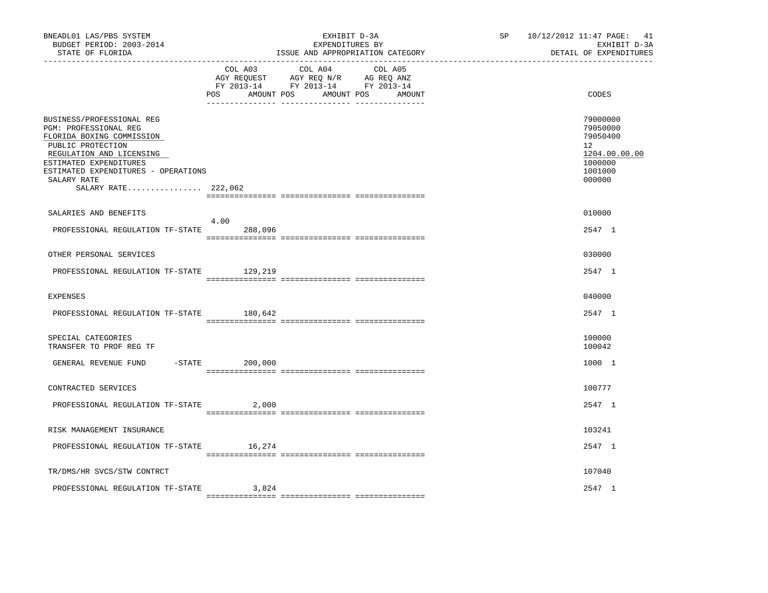| BNEADL01 LAS/PBS SYSTEM<br>BUDGET PERIOD: 2003-2014<br>STATE OF FLORIDA                                                                                                                                                                 |                              | EXHIBIT D-3A<br>EXPENDITURES BY<br>ISSUE AND APPROPRIATION CATEGORY                                               | 10/12/2012 11:47 PAGE: 41<br>SP<br>EXHIBIT D-3A<br>DETAIL OF EXPENDITURES |                                                                                                      |  |
|-----------------------------------------------------------------------------------------------------------------------------------------------------------------------------------------------------------------------------------------|------------------------------|-------------------------------------------------------------------------------------------------------------------|---------------------------------------------------------------------------|------------------------------------------------------------------------------------------------------|--|
|                                                                                                                                                                                                                                         | COL A03<br>AMOUNT POS<br>POS | COL A04<br>COL A05<br>AGY REQUEST AGY REQ N/R AG REQ ANZ<br>FY 2013-14 FY 2013-14 FY 2013-14<br>AMOUNT POS AMOUNT |                                                                           | CODES                                                                                                |  |
| BUSINESS/PROFESSIONAL REG<br>PGM: PROFESSIONAL REG<br>FLORIDA BOXING COMMISSION<br>PUBLIC PROTECTION<br>REGULATION AND LICENSING<br>ESTIMATED EXPENDITURES<br>ESTIMATED EXPENDITURES - OPERATIONS<br>SALARY RATE<br>SALARY RATE 222,062 |                              |                                                                                                                   |                                                                           | 79000000<br>79050000<br>79050400<br>12 <sup>°</sup><br>1204.00.00.00<br>1000000<br>1001000<br>000000 |  |
| SALARIES AND BENEFITS                                                                                                                                                                                                                   |                              |                                                                                                                   |                                                                           | 010000                                                                                               |  |
| PROFESSIONAL REGULATION TF-STATE                                                                                                                                                                                                        | 4.00<br>288,096              |                                                                                                                   |                                                                           | 2547 1                                                                                               |  |
| OTHER PERSONAL SERVICES                                                                                                                                                                                                                 |                              |                                                                                                                   |                                                                           | 030000                                                                                               |  |
| PROFESSIONAL REGULATION TF-STATE 129,219                                                                                                                                                                                                |                              |                                                                                                                   |                                                                           | 2547 1                                                                                               |  |
| <b>EXPENSES</b>                                                                                                                                                                                                                         |                              |                                                                                                                   |                                                                           | 040000                                                                                               |  |
| PROFESSIONAL REGULATION TF-STATE                                                                                                                                                                                                        | 180,642                      |                                                                                                                   |                                                                           | 2547 1                                                                                               |  |
| SPECIAL CATEGORIES<br>TRANSFER TO PROF REG TF                                                                                                                                                                                           |                              |                                                                                                                   |                                                                           | 100000<br>100042                                                                                     |  |
| GENERAL REVENUE FUND<br>$-$ STATE                                                                                                                                                                                                       | 200,000                      |                                                                                                                   |                                                                           | 1000 1                                                                                               |  |
| CONTRACTED SERVICES                                                                                                                                                                                                                     |                              |                                                                                                                   |                                                                           | 100777                                                                                               |  |
| PROFESSIONAL REGULATION TF-STATE                                                                                                                                                                                                        | 2,000                        |                                                                                                                   |                                                                           | 2547 1                                                                                               |  |
| RISK MANAGEMENT INSURANCE                                                                                                                                                                                                               |                              |                                                                                                                   |                                                                           | 103241                                                                                               |  |
| PROFESSIONAL REGULATION TF-STATE 16,274                                                                                                                                                                                                 |                              |                                                                                                                   |                                                                           | 2547 1                                                                                               |  |
| TR/DMS/HR SVCS/STW CONTRCT                                                                                                                                                                                                              |                              |                                                                                                                   |                                                                           | 107040                                                                                               |  |
| PROFESSIONAL REGULATION TF-STATE                                                                                                                                                                                                        | 3,824                        |                                                                                                                   |                                                                           | 2547 1                                                                                               |  |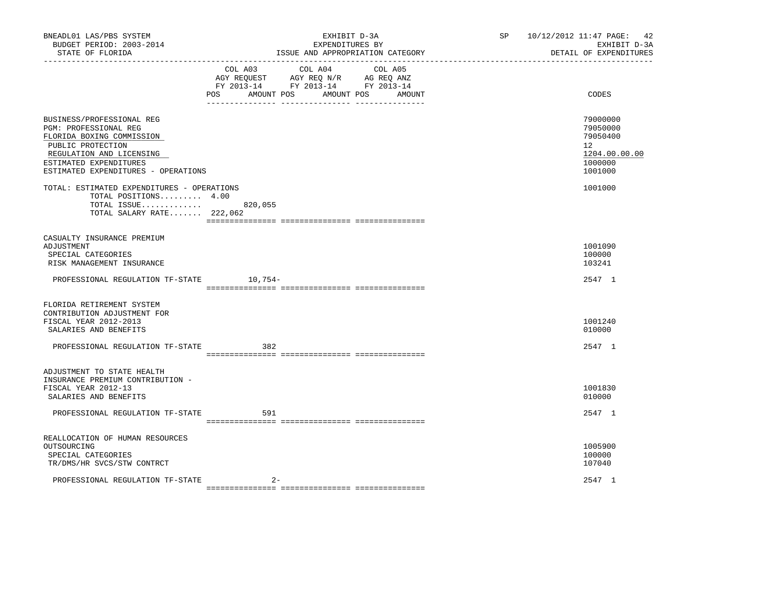| BNEADL01 LAS/PBS SYSTEM<br>BUDGET PERIOD: 2003-2014<br>STATE OF FLORIDA                                                                                                                                                                                                                                             | EXHIBIT D-3A<br>EXPENDITURES BY<br>ISSUE AND APPROPRIATION CATEGORY                                                                      | SP <sub>2</sub> | 10/12/2012 11:47 PAGE: 42<br>EXHIBIT D-3A<br>DETAIL OF EXPENDITURES                                   |
|---------------------------------------------------------------------------------------------------------------------------------------------------------------------------------------------------------------------------------------------------------------------------------------------------------------------|------------------------------------------------------------------------------------------------------------------------------------------|-----------------|-------------------------------------------------------------------------------------------------------|
|                                                                                                                                                                                                                                                                                                                     | COL A03 COL A04 COL A05<br>AGY REQUEST AGY REQ N/R AG REQ ANZ<br>FY 2013-14 FY 2013-14 FY 2013-14<br>AMOUNT POS AMOUNT POS AMOUNT<br>POS |                 | CODES                                                                                                 |
| BUSINESS/PROFESSIONAL REG<br>PGM: PROFESSIONAL REG<br>FLORIDA BOXING COMMISSION<br>PUBLIC PROTECTION<br>REGULATION AND LICENSING<br>ESTIMATED EXPENDITURES<br>ESTIMATED EXPENDITURES - OPERATIONS<br>TOTAL: ESTIMATED EXPENDITURES - OPERATIONS<br>TOTAL POSITIONS 4.00<br>TOTAL ISSUE<br>TOTAL SALARY RATE 222,062 | 820,055                                                                                                                                  |                 | 79000000<br>79050000<br>79050400<br>12 <sup>°</sup><br>1204.00.00.00<br>1000000<br>1001000<br>1001000 |
| CASUALTY INSURANCE PREMIUM<br>ADJUSTMENT<br>SPECIAL CATEGORIES<br>RISK MANAGEMENT INSURANCE<br>PROFESSIONAL REGULATION TF-STATE 10,754-                                                                                                                                                                             |                                                                                                                                          |                 | 1001090<br>100000<br>103241<br>2547 1                                                                 |
| FLORIDA RETIREMENT SYSTEM<br>CONTRIBUTION ADJUSTMENT FOR<br>FISCAL YEAR 2012-2013<br>SALARIES AND BENEFITS<br>PROFESSIONAL REGULATION TF-STATE                                                                                                                                                                      | 382                                                                                                                                      |                 | 1001240<br>010000<br>2547 1                                                                           |
| ADJUSTMENT TO STATE HEALTH<br>INSURANCE PREMIUM CONTRIBUTION -<br>FISCAL YEAR 2012-13<br>SALARIES AND BENEFITS<br>PROFESSIONAL REGULATION TF-STATE                                                                                                                                                                  | 591                                                                                                                                      |                 | 1001830<br>010000<br>2547 1                                                                           |
| REALLOCATION OF HUMAN RESOURCES<br>OUTSOURCING<br>SPECIAL CATEGORIES<br>TR/DMS/HR SVCS/STW CONTRCT<br>PROFESSIONAL REGULATION TF-STATE                                                                                                                                                                              |                                                                                                                                          |                 | 1005900<br>100000<br>107040<br>2547 1                                                                 |
|                                                                                                                                                                                                                                                                                                                     |                                                                                                                                          |                 |                                                                                                       |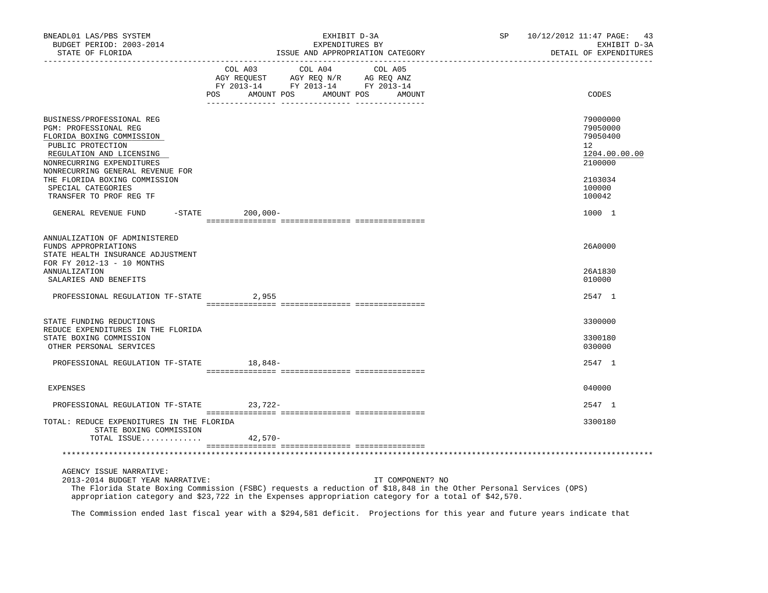| BNEADL01 LAS/PBS SYSTEM<br>BUDGET PERIOD: 2003-2014<br>STATE OF FLORIDA                                                                                                                                                                                                             | EXHIBIT D-3A<br>EXPENDITURES BY<br>ISSUE AND APPROPRIATION CATEGORY                                                                  |                  | SP 10/12/2012 11:47 PAGE: 43<br>EXHIBIT D-3A<br>DETAIL OF EXPENDITURES                            |
|-------------------------------------------------------------------------------------------------------------------------------------------------------------------------------------------------------------------------------------------------------------------------------------|--------------------------------------------------------------------------------------------------------------------------------------|------------------|---------------------------------------------------------------------------------------------------|
|                                                                                                                                                                                                                                                                                     | COL A03 COL A04 COL A05<br>AGY REQUEST AGY REQ N/R AG REQ ANZ<br>FY 2013-14 FY 2013-14 FY 2013-14<br>POS<br>AMOUNT POS<br>AMOUNT POS | AMOUNT           | CODES                                                                                             |
| BUSINESS/PROFESSIONAL REG<br>PGM: PROFESSIONAL REG<br>FLORIDA BOXING COMMISSION<br>PUBLIC PROTECTION<br>REGULATION AND LICENSING<br>NONRECURRING EXPENDITURES<br>NONRECURRING GENERAL REVENUE FOR<br>THE FLORIDA BOXING COMMISSION<br>SPECIAL CATEGORIES<br>TRANSFER TO PROF REG TF |                                                                                                                                      |                  | 79000000<br>79050000<br>79050400<br>12<br>1204.00.00.00<br>2100000<br>2103034<br>100000<br>100042 |
| GENERAL REVENUE FUND                                                                                                                                                                                                                                                                | $-$ STATE<br>$200,000 -$                                                                                                             |                  | 1000 1                                                                                            |
| ANNUALIZATION OF ADMINISTERED<br>FUNDS APPROPRIATIONS<br>STATE HEALTH INSURANCE ADJUSTMENT<br>FOR FY 2012-13 - 10 MONTHS<br>ANNUALIZATION                                                                                                                                           |                                                                                                                                      |                  | 26A0000<br>26A1830                                                                                |
| SALARIES AND BENEFITS<br>PROFESSIONAL REGULATION TF-STATE                                                                                                                                                                                                                           | 2,955                                                                                                                                |                  | 010000<br>2547 1                                                                                  |
| STATE FUNDING REDUCTIONS<br>REDUCE EXPENDITURES IN THE FLORIDA<br>STATE BOXING COMMISSION<br>OTHER PERSONAL SERVICES                                                                                                                                                                |                                                                                                                                      |                  | 3300000<br>3300180<br>030000                                                                      |
| PROFESSIONAL REGULATION TF-STATE                                                                                                                                                                                                                                                    | 18,848-                                                                                                                              |                  | 2547 1                                                                                            |
| EXPENSES                                                                                                                                                                                                                                                                            |                                                                                                                                      |                  | 040000                                                                                            |
| PROFESSIONAL REGULATION TF-STATE 23,722-                                                                                                                                                                                                                                            |                                                                                                                                      |                  | 2547 1                                                                                            |
| TOTAL: REDUCE EXPENDITURES IN THE FLORIDA<br>STATE BOXING COMMISSION<br>TOTAL ISSUE                                                                                                                                                                                                 | $42,570-$                                                                                                                            |                  | 3300180                                                                                           |
|                                                                                                                                                                                                                                                                                     |                                                                                                                                      |                  |                                                                                                   |
| AGENCY ISSUE NARRATIVE:<br>2013-2014 BUDGET YEAR NARRATIVE:                                                                                                                                                                                                                         |                                                                                                                                      | IT COMPONENT? NO |                                                                                                   |

 The Florida State Boxing Commission (FSBC) requests a reduction of \$18,848 in the Other Personal Services (OPS) appropriation category and \$23,722 in the Expenses appropriation category for a total of \$42,570.

The Commission ended last fiscal year with a \$294,581 deficit. Projections for this year and future years indicate that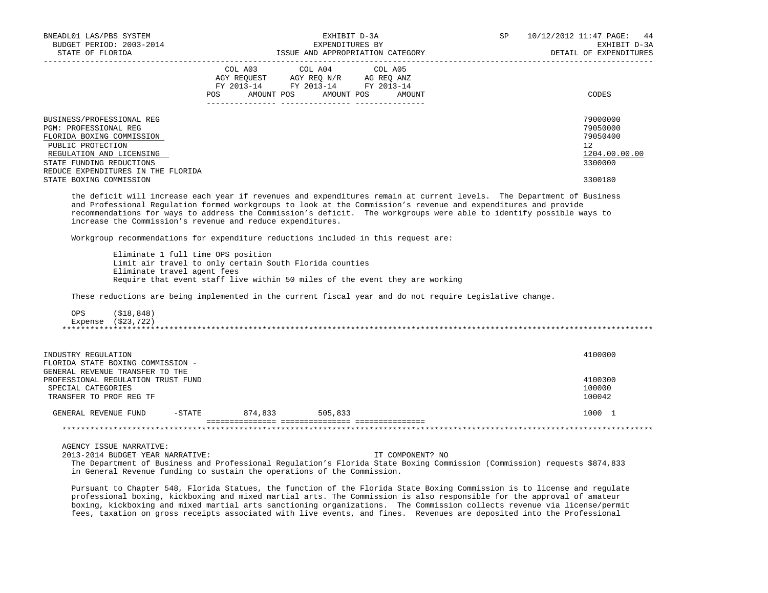| BNEADL01 LAS/PBS SYSTEM<br>BUDGET PERIOD: 2003-2014<br>STATE OF FLORIDA                                                                                                                                                                                                                                                                                                                                                      |                                                                                               | EXHIBIT D-3A<br>EXPENDITURES BY                                                   | ISSUE AND APPROPRIATION CATEGORY                                            | SP | __________________________ | 10/12/2012 11:47 PAGE: 44<br>EXHIBIT D-3A<br>DETAIL OF EXPENDITURES                        |
|------------------------------------------------------------------------------------------------------------------------------------------------------------------------------------------------------------------------------------------------------------------------------------------------------------------------------------------------------------------------------------------------------------------------------|-----------------------------------------------------------------------------------------------|-----------------------------------------------------------------------------------|-----------------------------------------------------------------------------|----|----------------------------|--------------------------------------------------------------------------------------------|
|                                                                                                                                                                                                                                                                                                                                                                                                                              | COL A03                                                                                       | COL A04<br>AGY REQUEST AGY REQ N/R AG REQ ANZ<br>FY 2013-14 FY 2013-14 FY 2013-14 | COL A05<br>POS AMOUNT POS AMOUNT POS AMOUNT                                 |    |                            | CODES                                                                                      |
| BUSINESS/PROFESSIONAL REG<br>PGM: PROFESSIONAL REG<br>FLORIDA BOXING COMMISSION<br>PUBLIC PROTECTION<br>REGULATION AND LICENSING<br>STATE FUNDING REDUCTIONS<br>REDUCE EXPENDITURES IN THE FLORIDA<br>STATE BOXING COMMISSION                                                                                                                                                                                                |                                                                                               |                                                                                   |                                                                             |    |                            | 79000000<br>79050000<br>79050400<br>12 <sup>°</sup><br>1204.00.00.00<br>3300000<br>3300180 |
| the deficit will increase each year if revenues and expenditures remain at current levels. The Department of Business<br>and Professional Regulation formed workgroups to look at the Commission's revenue and expenditures and provide<br>recommendations for ways to address the Commission's deficit. The workgroups were able to identify possible ways to<br>increase the Commission's revenue and reduce expenditures. |                                                                                               |                                                                                   |                                                                             |    |                            |                                                                                            |
| Workgroup recommendations for expenditure reductions included in this request are:<br>Eliminate travel agent fees<br>These reductions are being implemented in the current fiscal year and do not require Legislative change.<br>OPS<br>(\$18,848)<br>Expense (\$23,722)                                                                                                                                                     | Eliminate 1 full time OPS position<br>Limit air travel to only certain South Florida counties |                                                                                   | Require that event staff live within 50 miles of the event they are working |    |                            |                                                                                            |
| INDUSTRY REGULATION<br>FLORIDA STATE BOXING COMMISSION -<br>GENERAL REVENUE TRANSFER TO THE<br>PROFESSIONAL REGULATION TRUST FUND<br>SPECIAL CATEGORIES                                                                                                                                                                                                                                                                      |                                                                                               |                                                                                   |                                                                             |    |                            | 4100000<br>4100300<br>100000                                                               |
| TRANSFER TO PROF REG TF<br>GENERAL REVENUE FUND -STATE 874,833 505,833                                                                                                                                                                                                                                                                                                                                                       |                                                                                               |                                                                                   |                                                                             |    |                            | 100042<br>1000 1                                                                           |
|                                                                                                                                                                                                                                                                                                                                                                                                                              |                                                                                               |                                                                                   |                                                                             |    |                            |                                                                                            |
| AGENCY ISSUE NARRATIVE:<br>2013-2014 BUDGET YEAR NARRATIVE:                                                                                                                                                                                                                                                                                                                                                                  |                                                                                               |                                                                                   | IT COMPONENT? NO                                                            |    |                            |                                                                                            |

 The Department of Business and Professional Regulation's Florida State Boxing Commission (Commission) requests \$874,833 in General Revenue funding to sustain the operations of the Commission.

 Pursuant to Chapter 548, Florida Statues, the function of the Florida State Boxing Commission is to license and regulate professional boxing, kickboxing and mixed martial arts. The Commission is also responsible for the approval of amateur boxing, kickboxing and mixed martial arts sanctioning organizations. The Commission collects revenue via license/permit fees, taxation on gross receipts associated with live events, and fines. Revenues are deposited into the Professional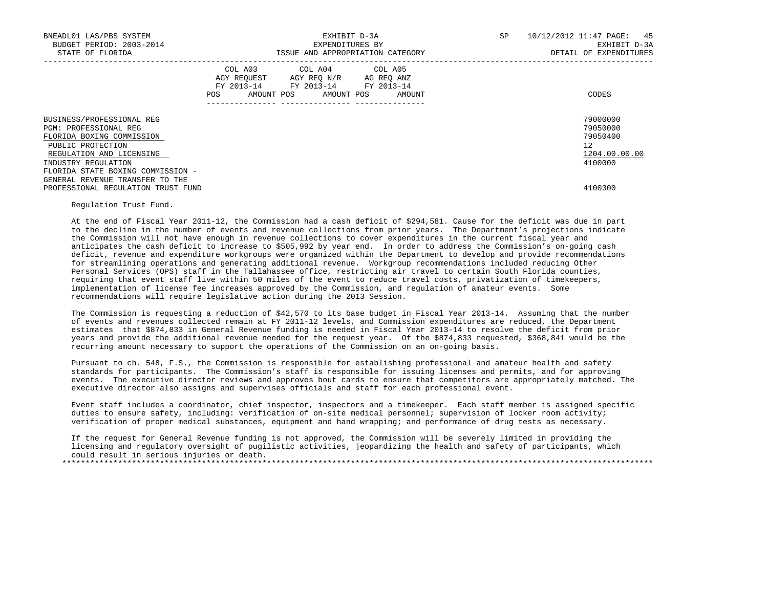| BNEADL01 LAS/PBS SYSTEM<br>BUDGET PERIOD: 2003-2014<br>STATE OF FLORIDA                                                                                                                                                         | EXHIBIT D-3A<br>EXPENDITURES BY<br>ISSUE AND APPROPRIATION CATEGORY                                                                         | SP<br>10/12/2012 11:47 PAGE: 45<br>EXHIBIT D-3A<br>DETAIL OF EXPENDITURES |
|---------------------------------------------------------------------------------------------------------------------------------------------------------------------------------------------------------------------------------|---------------------------------------------------------------------------------------------------------------------------------------------|---------------------------------------------------------------------------|
|                                                                                                                                                                                                                                 | COL A03 COL A04 COL A05<br>AGY REQUEST AGY REQ N/R AG REQ ANZ<br>FY 2013-14 FY 2013-14 FY 2013-14<br>AMOUNT POS AMOUNT POS<br>POS<br>AMOUNT | CODES                                                                     |
| BUSINESS/PROFESSIONAL REG<br>PGM: PROFESSIONAL REG<br>FLORIDA BOXING COMMISSION<br>PUBLIC PROTECTION<br>REGULATION AND LICENSING<br>INDUSTRY REGULATION<br>FLORIDA STATE BOXING COMMISSION -<br>GENERAL REVENUE TRANSFER TO THE |                                                                                                                                             | 79000000<br>79050000<br>79050400<br>12<br>1204.00.00.00<br>4100000        |
| PROFESSIONAL REGULATION TRUST FUND                                                                                                                                                                                              |                                                                                                                                             | 4100300                                                                   |

## Regulation Trust Fund.

 At the end of Fiscal Year 2011-12, the Commission had a cash deficit of \$294,581. Cause for the deficit was due in part to the decline in the number of events and revenue collections from prior years. The Department's projections indicate the Commission will not have enough in revenue collections to cover expenditures in the current fiscal year and anticipates the cash deficit to increase to \$505,992 by year end. In order to address the Commission's on-going cash deficit, revenue and expenditure workgroups were organized within the Department to develop and provide recommendations for streamlining operations and generating additional revenue. Workgroup recommendations included reducing Other Personal Services (OPS) staff in the Tallahassee office, restricting air travel to certain South Florida counties, requiring that event staff live within 50 miles of the event to reduce travel costs, privatization of timekeepers, implementation of license fee increases approved by the Commission, and regulation of amateur events. Some recommendations will require legislative action during the 2013 Session.

 The Commission is requesting a reduction of \$42,570 to its base budget in Fiscal Year 2013-14. Assuming that the number of events and revenues collected remain at FY 2011-12 levels, and Commission expenditures are reduced, the Department estimates that \$874,833 in General Revenue funding is needed in Fiscal Year 2013-14 to resolve the deficit from prior years and provide the additional revenue needed for the request year. Of the \$874,833 requested, \$368,841 would be the recurring amount necessary to support the operations of the Commission on an on-going basis.

 Pursuant to ch. 548, F.S., the Commission is responsible for establishing professional and amateur health and safety standards for participants. The Commission's staff is responsible for issuing licenses and permits, and for approving events. The executive director reviews and approves bout cards to ensure that competitors are appropriately matched. The executive director also assigns and supervises officials and staff for each professional event.

 Event staff includes a coordinator, chief inspector, inspectors and a timekeeper. Each staff member is assigned specific duties to ensure safety, including: verification of on-site medical personnel; supervision of locker room activity; verification of proper medical substances, equipment and hand wrapping; and performance of drug tests as necessary.

 If the request for General Revenue funding is not approved, the Commission will be severely limited in providing the licensing and regulatory oversight of pugilistic activities, jeopardizing the health and safety of participants, which could result in serious injuries or death. \*\*\*\*\*\*\*\*\*\*\*\*\*\*\*\*\*\*\*\*\*\*\*\*\*\*\*\*\*\*\*\*\*\*\*\*\*\*\*\*\*\*\*\*\*\*\*\*\*\*\*\*\*\*\*\*\*\*\*\*\*\*\*\*\*\*\*\*\*\*\*\*\*\*\*\*\*\*\*\*\*\*\*\*\*\*\*\*\*\*\*\*\*\*\*\*\*\*\*\*\*\*\*\*\*\*\*\*\*\*\*\*\*\*\*\*\*\*\*\*\*\*\*\*\*\*\*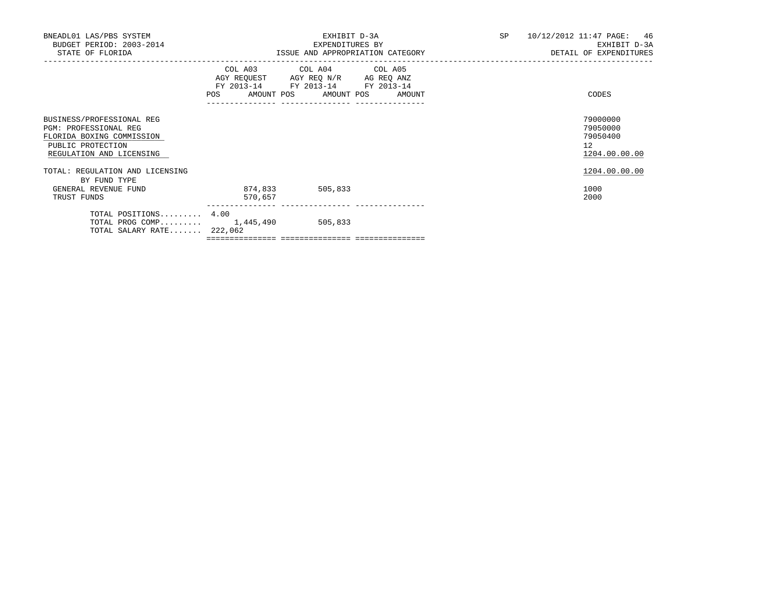| BNEADL01 LAS/PBS SYSTEM<br>BUDGET PERIOD: 2003-2014<br>STATE OF FLORIDA                                                          |                    | EXHIBIT D-3A<br>EXPENDITURES BY<br>ISSUE AND APPROPRIATION CATEGORY                                                                   |  |  | SP 10/12/2012 11:47 PAGE: 46<br>EXHIBIT D-3A<br>DETAIL OF EXPENDITURES |
|----------------------------------------------------------------------------------------------------------------------------------|--------------------|---------------------------------------------------------------------------------------------------------------------------------------|--|--|------------------------------------------------------------------------|
|                                                                                                                                  |                    | COL A03 COL A04 COL A05<br>AGY REQUEST AGY REQ N/R AG REQ ANZ<br>FY 2013-14 FY 2013-14 FY 2013-14<br>POS AMOUNT POS AMOUNT POS AMOUNT |  |  | CODES                                                                  |
| BUSINESS/PROFESSIONAL REG<br>PGM: PROFESSIONAL REG<br>FLORIDA BOXING COMMISSION<br>PUBLIC PROTECTION<br>REGULATION AND LICENSING |                    |                                                                                                                                       |  |  | 79000000<br>79050000<br>79050400<br>12<br>1204.00.00.00                |
| TOTAL: REGULATION AND LICENSING<br>BY FUND TYPE                                                                                  |                    |                                                                                                                                       |  |  | 1204.00.00.00                                                          |
| GENERAL REVENUE FUND<br>TRUST FUNDS                                                                                              | 874,833<br>570,657 | 505,833                                                                                                                               |  |  | 1000<br>2000                                                           |
| TOTAL POSITIONS 4.00<br>TOTAL PROG COMP $1,445,490$<br>TOTAL SALARY RATE $222,062$                                               |                    | 505,833                                                                                                                               |  |  |                                                                        |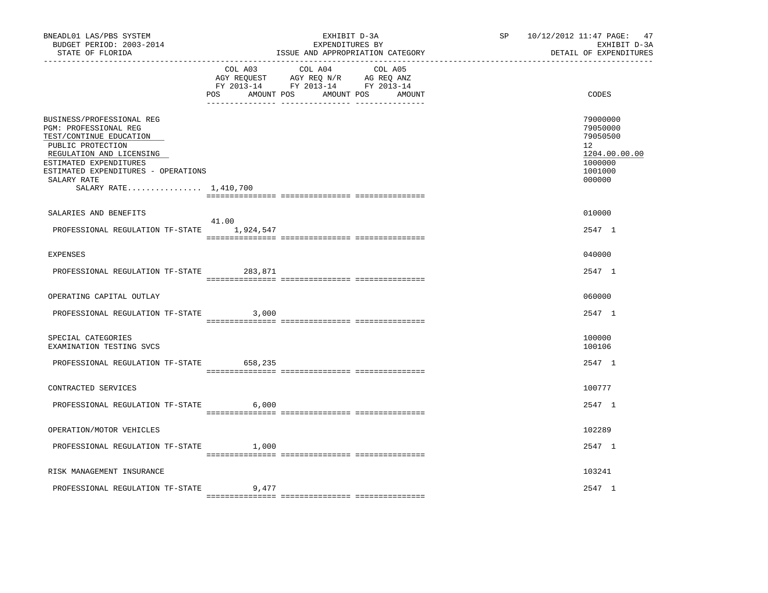| BNEADL01 LAS/PBS SYSTEM<br>BUDGET PERIOD: 2003-2014<br>STATE OF FLORIDA                                                                                                                                        |                               | EXHIBIT D-3A<br>EXPENDITURES BY<br>ISSUE AND APPROPRIATION CATEGORY                                               | SP <sub>2</sub> | 10/12/2012 11:47 PAGE: 47<br>EXHIBIT D-3A<br>DETAIL OF EXPENDITURES                     |
|----------------------------------------------------------------------------------------------------------------------------------------------------------------------------------------------------------------|-------------------------------|-------------------------------------------------------------------------------------------------------------------|-----------------|-----------------------------------------------------------------------------------------|
|                                                                                                                                                                                                                | COL A03<br>AMOUNT POS<br>POS. | COL A04 COL A05<br>AGY REQUEST AGY REQ N/R AG REQ ANZ<br>FY 2013-14 FY 2013-14 FY 2013-14<br>AMOUNT POS<br>AMOUNT |                 | CODES                                                                                   |
| BUSINESS/PROFESSIONAL REG<br>PGM: PROFESSIONAL REG<br>TEST/CONTINUE EDUCATION<br>PUBLIC PROTECTION<br>REGULATION AND LICENSING<br>ESTIMATED EXPENDITURES<br>ESTIMATED EXPENDITURES - OPERATIONS<br>SALARY RATE |                               |                                                                                                                   |                 | 79000000<br>79050000<br>79050500<br>12<br>1204.00.00.00<br>1000000<br>1001000<br>000000 |
| SALARY RATE 1,410,700                                                                                                                                                                                          |                               |                                                                                                                   |                 |                                                                                         |
| SALARIES AND BENEFITS                                                                                                                                                                                          | 41.00                         |                                                                                                                   |                 | 010000                                                                                  |
| PROFESSIONAL REGULATION TF-STATE 1,924,547                                                                                                                                                                     |                               |                                                                                                                   |                 | 2547 1                                                                                  |
| <b>EXPENSES</b>                                                                                                                                                                                                |                               |                                                                                                                   |                 | 040000                                                                                  |
| PROFESSIONAL REGULATION TF-STATE 283,871                                                                                                                                                                       |                               |                                                                                                                   |                 | 2547 1                                                                                  |
| OPERATING CAPITAL OUTLAY                                                                                                                                                                                       |                               |                                                                                                                   |                 | 060000                                                                                  |
| PROFESSIONAL REGULATION TF-STATE                                                                                                                                                                               | 3,000                         |                                                                                                                   |                 | 2547 1                                                                                  |
| SPECIAL CATEGORIES<br>EXAMINATION TESTING SVCS                                                                                                                                                                 |                               |                                                                                                                   |                 | 100000<br>100106                                                                        |
| PROFESSIONAL REGULATION TF-STATE                                                                                                                                                                               | 658,235                       |                                                                                                                   |                 | 2547 1                                                                                  |
| CONTRACTED SERVICES                                                                                                                                                                                            |                               |                                                                                                                   |                 | 100777                                                                                  |
| PROFESSIONAL REGULATION TF-STATE                                                                                                                                                                               | 6,000                         |                                                                                                                   |                 | 2547 1                                                                                  |
| OPERATION/MOTOR VEHICLES                                                                                                                                                                                       |                               |                                                                                                                   |                 | 102289                                                                                  |
| PROFESSIONAL REGULATION TF-STATE                                                                                                                                                                               | 1,000                         |                                                                                                                   |                 | 2547 1                                                                                  |
| RISK MANAGEMENT INSURANCE                                                                                                                                                                                      |                               |                                                                                                                   |                 | 103241                                                                                  |
| PROFESSIONAL REGULATION TF-STATE                                                                                                                                                                               | 9,477                         |                                                                                                                   |                 | 2547 1                                                                                  |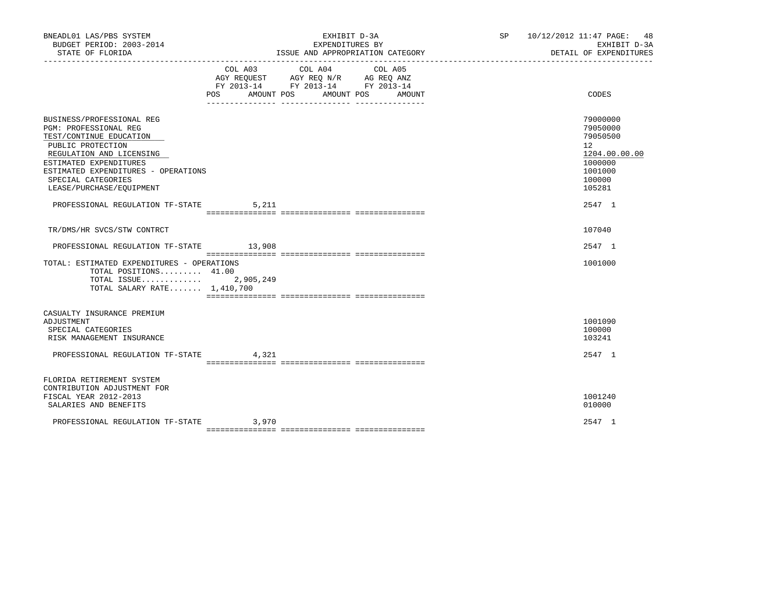|       | EXHIBIT D-3A<br>EXPENDITURES BY                                                                                                                                                                                                                                                                                                             | SP 10/12/2012 11:47 PAGE: 48                                                                                   | EXHIBIT D-3A<br>DETAIL OF EXPENDITURES                                                                 |
|-------|---------------------------------------------------------------------------------------------------------------------------------------------------------------------------------------------------------------------------------------------------------------------------------------------------------------------------------------------|----------------------------------------------------------------------------------------------------------------|--------------------------------------------------------------------------------------------------------|
|       | COL A04<br>COL A05<br>AMOUNT                                                                                                                                                                                                                                                                                                                |                                                                                                                | CODES                                                                                                  |
|       |                                                                                                                                                                                                                                                                                                                                             |                                                                                                                |                                                                                                        |
|       |                                                                                                                                                                                                                                                                                                                                             | 12 <sup>12</sup>                                                                                               | 79000000<br>79050000<br>79050500<br>1204.00.00.00<br>1000000<br>1001000                                |
|       |                                                                                                                                                                                                                                                                                                                                             |                                                                                                                |                                                                                                        |
|       |                                                                                                                                                                                                                                                                                                                                             |                                                                                                                |                                                                                                        |
|       |                                                                                                                                                                                                                                                                                                                                             |                                                                                                                |                                                                                                        |
|       |                                                                                                                                                                                                                                                                                                                                             |                                                                                                                | 2547 1                                                                                                 |
|       |                                                                                                                                                                                                                                                                                                                                             |                                                                                                                | 1001000                                                                                                |
|       |                                                                                                                                                                                                                                                                                                                                             |                                                                                                                |                                                                                                        |
|       |                                                                                                                                                                                                                                                                                                                                             |                                                                                                                | 1001090                                                                                                |
|       |                                                                                                                                                                                                                                                                                                                                             |                                                                                                                | 2547 1                                                                                                 |
|       |                                                                                                                                                                                                                                                                                                                                             |                                                                                                                |                                                                                                        |
|       |                                                                                                                                                                                                                                                                                                                                             |                                                                                                                | 1001240                                                                                                |
| 3,970 |                                                                                                                                                                                                                                                                                                                                             |                                                                                                                | 2547 1                                                                                                 |
|       | ESTIMATED EXPENDITURES - OPERATIONS<br>PROFESSIONAL REGULATION TF-STATE 5,211<br>PROFESSIONAL REGULATION TF-STATE 13,908<br>TOTAL: ESTIMATED EXPENDITURES - OPERATIONS<br>TOTAL POSITIONS $41.00$<br>TOTAL ISSUE $2,905,249$<br>TOTAL SALARY RATE $1,410,700$<br>PROFESSIONAL REGULATION TF-STATE 4,321<br>PROFESSIONAL REGULATION TF-STATE | COL A03<br>AGY REQUEST AGY REQ N/R AG REQ ANZ<br>FY 2013-14 FY 2013-14 FY 2013-14<br>POS AMOUNT POS AMOUNT POS | ISSUE AND APPROPRIATION CATEGORY<br>100000<br>105281<br>2547 1<br>107040<br>100000<br>103241<br>010000 |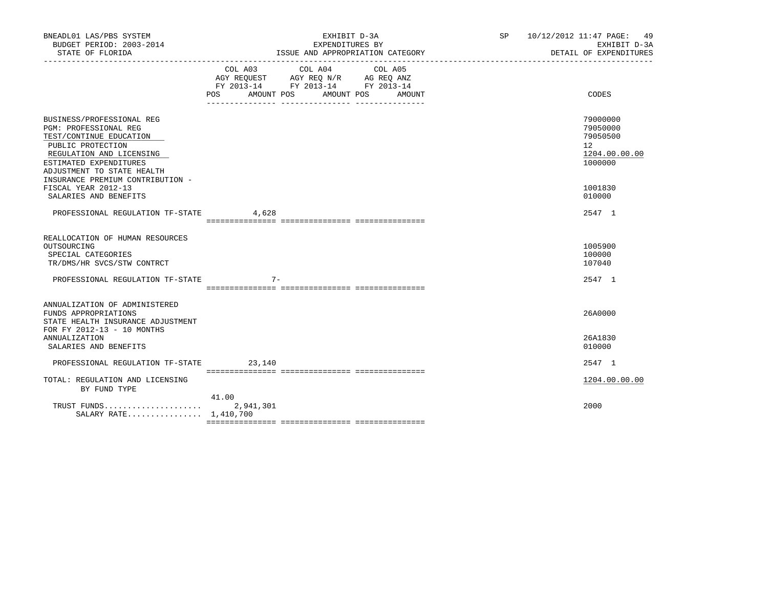| BNEADL01 LAS/PBS SYSTEM<br>BUDGET PERIOD: 2003-2014<br>STATE OF FLORIDA                                                                                                                                                    | EXHIBIT D-3A<br>EXPENDITURES BY<br>ISSUE AND APPROPRIATION CATEGORY                                                                      | SP 10/12/2012 11:47 PAGE: 49<br>EXHIBIT D-3A<br>DETAIL OF EXPENDITURES          |  |
|----------------------------------------------------------------------------------------------------------------------------------------------------------------------------------------------------------------------------|------------------------------------------------------------------------------------------------------------------------------------------|---------------------------------------------------------------------------------|--|
|                                                                                                                                                                                                                            | COL A03 COL A04 COL A05<br>AGY REQUEST AGY REQ N/R AG REQ ANZ<br>FY 2013-14 FY 2013-14 FY 2013-14<br>POS<br>AMOUNT POS AMOUNT POS AMOUNT | CODES                                                                           |  |
| BUSINESS/PROFESSIONAL REG<br>PGM: PROFESSIONAL REG<br>TEST/CONTINUE EDUCATION<br>PUBLIC PROTECTION<br>REGULATION AND LICENSING<br>ESTIMATED EXPENDITURES<br>ADJUSTMENT TO STATE HEALTH<br>INSURANCE PREMIUM CONTRIBUTION - |                                                                                                                                          | 79000000<br>79050000<br>79050500<br>12 <sup>°</sup><br>1204.00.00.00<br>1000000 |  |
| FISCAL YEAR 2012-13<br>SALARIES AND BENEFITS                                                                                                                                                                               |                                                                                                                                          | 1001830<br>010000                                                               |  |
| PROFESSIONAL REGULATION TF-STATE 4,628                                                                                                                                                                                     |                                                                                                                                          | 2547 1                                                                          |  |
| REALLOCATION OF HUMAN RESOURCES<br>OUTSOURCING<br>SPECIAL CATEGORIES<br>TR/DMS/HR SVCS/STW CONTRCT                                                                                                                         |                                                                                                                                          | 1005900<br>100000<br>107040                                                     |  |
| PROFESSIONAL REGULATION TF-STATE                                                                                                                                                                                           | $7 -$                                                                                                                                    | 2547 1                                                                          |  |
| ANNUALIZATION OF ADMINISTERED<br>FUNDS APPROPRIATIONS<br>STATE HEALTH INSURANCE ADJUSTMENT<br>FOR FY 2012-13 - 10 MONTHS                                                                                                   |                                                                                                                                          | 26A0000                                                                         |  |
| ANNUALIZATION<br>SALARIES AND BENEFITS                                                                                                                                                                                     |                                                                                                                                          | 26A1830<br>010000                                                               |  |
| PROFESSIONAL REGULATION TF-STATE 23,140                                                                                                                                                                                    |                                                                                                                                          | 2547 1                                                                          |  |
| TOTAL: REGULATION AND LICENSING<br>BY FUND TYPE                                                                                                                                                                            |                                                                                                                                          | 1204.00.00.00                                                                   |  |
| TRUST FUNDS<br>SALARY RATE 1,410,700                                                                                                                                                                                       | 41.00<br>2,941,301                                                                                                                       | 2000                                                                            |  |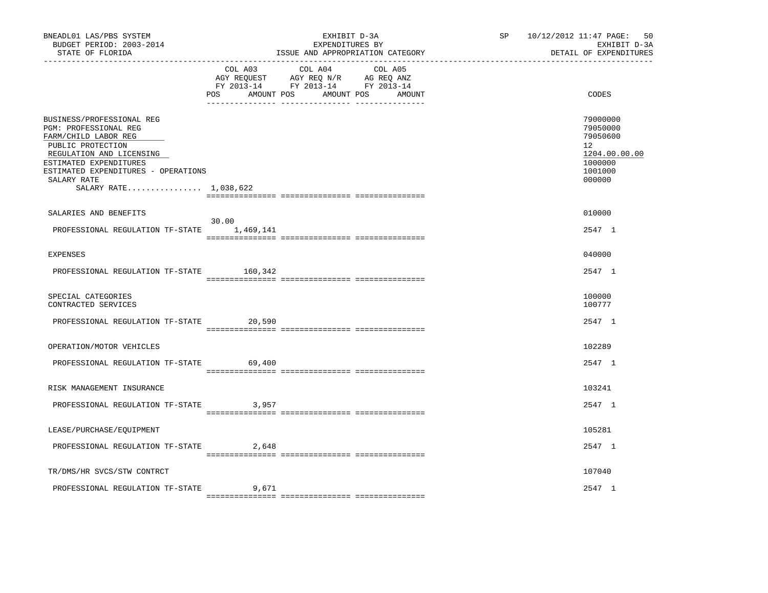| BNEADL01 LAS/PBS SYSTEM<br>BUDGET PERIOD: 2003-2014<br>STATE OF FLORIDA                                                                                                                                                              |                              | EXHIBIT D-3A<br>EXPENDITURES BY<br>ISSUE AND APPROPRIATION CATEGORY                                               | SP | 10/12/2012 11:47 PAGE:<br>50<br>EXHIBIT D-3A<br>DETAIL OF EXPENDITURES                               |
|--------------------------------------------------------------------------------------------------------------------------------------------------------------------------------------------------------------------------------------|------------------------------|-------------------------------------------------------------------------------------------------------------------|----|------------------------------------------------------------------------------------------------------|
|                                                                                                                                                                                                                                      | COL A03<br>AMOUNT POS<br>POS | COL A04<br>COL A05<br>AGY REQUEST AGY REQ N/R AG REQ ANZ<br>FY 2013-14 FY 2013-14 FY 2013-14<br>AMOUNT POS AMOUNT |    | CODES                                                                                                |
| BUSINESS/PROFESSIONAL REG<br>PGM: PROFESSIONAL REG<br>FARM/CHILD LABOR REG<br>PUBLIC PROTECTION<br>REGULATION AND LICENSING<br>ESTIMATED EXPENDITURES<br>ESTIMATED EXPENDITURES - OPERATIONS<br>SALARY RATE<br>SALARY RATE 1,038,622 |                              |                                                                                                                   |    | 79000000<br>79050000<br>79050600<br>12 <sup>°</sup><br>1204.00.00.00<br>1000000<br>1001000<br>000000 |
| SALARIES AND BENEFITS                                                                                                                                                                                                                | 30.00                        |                                                                                                                   |    | 010000                                                                                               |
| PROFESSIONAL REGULATION TF-STATE 1,469,141                                                                                                                                                                                           |                              |                                                                                                                   |    | 2547 1                                                                                               |
| <b>EXPENSES</b>                                                                                                                                                                                                                      |                              |                                                                                                                   |    | 040000                                                                                               |
| PROFESSIONAL REGULATION TF-STATE 160,342                                                                                                                                                                                             |                              |                                                                                                                   |    | 2547 1                                                                                               |
| SPECIAL CATEGORIES<br>CONTRACTED SERVICES                                                                                                                                                                                            |                              |                                                                                                                   |    | 100000<br>100777                                                                                     |
| PROFESSIONAL REGULATION TF-STATE 20,590                                                                                                                                                                                              |                              |                                                                                                                   |    | 2547 1                                                                                               |
| OPERATION/MOTOR VEHICLES                                                                                                                                                                                                             |                              |                                                                                                                   |    | 102289                                                                                               |
| PROFESSIONAL REGULATION TF-STATE                                                                                                                                                                                                     | 69,400                       |                                                                                                                   |    | 2547 1                                                                                               |
| RISK MANAGEMENT INSURANCE                                                                                                                                                                                                            |                              |                                                                                                                   |    | 103241                                                                                               |
| PROFESSIONAL REGULATION TF-STATE                                                                                                                                                                                                     | 3,957                        |                                                                                                                   |    | 2547 1                                                                                               |
| LEASE/PURCHASE/EQUIPMENT                                                                                                                                                                                                             |                              |                                                                                                                   |    | 105281                                                                                               |
| PROFESSIONAL REGULATION TF-STATE                                                                                                                                                                                                     | 2,648                        |                                                                                                                   |    | 2547 1                                                                                               |
| TR/DMS/HR SVCS/STW CONTRCT                                                                                                                                                                                                           |                              |                                                                                                                   |    | 107040                                                                                               |
| PROFESSIONAL REGULATION TF-STATE                                                                                                                                                                                                     | 9,671                        |                                                                                                                   |    | 2547 1                                                                                               |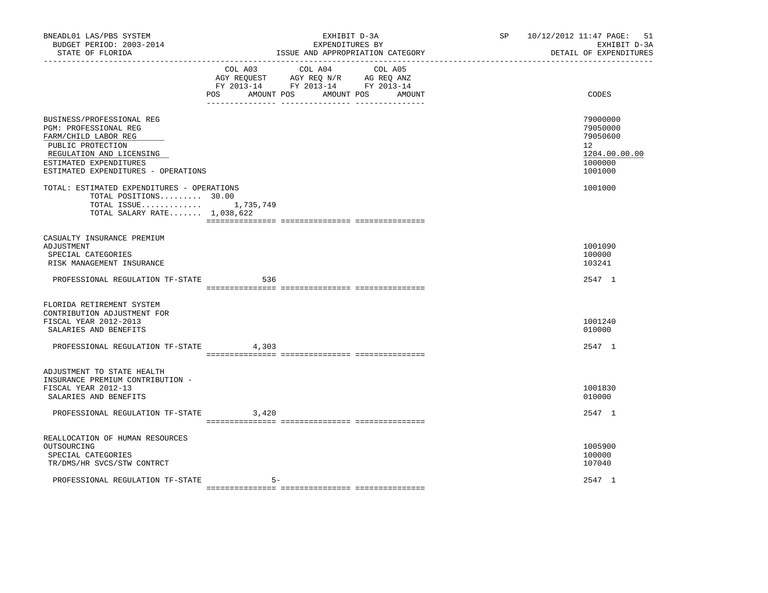| BNEADL01 LAS/PBS SYSTEM<br>BUDGET PERIOD: 2003-2014<br>STATE OF FLORIDA<br>----------------                                                                                                         |                   | EXHIBIT D-3A<br>EXPENDITURES BY<br>ISSUE AND APPROPRIATION CATEGORY                                                       | SP <sub>2</sub> | 10/12/2012 11:47 PAGE: 51<br>EXHIBIT D-3A<br>DETAIL OF EXPENDITURES           |
|-----------------------------------------------------------------------------------------------------------------------------------------------------------------------------------------------------|-------------------|---------------------------------------------------------------------------------------------------------------------------|-----------------|-------------------------------------------------------------------------------|
|                                                                                                                                                                                                     | AMOUNT POS<br>POS | COL A03 COL A04 COL A05<br>AGY REQUEST AGY REQ N/R AG REQ ANZ<br>FY 2013-14 FY 2013-14 FY 2013-14<br>AMOUNT POS<br>AMOUNT |                 | CODES                                                                         |
| BUSINESS/PROFESSIONAL REG<br><b>PGM: PROFESSIONAL REG</b><br>FARM/CHILD LABOR REG<br>PUBLIC PROTECTION<br>REGULATION AND LICENSING<br>ESTIMATED EXPENDITURES<br>ESTIMATED EXPENDITURES - OPERATIONS |                   |                                                                                                                           |                 | 79000000<br>79050000<br>79050600<br>12<br>1204.00.00.00<br>1000000<br>1001000 |
| TOTAL: ESTIMATED EXPENDITURES - OPERATIONS<br>TOTAL POSITIONS 30.00<br>TOTAL ISSUE $1,735,749$<br>TOTAL SALARY RATE 1,038,622                                                                       |                   |                                                                                                                           |                 | 1001000                                                                       |
| CASUALTY INSURANCE PREMIUM<br>ADJUSTMENT<br>SPECIAL CATEGORIES<br>RISK MANAGEMENT INSURANCE                                                                                                         |                   |                                                                                                                           |                 | 1001090<br>100000<br>103241                                                   |
| PROFESSIONAL REGULATION TF-STATE                                                                                                                                                                    | 536               |                                                                                                                           |                 | 2547 1                                                                        |
| FLORIDA RETIREMENT SYSTEM<br>CONTRIBUTION ADJUSTMENT FOR<br>FISCAL YEAR 2012-2013<br>SALARIES AND BENEFITS<br>PROFESSIONAL REGULATION TF-STATE                                                      | 4,303             |                                                                                                                           |                 | 1001240<br>010000<br>2547 1                                                   |
| ADJUSTMENT TO STATE HEALTH<br>INSURANCE PREMIUM CONTRIBUTION -<br>FISCAL YEAR 2012-13<br>SALARIES AND BENEFITS                                                                                      |                   |                                                                                                                           |                 | 1001830<br>010000                                                             |
| PROFESSIONAL REGULATION TF-STATE                                                                                                                                                                    | 3,420             |                                                                                                                           |                 | 2547 1                                                                        |
| REALLOCATION OF HUMAN RESOURCES<br>OUTSOURCING<br>SPECIAL CATEGORIES<br>TR/DMS/HR SVCS/STW CONTRCT<br>PROFESSIONAL REGULATION TF-STATE                                                              | 5-                |                                                                                                                           |                 | 1005900<br>100000<br>107040<br>2547 1                                         |
|                                                                                                                                                                                                     |                   |                                                                                                                           |                 |                                                                               |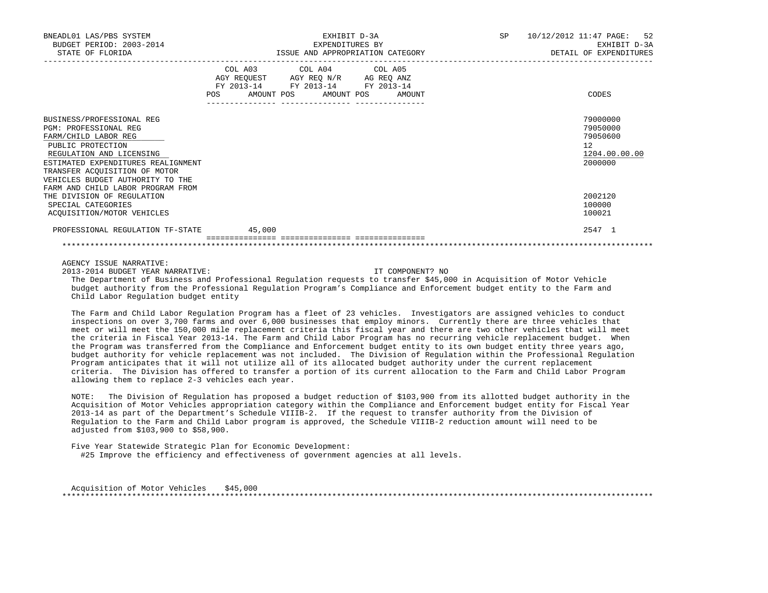| BNEADL01 LAS/PBS SYSTEM<br>BUDGET PERIOD: 2003-2014<br>STATE OF FLORIDA                                                                                                                                                                                                     | EXHIBIT D-3A<br>EXPENDITURES BY<br>ISSUE AND APPROPRIATION CATEGORY                                                                   | SP 10/12/2012 11:47 PAGE: 52<br>EXHIBIT D-3A<br>DETAIL OF EXPENDITURES |
|-----------------------------------------------------------------------------------------------------------------------------------------------------------------------------------------------------------------------------------------------------------------------------|---------------------------------------------------------------------------------------------------------------------------------------|------------------------------------------------------------------------|
|                                                                                                                                                                                                                                                                             | COL A03 COL A04 COL A05<br>AGY REQUEST AGY REQ N/R AG REQ ANZ<br>FY 2013-14 FY 2013-14 FY 2013-14<br>POS AMOUNT POS AMOUNT POS AMOUNT | CODES                                                                  |
| BUSINESS/PROFESSIONAL REG<br>PGM: PROFESSIONAL REG<br>FARM/CHILD LABOR REG<br>PUBLIC PROTECTION<br>REGULATION AND LICENSING<br>ESTIMATED EXPENDITURES REALIGNMENT<br>TRANSFER ACOUISITION OF MOTOR<br>VEHICLES BUDGET AUTHORITY TO THE<br>FARM AND CHILD LABOR PROGRAM FROM |                                                                                                                                       | 79000000<br>79050000<br>79050600<br>12<br>1204.00.00.00<br>2000000     |
| THE DIVISION OF REGULATION<br>SPECIAL CATEGORIES<br>ACOUISITION/MOTOR VEHICLES                                                                                                                                                                                              |                                                                                                                                       | 2002120<br>100000<br>100021                                            |
| PROFESSIONAL REGULATION TF-STATE 45,000                                                                                                                                                                                                                                     |                                                                                                                                       | 2547 1                                                                 |

AGENCY ISSUE NARRATIVE:

2013-2014 BUDGET YEAR NARRATIVE: IT COMPONENT? NO

 The Department of Business and Professional Regulation requests to transfer \$45,000 in Acquisition of Motor Vehicle budget authority from the Professional Regulation Program's Compliance and Enforcement budget entity to the Farm and Child Labor Regulation budget entity

 The Farm and Child Labor Regulation Program has a fleet of 23 vehicles. Investigators are assigned vehicles to conduct inspections on over 3,700 farms and over 6,000 businesses that employ minors. Currently there are three vehicles that meet or will meet the 150,000 mile replacement criteria this fiscal year and there are two other vehicles that will meet the criteria in Fiscal Year 2013-14. The Farm and Child Labor Program has no recurring vehicle replacement budget. When the Program was transferred from the Compliance and Enforcement budget entity to its own budget entity three years ago, budget authority for vehicle replacement was not included. The Division of Regulation within the Professional Regulation Program anticipates that it will not utilize all of its allocated budget authority under the current replacement criteria. The Division has offered to transfer a portion of its current allocation to the Farm and Child Labor Program allowing them to replace 2-3 vehicles each year.

 NOTE: The Division of Regulation has proposed a budget reduction of \$103,900 from its allotted budget authority in the Acquisition of Motor Vehicles appropriation category within the Compliance and Enforcement budget entity for Fiscal Year 2013-14 as part of the Department's Schedule VIIIB-2. If the request to transfer authority from the Division of Regulation to the Farm and Child Labor program is approved, the Schedule VIIIB-2 reduction amount will need to be adjusted from \$103,900 to \$58,900.

 Five Year Statewide Strategic Plan for Economic Development: #25 Improve the efficiency and effectiveness of government agencies at all levels.

 Acquisition of Motor Vehicles \$45,000 \*\*\*\*\*\*\*\*\*\*\*\*\*\*\*\*\*\*\*\*\*\*\*\*\*\*\*\*\*\*\*\*\*\*\*\*\*\*\*\*\*\*\*\*\*\*\*\*\*\*\*\*\*\*\*\*\*\*\*\*\*\*\*\*\*\*\*\*\*\*\*\*\*\*\*\*\*\*\*\*\*\*\*\*\*\*\*\*\*\*\*\*\*\*\*\*\*\*\*\*\*\*\*\*\*\*\*\*\*\*\*\*\*\*\*\*\*\*\*\*\*\*\*\*\*\*\*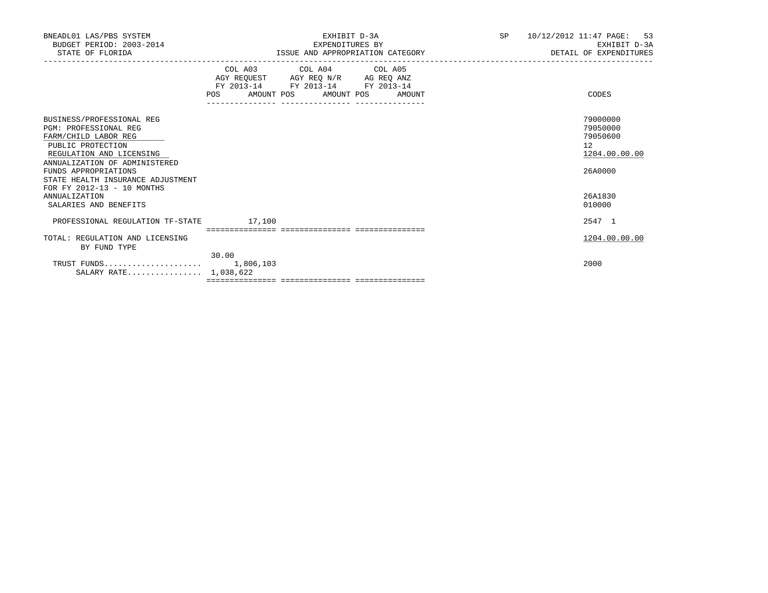| BNEADL01 LAS/PBS SYSTEM<br>BUDGET PERIOD: 2003-2014<br>STATE OF FLORIDA                                                                                                                                                                                 | EXHIBIT D-3A<br>EXPENDITURES BY<br>ISSUE AND APPROPRIATION CATEGORY                             | SP. | 10/12/2012 11:47 PAGE: 53<br>EXHIBIT D-3A<br>DETAIL OF EXPENDITURES |
|---------------------------------------------------------------------------------------------------------------------------------------------------------------------------------------------------------------------------------------------------------|-------------------------------------------------------------------------------------------------|-----|---------------------------------------------------------------------|
|                                                                                                                                                                                                                                                         | COL A03 COL A04 COL A05<br>FY 2013-14 FY 2013-14 FY 2013-14<br>POS AMOUNT POS AMOUNT POS AMOUNT |     | CODES                                                               |
| BUSINESS/PROFESSIONAL REG<br>PGM: PROFESSIONAL REG<br>FARM/CHILD LABOR REG<br>PUBLIC PROTECTION<br>REGULATION AND LICENSING<br>ANNUALIZATION OF ADMINISTERED<br>FUNDS APPROPRIATIONS<br>STATE HEALTH INSURANCE ADJUSTMENT<br>FOR FY 2012-13 - 10 MONTHS |                                                                                                 |     | 79000000<br>79050000<br>79050600<br>12<br>1204.00.00.00<br>26A0000  |
| <b>ANNUALIZATION</b><br>SALARIES AND BENEFITS                                                                                                                                                                                                           |                                                                                                 |     | 26A1830<br>010000                                                   |
| PROFESSIONAL REGULATION TF-STATE                                                                                                                                                                                                                        | 17,100                                                                                          |     | 2547 1                                                              |
| TOTAL: REGULATION AND LICENSING<br>BY FUND TYPE                                                                                                                                                                                                         | 30.00                                                                                           |     | 1204.00.00.00                                                       |
| SALARY RATE 1,038,622                                                                                                                                                                                                                                   |                                                                                                 |     | 2000                                                                |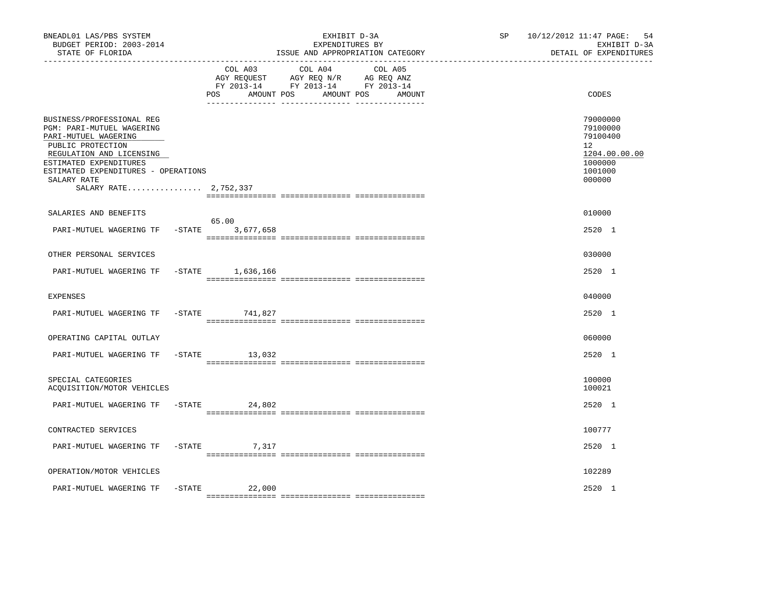| BNEADL01 LAS/PBS SYSTEM<br>BUDGET PERIOD: 2003-2014<br>STATE OF FLORIDA                                                                                                                                                                  |                               | EXHIBIT D-3A<br>EXPENDITURES BY<br>ISSUE AND APPROPRIATION CATEGORY                                                  | SP | 10/12/2012 11:47 PAGE: 54<br>EXHIBIT D-3A<br>DETAIL OF EXPENDITURES                     |
|------------------------------------------------------------------------------------------------------------------------------------------------------------------------------------------------------------------------------------------|-------------------------------|----------------------------------------------------------------------------------------------------------------------|----|-----------------------------------------------------------------------------------------|
|                                                                                                                                                                                                                                          | COL A03<br>AMOUNT POS<br>POS. | COL A04<br>COL A05<br>AGY REQUEST AGY REQ N/R AG REQ ANZ<br>FY 2013-14 FY 2013-14 FY 2013-14<br>AMOUNT POS<br>AMOUNT |    | CODES                                                                                   |
| BUSINESS/PROFESSIONAL REG<br>PGM: PARI-MUTUEL WAGERING<br>PARI-MUTUEL WAGERING<br>PUBLIC PROTECTION<br>REGULATION AND LICENSING<br>ESTIMATED EXPENDITURES<br>ESTIMATED EXPENDITURES - OPERATIONS<br>SALARY RATE<br>SALARY RATE 2,752,337 |                               |                                                                                                                      |    | 79000000<br>79100000<br>79100400<br>12<br>1204.00.00.00<br>1000000<br>1001000<br>000000 |
| SALARIES AND BENEFITS                                                                                                                                                                                                                    |                               |                                                                                                                      |    | 010000                                                                                  |
| $-STATE$<br>PARI-MUTUEL WAGERING TF                                                                                                                                                                                                      | 65.00<br>3,677,658            |                                                                                                                      |    | 2520 1                                                                                  |
| OTHER PERSONAL SERVICES                                                                                                                                                                                                                  |                               |                                                                                                                      |    | 030000                                                                                  |
| PARI-MUTUEL WAGERING TF                                                                                                                                                                                                                  | $-STATE$ 1,636,166            |                                                                                                                      |    | 2520 1                                                                                  |
| <b>EXPENSES</b>                                                                                                                                                                                                                          |                               |                                                                                                                      |    | 040000                                                                                  |
| PARI-MUTUEL WAGERING TF<br>$-$ STATE                                                                                                                                                                                                     | 741,827                       |                                                                                                                      |    | 2520 1                                                                                  |
| OPERATING CAPITAL OUTLAY                                                                                                                                                                                                                 |                               |                                                                                                                      |    | 060000                                                                                  |
| PARI-MUTUEL WAGERING TF<br>$-$ STATE                                                                                                                                                                                                     | 13,032                        |                                                                                                                      |    | 2520 1                                                                                  |
| SPECIAL CATEGORIES<br>ACQUISITION/MOTOR VEHICLES                                                                                                                                                                                         |                               |                                                                                                                      |    | 100000<br>100021                                                                        |
| PARI-MUTUEL WAGERING TF                                                                                                                                                                                                                  | $-STATE$<br>24,802            |                                                                                                                      |    | 2520 1                                                                                  |
| CONTRACTED SERVICES                                                                                                                                                                                                                      |                               |                                                                                                                      |    | 100777                                                                                  |
| PARI-MUTUEL WAGERING TF                                                                                                                                                                                                                  | $-STATE$ 7, 317               |                                                                                                                      |    | 2520 1                                                                                  |
| OPERATION/MOTOR VEHICLES                                                                                                                                                                                                                 |                               |                                                                                                                      |    | 102289                                                                                  |
| $-$ STATE<br>PARI-MUTUEL WAGERING TF                                                                                                                                                                                                     | 22,000                        |                                                                                                                      |    | 2520 1                                                                                  |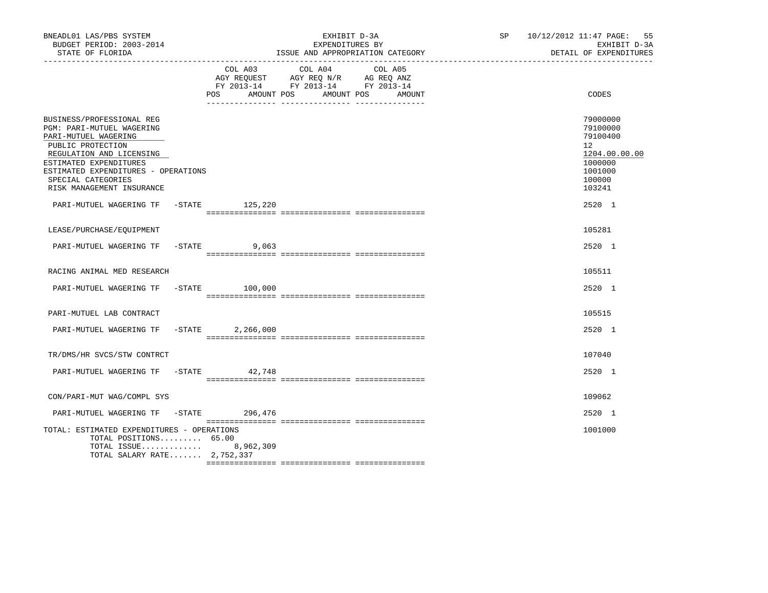| BNEADL01 LAS/PBS SYSTEM<br>BUDGET PERIOD: 2003-2014<br>STATE OF FLORIDA                                                                                                                                                                             |           |                   | EXHIBIT D-3A<br>EXPENDITURES BY                                                                                 | ISSUE AND APPROPRIATION CATEGORY | SP 10/12/2012 11:47 PAGE: 55<br>EXHIBIT D-3A<br>DETAIL OF EXPENDITURES                            |
|-----------------------------------------------------------------------------------------------------------------------------------------------------------------------------------------------------------------------------------------------------|-----------|-------------------|-----------------------------------------------------------------------------------------------------------------|----------------------------------|---------------------------------------------------------------------------------------------------|
|                                                                                                                                                                                                                                                     |           | POS<br>AMOUNT POS | COL A03 COL A04 COL A05<br>AGY REQUEST AGY REQ N/R AG REQ ANZ<br>FY 2013-14 FY 2013-14 FY 2013-14<br>AMOUNT POS | AMOUNT                           | CODES                                                                                             |
| BUSINESS/PROFESSIONAL REG<br>PGM: PARI-MUTUEL WAGERING<br>PARI-MUTUEL WAGERING<br>PUBLIC PROTECTION<br>REGULATION AND LICENSING<br>ESTIMATED EXPENDITURES<br>ESTIMATED EXPENDITURES - OPERATIONS<br>SPECIAL CATEGORIES<br>RISK MANAGEMENT INSURANCE |           |                   |                                                                                                                 |                                  | 79000000<br>79100000<br>79100400<br>12<br>1204.00.00.00<br>1000000<br>1001000<br>100000<br>103241 |
| PARI-MUTUEL WAGERING TF -STATE 125,220                                                                                                                                                                                                              |           |                   |                                                                                                                 |                                  | 2520 1                                                                                            |
| LEASE/PURCHASE/EQUIPMENT                                                                                                                                                                                                                            |           |                   |                                                                                                                 |                                  | 105281                                                                                            |
| PARI-MUTUEL WAGERING TF -STATE                                                                                                                                                                                                                      |           | 9,063             |                                                                                                                 |                                  | 2520 1                                                                                            |
| RACING ANIMAL MED RESEARCH                                                                                                                                                                                                                          |           |                   |                                                                                                                 |                                  | 105511                                                                                            |
| PARI-MUTUEL WAGERING TF -STATE 100,000                                                                                                                                                                                                              |           |                   |                                                                                                                 |                                  | 2520 1                                                                                            |
| PARI-MUTUEL LAB CONTRACT                                                                                                                                                                                                                            |           |                   |                                                                                                                 |                                  | 105515                                                                                            |
| PARI-MUTUEL WAGERING TF                                                                                                                                                                                                                             | $-$ STATE | 2,266,000         |                                                                                                                 |                                  | 2520 1                                                                                            |
| TR/DMS/HR SVCS/STW CONTRCT                                                                                                                                                                                                                          |           |                   |                                                                                                                 |                                  | 107040                                                                                            |
| PARI-MUTUEL WAGERING TF -STATE 42.748                                                                                                                                                                                                               |           |                   |                                                                                                                 |                                  | $2520 - 1$                                                                                        |
| CON/PARI-MUT WAG/COMPL SYS                                                                                                                                                                                                                          |           |                   |                                                                                                                 |                                  | 109062                                                                                            |
| PARI-MUTUEL WAGERING TF                                                                                                                                                                                                                             |           | -STATE 296,476    |                                                                                                                 |                                  | 2520 1                                                                                            |
| TOTAL: ESTIMATED EXPENDITURES - OPERATIONS<br>TOTAL POSITIONS 65.00<br>TOTAL ISSUE 8,962,309<br>TOTAL SALARY RATE 2,752,337                                                                                                                         |           |                   |                                                                                                                 |                                  | 1001000                                                                                           |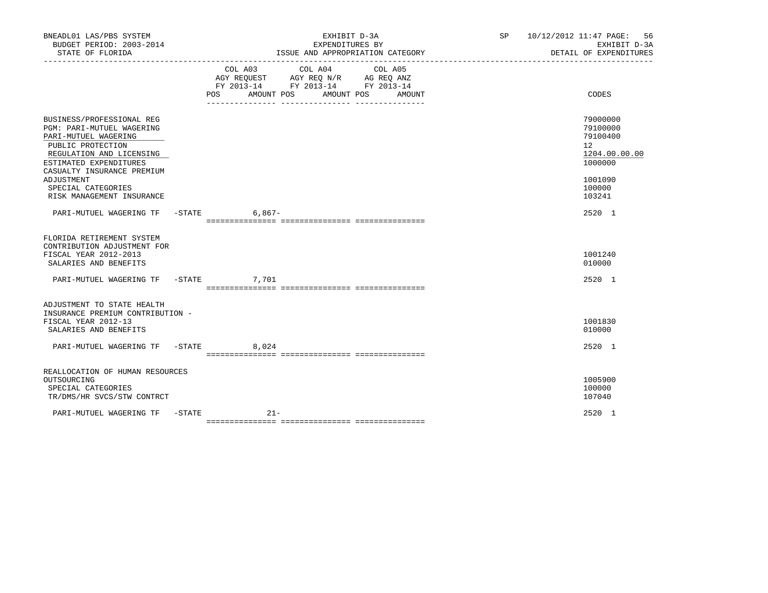| BNEADL01 LAS/PBS SYSTEM<br>BUDGET PERIOD: 2003-2014<br>STATE OF FLORIDA                                                                                                                        |                                                                               | EXHIBIT D-3A<br>EXPENDITURES BY | ISSUE AND APPROPRIATION CATEGORY |  | SP 10/12/2012 11:47 PAGE: 56<br>EXHIBIT D-3A<br>DETAIL OF EXPENDITURES          |
|------------------------------------------------------------------------------------------------------------------------------------------------------------------------------------------------|-------------------------------------------------------------------------------|---------------------------------|----------------------------------|--|---------------------------------------------------------------------------------|
|                                                                                                                                                                                                | AGY REQUEST AGY REQ N/R AG REQ ANZ<br>FY 2013-14 FY 2013-14 FY 2013-14<br>POS | COL A03 COL A04 COL A05         | AMOUNT POS AMOUNT POS AMOUNT     |  | CODES                                                                           |
| BUSINESS/PROFESSIONAL REG<br><b>PGM: PARI-MUTUEL WAGERING</b><br>PARI-MUTUEL WAGERING<br>PUBLIC PROTECTION<br>REGULATION AND LICENSING<br>ESTIMATED EXPENDITURES<br>CASUALTY INSURANCE PREMIUM |                                                                               |                                 |                                  |  | 79000000<br>79100000<br>79100400<br>12 <sup>2</sup><br>1204.00.00.00<br>1000000 |
| ADJUSTMENT<br>SPECIAL CATEGORIES<br>RISK MANAGEMENT INSURANCE                                                                                                                                  |                                                                               |                                 |                                  |  | 1001090<br>100000<br>103241                                                     |
| PARI-MUTUEL WAGERING TF -STATE 6,867-                                                                                                                                                          |                                                                               |                                 |                                  |  | 2520 1                                                                          |
| FLORIDA RETIREMENT SYSTEM<br>CONTRIBUTION ADJUSTMENT FOR<br>FISCAL YEAR 2012-2013<br>SALARIES AND BENEFITS                                                                                     |                                                                               |                                 |                                  |  | 1001240<br>010000                                                               |
| PARI-MUTUEL WAGERING TF -STATE 7,701                                                                                                                                                           |                                                                               |                                 |                                  |  | 2520 1                                                                          |
| ADJUSTMENT TO STATE HEALTH<br>INSURANCE PREMIUM CONTRIBUTION -<br>FISCAL YEAR 2012-13<br>SALARIES AND BENEFITS                                                                                 |                                                                               |                                 |                                  |  | 1001830<br>010000                                                               |
| PARI-MUTUEL WAGERING TF -STATE 8,024                                                                                                                                                           |                                                                               |                                 |                                  |  | 2520 1                                                                          |
| REALLOCATION OF HUMAN RESOURCES<br>OUTSOURCING<br>SPECIAL CATEGORIES<br>TR/DMS/HR SVCS/STW CONTRCT                                                                                             |                                                                               |                                 |                                  |  | 1005900<br>100000<br>107040                                                     |
| PARI-MUTUEL WAGERING TF -STATE                                                                                                                                                                 | $21-$                                                                         |                                 |                                  |  | 2520 1                                                                          |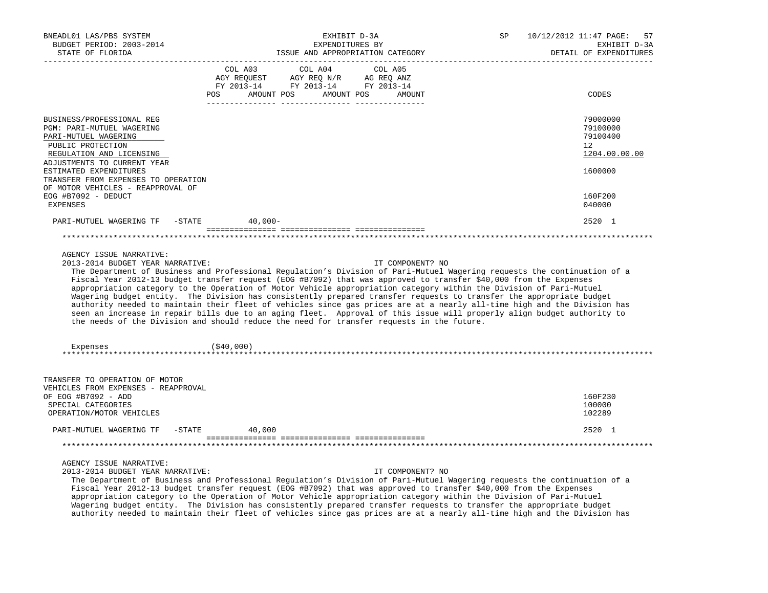| BNEADL01 LAS/PBS SYSTEM<br>BUDGET PERIOD: 2003-2014                                                                                                                                                                             | EXHIBIT D-3A<br>EXPENDITURES BY                                                                                                                                                                                                                                                                                                                                                                                                                                                                                                                                                                                                                                                                                                                                                                                                                              | ISSUE AND APPROPRIATION CATEGORY | SP | 10/12/2012 11:47 PAGE:<br>57<br>EXHIBIT D-3A                       |
|---------------------------------------------------------------------------------------------------------------------------------------------------------------------------------------------------------------------------------|--------------------------------------------------------------------------------------------------------------------------------------------------------------------------------------------------------------------------------------------------------------------------------------------------------------------------------------------------------------------------------------------------------------------------------------------------------------------------------------------------------------------------------------------------------------------------------------------------------------------------------------------------------------------------------------------------------------------------------------------------------------------------------------------------------------------------------------------------------------|----------------------------------|----|--------------------------------------------------------------------|
| STATE OF FLORIDA                                                                                                                                                                                                                |                                                                                                                                                                                                                                                                                                                                                                                                                                                                                                                                                                                                                                                                                                                                                                                                                                                              |                                  |    | DETAIL OF EXPENDITURES                                             |
|                                                                                                                                                                                                                                 | COL A03<br>COL A04<br>$\begin{tabular}{lllllll} \bf AGY \,\, REQUEST \,\, &\bf AGY \,\, REQ \,\, N/R &\bf AG \,\, REQ \,\, ANZ \\ \bf FY \,\, 2013-14 &\bf FY \,\, 2013-14 &\bf FY \,\, 2013-14 \\ \end{tabular}$<br>POS AMOUNT POS AMOUNT POS                                                                                                                                                                                                                                                                                                                                                                                                                                                                                                                                                                                                               | COL A05<br>AMOUNT                |    | CODES                                                              |
| BUSINESS/PROFESSIONAL REG<br>PGM: PARI-MUTUEL WAGERING<br>PARI-MUTUEL WAGERING<br>PUBLIC PROTECTION<br>REGULATION AND LICENSING<br>ADJUSTMENTS TO CURRENT YEAR<br>ESTIMATED EXPENDITURES<br>TRANSFER FROM EXPENSES TO OPERATION |                                                                                                                                                                                                                                                                                                                                                                                                                                                                                                                                                                                                                                                                                                                                                                                                                                                              |                                  |    | 79000000<br>79100000<br>79100400<br>12<br>1204.00.00.00<br>1600000 |
| OF MOTOR VEHICLES - REAPPROVAL OF<br>EOG #B7092 - DEDUCT<br>EXPENSES                                                                                                                                                            |                                                                                                                                                                                                                                                                                                                                                                                                                                                                                                                                                                                                                                                                                                                                                                                                                                                              |                                  |    | 160F200<br>040000                                                  |
| PARI-MUTUEL WAGERING TF -STATE 40,000-                                                                                                                                                                                          |                                                                                                                                                                                                                                                                                                                                                                                                                                                                                                                                                                                                                                                                                                                                                                                                                                                              |                                  |    | 2520 1                                                             |
|                                                                                                                                                                                                                                 |                                                                                                                                                                                                                                                                                                                                                                                                                                                                                                                                                                                                                                                                                                                                                                                                                                                              |                                  |    |                                                                    |
| 2013-2014 BUDGET YEAR NARRATIVE:<br>Expenses                                                                                                                                                                                    | The Department of Business and Professional Regulation's Division of Pari-Mutuel Wagering requests the continuation of a<br>Fiscal Year 2012-13 budget transfer request (EOG #B7092) that was approved to transfer \$40,000 from the Expenses<br>appropriation category to the Operation of Motor Vehicle appropriation category within the Division of Pari-Mutuel<br>Wagering budget entity. The Division has consistently prepared transfer requests to transfer the appropriate budget<br>authority needed to maintain their fleet of vehicles since gas prices are at a nearly all-time high and the Division has<br>seen an increase in repair bills due to an aging fleet. Approval of this issue will properly align budget authority to<br>the needs of the Division and should reduce the need for transfer requests in the future.<br>( \$40,000) | IT COMPONENT? NO                 |    |                                                                    |
|                                                                                                                                                                                                                                 |                                                                                                                                                                                                                                                                                                                                                                                                                                                                                                                                                                                                                                                                                                                                                                                                                                                              |                                  |    |                                                                    |
| TRANSFER TO OPERATION OF MOTOR<br>VEHICLES FROM EXPENSES - REAPPROVAL<br>OF EOG #B7092 - ADD<br>SPECIAL CATEGORIES<br>OPERATION/MOTOR VEHICLES                                                                                  |                                                                                                                                                                                                                                                                                                                                                                                                                                                                                                                                                                                                                                                                                                                                                                                                                                                              |                                  |    | 160F230<br>100000<br>102289                                        |
| PARI-MUTUEL WAGERING TF                                                                                                                                                                                                         | $-STATE$<br>40,000                                                                                                                                                                                                                                                                                                                                                                                                                                                                                                                                                                                                                                                                                                                                                                                                                                           |                                  |    | 2520 1                                                             |
| ***********************************                                                                                                                                                                                             |                                                                                                                                                                                                                                                                                                                                                                                                                                                                                                                                                                                                                                                                                                                                                                                                                                                              |                                  |    |                                                                    |
| AGENCY ISSUE NARRATIVE:<br>2013-2014 BUDGET YEAR NARRATIVE:                                                                                                                                                                     | The Department of Business and Professional Regulation's Division of Pari-Mutuel Wagering requests the continuation of a<br>Fiscal Year 2012-13 budget transfer request (EOG #B7092) that was approved to transfer \$40,000 from the Expenses<br>appropriation category to the Operation of Motor Vehicle appropriation category within the Division of Pari-Mutuel<br>Wagering budget entity. The Division has consistently prepared transfer requests to transfer the appropriate budget<br>authority needed to maintain their fleet of vehicles since gas prices are at a nearly all-time high and the Division has                                                                                                                                                                                                                                       | IT COMPONENT? NO                 |    |                                                                    |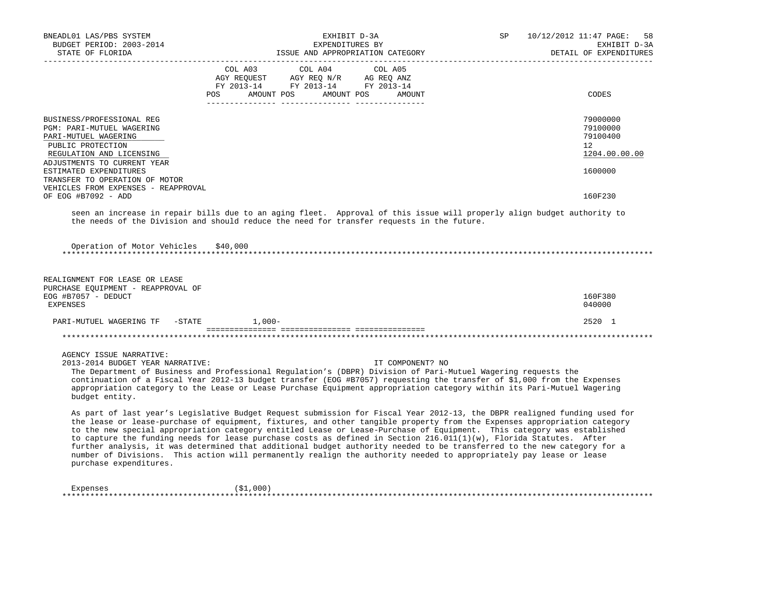| BNEADL01 LAS/PBS SYSTEM<br>BUDGET PERIOD: 2003-2014<br>STATE OF FLORIDA                                                         | EXHIBIT D-3A<br>EXPENDITURES BY<br>ISSUE AND APPROPRIATION CATEGORY                                                                                                                                                                                                                                                                                                                                                                                                                                                                                                                                                                                                                                                                                    | SP<br>10/12/2012 11:47 PAGE:<br>58<br>EXHIBIT D-3A<br>DETAIL OF EXPENDITURES |
|---------------------------------------------------------------------------------------------------------------------------------|--------------------------------------------------------------------------------------------------------------------------------------------------------------------------------------------------------------------------------------------------------------------------------------------------------------------------------------------------------------------------------------------------------------------------------------------------------------------------------------------------------------------------------------------------------------------------------------------------------------------------------------------------------------------------------------------------------------------------------------------------------|------------------------------------------------------------------------------|
|                                                                                                                                 | COL A03<br>COL A04<br>COL A05<br>AGY REQUEST<br>AGY REQ N/R<br>AG REQ ANZ<br>FY 2013-14 FY 2013-14 FY 2013-14<br>POS.<br>AMOUNT POS<br>AMOUNT POS<br>AMOUNT                                                                                                                                                                                                                                                                                                                                                                                                                                                                                                                                                                                            | CODES                                                                        |
|                                                                                                                                 |                                                                                                                                                                                                                                                                                                                                                                                                                                                                                                                                                                                                                                                                                                                                                        |                                                                              |
| BUSINESS/PROFESSIONAL REG<br>PGM: PARI-MUTUEL WAGERING<br>PARI-MUTUEL WAGERING<br>PUBLIC PROTECTION<br>REGULATION AND LICENSING |                                                                                                                                                                                                                                                                                                                                                                                                                                                                                                                                                                                                                                                                                                                                                        | 79000000<br>79100000<br>79100400<br>12 <sup>°</sup><br>1204.00.00.00         |
| ADJUSTMENTS TO CURRENT YEAR<br>ESTIMATED EXPENDITURES<br>TRANSFER TO OPERATION OF MOTOR<br>VEHICLES FROM EXPENSES - REAPPROVAL  |                                                                                                                                                                                                                                                                                                                                                                                                                                                                                                                                                                                                                                                                                                                                                        | 1600000                                                                      |
| OF EOG #B7092 - ADD                                                                                                             |                                                                                                                                                                                                                                                                                                                                                                                                                                                                                                                                                                                                                                                                                                                                                        | 160F230                                                                      |
| Operation of Motor Vehicles<br>*************************                                                                        | seen an increase in repair bills due to an aging fleet. Approval of this issue will properly align budget authority to<br>the needs of the Division and should reduce the need for transfer requests in the future.<br>\$40,000                                                                                                                                                                                                                                                                                                                                                                                                                                                                                                                        |                                                                              |
| REALIGNMENT FOR LEASE OR LEASE<br>PURCHASE EQUIPMENT - REAPPROVAL OF<br>EOG #B7057 - DEDUCT<br><b>EXPENSES</b>                  |                                                                                                                                                                                                                                                                                                                                                                                                                                                                                                                                                                                                                                                                                                                                                        | 160F380<br>040000                                                            |
| PARI-MUTUEL WAGERING TF<br>$-$ STATE                                                                                            | $1.000 -$                                                                                                                                                                                                                                                                                                                                                                                                                                                                                                                                                                                                                                                                                                                                              | 2520 1                                                                       |
|                                                                                                                                 |                                                                                                                                                                                                                                                                                                                                                                                                                                                                                                                                                                                                                                                                                                                                                        |                                                                              |
| AGENCY ISSUE NARRATIVE:<br>2013-2014 BUDGET YEAR NARRATIVE:<br>budget entity.                                                   | IT COMPONENT? NO<br>The Department of Business and Professional Regulation's (DBPR) Division of Pari-Mutuel Wagering requests the<br>continuation of a Fiscal Year 2012-13 budget transfer (EOG #B7057) requesting the transfer of \$1,000 from the Expenses<br>appropriation category to the Lease or Lease Purchase Equipment appropriation category within its Pari-Mutuel Wagering                                                                                                                                                                                                                                                                                                                                                                 |                                                                              |
| purchase expenditures.                                                                                                          | As part of last year's Legislative Budget Request submission for Fiscal Year 2012-13, the DBPR realigned funding used for<br>the lease or lease-purchase of equipment, fixtures, and other tangible property from the Expenses appropriation category<br>to the new special appropriation category entitled Lease or Lease-Purchase of Equipment. This category was established<br>to capture the funding needs for lease purchase costs as defined in Section 216.011(1)(w), Florida Statutes. After<br>further analysis, it was determined that additional budget authority needed to be transferred to the new category for a<br>number of Divisions. This action will permanently realign the authority needed to appropriately pay lease or lease |                                                                              |
| Expenses                                                                                                                        | ( \$1,000)                                                                                                                                                                                                                                                                                                                                                                                                                                                                                                                                                                                                                                                                                                                                             |                                                                              |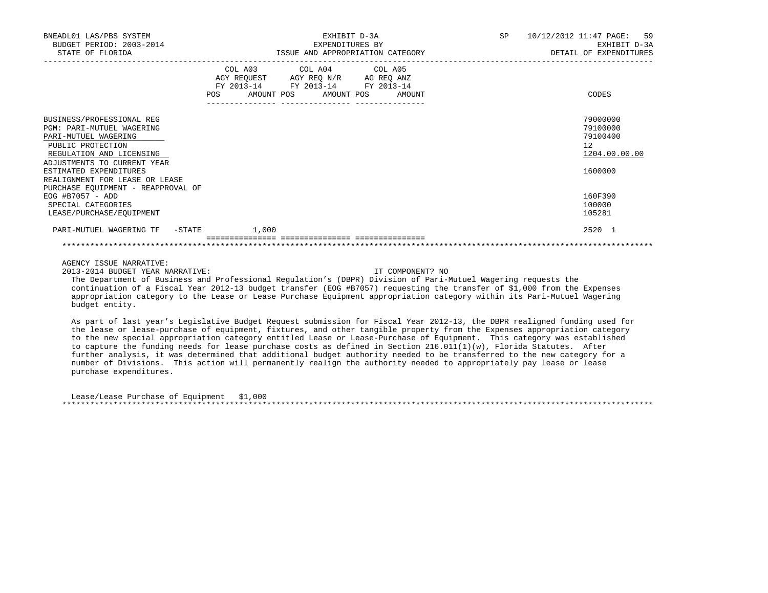| BNEADL01 LAS/PBS SYSTEM<br>BUDGET PERIOD: 2003-2014<br>STATE OF FLORIDA                                                                                                                                                                                                                                                                       | EXHIBIT D-3A<br>EXPENDITURES BY<br>ISSUE AND APPROPRIATION CATEGORY                                                                                                                                                                                                                                                                                                                                                                                                                                       | SP 10/12/2012 11:47 PAGE: 59<br>EXHIBIT D-3A<br>DETAIL OF EXPENDITURES                            |
|-----------------------------------------------------------------------------------------------------------------------------------------------------------------------------------------------------------------------------------------------------------------------------------------------------------------------------------------------|-----------------------------------------------------------------------------------------------------------------------------------------------------------------------------------------------------------------------------------------------------------------------------------------------------------------------------------------------------------------------------------------------------------------------------------------------------------------------------------------------------------|---------------------------------------------------------------------------------------------------|
|                                                                                                                                                                                                                                                                                                                                               | COL A03 COL A04 COL A05<br>AGY REQUEST AGY REQ N/R AG REQ ANZ<br>FY 2013-14 FY 2013-14 FY 2013-14<br>AMOUNT POS AMOUNT POS<br>POS FOR<br>AMOUNT                                                                                                                                                                                                                                                                                                                                                           | CODES                                                                                             |
| BUSINESS/PROFESSIONAL REG<br><b>PGM: PARI-MUTUEL WAGERING</b><br>PARI-MUTUEL WAGERING<br>PUBLIC PROTECTION<br>REGULATION AND LICENSING<br>ADJUSTMENTS TO CURRENT YEAR<br>ESTIMATED EXPENDITURES<br>REALIGNMENT FOR LEASE OR LEASE<br>PURCHASE EQUIPMENT - REAPPROVAL OF<br>EOG #B7057 - ADD<br>SPECIAL CATEGORIES<br>LEASE/PURCHASE/EOUIPMENT |                                                                                                                                                                                                                                                                                                                                                                                                                                                                                                           | 79000000<br>79100000<br>79100400<br>12<br>1204.00.00.00<br>1600000<br>160F390<br>100000<br>105281 |
| PARI-MUTUEL WAGERING TF -STATE 1,000                                                                                                                                                                                                                                                                                                          | ------------- ------------                                                                                                                                                                                                                                                                                                                                                                                                                                                                                | 2520 1                                                                                            |
|                                                                                                                                                                                                                                                                                                                                               |                                                                                                                                                                                                                                                                                                                                                                                                                                                                                                           |                                                                                                   |
| AGENCY ISSUE NARRATIVE:<br>2013-2014 BUDGET YEAR NARRATIVE:<br>budget entity.                                                                                                                                                                                                                                                                 | IT COMPONENT? NO<br>The Department of Business and Professional Requlation's (DBPR) Division of Pari-Mutuel Wagering requests the<br>continuation of a Fiscal Year 2012-13 budget transfer (EOG #B7057) requesting the transfer of \$1,000 from the Expenses<br>appropriation category to the Lease or Lease Purchase Equipment appropriation category within its Pari-Mutuel Wagering<br>- Contractor Advisory Advisory Advisory Advisory Advisory Advisory Advisory Advisory Advisory Advisory Advisory |                                                                                                   |

 As part of last year's Legislative Budget Request submission for Fiscal Year 2012-13, the DBPR realigned funding used for the lease or lease-purchase of equipment, fixtures, and other tangible property from the Expenses appropriation category to the new special appropriation category entitled Lease or Lease-Purchase of Equipment. This category was established to capture the funding needs for lease purchase costs as defined in Section 216.011(1)(w), Florida Statutes. After further analysis, it was determined that additional budget authority needed to be transferred to the new category for a number of Divisions. This action will permanently realign the authority needed to appropriately pay lease or lease purchase expenditures.

| Lease/Lease Purchase of Equipment \$1,000 |  |
|-------------------------------------------|--|
|                                           |  |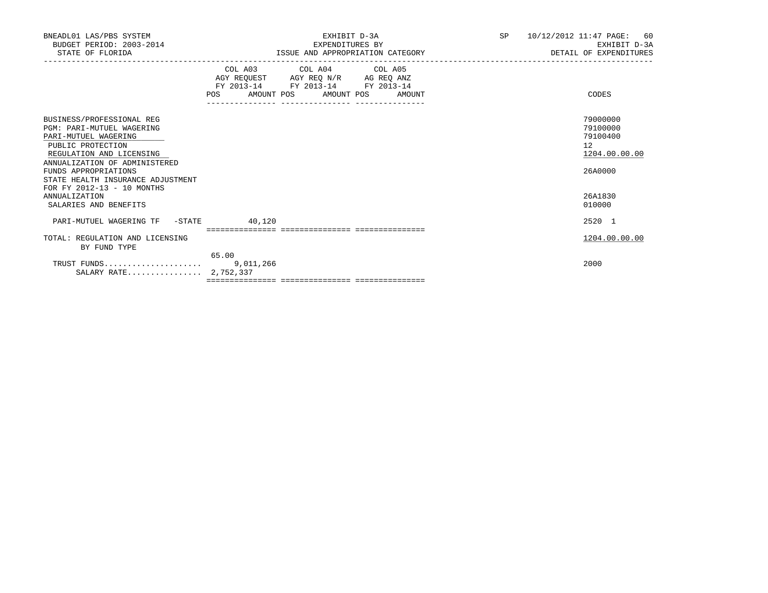| BNEADL01 LAS/PBS SYSTEM<br>BUDGET PERIOD: 2003-2014<br>STATE OF FLORIDA                                                                                                                                                                                            | EXHIBIT D-3A<br>EXPENDITURES BY<br>ISSUE AND APPROPRIATION CATEGORY                                                                   | <b>SP</b><br>10/12/2012 11:47 PAGE:<br>60<br>EXHIBIT D-3A<br>DETAIL OF EXPENDITURES |
|--------------------------------------------------------------------------------------------------------------------------------------------------------------------------------------------------------------------------------------------------------------------|---------------------------------------------------------------------------------------------------------------------------------------|-------------------------------------------------------------------------------------|
|                                                                                                                                                                                                                                                                    | COL A03 COL A04 COL A05<br>AGY REQUEST AGY REQ N/R AG REQ ANZ<br>FY 2013-14 FY 2013-14 FY 2013-14<br>POS AMOUNT POS AMOUNT POS AMOUNT | CODES                                                                               |
| BUSINESS/PROFESSIONAL REG<br><b>PGM: PARI-MUTUEL WAGERING</b><br>PARI-MUTUEL WAGERING<br>PUBLIC PROTECTION<br>REGULATION AND LICENSING<br>ANNUALIZATION OF ADMINISTERED<br>FUNDS APPROPRIATIONS<br>STATE HEALTH INSURANCE ADJUSTMENT<br>FOR FY 2012-13 - 10 MONTHS |                                                                                                                                       | 79000000<br>79100000<br>79100400<br>12<br>1204.00.00.00<br>26A0000                  |
| <b>ANNUALIZATION</b><br>SALARIES AND BENEFITS                                                                                                                                                                                                                      |                                                                                                                                       | 26A1830<br>010000                                                                   |
| PARI-MUTUEL WAGERING TF -STATE                                                                                                                                                                                                                                     | 40,120                                                                                                                                | 2520 1                                                                              |
| TOTAL: REGULATION AND LICENSING<br>BY FUND TYPE                                                                                                                                                                                                                    | 65.00                                                                                                                                 | 1204.00.00.00                                                                       |
| SALARY RATE 2,752,337                                                                                                                                                                                                                                              |                                                                                                                                       | 2000                                                                                |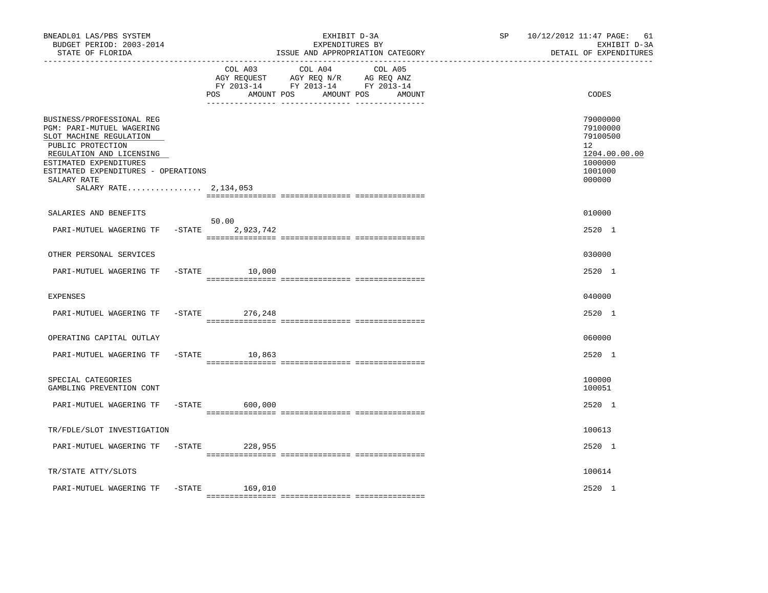| BNEADL01 LAS/PBS SYSTEM<br>BUDGET PERIOD: 2003-2014<br>STATE OF FLORIDA                                                                                                                                                                     |           |                               | EXHIBIT D-3A<br>EXPENDITURES BY<br>ISSUE AND APPROPRIATION CATEGORY                                                  | SP | 10/12/2012 11:47 PAGE: 61<br>EXHIBIT D-3A<br>DETAIL OF EXPENDITURES                     |
|---------------------------------------------------------------------------------------------------------------------------------------------------------------------------------------------------------------------------------------------|-----------|-------------------------------|----------------------------------------------------------------------------------------------------------------------|----|-----------------------------------------------------------------------------------------|
|                                                                                                                                                                                                                                             |           | COL A03<br>AMOUNT POS<br>POS. | COL A04<br>COL A05<br>AGY REQUEST AGY REQ N/R AG REQ ANZ<br>FY 2013-14 FY 2013-14 FY 2013-14<br>AMOUNT POS<br>AMOUNT |    | CODES                                                                                   |
| BUSINESS/PROFESSIONAL REG<br>PGM: PARI-MUTUEL WAGERING<br>SLOT MACHINE REGULATION<br>PUBLIC PROTECTION<br>REGULATION AND LICENSING<br>ESTIMATED EXPENDITURES<br>ESTIMATED EXPENDITURES - OPERATIONS<br>SALARY RATE<br>SALARY RATE 2,134,053 |           |                               |                                                                                                                      |    | 79000000<br>79100000<br>79100500<br>12<br>1204.00.00.00<br>1000000<br>1001000<br>000000 |
| SALARIES AND BENEFITS                                                                                                                                                                                                                       |           |                               |                                                                                                                      |    | 010000                                                                                  |
| PARI-MUTUEL WAGERING TF                                                                                                                                                                                                                     | $-STATE$  | 50.00<br>2,923,742            |                                                                                                                      |    | 2520 1                                                                                  |
| OTHER PERSONAL SERVICES                                                                                                                                                                                                                     |           |                               |                                                                                                                      |    | 030000                                                                                  |
| PARI-MUTUEL WAGERING TF                                                                                                                                                                                                                     |           | $-STATE$<br>10,000            |                                                                                                                      |    | 2520 1                                                                                  |
| <b>EXPENSES</b>                                                                                                                                                                                                                             |           |                               |                                                                                                                      |    | 040000                                                                                  |
| PARI-MUTUEL WAGERING TF                                                                                                                                                                                                                     | $-$ STATE | 276,248                       |                                                                                                                      |    | 2520 1                                                                                  |
| OPERATING CAPITAL OUTLAY                                                                                                                                                                                                                    |           |                               |                                                                                                                      |    | 060000                                                                                  |
| PARI-MUTUEL WAGERING TF                                                                                                                                                                                                                     |           | $-$ STATE<br>10,863           |                                                                                                                      |    | 2520 1                                                                                  |
| SPECIAL CATEGORIES<br>GAMBLING PREVENTION CONT                                                                                                                                                                                              |           |                               |                                                                                                                      |    | 100000<br>100051                                                                        |
| PARI-MUTUEL WAGERING TF                                                                                                                                                                                                                     | $-$ STATE | 600,000                       |                                                                                                                      |    | 2520 1                                                                                  |
| TR/FDLE/SLOT INVESTIGATION                                                                                                                                                                                                                  |           |                               |                                                                                                                      |    | 100613                                                                                  |
| PARI-MUTUEL WAGERING TF                                                                                                                                                                                                                     |           | -STATE 228,955                |                                                                                                                      |    | 2520 1                                                                                  |
| TR/STATE ATTY/SLOTS                                                                                                                                                                                                                         |           |                               |                                                                                                                      |    | 100614                                                                                  |
| PARI-MUTUEL WAGERING TF                                                                                                                                                                                                                     | -STATE    | 169,010                       |                                                                                                                      |    | 2520 1                                                                                  |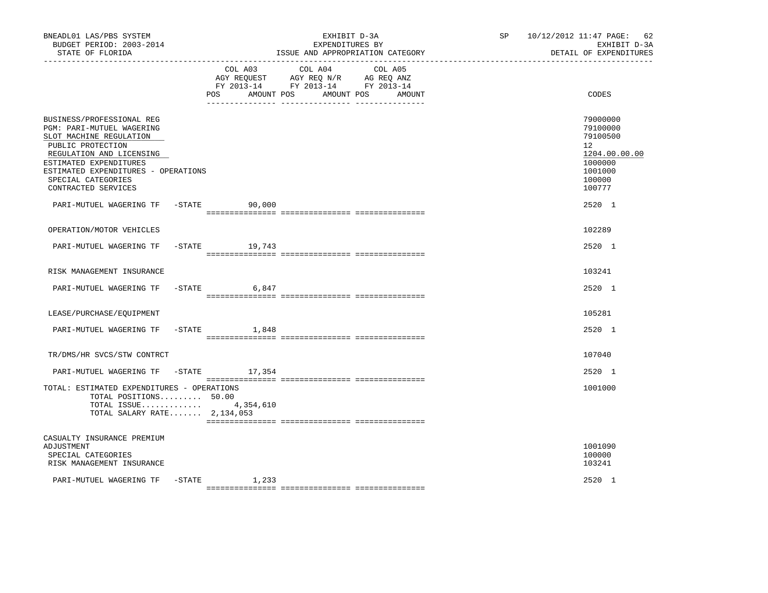| BNEADL01 LAS/PBS SYSTEM<br>BUDGET PERIOD: 2003-2014<br>STATE OF FLORIDA                                                                                                                                                                                 |                       | EXHIBIT D-3A<br>EXPENDITURES BY<br>ISSUE AND APPROPRIATION CATEGORY                                                                | SP <sub>2</sub> | 10/12/2012 11:47 PAGE: 62<br>EXHIBIT D-3A<br>DETAIL OF EXPENDITURES                                            |
|---------------------------------------------------------------------------------------------------------------------------------------------------------------------------------------------------------------------------------------------------------|-----------------------|------------------------------------------------------------------------------------------------------------------------------------|-----------------|----------------------------------------------------------------------------------------------------------------|
|                                                                                                                                                                                                                                                         | COL A03<br><b>POS</b> | COL A04<br>COL A05<br>AGY REQUEST AGY REQ N/R AG REQ ANZ<br>FY 2013-14 FY 2013-14 FY 2013-14<br>AMOUNT POS<br>AMOUNT POS<br>AMOUNT |                 | CODES                                                                                                          |
| BUSINESS/PROFESSIONAL REG<br><b>PGM: PARI-MUTUEL WAGERING</b><br>SLOT MACHINE REGULATION<br>PUBLIC PROTECTION<br>REGULATION AND LICENSING<br>ESTIMATED EXPENDITURES<br>ESTIMATED EXPENDITURES - OPERATIONS<br>SPECIAL CATEGORIES<br>CONTRACTED SERVICES |                       |                                                                                                                                    |                 | 79000000<br>79100000<br>79100500<br>12 <sup>°</sup><br>1204.00.00.00<br>1000000<br>1001000<br>100000<br>100777 |
| PARI-MUTUEL WAGERING TF                                                                                                                                                                                                                                 | $-STATE$<br>90,000    |                                                                                                                                    |                 | $2520 - 1$                                                                                                     |
| OPERATION/MOTOR VEHICLES                                                                                                                                                                                                                                |                       |                                                                                                                                    |                 | 102289                                                                                                         |
| PARI-MUTUEL WAGERING TF                                                                                                                                                                                                                                 | -STATE<br>19,743      |                                                                                                                                    |                 | 2520 1                                                                                                         |
| RISK MANAGEMENT INSURANCE                                                                                                                                                                                                                               |                       |                                                                                                                                    |                 | 103241                                                                                                         |
| PARI-MUTUEL WAGERING TF                                                                                                                                                                                                                                 | $-STATE$ 6,847        |                                                                                                                                    |                 | 2520 1                                                                                                         |
| LEASE/PURCHASE/EQUIPMENT                                                                                                                                                                                                                                |                       |                                                                                                                                    |                 | 105281                                                                                                         |
| PARI-MUTUEL WAGERING TF                                                                                                                                                                                                                                 | $-STATE$ 1,848        |                                                                                                                                    |                 | $2520 - 1$                                                                                                     |
| TR/DMS/HR SVCS/STW CONTRCT                                                                                                                                                                                                                              |                       |                                                                                                                                    |                 | 107040                                                                                                         |
| PARI-MUTUEL WAGERING TF                                                                                                                                                                                                                                 | -STATE 17,354         |                                                                                                                                    |                 | 2520 1                                                                                                         |
| TOTAL: ESTIMATED EXPENDITURES - OPERATIONS<br>TOTAL POSITIONS 50.00<br>TOTAL SALARY RATE $2,134,053$                                                                                                                                                    | TOTAL ISSUE 4,354,610 |                                                                                                                                    |                 | 1001000                                                                                                        |
| CASUALTY INSURANCE PREMIUM<br>ADJUSTMENT<br>SPECIAL CATEGORIES<br>RISK MANAGEMENT INSURANCE                                                                                                                                                             |                       |                                                                                                                                    |                 | 1001090<br>100000<br>103241                                                                                    |
| PARI-MUTUEL WAGERING TF                                                                                                                                                                                                                                 | -STATE<br>1,233       |                                                                                                                                    |                 | 2520 1                                                                                                         |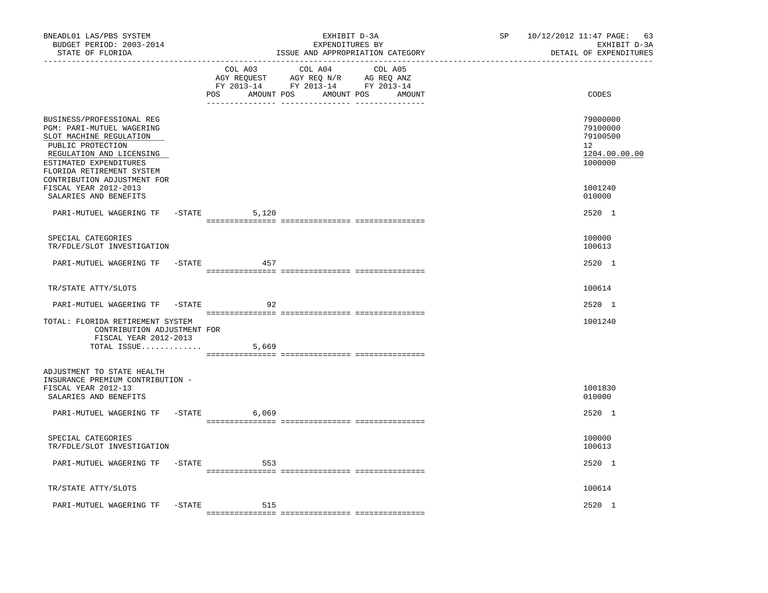| BNEADL01 LAS/PBS SYSTEM<br>BUDGET PERIOD: 2003-2014<br>STATE OF FLORIDA<br>----------------                                                                                                                              |           | ------------------------------ | EXHIBIT D-3A<br>EXPENDITURES BY<br>ISSUE AND APPROPRIATION CATEGORY                                                                                                                                                                                                                | SP<br>---------------------------- | 10/12/2012 11:47 PAGE: 63<br>EXHIBIT D-3A<br>DETAIL OF EXPENDITURES |
|--------------------------------------------------------------------------------------------------------------------------------------------------------------------------------------------------------------------------|-----------|--------------------------------|------------------------------------------------------------------------------------------------------------------------------------------------------------------------------------------------------------------------------------------------------------------------------------|------------------------------------|---------------------------------------------------------------------|
|                                                                                                                                                                                                                          |           | COL A03<br>AMOUNT POS<br>POS   | COL A04<br>COL A05<br>$\begin{tabular}{lllllll} \bf AGY \;\; RegUEST \hspace{1cm} AGY \;\; REG \;\; N/R \hspace{1cm} \bf AG \;\; REG \;\; ANZ \end{tabular}$ $\begin{tabular}{lllllllllll} \bf FY \;\; 2013-14 \hspace{1cm} FY \;\; 2013-14 \end{tabular}$<br>AMOUNT POS<br>AMOUNT |                                    | CODES                                                               |
| BUSINESS/PROFESSIONAL REG<br>PGM: PARI-MUTUEL WAGERING<br>SLOT MACHINE REGULATION<br>PUBLIC PROTECTION<br>REGULATION AND LICENSING<br>ESTIMATED EXPENDITURES<br>FLORIDA RETIREMENT SYSTEM<br>CONTRIBUTION ADJUSTMENT FOR |           |                                |                                                                                                                                                                                                                                                                                    |                                    | 79000000<br>79100000<br>79100500<br>12<br>1204.00.00.00<br>1000000  |
| FISCAL YEAR 2012-2013<br>SALARIES AND BENEFITS                                                                                                                                                                           |           |                                |                                                                                                                                                                                                                                                                                    |                                    | 1001240<br>010000                                                   |
| PARI-MUTUEL WAGERING TF -STATE                                                                                                                                                                                           |           | 5,120                          |                                                                                                                                                                                                                                                                                    |                                    | 2520 1                                                              |
| SPECIAL CATEGORIES<br>TR/FDLE/SLOT INVESTIGATION                                                                                                                                                                         |           |                                |                                                                                                                                                                                                                                                                                    |                                    | 100000<br>100613                                                    |
| PARI-MUTUEL WAGERING TF -STATE                                                                                                                                                                                           |           | 457                            |                                                                                                                                                                                                                                                                                    |                                    | 2520 1                                                              |
| TR/STATE ATTY/SLOTS                                                                                                                                                                                                      |           |                                |                                                                                                                                                                                                                                                                                    |                                    | 100614                                                              |
| PARI-MUTUEL WAGERING TF                                                                                                                                                                                                  | $-$ STATE | 92                             |                                                                                                                                                                                                                                                                                    |                                    | 2520 1                                                              |
| TOTAL: FLORIDA RETIREMENT SYSTEM<br>CONTRIBUTION ADJUSTMENT FOR<br>FISCAL YEAR 2012-2013                                                                                                                                 |           |                                |                                                                                                                                                                                                                                                                                    |                                    | 1001240                                                             |
| TOTAL ISSUE                                                                                                                                                                                                              |           | 5,669                          |                                                                                                                                                                                                                                                                                    |                                    |                                                                     |
| ADJUSTMENT TO STATE HEALTH<br>INSURANCE PREMIUM CONTRIBUTION -<br>FISCAL YEAR 2012-13<br>SALARIES AND BENEFITS                                                                                                           |           |                                |                                                                                                                                                                                                                                                                                    |                                    | 1001830<br>010000                                                   |
| PARI-MUTUEL WAGERING TF -STATE                                                                                                                                                                                           |           | 6,069                          |                                                                                                                                                                                                                                                                                    |                                    | 2520 1                                                              |
| SPECIAL CATEGORIES<br>TR/FDLE/SLOT INVESTIGATION                                                                                                                                                                         |           |                                |                                                                                                                                                                                                                                                                                    |                                    | 100000<br>100613                                                    |
| PARI-MUTUEL WAGERING TF -STATE                                                                                                                                                                                           |           | 553                            |                                                                                                                                                                                                                                                                                    |                                    | 2520 1                                                              |
| TR/STATE ATTY/SLOTS                                                                                                                                                                                                      |           |                                |                                                                                                                                                                                                                                                                                    |                                    | 100614                                                              |
| PARI-MUTUEL WAGERING TF                                                                                                                                                                                                  | $-$ STATE | 515                            |                                                                                                                                                                                                                                                                                    |                                    | 2520 1                                                              |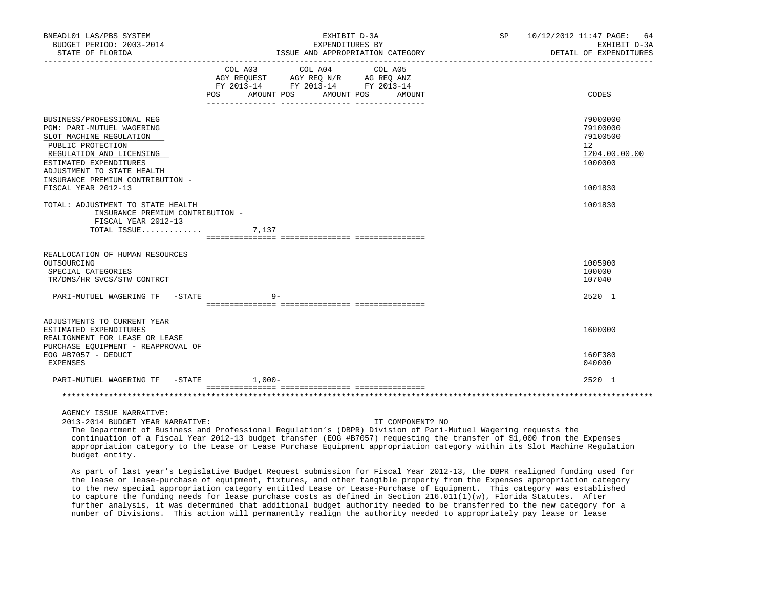| BNEADL01 LAS/PBS SYSTEM<br>BUDGET PERIOD: 2003-2014<br>STATE OF FLORIDA                                                                                                                                                                                                                                                                                                                                                                                |                       | EXHIBIT D-3A<br>EXPENDITURES BY<br>ISSUE AND APPROPRIATION CATEGORY  |         |                  | SP | 10/12/2012 11:47 PAGE:<br>64<br>EXHIBIT D-3A<br>DETAIL OF EXPENDITURES |
|--------------------------------------------------------------------------------------------------------------------------------------------------------------------------------------------------------------------------------------------------------------------------------------------------------------------------------------------------------------------------------------------------------------------------------------------------------|-----------------------|----------------------------------------------------------------------|---------|------------------|----|------------------------------------------------------------------------|
|                                                                                                                                                                                                                                                                                                                                                                                                                                                        | COL A03<br><b>POS</b> | COL A04<br>FY 2013-14 FY 2013-14 FY 2013-14<br>AMOUNT POS AMOUNT POS | COL A05 | AMOUNT           |    | CODES                                                                  |
|                                                                                                                                                                                                                                                                                                                                                                                                                                                        |                       |                                                                      |         |                  |    |                                                                        |
| BUSINESS/PROFESSIONAL REG<br><b>PGM: PARI-MUTUEL WAGERING</b><br>SLOT MACHINE REGULATION<br>PUBLIC PROTECTION<br>REGULATION AND LICENSING<br>ESTIMATED EXPENDITURES                                                                                                                                                                                                                                                                                    |                       |                                                                      |         |                  |    | 79000000<br>79100000<br>79100500<br>12<br>1204.00.00.00<br>1000000     |
| ADJUSTMENT TO STATE HEALTH<br>INSURANCE PREMIUM CONTRIBUTION -<br>FISCAL YEAR 2012-13                                                                                                                                                                                                                                                                                                                                                                  |                       |                                                                      |         |                  |    | 1001830                                                                |
|                                                                                                                                                                                                                                                                                                                                                                                                                                                        |                       |                                                                      |         |                  |    |                                                                        |
| TOTAL: ADJUSTMENT TO STATE HEALTH<br>INSURANCE PREMIUM CONTRIBUTION -<br>FISCAL YEAR 2012-13<br>TOTAL ISSUE                                                                                                                                                                                                                                                                                                                                            | 7,137                 |                                                                      |         |                  |    | 1001830                                                                |
| REALLOCATION OF HUMAN RESOURCES                                                                                                                                                                                                                                                                                                                                                                                                                        |                       |                                                                      |         |                  |    |                                                                        |
| OUTSOURCING<br>SPECIAL CATEGORIES<br>TR/DMS/HR SVCS/STW CONTRCT                                                                                                                                                                                                                                                                                                                                                                                        |                       |                                                                      |         |                  |    | 1005900<br>100000<br>107040                                            |
| PARI-MUTUEL WAGERING TF<br>-STATE                                                                                                                                                                                                                                                                                                                                                                                                                      | $9 -$                 |                                                                      |         |                  |    | 2520 1                                                                 |
|                                                                                                                                                                                                                                                                                                                                                                                                                                                        |                       |                                                                      |         |                  |    |                                                                        |
| ADJUSTMENTS TO CURRENT YEAR                                                                                                                                                                                                                                                                                                                                                                                                                            |                       |                                                                      |         |                  |    |                                                                        |
| ESTIMATED EXPENDITURES<br>REALIGNMENT FOR LEASE OR LEASE<br>PURCHASE EQUIPMENT - REAPPROVAL OF                                                                                                                                                                                                                                                                                                                                                         |                       |                                                                      |         |                  |    | 1600000                                                                |
| EOG #B7057 - DEDUCT<br>EXPENSES                                                                                                                                                                                                                                                                                                                                                                                                                        |                       |                                                                      |         |                  |    | 160F380<br>040000                                                      |
| PARI-MUTUEL WAGERING TF -STATE                                                                                                                                                                                                                                                                                                                                                                                                                         | $1,000-$              |                                                                      |         |                  |    | 2520 1                                                                 |
|                                                                                                                                                                                                                                                                                                                                                                                                                                                        |                       |                                                                      |         |                  |    |                                                                        |
|                                                                                                                                                                                                                                                                                                                                                                                                                                                        |                       |                                                                      |         |                  |    |                                                                        |
| AGENCY ISSUE NARRATIVE:<br>2013-2014 BUDGET YEAR NARRATIVE:<br>The Department of Business and Professional Regulation's (DBPR) Division of Pari-Mutuel Wagering requests the<br>continuation of a Fiscal Year 2012-13 budget transfer (EOG #B7057) requesting the transfer of \$1,000 from the Expenses<br>appropriation category to the Lease or Lease Purchase Equipment appropriation category within its Slot Machine Regulation<br>budget entity. |                       |                                                                      |         | IT COMPONENT? NO |    |                                                                        |
| As part of last year's Legislative Budget Request submission for Fiscal Year 2012-13, the DBPR realigned funding used for<br>the lease or lease-purchase of equipment, fixtures, and other tangible property from the Expenses appropriation category<br>to the new groatel eppressiption astessory entitled Leage or Leage-Durghase of Fruinment. This satessay was established                                                                       |                       |                                                                      |         |                  |    |                                                                        |

 to the new special appropriation category entitled Lease or Lease-Purchase of Equipment. This category was established to capture the funding needs for lease purchase costs as defined in Section 216.011(1)(w), Florida Statutes. After further analysis, it was determined that additional budget authority needed to be transferred to the new category for a number of Divisions. This action will permanently realign the authority needed to appropriately pay lease or lease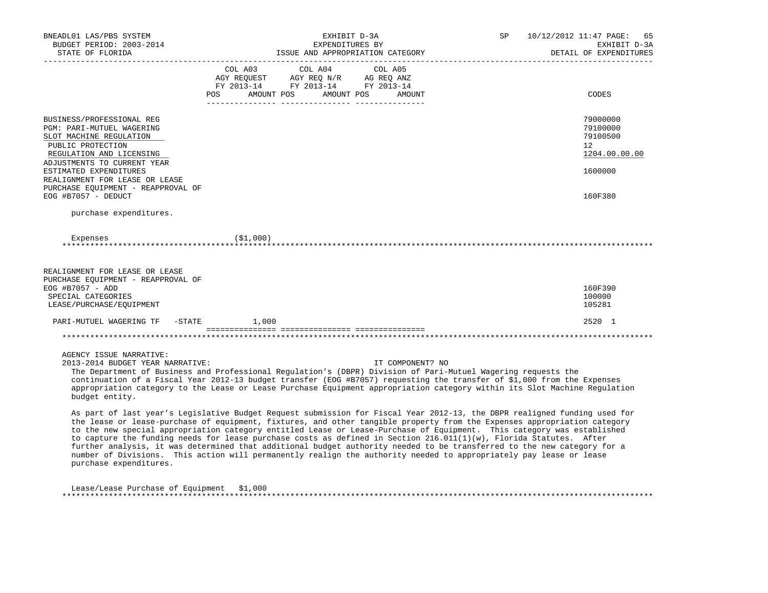| BNEADL01 LAS/PBS SYSTEM<br>BUDGET PERIOD: 2003-2014<br>STATE OF FLORIDA                                                                                                                                                                                                                                                                                                                                                                                                                                                                                                                                                                                                                                                                                                          |           | EXHIBIT D-3A<br>EXPENDITURES BY                                                   | ISSUE AND APPROPRIATION CATEGORY | SP | 10/12/2012 11:47 PAGE:<br>65<br>EXHIBIT D-3A<br>DETAIL OF EXPENDITURES |
|----------------------------------------------------------------------------------------------------------------------------------------------------------------------------------------------------------------------------------------------------------------------------------------------------------------------------------------------------------------------------------------------------------------------------------------------------------------------------------------------------------------------------------------------------------------------------------------------------------------------------------------------------------------------------------------------------------------------------------------------------------------------------------|-----------|-----------------------------------------------------------------------------------|----------------------------------|----|------------------------------------------------------------------------|
|                                                                                                                                                                                                                                                                                                                                                                                                                                                                                                                                                                                                                                                                                                                                                                                  | COL A03   | COL A04<br>AGY REQUEST AGY REQ N/R AG REQ ANZ<br>FY 2013-14 FY 2013-14 FY 2013-14 | COL A05                          |    |                                                                        |
|                                                                                                                                                                                                                                                                                                                                                                                                                                                                                                                                                                                                                                                                                                                                                                                  | POS       | AMOUNT POS AMOUNT POS                                                             | AMOUNT                           |    | CODES                                                                  |
| BUSINESS/PROFESSIONAL REG<br>PGM: PARI-MUTUEL WAGERING<br>SLOT MACHINE REGULATION<br>PUBLIC PROTECTION<br>REGULATION AND LICENSING                                                                                                                                                                                                                                                                                                                                                                                                                                                                                                                                                                                                                                               |           |                                                                                   |                                  |    | 79000000<br>79100000<br>79100500<br>$12^{\circ}$<br>1204.00.00.00      |
| ADJUSTMENTS TO CURRENT YEAR<br>ESTIMATED EXPENDITURES<br>REALIGNMENT FOR LEASE OR LEASE<br>PURCHASE EQUIPMENT - REAPPROVAL OF<br>EOG #B7057 - DEDUCT                                                                                                                                                                                                                                                                                                                                                                                                                                                                                                                                                                                                                             |           |                                                                                   |                                  |    | 1600000<br>160F380                                                     |
| purchase expenditures.                                                                                                                                                                                                                                                                                                                                                                                                                                                                                                                                                                                                                                                                                                                                                           |           |                                                                                   |                                  |    |                                                                        |
| Expenses<br>REALIGNMENT FOR LEASE OR LEASE<br>PURCHASE EOUIPMENT - REAPPROVAL OF<br>EOG #B7057 - ADD<br>SPECIAL CATEGORIES                                                                                                                                                                                                                                                                                                                                                                                                                                                                                                                                                                                                                                                       | (\$1,000) |                                                                                   |                                  |    | 160F390<br>100000                                                      |
| LEASE/PURCHASE/EQUIPMENT<br>PARI-MUTUEL WAGERING TF<br>$-$ STATE                                                                                                                                                                                                                                                                                                                                                                                                                                                                                                                                                                                                                                                                                                                 | 1,000     |                                                                                   |                                  |    | 105281<br>2520 1                                                       |
|                                                                                                                                                                                                                                                                                                                                                                                                                                                                                                                                                                                                                                                                                                                                                                                  |           |                                                                                   |                                  |    |                                                                        |
| AGENCY ISSUE NARRATIVE:<br>2013-2014 BUDGET YEAR NARRATIVE:<br>The Department of Business and Professional Regulation's (DBPR) Division of Pari-Mutuel Wagering requests the<br>continuation of a Fiscal Year 2012-13 budget transfer (EOG #B7057) requesting the transfer of \$1,000 from the Expenses<br>appropriation category to the Lease or Lease Purchase Equipment appropriation category within its Slot Machine Regulation<br>budget entity.                                                                                                                                                                                                                                                                                                                           |           |                                                                                   | IT COMPONENT? NO                 |    |                                                                        |
| As part of last year's Legislative Budget Request submission for Fiscal Year 2012-13, the DBPR realigned funding used for<br>the lease or lease-purchase of equipment, fixtures, and other tangible property from the Expenses appropriation category<br>to the new special appropriation category entitled Lease or Lease-Purchase of Equipment. This category was established<br>to capture the funding needs for lease purchase costs as defined in Section 216.011(1)(w), Florida Statutes. After<br>further analysis, it was determined that additional budget authority needed to be transferred to the new category for a<br>number of Divisions. This action will permanently realign the authority needed to appropriately pay lease or lease<br>purchase expenditures. |           |                                                                                   |                                  |    |                                                                        |
| Lease/Lease Purchase of Equipment \$1,000                                                                                                                                                                                                                                                                                                                                                                                                                                                                                                                                                                                                                                                                                                                                        |           |                                                                                   |                                  |    |                                                                        |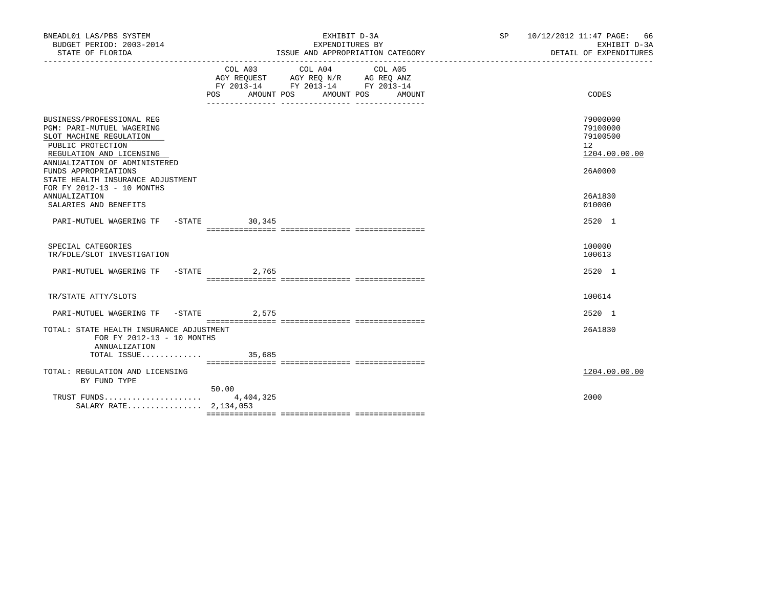| BNEADL01 LAS/PBS SYSTEM<br>BUDGET PERIOD: 2003-2014<br>STATE OF FLORIDA                                                                                                                            |                    | EXHIBIT D-3A<br>EXPENDITURES BY<br>ISSUE AND APPROPRIATION CATEGORY                                                       | SP 10/12/2012 11:47 PAGE: 66<br>EXHIBIT D-3A<br>DETAIL OF EXPENDITURES |
|----------------------------------------------------------------------------------------------------------------------------------------------------------------------------------------------------|--------------------|---------------------------------------------------------------------------------------------------------------------------|------------------------------------------------------------------------|
|                                                                                                                                                                                                    | POS<br>AMOUNT POS  | COL A03 COL A04 COL A05<br>AGY REOUEST AGY REO N/R AG REO ANZ<br>FY 2013-14 FY 2013-14 FY 2013-14<br>AMOUNT POS<br>AMOUNT | CODES                                                                  |
| BUSINESS/PROFESSIONAL REG<br><b>PGM: PARI-MUTUEL WAGERING</b><br>SLOT MACHINE REGULATION<br>PUBLIC PROTECTION<br>REGULATION AND LICENSING<br>ANNUALIZATION OF ADMINISTERED<br>FUNDS APPROPRIATIONS |                    |                                                                                                                           | 79000000<br>79100000<br>79100500<br>12<br>1204.00.00.00<br>26A0000     |
| STATE HEALTH INSURANCE ADJUSTMENT<br>FOR FY 2012-13 - 10 MONTHS<br>ANNUALIZATION<br>SALARIES AND BENEFITS                                                                                          |                    |                                                                                                                           | 26A1830<br>010000                                                      |
| PARI-MUTUEL WAGERING TF -STATE 30,345                                                                                                                                                              |                    |                                                                                                                           | 2520 1                                                                 |
| SPECIAL CATEGORIES<br>TR/FDLE/SLOT INVESTIGATION                                                                                                                                                   |                    |                                                                                                                           | 100000<br>100613                                                       |
| PARI-MUTUEL WAGERING TF -STATE 2,765                                                                                                                                                               |                    |                                                                                                                           | 2520 1                                                                 |
| TR/STATE ATTY/SLOTS                                                                                                                                                                                |                    |                                                                                                                           | 100614                                                                 |
| PARI-MUTUEL WAGERING TF -STATE 2,575                                                                                                                                                               |                    |                                                                                                                           | 2520 1                                                                 |
| TOTAL: STATE HEALTH INSURANCE ADJUSTMENT<br>FOR FY 2012-13 - 10 MONTHS<br>ANNUALIZATION                                                                                                            |                    |                                                                                                                           | 26A1830                                                                |
| TOTAL ISSUE                                                                                                                                                                                        | 35,685             |                                                                                                                           |                                                                        |
| TOTAL: REGULATION AND LICENSING<br>BY FUND TYPE                                                                                                                                                    |                    |                                                                                                                           | 1204.00.00.00                                                          |
| TRUST FUNDS<br>SALARY RATE 2,134,053                                                                                                                                                               | 50.00<br>4,404,325 |                                                                                                                           | 2000                                                                   |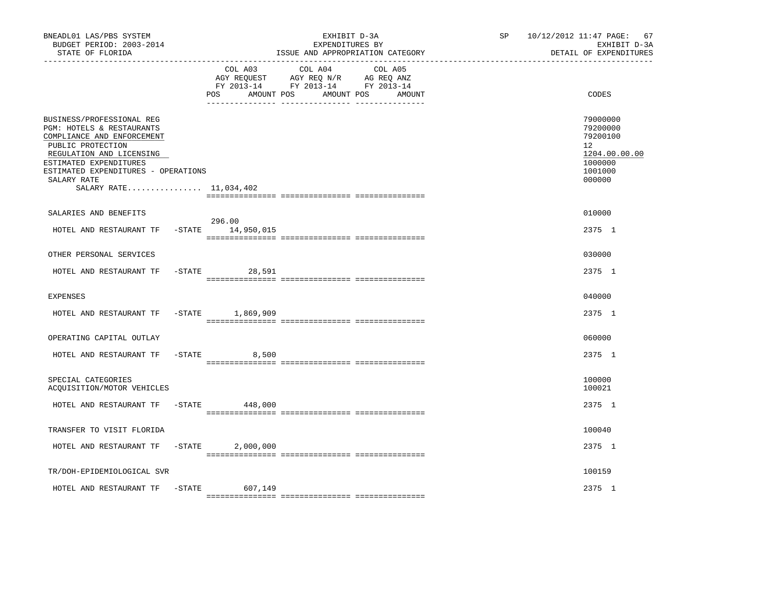| BNEADL01 LAS/PBS SYSTEM<br>BUDGET PERIOD: 2003-2014<br>STATE OF FLORIDA                                                                                                                                                                         |           |                               | EXHIBIT D-3A<br>EXPENDITURES BY<br>ISSUE AND APPROPRIATION CATEGORY                                                  | SP | 10/12/2012 11:47 PAGE: 67<br>EXHIBIT D-3A<br>DETAIL OF EXPENDITURES                     |
|-------------------------------------------------------------------------------------------------------------------------------------------------------------------------------------------------------------------------------------------------|-----------|-------------------------------|----------------------------------------------------------------------------------------------------------------------|----|-----------------------------------------------------------------------------------------|
|                                                                                                                                                                                                                                                 |           | COL A03<br>AMOUNT POS<br>POS. | COL A04<br>COL A05<br>AGY REQUEST AGY REQ N/R AG REQ ANZ<br>FY 2013-14 FY 2013-14 FY 2013-14<br>AMOUNT POS<br>AMOUNT |    | CODES                                                                                   |
| BUSINESS/PROFESSIONAL REG<br>PGM: HOTELS & RESTAURANTS<br>COMPLIANCE AND ENFORCEMENT<br>PUBLIC PROTECTION<br>REGULATION AND LICENSING<br>ESTIMATED EXPENDITURES<br>ESTIMATED EXPENDITURES - OPERATIONS<br>SALARY RATE<br>SALARY RATE 11,034,402 |           |                               |                                                                                                                      |    | 79000000<br>79200000<br>79200100<br>12<br>1204.00.00.00<br>1000000<br>1001000<br>000000 |
| SALARIES AND BENEFITS                                                                                                                                                                                                                           |           |                               |                                                                                                                      |    | 010000                                                                                  |
| HOTEL AND RESTAURANT TF -STATE 14,950,015                                                                                                                                                                                                       |           | 296.00                        |                                                                                                                      |    | 2375 1                                                                                  |
| OTHER PERSONAL SERVICES                                                                                                                                                                                                                         |           |                               |                                                                                                                      |    | 030000                                                                                  |
| HOTEL AND RESTAURANT TF                                                                                                                                                                                                                         |           | $-STATE$<br>28,591            |                                                                                                                      |    | 2375 1                                                                                  |
| <b>EXPENSES</b>                                                                                                                                                                                                                                 |           |                               |                                                                                                                      |    | 040000                                                                                  |
| HOTEL AND RESTAURANT TF                                                                                                                                                                                                                         |           | -STATE 1,869,909              |                                                                                                                      |    | 2375 1                                                                                  |
| OPERATING CAPITAL OUTLAY                                                                                                                                                                                                                        |           |                               |                                                                                                                      |    | 060000                                                                                  |
| HOTEL AND RESTAURANT TF                                                                                                                                                                                                                         |           | $-$ STATE<br>8,500            |                                                                                                                      |    | 2375 1                                                                                  |
| SPECIAL CATEGORIES<br>ACQUISITION/MOTOR VEHICLES                                                                                                                                                                                                |           |                               |                                                                                                                      |    | 100000<br>100021                                                                        |
| HOTEL AND RESTAURANT TF                                                                                                                                                                                                                         | $-$ STATE | 448,000                       |                                                                                                                      |    | 2375 1                                                                                  |
| TRANSFER TO VISIT FLORIDA                                                                                                                                                                                                                       |           |                               |                                                                                                                      |    | 100040                                                                                  |
| HOTEL AND RESTAURANT TF                                                                                                                                                                                                                         | $-STATE$  | 2,000,000                     |                                                                                                                      |    | 2375 1                                                                                  |
| TR/DOH-EPIDEMIOLOGICAL SVR                                                                                                                                                                                                                      |           |                               |                                                                                                                      |    | 100159                                                                                  |
| HOTEL AND RESTAURANT TF                                                                                                                                                                                                                         | -STATE    | 607,149                       |                                                                                                                      |    | 2375 1                                                                                  |
|                                                                                                                                                                                                                                                 |           |                               |                                                                                                                      |    |                                                                                         |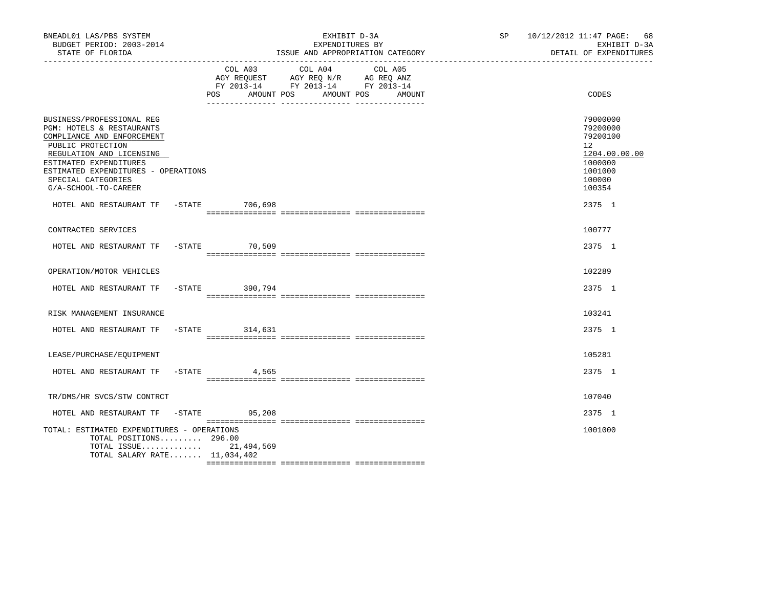| BNEADL01 LAS/PBS SYSTEM<br>BUDGET PERIOD: 2003-2014<br>STATE OF FLORIDA<br>--------------------                                                                                                                                                      |                              | EXHIBIT D-3A<br>EXPENDITURES BY<br>ISSUE AND APPROPRIATION CATEGORY                                                  | SP 10/12/2012 11:47 PAGE: 68<br>EXHIBIT D-3A<br>DETAIL OF EXPENDITURES                            |
|------------------------------------------------------------------------------------------------------------------------------------------------------------------------------------------------------------------------------------------------------|------------------------------|----------------------------------------------------------------------------------------------------------------------|---------------------------------------------------------------------------------------------------|
|                                                                                                                                                                                                                                                      | COL A03<br>POS<br>AMOUNT POS | COL A04<br>COL A05<br>AGY REQUEST AGY REQ N/R AG REQ ANZ<br>FY 2013-14 FY 2013-14 FY 2013-14<br>AMOUNT POS<br>AMOUNT | CODES                                                                                             |
| BUSINESS/PROFESSIONAL REG<br>PGM: HOTELS & RESTAURANTS<br>COMPLIANCE AND ENFORCEMENT<br>PUBLIC PROTECTION<br>REGULATION AND LICENSING<br>ESTIMATED EXPENDITURES<br>ESTIMATED EXPENDITURES - OPERATIONS<br>SPECIAL CATEGORIES<br>G/A-SCHOOL-TO-CAREER |                              |                                                                                                                      | 79000000<br>79200000<br>79200100<br>12<br>1204.00.00.00<br>1000000<br>1001000<br>100000<br>100354 |
| HOTEL AND RESTAURANT TF -STATE 706,698                                                                                                                                                                                                               |                              |                                                                                                                      | 2375 1                                                                                            |
| CONTRACTED SERVICES                                                                                                                                                                                                                                  |                              |                                                                                                                      | 100777                                                                                            |
| HOTEL AND RESTAURANT TF -STATE 70,509                                                                                                                                                                                                                |                              |                                                                                                                      | 2375 1                                                                                            |
| OPERATION/MOTOR VEHICLES                                                                                                                                                                                                                             |                              |                                                                                                                      | 102289                                                                                            |
| HOTEL AND RESTAURANT TF                                                                                                                                                                                                                              | -STATE 390,794               |                                                                                                                      | 2375 1                                                                                            |
| RISK MANAGEMENT INSURANCE                                                                                                                                                                                                                            |                              |                                                                                                                      | 103241                                                                                            |
| HOTEL AND RESTAURANT TF -STATE 314,631                                                                                                                                                                                                               |                              |                                                                                                                      | 2375 1                                                                                            |
| LEASE/PURCHASE/EOUIPMENT                                                                                                                                                                                                                             |                              |                                                                                                                      | 105281                                                                                            |
| HOTEL AND RESTAURANT TF                                                                                                                                                                                                                              | $-$ STATE 4,565              |                                                                                                                      | 2375 1                                                                                            |
| TR/DMS/HR SVCS/STW CONTRCT                                                                                                                                                                                                                           |                              |                                                                                                                      | 107040                                                                                            |
| HOTEL AND RESTAURANT TF                                                                                                                                                                                                                              | $-$ STATE 95,208             |                                                                                                                      | 2375 1                                                                                            |
| TOTAL: ESTIMATED EXPENDITURES - OPERATIONS<br>TOTAL POSITIONS $296.00$<br>TOTAL SALARY RATE 11,034,402                                                                                                                                               | TOTAL ISSUE 21,494,569       |                                                                                                                      | 1001000                                                                                           |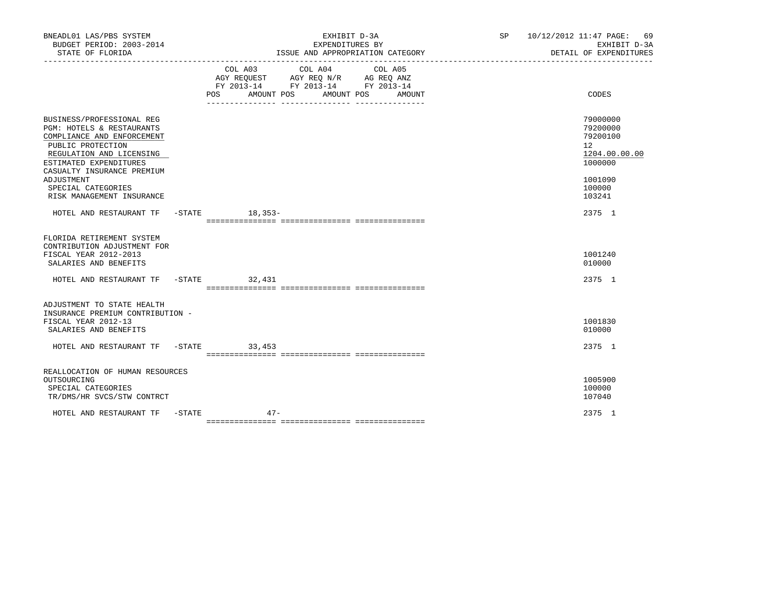| BNEADL01 LAS/PBS SYSTEM<br>BUDGET PERIOD: 2003-2014<br>STATE OF FLORIDA                                                                                                                                                           | EXHIBIT D-3A<br>EXPENDITURES BY<br>ISSUE AND APPROPRIATION CATEGORY                                                                      | SP 10/12/2012 11:47 PAGE: 69<br>EXHIBIT D-3A<br>DETAIL OF EXPENDITURES                               |
|-----------------------------------------------------------------------------------------------------------------------------------------------------------------------------------------------------------------------------------|------------------------------------------------------------------------------------------------------------------------------------------|------------------------------------------------------------------------------------------------------|
|                                                                                                                                                                                                                                   | COL A03 COL A04 COL A05<br>AGY REQUEST AGY REQ N/R AG REQ ANZ<br>FY 2013-14 FY 2013-14 FY 2013-14<br>AMOUNT POS AMOUNT POS AMOUNT<br>POS | CODES                                                                                                |
| BUSINESS/PROFESSIONAL REG<br>PGM: HOTELS & RESTAURANTS<br>COMPLIANCE AND ENFORCEMENT<br>PUBLIC PROTECTION<br>REGULATION AND LICENSING<br>ESTIMATED EXPENDITURES<br>CASUALTY INSURANCE PREMIUM<br>ADJUSTMENT<br>SPECIAL CATEGORIES |                                                                                                                                          | 79000000<br>79200000<br>79200100<br>12 <sup>2</sup><br>1204.00.00.00<br>1000000<br>1001090<br>100000 |
| RISK MANAGEMENT INSURANCE<br>HOTEL AND RESTAURANT TF -STATE 18,353-                                                                                                                                                               |                                                                                                                                          | 103241<br>2375 1                                                                                     |
| FLORIDA RETIREMENT SYSTEM<br>CONTRIBUTION ADJUSTMENT FOR<br>FISCAL YEAR 2012-2013<br>SALARIES AND BENEFITS                                                                                                                        |                                                                                                                                          | 1001240<br>010000                                                                                    |
| HOTEL AND RESTAURANT TF -STATE 32,431                                                                                                                                                                                             |                                                                                                                                          | 2375 1                                                                                               |
| ADJUSTMENT TO STATE HEALTH<br>INSURANCE PREMIUM CONTRIBUTION -<br>FISCAL YEAR 2012-13<br>SALARIES AND BENEFITS                                                                                                                    |                                                                                                                                          | 1001830<br>010000                                                                                    |
| HOTEL AND RESTAURANT TF -STATE 33,453                                                                                                                                                                                             |                                                                                                                                          | 2375 1                                                                                               |
| REALLOCATION OF HUMAN RESOURCES<br>OUTSOURCING<br>SPECIAL CATEGORIES<br>TR/DMS/HR SVCS/STW CONTRCT                                                                                                                                |                                                                                                                                          | 1005900<br>100000<br>107040                                                                          |
| HOTEL AND RESTAURANT TF -STATE                                                                                                                                                                                                    | $47-$                                                                                                                                    | 2375 1                                                                                               |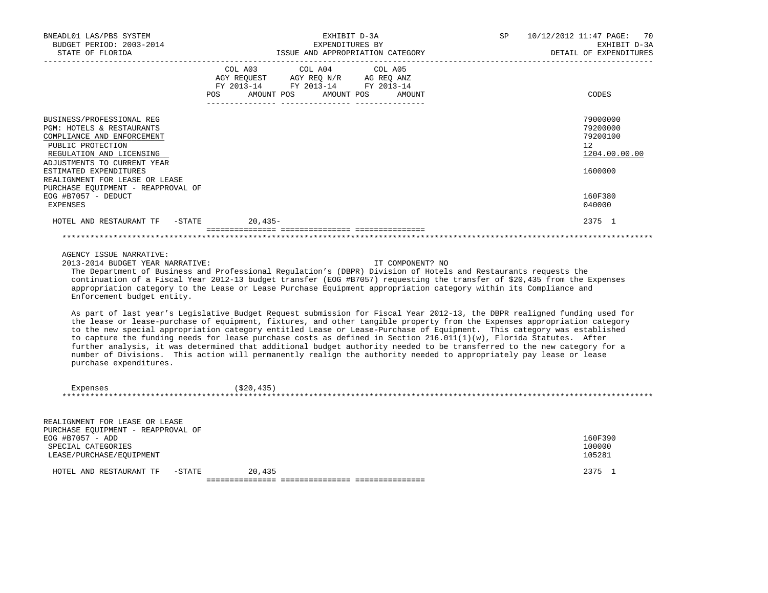| BNEADL01 LAS/PBS SYSTEM<br>BUDGET PERIOD: 2003-2014<br>STATE OF FLORIDA<br>----------------                                                                                                                                                                                                                                                                                                                                                                                                                                                                                                                                                                                                                                                                                      |                                                                                                        | EXHIBIT D-3A<br>EXPENDITURES BY<br>ISSUE AND APPROPRIATION CATEGORY | SP. | 10/12/2012 11:47 PAGE: | -70<br>EXHIBIT D-3A<br>DETAIL OF EXPENDITURES           |
|----------------------------------------------------------------------------------------------------------------------------------------------------------------------------------------------------------------------------------------------------------------------------------------------------------------------------------------------------------------------------------------------------------------------------------------------------------------------------------------------------------------------------------------------------------------------------------------------------------------------------------------------------------------------------------------------------------------------------------------------------------------------------------|--------------------------------------------------------------------------------------------------------|---------------------------------------------------------------------|-----|------------------------|---------------------------------------------------------|
|                                                                                                                                                                                                                                                                                                                                                                                                                                                                                                                                                                                                                                                                                                                                                                                  | COL A03<br>AGY REQUEST AGY REQ N/R AG REQ ANZ<br>FY 2013-14 FY 2013-14 FY 2013-14<br>POS<br>AMOUNT POS | COL A04<br>COL A05<br>AMOUNT POS<br>AMOUNT                          |     |                        | CODES                                                   |
|                                                                                                                                                                                                                                                                                                                                                                                                                                                                                                                                                                                                                                                                                                                                                                                  |                                                                                                        |                                                                     |     |                        |                                                         |
| BUSINESS/PROFESSIONAL REG<br>PGM: HOTELS & RESTAURANTS<br>COMPLIANCE AND ENFORCEMENT<br>PUBLIC PROTECTION<br>REGULATION AND LICENSING                                                                                                                                                                                                                                                                                                                                                                                                                                                                                                                                                                                                                                            |                                                                                                        |                                                                     |     |                        | 79000000<br>79200000<br>79200100<br>12<br>1204.00.00.00 |
| ADJUSTMENTS TO CURRENT YEAR<br>ESTIMATED EXPENDITURES<br>REALIGNMENT FOR LEASE OR LEASE<br>PURCHASE EQUIPMENT - REAPPROVAL OF                                                                                                                                                                                                                                                                                                                                                                                                                                                                                                                                                                                                                                                    |                                                                                                        |                                                                     |     |                        | 1600000                                                 |
| EOG #B7057 - DEDUCT<br>EXPENSES                                                                                                                                                                                                                                                                                                                                                                                                                                                                                                                                                                                                                                                                                                                                                  |                                                                                                        |                                                                     |     |                        | 160F380<br>040000                                       |
| HOTEL AND RESTAURANT TF -STATE                                                                                                                                                                                                                                                                                                                                                                                                                                                                                                                                                                                                                                                                                                                                                   | 20,435-                                                                                                |                                                                     |     |                        | 2375 1                                                  |
|                                                                                                                                                                                                                                                                                                                                                                                                                                                                                                                                                                                                                                                                                                                                                                                  |                                                                                                        |                                                                     |     |                        |                                                         |
| AGENCY ISSUE NARRATIVE:<br>2013-2014 BUDGET YEAR NARRATIVE:<br>The Department of Business and Professional Regulation's (DBPR) Division of Hotels and Restaurants requests the<br>continuation of a Fiscal Year 2012-13 budget transfer (EOG #B7057) requesting the transfer of \$20,435 from the Expenses<br>appropriation category to the Lease or Lease Purchase Equipment appropriation category within its Compliance and<br>Enforcement budget entity.                                                                                                                                                                                                                                                                                                                     |                                                                                                        | IT COMPONENT? NO                                                    |     |                        |                                                         |
| As part of last year's Legislative Budget Request submission for Fiscal Year 2012-13, the DBPR realigned funding used for<br>the lease or lease-purchase of equipment, fixtures, and other tangible property from the Expenses appropriation category<br>to the new special appropriation category entitled Lease or Lease-Purchase of Equipment. This category was established<br>to capture the funding needs for lease purchase costs as defined in Section 216.011(1)(w), Florida Statutes. After<br>further analysis, it was determined that additional budget authority needed to be transferred to the new category for a<br>number of Divisions. This action will permanently realign the authority needed to appropriately pay lease or lease<br>purchase expenditures. |                                                                                                        |                                                                     |     |                        |                                                         |
| Expenses                                                                                                                                                                                                                                                                                                                                                                                                                                                                                                                                                                                                                                                                                                                                                                         | (\$20,435)                                                                                             |                                                                     |     |                        |                                                         |
| REALIGNMENT FOR LEASE OR LEASE<br>PURCHASE EQUIPMENT - REAPPROVAL OF<br>EOG #B7057 - ADD<br>SPECIAL CATEGORIES<br>LEASE/PURCHASE/EQUIPMENT                                                                                                                                                                                                                                                                                                                                                                                                                                                                                                                                                                                                                                       |                                                                                                        |                                                                     |     |                        | 160F390<br>100000<br>105281                             |
| $-STATE$<br>HOTEL AND RESTAURANT TF                                                                                                                                                                                                                                                                                                                                                                                                                                                                                                                                                                                                                                                                                                                                              | 20,435                                                                                                 |                                                                     |     |                        | 2375 1                                                  |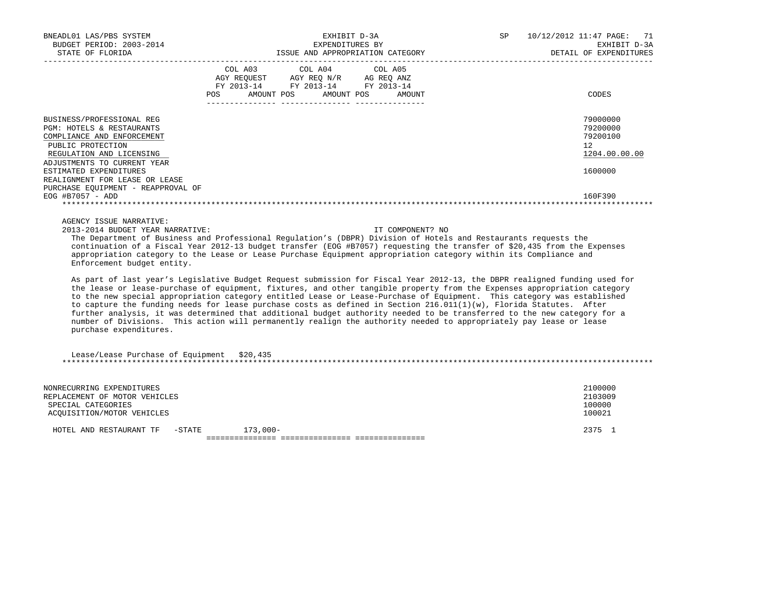| BNEADL01 LAS/PBS SYSTEM<br>EXPENDITURES DI<br>BUDGET PERIOD: 2003-2014<br>CERTION CATEGORY                                                                                                                                                                                                                                                                                                                                                                                                                                                                                                                                                                                                                                                                                       |                | EXHIBIT D-3A                                                                                               |                   | SP | 10/12/2012 11:47 PAGE:<br>71<br>EXHIBIT D-3A<br>DETAIL OF EXPENDITURES |
|----------------------------------------------------------------------------------------------------------------------------------------------------------------------------------------------------------------------------------------------------------------------------------------------------------------------------------------------------------------------------------------------------------------------------------------------------------------------------------------------------------------------------------------------------------------------------------------------------------------------------------------------------------------------------------------------------------------------------------------------------------------------------------|----------------|------------------------------------------------------------------------------------------------------------|-------------------|----|------------------------------------------------------------------------|
|                                                                                                                                                                                                                                                                                                                                                                                                                                                                                                                                                                                                                                                                                                                                                                                  | COL A03<br>POS | COL A04<br>AGY REQUEST AGY REQ N/R AG REQ ANZ<br>FY 2013-14 FY 2013-14 FY 2013-14<br>AMOUNT POS AMOUNT POS | COL A05<br>AMOUNT |    | CODES                                                                  |
| BUSINESS/PROFESSIONAL REG<br>PGM: HOTELS & RESTAURANTS<br>COMPLIANCE AND ENFORCEMENT<br>PUBLIC PROTECTION<br>REGULATION AND LICENSING<br>ADJUSTMENTS TO CURRENT YEAR<br>ESTIMATED EXPENDITURES<br>REALIGNMENT FOR LEASE OR LEASE<br>PURCHASE EQUIPMENT - REAPPROVAL OF                                                                                                                                                                                                                                                                                                                                                                                                                                                                                                           |                |                                                                                                            |                   |    | 79000000<br>79200000<br>79200100<br>12<br>1204.00.00.00<br>1600000     |
| EOG #B7057 - ADD<br>AGENCY ISSUE NARRATIVE:<br>2013-2014 BUDGET YEAR NARRATIVE:<br>The Department of Business and Professional Regulation's (DBPR) Division of Hotels and Restaurants requests the<br>continuation of a Fiscal Year 2012-13 budget transfer (EOG #B7057) requesting the transfer of \$20,435 from the Expenses<br>appropriation category to the Lease or Lease Purchase Equipment appropriation category within its Compliance and<br>Enforcement budget entity.                                                                                                                                                                                                                                                                                                 |                |                                                                                                            | IT COMPONENT? NO  |    | 160F390                                                                |
| As part of last year's Legislative Budget Request submission for Fiscal Year 2012-13, the DBPR realigned funding used for<br>the lease or lease-purchase of equipment, fixtures, and other tangible property from the Expenses appropriation category<br>to the new special appropriation category entitled Lease or Lease-Purchase of Equipment. This category was established<br>to capture the funding needs for lease purchase costs as defined in Section 216.011(1)(w), Florida Statutes. After<br>further analysis, it was determined that additional budget authority needed to be transferred to the new category for a<br>number of Divisions. This action will permanently realign the authority needed to appropriately pay lease or lease<br>purchase expenditures. |                |                                                                                                            |                   |    |                                                                        |
| Lease/Lease Purchase of Equipment \$20,435                                                                                                                                                                                                                                                                                                                                                                                                                                                                                                                                                                                                                                                                                                                                       |                |                                                                                                            |                   |    |                                                                        |
| NONRECURRING EXPENDITURES<br>REPLACEMENT OF MOTOR VEHICLES<br>SPECIAL CATEGORIES<br>ACQUISITION/MOTOR VEHICLES                                                                                                                                                                                                                                                                                                                                                                                                                                                                                                                                                                                                                                                                   |                |                                                                                                            |                   |    | 2100000<br>2103009<br>100000<br>100021                                 |
| HOTEL AND RESTAURANT TF<br>$-\mathtt{STATE}$                                                                                                                                                                                                                                                                                                                                                                                                                                                                                                                                                                                                                                                                                                                                     | $173,000-$     |                                                                                                            |                   |    | 2375 1                                                                 |

=============== =============== ===============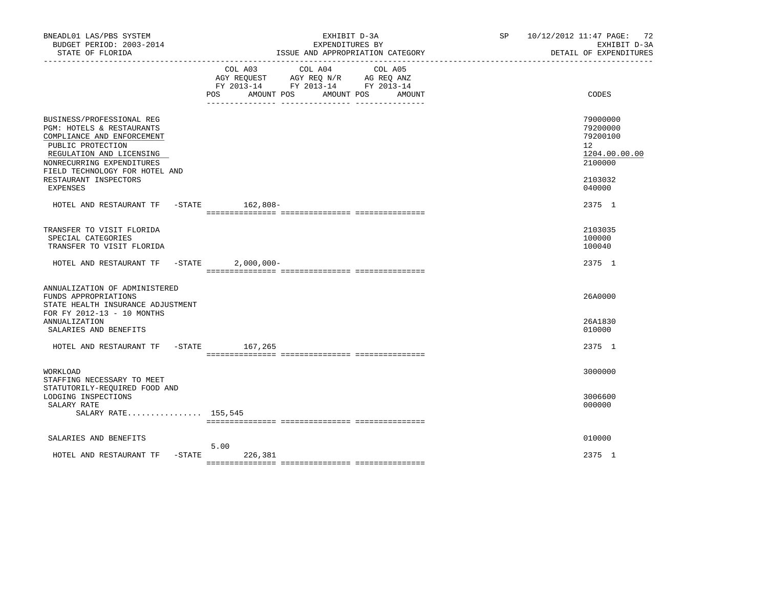| BNEADL01 LAS/PBS SYSTEM<br>BUDGET PERIOD: 2003-2014<br>STATE OF FLORIDA                                                                                                                                                                   | EXHIBIT D-3A<br>EXPENDITURES BY<br>ISSUE AND APPROPRIATION CATEGORY                                                                                  | SP 10/12/2012 11:47 PAGE: 72<br>EXHIBIT D-3A<br>DETAIL OF EXPENDITURES                               |
|-------------------------------------------------------------------------------------------------------------------------------------------------------------------------------------------------------------------------------------------|------------------------------------------------------------------------------------------------------------------------------------------------------|------------------------------------------------------------------------------------------------------|
|                                                                                                                                                                                                                                           | COL A04<br>COL A03<br>COL A05<br>AGY REQUEST AGY REQ N/R AG REQ ANZ<br>FY 2013-14 FY 2013-14 FY 2013-14<br>AMOUNT POS<br>POS<br>AMOUNT POS<br>AMOUNT | CODES                                                                                                |
| BUSINESS/PROFESSIONAL REG<br>PGM: HOTELS & RESTAURANTS<br>COMPLIANCE AND ENFORCEMENT<br>PUBLIC PROTECTION<br>REGULATION AND LICENSING<br>NONRECURRING EXPENDITURES<br>FIELD TECHNOLOGY FOR HOTEL AND<br>RESTAURANT INSPECTORS<br>EXPENSES |                                                                                                                                                      | 79000000<br>79200000<br>79200100<br>12 <sup>°</sup><br>1204.00.00.00<br>2100000<br>2103032<br>040000 |
| HOTEL AND RESTAURANT TF -STATE 162,808-                                                                                                                                                                                                   |                                                                                                                                                      | 2375 1                                                                                               |
| TRANSFER TO VISIT FLORIDA<br>SPECIAL CATEGORIES<br>TRANSFER TO VISIT FLORIDA                                                                                                                                                              |                                                                                                                                                      | 2103035<br>100000<br>100040                                                                          |
| HOTEL AND RESTAURANT TF -STATE                                                                                                                                                                                                            | $2,000,000-$                                                                                                                                         | 2375 1                                                                                               |
| ANNUALIZATION OF ADMINISTERED<br>FUNDS APPROPRIATIONS<br>STATE HEALTH INSURANCE ADJUSTMENT<br>FOR FY 2012-13 - 10 MONTHS<br><b>ANNUALIZATION</b>                                                                                          |                                                                                                                                                      | 26A0000<br>26A1830                                                                                   |
| SALARIES AND BENEFITS                                                                                                                                                                                                                     |                                                                                                                                                      | 010000                                                                                               |
| HOTEL AND RESTAURANT TF -STATE 167,265                                                                                                                                                                                                    |                                                                                                                                                      | 2375 1                                                                                               |
| WORKLOAD<br>STAFFING NECESSARY TO MEET<br>STATUTORILY-REOUIRED FOOD AND                                                                                                                                                                   |                                                                                                                                                      | 3000000                                                                                              |
| LODGING INSPECTIONS<br>SALARY RATE<br>SALARY RATE 155,545                                                                                                                                                                                 |                                                                                                                                                      | 3006600<br>000000                                                                                    |
| SALARIES AND BENEFITS                                                                                                                                                                                                                     |                                                                                                                                                      | 010000                                                                                               |
| $-$ STATE<br>HOTEL AND RESTAURANT TF                                                                                                                                                                                                      | 5.00<br>226,381                                                                                                                                      | 2375 1                                                                                               |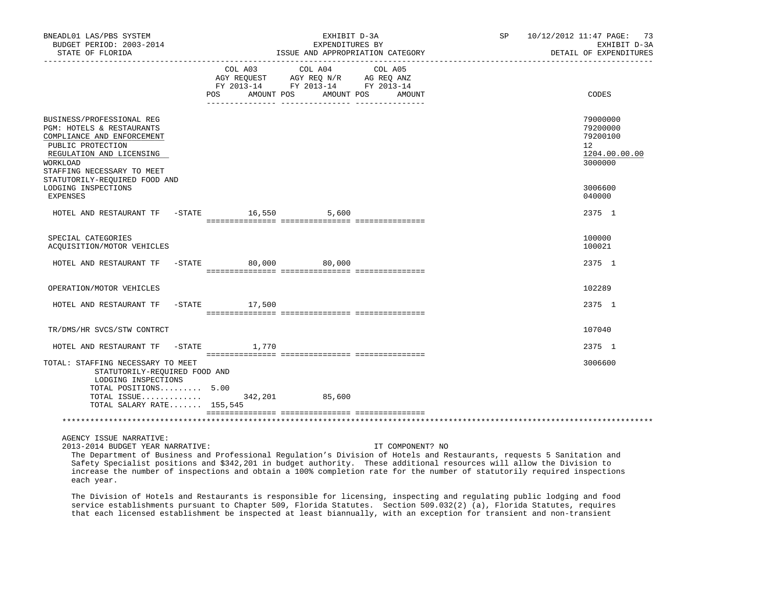| BNEADL01 LAS/PBS SYSTEM<br>BUDGET PERIOD: 2003-2014<br>STATE OF FLORIDA                                                                                                                                          |         | EXHIBIT D-3A<br>EXPENDITURES BY<br>ISSUE AND APPROPRIATION CATEGORY                                                              | SP 10/12/2012 11:47 PAGE: 73<br>EXHIBIT D-3A<br>DETAIL OF EXPENDITURES          |
|------------------------------------------------------------------------------------------------------------------------------------------------------------------------------------------------------------------|---------|----------------------------------------------------------------------------------------------------------------------------------|---------------------------------------------------------------------------------|
|                                                                                                                                                                                                                  | COL A03 | COL A04<br>COL A05<br>AGY REQUEST AGY REQ N/R AG REQ ANZ<br>FY 2013-14 FY 2013-14 FY 2013-14<br>POS AMOUNT POS AMOUNT POS AMOUNT | CODES                                                                           |
| BUSINESS/PROFESSIONAL REG<br>PGM: HOTELS & RESTAURANTS<br>COMPLIANCE AND ENFORCEMENT<br>PUBLIC PROTECTION<br>REGULATION AND LICENSING<br>WORKLOAD<br>STAFFING NECESSARY TO MEET<br>STATUTORILY-REQUIRED FOOD AND |         |                                                                                                                                  | 79000000<br>79200000<br>79200100<br>12 <sup>7</sup><br>1204.00.00.00<br>3000000 |
| LODGING INSPECTIONS<br>EXPENSES<br>HOTEL AND RESTAURANT TF -STATE 16,550 5,600                                                                                                                                   |         |                                                                                                                                  | 3006600<br>040000<br>2375 1                                                     |
|                                                                                                                                                                                                                  |         |                                                                                                                                  |                                                                                 |
| SPECIAL CATEGORIES<br>ACQUISITION/MOTOR VEHICLES                                                                                                                                                                 |         |                                                                                                                                  | 100000<br>100021                                                                |
| HOTEL AND RESTAURANT TF -STATE 80,000 80,000                                                                                                                                                                     |         |                                                                                                                                  | 2375 1                                                                          |
| OPERATION/MOTOR VEHICLES                                                                                                                                                                                         |         |                                                                                                                                  | 102289                                                                          |
| HOTEL AND RESTAURANT TF -STATE 17,500                                                                                                                                                                            |         |                                                                                                                                  | 2375 1                                                                          |
| TR/DMS/HR SVCS/STW CONTRCT                                                                                                                                                                                       |         |                                                                                                                                  | 107040                                                                          |
| HOTEL AND RESTAURANT TF -STATE 1,770                                                                                                                                                                             |         |                                                                                                                                  | 2375 1                                                                          |
| TOTAL: STAFFING NECESSARY TO MEET<br>STATUTORILY-REQUIRED FOOD AND<br>LODGING INSPECTIONS<br>TOTAL POSITIONS 5.00                                                                                                |         |                                                                                                                                  | 3006600                                                                         |
| TOTAL ISSUE 342,201 85,600<br>TOTAL SALARY RATE 155,545                                                                                                                                                          |         |                                                                                                                                  |                                                                                 |
|                                                                                                                                                                                                                  |         | *********************                                                                                                            |                                                                                 |

AGENCY ISSUE NARRATIVE:

2013-2014 BUDGET YEAR NARRATIVE: IT COMPONENT? NO

 The Department of Business and Professional Regulation's Division of Hotels and Restaurants, requests 5 Sanitation and Safety Specialist positions and \$342,201 in budget authority. These additional resources will allow the Division to increase the number of inspections and obtain a 100% completion rate for the number of statutorily required inspections each year.

 The Division of Hotels and Restaurants is responsible for licensing, inspecting and regulating public lodging and food service establishments pursuant to Chapter 509, Florida Statutes. Section 509.032(2) (a), Florida Statutes, requires that each licensed establishment be inspected at least biannually, with an exception for transient and non-transient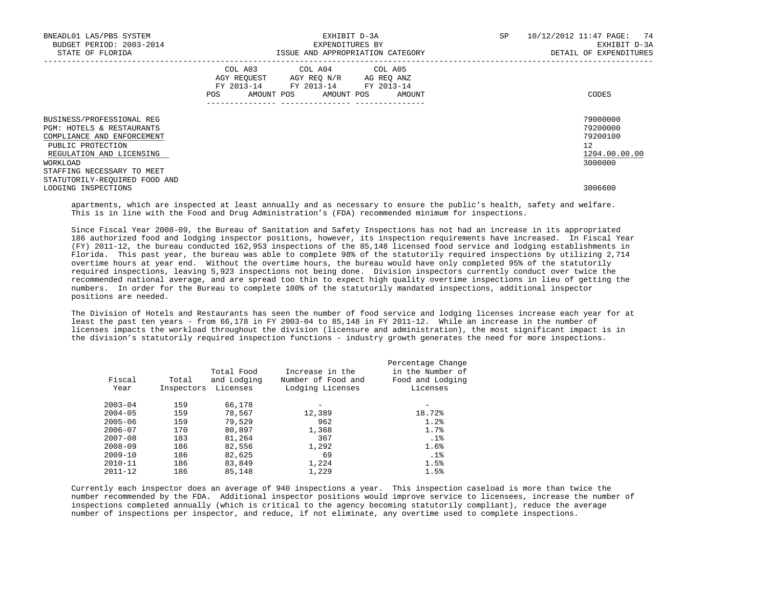| BNEADL01 LAS/PBS SYSTEM<br>BUDGET PERIOD: 2003-2014<br>STATE OF FLORIDA                                                                                                         | EXHIBIT D-3A<br>EXPENDITURES BY<br>ISSUE AND APPROPRIATION CATEGORY                                                                         | 10/12/2012 11:47 PAGE: 74<br>SP<br>EXHIBIT D-3A<br>DETAIL OF EXPENDITURES |
|---------------------------------------------------------------------------------------------------------------------------------------------------------------------------------|---------------------------------------------------------------------------------------------------------------------------------------------|---------------------------------------------------------------------------|
|                                                                                                                                                                                 | COL A03 COL A04 COL A05<br>AGY REQUEST AGY REQ N/R AG REQ ANZ<br>FY 2013-14 FY 2013-14 FY 2013-14<br>POS<br>AMOUNT POS AMOUNT POS<br>AMOUNT | CODES                                                                     |
| BUSINESS/PROFESSIONAL REG<br>PGM: HOTELS & RESTAURANTS<br>COMPLIANCE AND ENFORCEMENT<br>PUBLIC PROTECTION<br>REGULATION AND LICENSING<br>WORKLOAD<br>STAFFING NECESSARY TO MEET |                                                                                                                                             | 79000000<br>79200000<br>79200100<br>12<br>1204.00.00.00<br>3000000        |
| STATUTORILY-REQUIRED FOOD AND<br>LODGING INSPECTIONS                                                                                                                            |                                                                                                                                             | 3006600                                                                   |

 apartments, which are inspected at least annually and as necessary to ensure the public's health, safety and welfare. This is in line with the Food and Drug Administration's (FDA) recommended minimum for inspections.

 Since Fiscal Year 2008-09, the Bureau of Sanitation and Safety Inspections has not had an increase in its appropriated 186 authorized food and lodging inspector positions, however, its inspection requirements have increased. In Fiscal Year (FY) 2011-12, the bureau conducted 162,953 inspections of the 85,148 licensed food service and lodging establishments in Florida. This past year, the bureau was able to complete 98% of the statutorily required inspections by utilizing 2,714 overtime hours at year end. Without the overtime hours, the bureau would have only completed 95% of the statutorily required inspections, leaving 5,923 inspections not being done. Division inspectors currently conduct over twice the recommended national average, and are spread too thin to expect high quality overtime inspections in lieu of getting the numbers. In order for the Bureau to complete 100% of the statutorily mandated inspections, additional inspector positions are needed.

 The Division of Hotels and Restaurants has seen the number of food service and lodging licenses increase each year for at least the past ten years - from 66,178 in FY 2003-04 to 85,148 in FY 2011-12. While an increase in the number of licenses impacts the workload throughout the division (licensure and administration), the most significant impact is in the division's statutorily required inspection functions - industry growth generates the need for more inspections.

| Fiscal<br>Year | Total<br>Inspectors | Total Food<br>and Lodging<br>Licenses | Increase in the<br>Number of Food and<br>Lodging Licenses | Percentage Change<br>in the Number of<br>Food and Lodging<br>Licenses |
|----------------|---------------------|---------------------------------------|-----------------------------------------------------------|-----------------------------------------------------------------------|
| $2003 - 04$    | 159                 | 66,178                                |                                                           |                                                                       |
| $2004 - 05$    | 159                 | 78,567                                | 12,389                                                    | 18.72%                                                                |
| $2005 - 06$    | 159                 | 79,529                                | 962                                                       | 1.2%                                                                  |
| $2006 - 07$    | 170                 | 80,897                                | 1,368                                                     | 1.7%                                                                  |
| $2007 - 08$    | 183                 | 81,264                                | 367                                                       | .1%                                                                   |
| $2008 - 09$    | 186                 | 82,556                                | 1,292                                                     | 1.6%                                                                  |
| $2009 - 10$    | 186                 | 82,625                                | 69                                                        | .1%                                                                   |
| $2010 - 11$    | 186                 | 83,849                                | 1,224                                                     | 1.5%                                                                  |
| $2011 - 12$    | 186                 | 85,148                                | 1,229                                                     | 1.5%                                                                  |
|                |                     |                                       |                                                           |                                                                       |

 Currently each inspector does an average of 940 inspections a year. This inspection caseload is more than twice the number recommended by the FDA. Additional inspector positions would improve service to licensees, increase the number of inspections completed annually (which is critical to the agency becoming statutorily compliant), reduce the average number of inspections per inspector, and reduce, if not eliminate, any overtime used to complete inspections.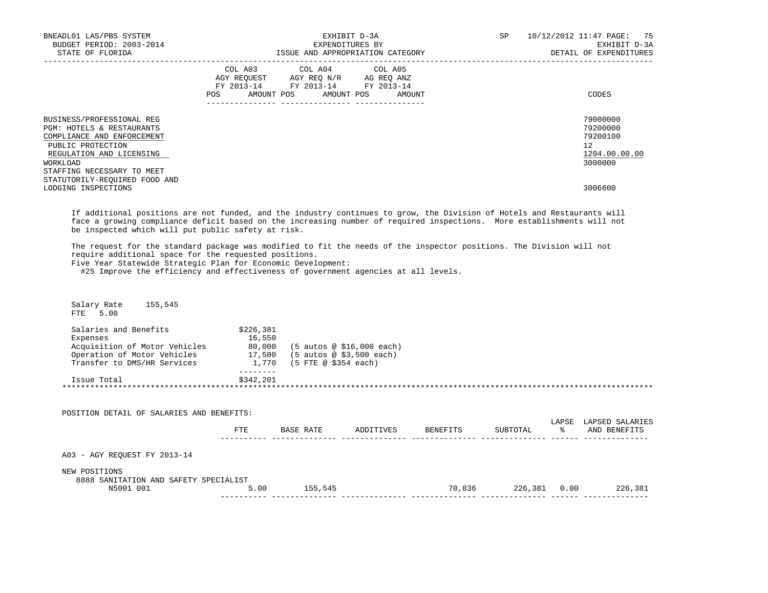| BNEADL01 LAS/PBS SYSTEM<br>BUDGET PERIOD: 2003-2014<br>STATE OF FLORIDA                                                                                                         | EXHIBIT D-3A<br>EXPENDITURES BY<br>ISSUE AND APPROPRIATION CATEGORY                                                                          | 10/12/2012 11:47 PAGE: 75<br>SP<br>EXHIBIT D-3A<br>DETAIL OF EXPENDITURES |
|---------------------------------------------------------------------------------------------------------------------------------------------------------------------------------|----------------------------------------------------------------------------------------------------------------------------------------------|---------------------------------------------------------------------------|
|                                                                                                                                                                                 | COL A03 COL A04 COL A05<br>AGY REQUEST AGY REO N/R AG REO ANZ<br>FY 2013-14 FY 2013-14 FY 2013-14<br>POS FOR<br>AMOUNT POS AMOUNT POS AMOUNT | CODES                                                                     |
| BUSINESS/PROFESSIONAL REG<br>PGM: HOTELS & RESTAURANTS<br>COMPLIANCE AND ENFORCEMENT<br>PUBLIC PROTECTION<br>REGULATION AND LICENSING<br>WORKLOAD<br>STAFFING NECESSARY TO MEET |                                                                                                                                              | 79000000<br>79200000<br>79200100<br>12<br>1204.00.00.00<br>3000000        |
| STATUTORILY-REQUIRED FOOD AND<br>LODGING INSPECTIONS                                                                                                                            |                                                                                                                                              | 3006600                                                                   |

 If additional positions are not funded, and the industry continues to grow, the Division of Hotels and Restaurants will face a growing compliance deficit based on the increasing number of required inspections. More establishments will not be inspected which will put public safety at risk.

 The request for the standard package was modified to fit the needs of the inspector positions. The Division will not require additional space for the requested positions.

Five Year Statewide Strategic Plan for Economic Development:

#25 Improve the efficiency and effectiveness of government agencies at all levels.

| NEW POSITIONS<br>8888 SANITATION AND SAFETY SPECIALIST<br>N5001 001 | 5.00      | 155,545                          | 70,836             | 226,381 0.00 |               | 226,381         |
|---------------------------------------------------------------------|-----------|----------------------------------|--------------------|--------------|---------------|-----------------|
| A03 - AGY REOUEST FY 2013-14                                        |           |                                  |                    |              |               |                 |
|                                                                     | FTE       | BASE RATE                        | ADDITIVES BENEFITS | SUBTOTAL     | $\frac{1}{6}$ | AND BENEFITS    |
| POSITION DETAIL OF SALARIES AND BENEFITS:                           |           |                                  |                    |              | LAPSE         | LAPSED SALARIES |
|                                                                     |           |                                  |                    |              |               |                 |
| Issue Total                                                         | \$342,201 |                                  |                    |              |               |                 |
| Transfer to DMS/HR Services                                         |           | 1,770 (5 FTE @ \$354 each)       |                    |              |               |                 |
| Operation of Motor Vehicles 17,500                                  |           | (5 autos @ \$3,500 each)         |                    |              |               |                 |
| Expenses<br>Acquisition of Motor Vehicles                           | 16,550    | 80,000 (5 autos @ \$16,000 each) |                    |              |               |                 |
| Salaries and Benefits                                               | \$226,381 |                                  |                    |              |               |                 |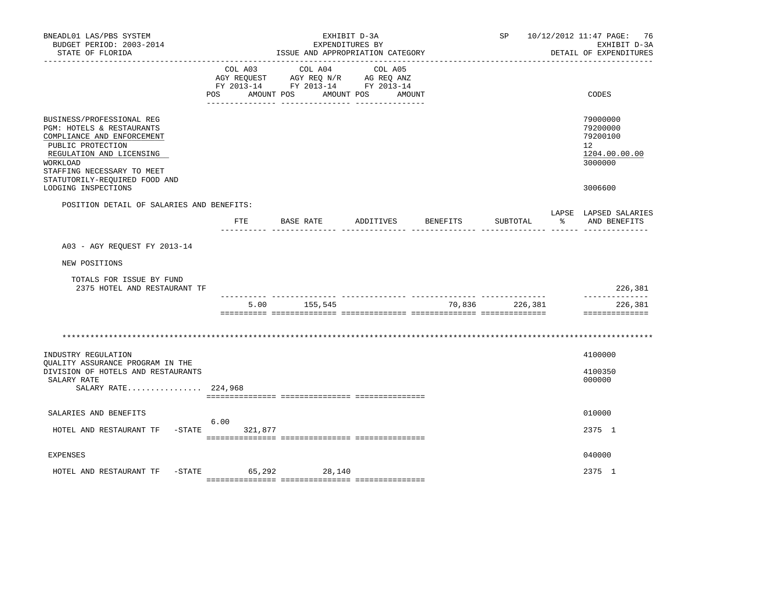| BNEADL01 LAS/PBS SYSTEM<br>BUDGET PERIOD: 2003-2014<br>STATE OF FLORIDA                                                                                                                                          |                   | ISSUE AND APPROPRIATION CATEGORY                                                                                                                                                                                               | EXHIBIT D-3A<br>EXPENDITURES BY | SP             |           | 10/12/2012 11:47 PAGE: 76<br>EXHIBIT D-3A<br>DETAIL OF EXPENDITURES             |
|------------------------------------------------------------------------------------------------------------------------------------------------------------------------------------------------------------------|-------------------|--------------------------------------------------------------------------------------------------------------------------------------------------------------------------------------------------------------------------------|---------------------------------|----------------|-----------|---------------------------------------------------------------------------------|
| ---------------                                                                                                                                                                                                  | POS<br>AMOUNT POS | COL A03 COL A04<br>$\begin{tabular}{lllllllll} \bf AGY \,\, REQUEST \,\, &\bf AGY \,\, REQ \,\, N/R &\bf AG \,\, REQ \,\, ANZ \\ \bf FY \,\, 2013-14 &\bf FY \,\, 2013-14 &\bf FY \,\, 2013-14 \\ \end{tabular}$<br>AMOUNT POS | COL A05<br>AMOUNT               |                |           | CODES                                                                           |
| BUSINESS/PROFESSIONAL REG<br>PGM: HOTELS & RESTAURANTS<br>COMPLIANCE AND ENFORCEMENT<br>PUBLIC PROTECTION<br>REGULATION AND LICENSING<br>WORKLOAD<br>STAFFING NECESSARY TO MEET<br>STATUTORILY-REQUIRED FOOD AND |                   |                                                                                                                                                                                                                                |                                 |                |           | 79000000<br>79200000<br>79200100<br>12 <sup>°</sup><br>1204.00.00.00<br>3000000 |
| LODGING INSPECTIONS                                                                                                                                                                                              |                   |                                                                                                                                                                                                                                |                                 |                |           | 3006600                                                                         |
| POSITION DETAIL OF SALARIES AND BENEFITS:                                                                                                                                                                        | FTE               | BASE RATE ADDITIVES BENEFITS                                                                                                                                                                                                   |                                 | SUBTOTAL       | $\approx$ | LAPSE LAPSED SALARIES<br>AND BENEFITS                                           |
| A03 - AGY REQUEST FY 2013-14                                                                                                                                                                                     |                   |                                                                                                                                                                                                                                |                                 |                |           |                                                                                 |
| NEW POSITIONS                                                                                                                                                                                                    |                   |                                                                                                                                                                                                                                |                                 |                |           |                                                                                 |
| TOTALS FOR ISSUE BY FUND<br>2375 HOTEL AND RESTAURANT TF                                                                                                                                                         |                   |                                                                                                                                                                                                                                |                                 |                |           | 226,381                                                                         |
|                                                                                                                                                                                                                  | 5.00              | 155,545                                                                                                                                                                                                                        |                                 | 70,836 226,381 |           | --------------<br>226,381<br>==============                                     |
|                                                                                                                                                                                                                  |                   |                                                                                                                                                                                                                                |                                 |                |           |                                                                                 |
| INDUSTRY REGULATION<br>OUALITY ASSURANCE PROGRAM IN THE                                                                                                                                                          |                   |                                                                                                                                                                                                                                |                                 |                |           | 4100000                                                                         |
| DIVISION OF HOTELS AND RESTAURANTS<br>SALARY RATE<br>SALARY RATE 224,968                                                                                                                                         |                   |                                                                                                                                                                                                                                |                                 |                |           | 4100350<br>000000                                                               |
|                                                                                                                                                                                                                  |                   |                                                                                                                                                                                                                                |                                 |                |           |                                                                                 |
| SALARIES AND BENEFITS<br>HOTEL AND RESTAURANT TF -STATE                                                                                                                                                          | 6.00<br>321,877   |                                                                                                                                                                                                                                |                                 |                |           | 010000<br>2375 1                                                                |
| <b>EXPENSES</b>                                                                                                                                                                                                  |                   |                                                                                                                                                                                                                                |                                 |                |           | 040000                                                                          |
| $-$ STATE<br>HOTEL AND RESTAURANT TF                                                                                                                                                                             | 65,292            | 28,140                                                                                                                                                                                                                         |                                 |                |           | 2375 1                                                                          |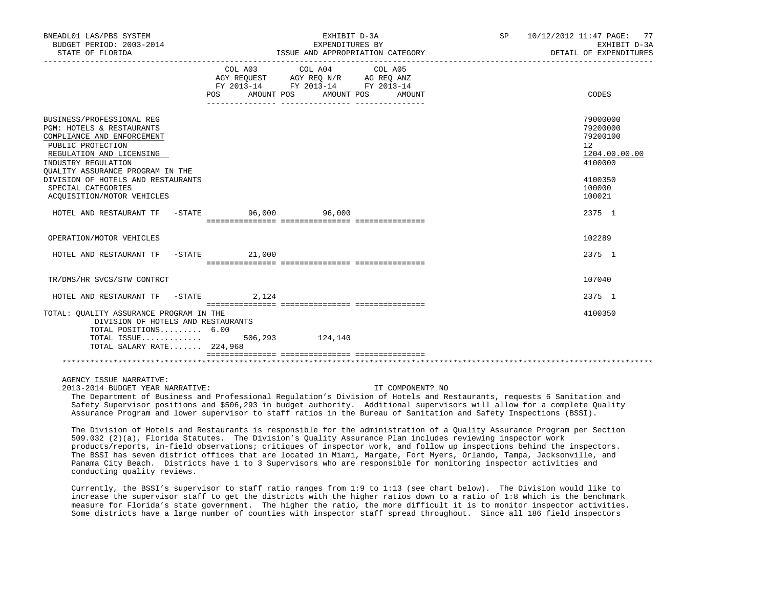| BNEADL01 LAS/PBS SYSTEM<br>BUDGET PERIOD: 2003-2014<br>STATE OF FLORIDA                                                                                                                                                                                                                               |                | EXHIBIT D-3A<br>EXPENDITURES BY<br>ISSUE AND APPROPRIATION CATEGORY                                                                                                                                                     | SP 10/12/2012 11:47 PAGE: 77<br>EXHIBIT D-3A<br>DETAIL OF EXPENDITURES |                                                                                                   |
|-------------------------------------------------------------------------------------------------------------------------------------------------------------------------------------------------------------------------------------------------------------------------------------------------------|----------------|-------------------------------------------------------------------------------------------------------------------------------------------------------------------------------------------------------------------------|------------------------------------------------------------------------|---------------------------------------------------------------------------------------------------|
|                                                                                                                                                                                                                                                                                                       | POS AMOUNT POS | COL A03 COL A04 COL A05<br>$\begin{tabular}{lllllll} AGY & \texttt{REQUEST} & \texttt{AGY} & \texttt{REG} & \texttt{N/R} & \texttt{AG} & \texttt{REQ} & \texttt{ANZ} \end{tabular}$<br>FY 2013-14 FY 2013-14 FY 2013-14 | AMOUNT POS<br>AMOUNT                                                   | CODES                                                                                             |
| BUSINESS/PROFESSIONAL REG<br><b>PGM: HOTELS &amp; RESTAURANTS</b><br>COMPLIANCE AND ENFORCEMENT<br>PUBLIC PROTECTION<br>REGULATION AND LICENSING<br>INDUSTRY REGULATION<br>OUALITY ASSURANCE PROGRAM IN THE<br>DIVISION OF HOTELS AND RESTAURANTS<br>SPECIAL CATEGORIES<br>ACOUISITION/MOTOR VEHICLES |                |                                                                                                                                                                                                                         |                                                                        | 79000000<br>79200000<br>79200100<br>12<br>1204.00.00.00<br>4100000<br>4100350<br>100000<br>100021 |
| HOTEL AND RESTAURANT TF -STATE 50,000 96,000                                                                                                                                                                                                                                                          |                |                                                                                                                                                                                                                         |                                                                        | 2375 1                                                                                            |
| OPERATION/MOTOR VEHICLES                                                                                                                                                                                                                                                                              |                |                                                                                                                                                                                                                         |                                                                        | 102289                                                                                            |
| HOTEL AND RESTAURANT TF -STATE 21,000                                                                                                                                                                                                                                                                 |                |                                                                                                                                                                                                                         |                                                                        | 2375 1                                                                                            |
| TR/DMS/HR SVCS/STW CONTRCT                                                                                                                                                                                                                                                                            |                |                                                                                                                                                                                                                         |                                                                        | 107040                                                                                            |
| HOTEL AND RESTAURANT TF -STATE 2,124                                                                                                                                                                                                                                                                  |                |                                                                                                                                                                                                                         |                                                                        | 2375 1                                                                                            |
| TOTAL: OUALITY ASSURANCE PROGRAM IN THE<br>DIVISION OF HOTELS AND RESTAURANTS<br>TOTAL POSITIONS 6.00<br>TOTAL ISSUE 506,293 124,140<br>TOTAL SALARY RATE 224,968                                                                                                                                     |                |                                                                                                                                                                                                                         |                                                                        | 4100350                                                                                           |
|                                                                                                                                                                                                                                                                                                       |                |                                                                                                                                                                                                                         |                                                                        |                                                                                                   |

AGENCY ISSUE NARRATIVE:

2013-2014 BUDGET YEAR NARRATIVE: IT COMPONENT? NO

 The Department of Business and Professional Regulation's Division of Hotels and Restaurants, requests 6 Sanitation and Safety Supervisor positions and \$506,293 in budget authority. Additional supervisors will allow for a complete Quality Assurance Program and lower supervisor to staff ratios in the Bureau of Sanitation and Safety Inspections (BSSI).

 The Division of Hotels and Restaurants is responsible for the administration of a Quality Assurance Program per Section 509.032 (2)(a), Florida Statutes. The Division's Quality Assurance Plan includes reviewing inspector work products/reports, in-field observations; critiques of inspector work, and follow up inspections behind the inspectors. The BSSI has seven district offices that are located in Miami, Margate, Fort Myers, Orlando, Tampa, Jacksonville, and Panama City Beach. Districts have 1 to 3 Supervisors who are responsible for monitoring inspector activities and conducting quality reviews.

 Currently, the BSSI's supervisor to staff ratio ranges from 1:9 to 1:13 (see chart below). The Division would like to increase the supervisor staff to get the districts with the higher ratios down to a ratio of 1:8 which is the benchmark measure for Florida's state government. The higher the ratio, the more difficult it is to monitor inspector activities. Some districts have a large number of counties with inspector staff spread throughout. Since all 186 field inspectors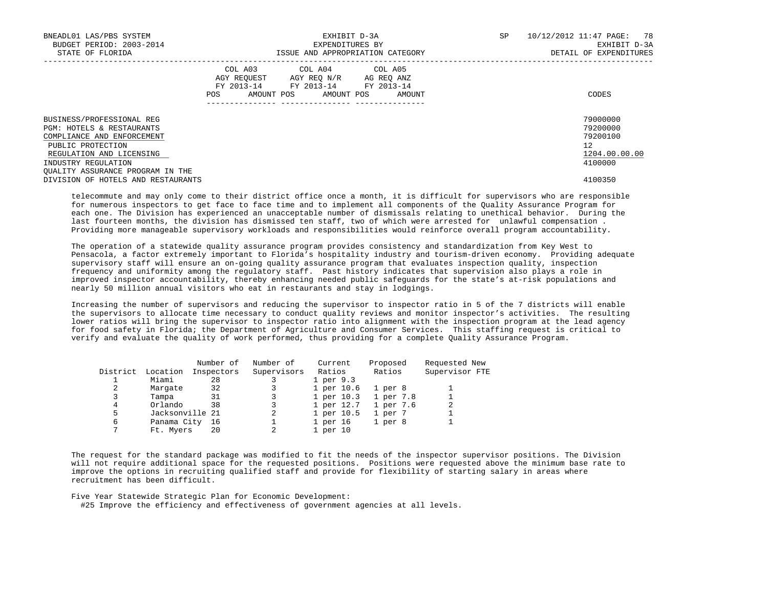| BNEADL01 LAS/PBS SYSTEM<br>BUDGET PERIOD: 2003-2014<br>STATE OF FLORIDA                                                               | EXHIBIT D-3A<br>EXPENDITURES BY<br>ISSUE AND APPROPRIATION CATEGORY                                                                            | 10/12/2012 11:47 PAGE: 78<br>SP<br>EXHIBIT D-3A<br>DETAIL OF EXPENDITURES |
|---------------------------------------------------------------------------------------------------------------------------------------|------------------------------------------------------------------------------------------------------------------------------------------------|---------------------------------------------------------------------------|
|                                                                                                                                       | COL A03 COL A04 COL A05<br>AGY REQUEST AGY REQ N/R AG REQ ANZ<br>FY 2013-14 FY 2013-14 FY 2013-14<br>AMOUNT POS<br>AMOUNT POS<br>POS<br>AMOUNT | CODES                                                                     |
| BUSINESS/PROFESSIONAL REG<br>PGM: HOTELS & RESTAURANTS<br>COMPLIANCE AND ENFORCEMENT<br>PUBLIC PROTECTION<br>REGULATION AND LICENSING |                                                                                                                                                | 79000000<br>79200000<br>79200100<br>12<br>1204.00.00.00                   |
| INDUSTRY REGULATION<br>OUALITY ASSURANCE PROGRAM IN THE<br>DIVISION OF HOTELS AND RESTAURANTS                                         |                                                                                                                                                | 4100000<br>4100350                                                        |

 telecommute and may only come to their district office once a month, it is difficult for supervisors who are responsible for numerous inspectors to get face to face time and to implement all components of the Quality Assurance Program for each one. The Division has experienced an unacceptable number of dismissals relating to unethical behavior. During the last fourteen months, the division has dismissed ten staff, two of which were arrested for unlawful compensation . Providing more manageable supervisory workloads and responsibilities would reinforce overall program accountability.

 The operation of a statewide quality assurance program provides consistency and standardization from Key West to Pensacola, a factor extremely important to Florida's hospitality industry and tourism-driven economy. Providing adequate supervisory staff will ensure an on-going quality assurance program that evaluates inspection quality, inspection frequency and uniformity among the regulatory staff. Past history indicates that supervision also plays a role in improved inspector accountability, thereby enhancing needed public safeguards for the state's at-risk populations and nearly 50 million annual visitors who eat in restaurants and stay in lodgings.

 Increasing the number of supervisors and reducing the supervisor to inspector ratio in 5 of the 7 districts will enable the supervisors to allocate time necessary to conduct quality reviews and monitor inspector's activities. The resulting lower ratios will bring the supervisor to inspector ratio into alignment with the inspection program at the lead agency for food safety in Florida; the Department of Agriculture and Consumer Services. This staffing request is critical to verify and evaluate the quality of work performed, thus providing for a complete Quality Assurance Program.

|          |                 | Number of  | Number of   | Current    | Proposed           | Requested New  |
|----------|-----------------|------------|-------------|------------|--------------------|----------------|
| District | Location        | Inspectors | Supervisors | Ratios     | Ratios             | Supervisor FTE |
|          | Miami           | 28         |             | 1 per 9.3  |                    |                |
| 2        | Margate         | 32         |             | 1 per 10.6 | 1 per 8            |                |
|          | Tampa           | 31         |             | 1 per 10.3 | 1 per 7.8          |                |
| 4        | Orlando         | 38         |             | 1 per 12.7 | 1 per 7.6          | 2              |
| 5        | Jacksonville 21 |            |             | 1 per 10.5 | 1 per 7            |                |
| 6        | Panama City     | -16        |             | 1 per 16   | 1 <sub>per</sub> 8 |                |
|          | Ft. Myers       | 20         |             | 1 per 10   |                    |                |
|          |                 |            |             |            |                    |                |

 The request for the standard package was modified to fit the needs of the inspector supervisor positions. The Division will not require additional space for the requested positions. Positions were requested above the minimum base rate to improve the options in recruiting qualified staff and provide for flexibility of starting salary in areas where recruitment has been difficult.

Five Year Statewide Strategic Plan for Economic Development:

#25 Improve the efficiency and effectiveness of government agencies at all levels.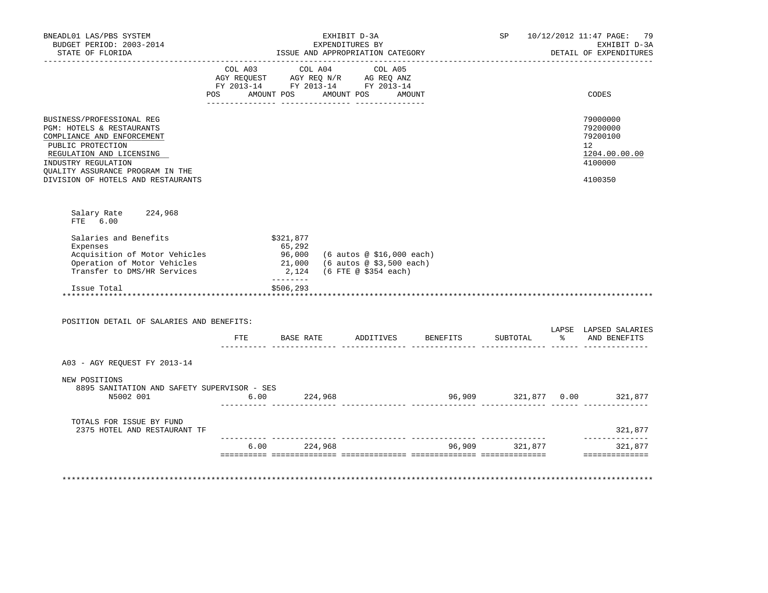| BNEADL01 LAS/PBS SYSTEM<br>BUDGET PERIOD: 2003-2014<br>STATE OF FLORIDA                                                                                                                                                                |      | EXHIBIT D-3A<br>EXPENDITURES BY<br>ISSUE AND APPROPRIATION CATEGORY                                                            |                                                                               |                             |          | SP 10/12/2012 11:47 PAGE: 79<br>EXHIBIT D-3A<br>DETAIL OF EXPENDITURES        |
|----------------------------------------------------------------------------------------------------------------------------------------------------------------------------------------------------------------------------------------|------|--------------------------------------------------------------------------------------------------------------------------------|-------------------------------------------------------------------------------|-----------------------------|----------|-------------------------------------------------------------------------------|
|                                                                                                                                                                                                                                        |      | COL A03 COL A04 COL A05<br>AGY REQUEST AGY REQ N/R AG REQ ANZ<br>FY 2013-14 FY 2013-14 FY 2013-14<br>POS AMOUNT POS AMOUNT POS |                                                                               | AMOUNT                      |          | CODES                                                                         |
| BUSINESS/PROFESSIONAL REG<br>PGM: HOTELS & RESTAURANTS<br>COMPLIANCE AND ENFORCEMENT<br>PUBLIC PROTECTION<br>REGULATION AND LICENSING<br>INDUSTRY REGULATION<br>OUALITY ASSURANCE PROGRAM IN THE<br>DIVISION OF HOTELS AND RESTAURANTS |      |                                                                                                                                |                                                                               |                             |          | 79000000<br>79200000<br>79200100<br>12<br>1204.00.00.00<br>4100000<br>4100350 |
| Salary Rate 224,968<br>FTE 6.00                                                                                                                                                                                                        |      |                                                                                                                                |                                                                               |                             |          |                                                                               |
| Salaries and Benefits<br>Expenses<br>Acquisition of Motor Vehicles<br>Operation of Motor Vehicles<br>Transfer to DMS/HR Services                                                                                                       |      | \$321,877<br>65,292<br>96,000<br>21,000<br>2,124                                                                               | (6 autos @ \$16,000 each)<br>(6 autos @ \$3,500 each)<br>(6 FTE @ \$354 each) |                             |          |                                                                               |
| Issue Total                                                                                                                                                                                                                            |      | --------<br>\$506,293                                                                                                          |                                                                               |                             |          |                                                                               |
| POSITION DETAIL OF SALARIES AND BENEFITS:                                                                                                                                                                                              |      |                                                                                                                                |                                                                               |                             |          |                                                                               |
|                                                                                                                                                                                                                                        | ETE  | <b>BASE RATE</b>                                                                                                               |                                                                               | ADDITIVES BENEFITS          | SUBTOTAL | LAPSE LAPSED SALARIES<br>% AND BENEFITS                                       |
| A03 - AGY REQUEST FY 2013-14                                                                                                                                                                                                           |      |                                                                                                                                |                                                                               |                             |          |                                                                               |
| NEW POSITIONS<br>8895 SANITATION AND SAFETY SUPERVISOR - SES<br>N5002 001                                                                                                                                                              |      | $6.00$ 224,968                                                                                                                 |                                                                               | 96,909 321,877 0.00 321,877 |          |                                                                               |
| TOTALS FOR ISSUE BY FUND<br>2375 HOTEL AND RESTAURANT TF                                                                                                                                                                               |      |                                                                                                                                |                                                                               |                             |          | 321,877                                                                       |
|                                                                                                                                                                                                                                        | 6.00 | 224,968                                                                                                                        |                                                                               | 96,909                      | 321,877  | ______________<br>321,877                                                     |
|                                                                                                                                                                                                                                        |      |                                                                                                                                |                                                                               |                             |          | ---------------                                                               |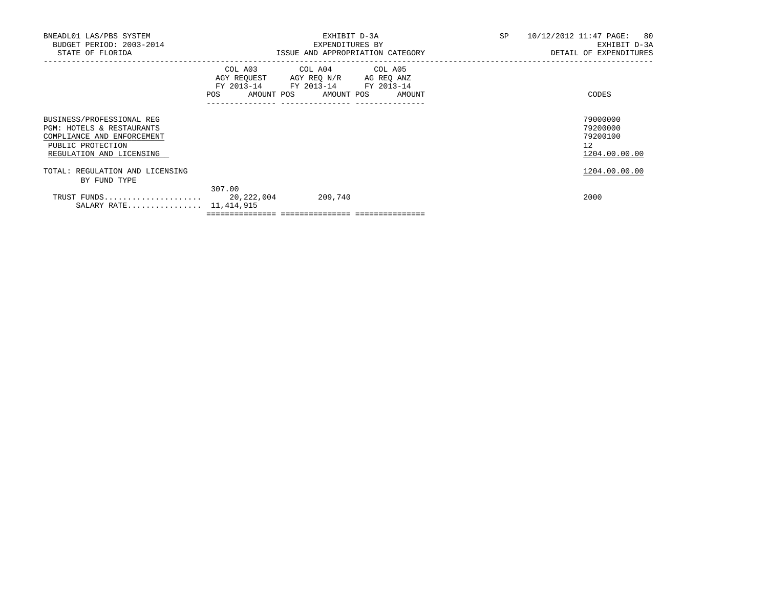| BNEADL01 LAS/PBS SYSTEM<br>BUDGET PERIOD: 2003-2014<br>STATE OF FLORIDA                                                               |            | EXHIBIT D-3A<br>EXPENDITURES BY<br>ISSUE AND APPROPRIATION CATEGORY                                                               | SP | 10/12/2012 11:47 PAGE: 80<br>EXHIBIT D-3A<br>DETAIL OF EXPENDITURES |  |
|---------------------------------------------------------------------------------------------------------------------------------------|------------|-----------------------------------------------------------------------------------------------------------------------------------|----|---------------------------------------------------------------------|--|
|                                                                                                                                       | <b>POS</b> | COL A03 COL A04 COL A05<br>AGY REQUEST AGY REO N/R AG REO ANZ<br>FY 2013-14 FY 2013-14 FY 2013-14<br>AMOUNT POS AMOUNT POS AMOUNT |    | CODES                                                               |  |
| BUSINESS/PROFESSIONAL REG<br>PGM: HOTELS & RESTAURANTS<br>COMPLIANCE AND ENFORCEMENT<br>PUBLIC PROTECTION<br>REGULATION AND LICENSING |            |                                                                                                                                   |    | 79000000<br>79200000<br>79200100<br>12<br>1204.00.00.00             |  |
| TOTAL: REGULATION AND LICENSING<br>BY FUND TYPE                                                                                       |            |                                                                                                                                   |    | 1204.00.00.00                                                       |  |
| SALARY RATE 11,414,915                                                                                                                | 307.00     | 209,740                                                                                                                           |    | 2000                                                                |  |

 $=$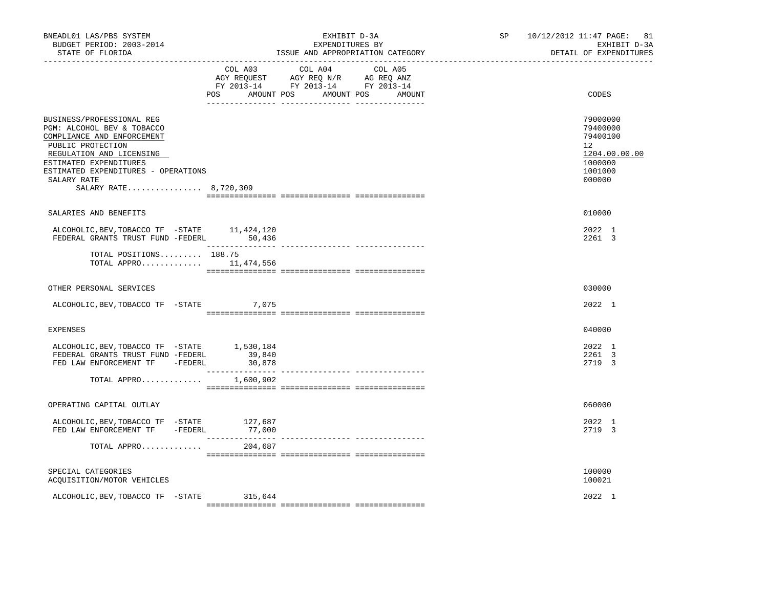| BNEADL01 LAS/PBS SYSTEM<br>BUDGET PERIOD: 2003-2014<br>STATE OF FLORIDA                                                                                                                                                                         | _______________________________ | EXHIBIT D-3A<br>EXPENDITURES BY<br>ISSUE AND APPROPRIATION CATEGORY                                                                      | SP | 10/12/2012 11:47 PAGE: 81<br>EXHIBIT D-3A<br>DETAIL OF EXPENDITURES                     |
|-------------------------------------------------------------------------------------------------------------------------------------------------------------------------------------------------------------------------------------------------|---------------------------------|------------------------------------------------------------------------------------------------------------------------------------------|----|-----------------------------------------------------------------------------------------|
|                                                                                                                                                                                                                                                 |                                 | COL A03 COL A04 COL A05<br>CO AGY REQUEST AGY REQ N/R AG REQ ANZ<br>FY 2013-14 FY 2013-14 FY 2013-14<br>POS AMOUNT POS AMOUNT POS AMOUNT |    | CODES                                                                                   |
| BUSINESS/PROFESSIONAL REG<br>PGM: ALCOHOL BEV & TOBACCO<br>COMPLIANCE AND ENFORCEMENT<br>PUBLIC PROTECTION<br>REGULATION AND LICENSING<br>ESTIMATED EXPENDITURES<br>ESTIMATED EXPENDITURES - OPERATIONS<br>SALARY RATE<br>SALARY RATE 8,720,309 |                                 |                                                                                                                                          |    | 79000000<br>79400000<br>79400100<br>12<br>1204.00.00.00<br>1000000<br>1001000<br>000000 |
| SALARIES AND BENEFITS                                                                                                                                                                                                                           |                                 |                                                                                                                                          |    | 010000                                                                                  |
|                                                                                                                                                                                                                                                 |                                 |                                                                                                                                          |    | 2022 1<br>2261 3                                                                        |
| TOTAL POSITIONS 188.75<br>TOTAL APPRO 11,474,556                                                                                                                                                                                                |                                 |                                                                                                                                          |    |                                                                                         |
| OTHER PERSONAL SERVICES                                                                                                                                                                                                                         |                                 |                                                                                                                                          |    | 030000                                                                                  |
| ALCOHOLIC, BEV, TOBACCO TF - STATE 7, 075                                                                                                                                                                                                       |                                 |                                                                                                                                          |    | 2022 1                                                                                  |
| <b>EXPENSES</b>                                                                                                                                                                                                                                 |                                 |                                                                                                                                          |    | 040000                                                                                  |
| ALCOHOLIC, BEV, TOBACCO TF - STATE 1, 530, 184<br>FEDERAL GRANTS TRUST FUND -FEDERL<br>FED LAW ENFORCEMENT TF -FEDERL                                                                                                                           | 39,840<br>30,878                |                                                                                                                                          |    | 2022 1<br>2261 3<br>2719 3                                                              |
| TOTAL APPRO                                                                                                                                                                                                                                     | ________________<br>1,600,902   | --------------- --------------                                                                                                           |    |                                                                                         |
| OPERATING CAPITAL OUTLAY                                                                                                                                                                                                                        |                                 |                                                                                                                                          |    | 060000                                                                                  |
| ${\tt ALCOHOLIC, BEV, TOBACCO TF - STATE} \hspace{1.5cm} 127,687$ FED LAW ENFORCEMENT TF -FEDERL 77,000                                                                                                                                         |                                 |                                                                                                                                          |    | 2022 1<br>2719 3                                                                        |
| TOTAL APPRO                                                                                                                                                                                                                                     | 204,687                         |                                                                                                                                          |    |                                                                                         |
| SPECIAL CATEGORIES<br>ACQUISITION/MOTOR VEHICLES                                                                                                                                                                                                |                                 |                                                                                                                                          |    | 100000<br>100021                                                                        |
| ALCOHOLIC, BEV, TOBACCO TF - STATE                                                                                                                                                                                                              | 315,644                         |                                                                                                                                          |    | 2022 1                                                                                  |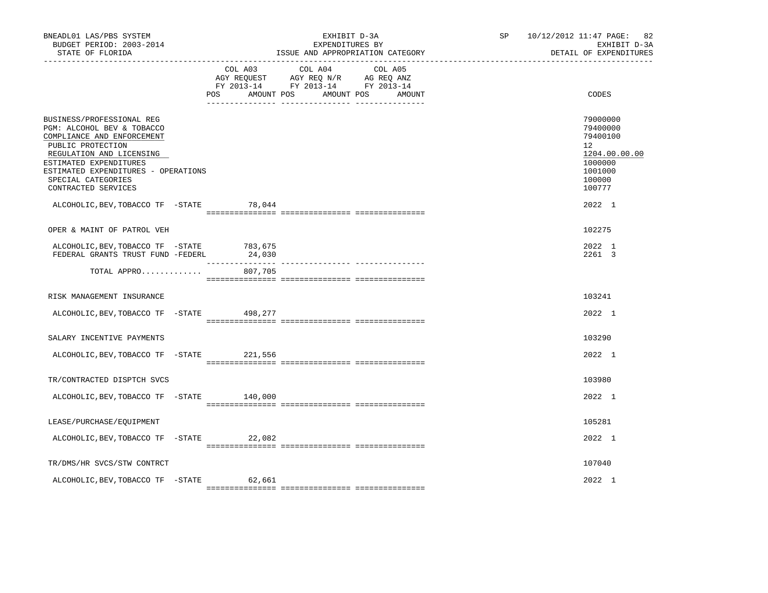| BNEADL01 LAS/PBS SYSTEM<br>BUDGET PERIOD: 2003-2014<br>STATE OF FLORIDA                                                                                                                                                                              |     | EXHIBIT D-3A<br>EXPENDITURES BY<br>ISSUE AND APPROPRIATION CATEGORY                                                           |        | SP 10/12/2012 11:47 PAGE: 82<br>EXHIBIT D-3A<br>DETAIL OF EXPENDITURES |                                                                                                   |
|------------------------------------------------------------------------------------------------------------------------------------------------------------------------------------------------------------------------------------------------------|-----|-------------------------------------------------------------------------------------------------------------------------------|--------|------------------------------------------------------------------------|---------------------------------------------------------------------------------------------------|
|                                                                                                                                                                                                                                                      | POS | COL A03 COL A04 COL A05<br>AGY REQUEST AGY REQ N/R AG REQ ANZ<br>FY 2013-14 FY 2013-14 FY 2013-14<br>AMOUNT POS<br>AMOUNT POS | AMOUNT |                                                                        | CODES                                                                                             |
| BUSINESS/PROFESSIONAL REG<br>PGM: ALCOHOL BEV & TOBACCO<br>COMPLIANCE AND ENFORCEMENT<br>PUBLIC PROTECTION<br>REGULATION AND LICENSING<br>ESTIMATED EXPENDITURES<br>ESTIMATED EXPENDITURES - OPERATIONS<br>SPECIAL CATEGORIES<br>CONTRACTED SERVICES |     |                                                                                                                               |        |                                                                        | 79000000<br>79400000<br>79400100<br>12<br>1204.00.00.00<br>1000000<br>1001000<br>100000<br>100777 |
| ALCOHOLIC, BEV, TOBACCO TF - STATE 78, 044                                                                                                                                                                                                           |     |                                                                                                                               |        |                                                                        | 2022 1                                                                                            |
| OPER & MAINT OF PATROL VEH                                                                                                                                                                                                                           |     |                                                                                                                               |        |                                                                        | 102275                                                                                            |
| ALCOHOLIC, BEV, TOBACCO TF - STATE 783, 675<br>FEDERAL GRANTS TRUST FUND -FEDERL                                                                                                                                                                     |     | 24,030                                                                                                                        |        |                                                                        | 2022 1<br>2261 3                                                                                  |
| TOTAL APPRO                                                                                                                                                                                                                                          |     | 807,705                                                                                                                       |        |                                                                        |                                                                                                   |
| RISK MANAGEMENT INSURANCE                                                                                                                                                                                                                            |     |                                                                                                                               |        |                                                                        | 103241                                                                                            |
| ALCOHOLIC, BEV, TOBACCO TF - STATE 498, 277                                                                                                                                                                                                          |     |                                                                                                                               |        |                                                                        | 2022 1                                                                                            |
| SALARY INCENTIVE PAYMENTS                                                                                                                                                                                                                            |     |                                                                                                                               |        |                                                                        | 103290                                                                                            |
| ALCOHOLIC, BEV, TOBACCO TF - STATE 221, 556                                                                                                                                                                                                          |     |                                                                                                                               |        |                                                                        | 2022 1                                                                                            |
| TR/CONTRACTED DISPTCH SVCS                                                                                                                                                                                                                           |     |                                                                                                                               |        |                                                                        | 103980                                                                                            |
| ALCOHOLIC, BEV, TOBACCO TF -STATE                                                                                                                                                                                                                    |     | 140,000                                                                                                                       |        |                                                                        | 2022 1                                                                                            |
| LEASE/PURCHASE/EOUIPMENT                                                                                                                                                                                                                             |     |                                                                                                                               |        |                                                                        | 105281                                                                                            |
| ALCOHOLIC, BEV, TOBACCO TF - STATE 22, 082                                                                                                                                                                                                           |     |                                                                                                                               |        |                                                                        | 2022 1                                                                                            |
| TR/DMS/HR SVCS/STW CONTRCT                                                                                                                                                                                                                           |     |                                                                                                                               |        |                                                                        | 107040                                                                                            |
| ALCOHOLIC, BEV, TOBACCO TF - STATE 62, 661                                                                                                                                                                                                           |     |                                                                                                                               |        |                                                                        | 2022 1                                                                                            |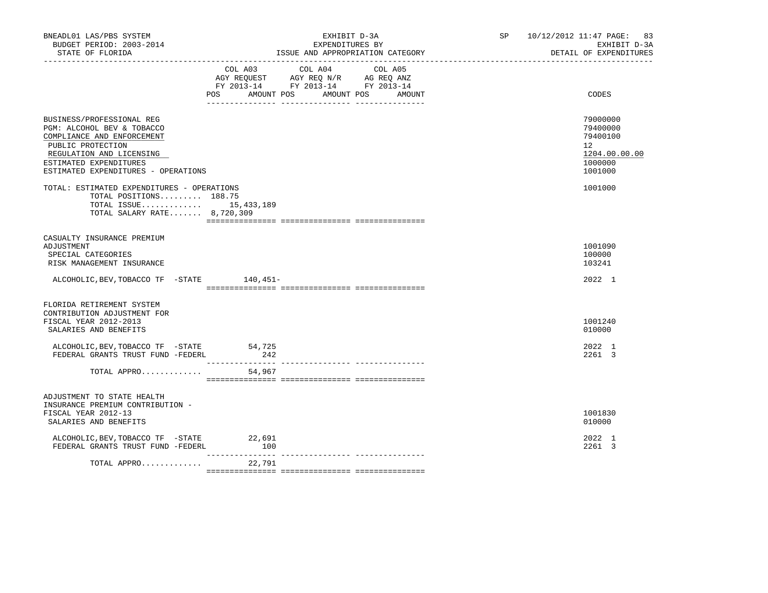| BNEADL01 LAS/PBS SYSTEM<br>BUDGET PERIOD: 2003-2014<br>STATE OF FLORIDA                                                                                                                                 | EXHIBIT D-3A<br>EXPENDITURES BY<br>ISSUE AND APPROPRIATION CATEGORY                                                            |  |        | SP and the set of the set of the set of the set of the set of the set of the set of the set of the set of the set of the set of the set of the set of the set of the set of the set of the set of the set of the set of the se | 10/12/2012 11:47 PAGE: 83<br>EXHIBIT D-3A<br>DETAIL OF EXPENDITURES                        |
|---------------------------------------------------------------------------------------------------------------------------------------------------------------------------------------------------------|--------------------------------------------------------------------------------------------------------------------------------|--|--------|--------------------------------------------------------------------------------------------------------------------------------------------------------------------------------------------------------------------------------|--------------------------------------------------------------------------------------------|
|                                                                                                                                                                                                         | COL A03 COL A04 COL A05<br>AGY REQUEST AGY REQ N/R AG REQ ANZ<br>FY 2013-14 FY 2013-14 FY 2013-14<br>POS AMOUNT POS AMOUNT POS |  | AMOUNT |                                                                                                                                                                                                                                | CODES                                                                                      |
| BUSINESS/PROFESSIONAL REG<br>PGM: ALCOHOL BEV & TOBACCO<br>COMPLIANCE AND ENFORCEMENT<br>PUBLIC PROTECTION<br>REGULATION AND LICENSING<br>ESTIMATED EXPENDITURES<br>ESTIMATED EXPENDITURES - OPERATIONS |                                                                                                                                |  |        |                                                                                                                                                                                                                                | 79000000<br>79400000<br>79400100<br>12 <sup>°</sup><br>1204.00.00.00<br>1000000<br>1001000 |
| TOTAL: ESTIMATED EXPENDITURES - OPERATIONS<br>TOTAL POSITIONS 188.75<br>TOTAL ISSUE 15,433,189<br>TOTAL SALARY RATE 8,720,309                                                                           |                                                                                                                                |  |        |                                                                                                                                                                                                                                | 1001000                                                                                    |
| CASUALTY INSURANCE PREMIUM<br>ADJUSTMENT<br>SPECIAL CATEGORIES<br>RISK MANAGEMENT INSURANCE<br>ALCOHOLIC, BEV, TOBACCO TF - STATE 140, 451-                                                             |                                                                                                                                |  |        |                                                                                                                                                                                                                                | 1001090<br>100000<br>103241<br>2022 1                                                      |
| FLORIDA RETIREMENT SYSTEM<br>CONTRIBUTION ADJUSTMENT FOR<br>FISCAL YEAR 2012-2013<br>SALARIES AND BENEFITS<br>ALCOHOLIC, BEV, TOBACCO TF - STATE<br>FEDERAL GRANTS TRUST FUND -FEDERL<br>TOTAL APPRO    | 54,725<br>242<br>54,967                                                                                                        |  |        |                                                                                                                                                                                                                                | 1001240<br>010000<br>2022 1<br>2261 3                                                      |
| ADJUSTMENT TO STATE HEALTH<br>INSURANCE PREMIUM CONTRIBUTION -<br>FISCAL YEAR 2012-13<br>SALARIES AND BENEFITS<br>ALCOHOLIC, BEV, TOBACCO TF - STATE 22, 691<br>FEDERAL GRANTS TRUST FUND -FEDERL       | 100                                                                                                                            |  |        |                                                                                                                                                                                                                                | 1001830<br>010000<br>2022 1<br>2261 3                                                      |
| TOTAL APPRO                                                                                                                                                                                             | ________________<br>22,791                                                                                                     |  |        |                                                                                                                                                                                                                                |                                                                                            |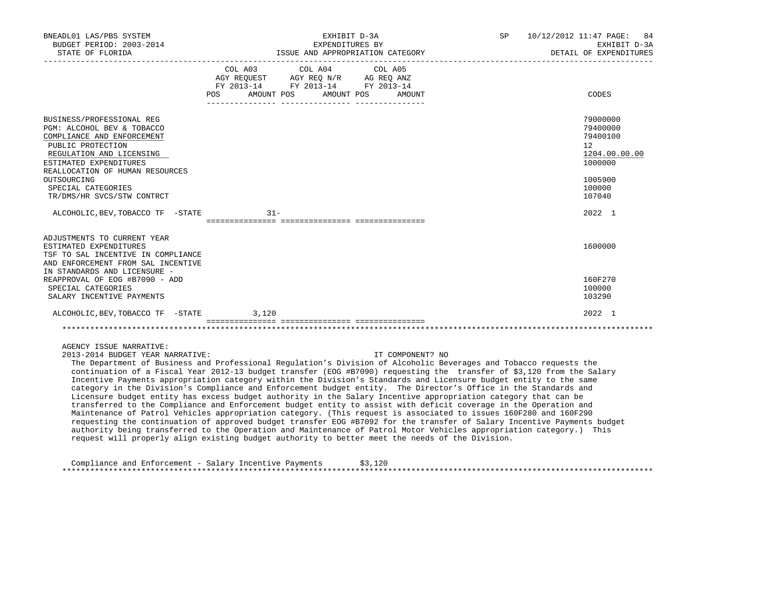| BNEADL01 LAS/PBS SYSTEM<br>BUDGET PERIOD: 2003-2014<br>STATE OF FLORIDA                                                                                                                                                                                                |                           | EXHIBIT D-3A<br>EXPENDITURES BY<br>ISSUE AND APPROPRIATION CATEGORY                                                                                                                                                                                                             | SP 10/12/2012 11:47 PAGE: 84<br>EXHIBIT D-3A<br>DETAIL OF EXPENDITURES |                                                                                                                |
|------------------------------------------------------------------------------------------------------------------------------------------------------------------------------------------------------------------------------------------------------------------------|---------------------------|---------------------------------------------------------------------------------------------------------------------------------------------------------------------------------------------------------------------------------------------------------------------------------|------------------------------------------------------------------------|----------------------------------------------------------------------------------------------------------------|
|                                                                                                                                                                                                                                                                        | POS AMOUNT POS AMOUNT POS | COL A03 COL A04 COL A05<br>$\begin{tabular}{lllllll} \bf AGY \,\, &\bf REQUEST \,\, &\bf AGY \,\, &\bf REQ \,\, &\bf N/R \,\, &\bf AG \,\, &\bf REQ \,\, &\bf ANZ \,\, \\ \bf FY \,\, &\bf 2013-14 \,\, &\bf FY \,\, &\bf 2013-14 \,\, &\bf FY \,\, &\bf 2013-14 \end{tabular}$ | AMOUNT                                                                 | CODES                                                                                                          |
| BUSINESS/PROFESSIONAL REG<br>PGM: ALCOHOL BEV & TOBACCO<br>COMPLIANCE AND ENFORCEMENT<br>PUBLIC PROTECTION<br>REGULATION AND LICENSING<br>ESTIMATED EXPENDITURES<br>REALLOCATION OF HUMAN RESOURCES<br>OUTSOURCING<br>SPECIAL CATEGORIES<br>TR/DMS/HR SVCS/STW CONTRCT |                           |                                                                                                                                                                                                                                                                                 |                                                                        | 79000000<br>79400000<br>79400100<br>12 <sup>°</sup><br>1204.00.00.00<br>1000000<br>1005900<br>100000<br>107040 |
| ALCOHOLIC, BEV, TOBACCO TF - STATE                                                                                                                                                                                                                                     | $31 -$                    |                                                                                                                                                                                                                                                                                 |                                                                        | 2022 1                                                                                                         |
| ADJUSTMENTS TO CURRENT YEAR<br>ESTIMATED EXPENDITURES<br>TSF TO SAL INCENTIVE IN COMPLIANCE<br>AND ENFORCEMENT FROM SAL INCENTIVE<br>IN STANDARDS AND LICENSURE -                                                                                                      |                           |                                                                                                                                                                                                                                                                                 |                                                                        | 1600000                                                                                                        |
| REAPPROVAL OF EOG #B7090 - ADD<br>SPECIAL CATEGORIES<br>SALARY INCENTIVE PAYMENTS                                                                                                                                                                                      |                           |                                                                                                                                                                                                                                                                                 |                                                                        | 160F270<br>100000<br>103290                                                                                    |
| ALCOHOLIC, BEV, TOBACCO TF - STATE                                                                                                                                                                                                                                     | 3,120                     |                                                                                                                                                                                                                                                                                 |                                                                        | 2022 1                                                                                                         |
|                                                                                                                                                                                                                                                                        |                           |                                                                                                                                                                                                                                                                                 |                                                                        |                                                                                                                |
| AGENCY ISSUE NARRATIVE:<br>2013-2014 BUDGET YEAR NARRATIVE:<br>The Department of Business and Professional Requlation's Division of Alcoholic Beverages and Tobacco requests the                                                                                       |                           |                                                                                                                                                                                                                                                                                 | IT COMPONENT? NO                                                       |                                                                                                                |

 continuation of a Fiscal Year 2012-13 budget transfer (EOG #B7090) requesting the transfer of \$3,120 from the Salary Incentive Payments appropriation category within the Division's Standards and Licensure budget entity to the same category in the Division's Compliance and Enforcement budget entity. The Director's Office in the Standards and Licensure budget entity has excess budget authority in the Salary Incentive appropriation category that can be transferred to the Compliance and Enforcement budget entity to assist with deficit coverage in the Operation and Maintenance of Patrol Vehicles appropriation category. (This request is associated to issues 160F280 and 160F290 requesting the continuation of approved budget transfer EOG #B7092 for the transfer of Salary Incentive Payments budget authority being transferred to the Operation and Maintenance of Patrol Motor Vehicles appropriation category.) This request will properly align existing budget authority to better meet the needs of the Division.

 Compliance and Enforcement - Salary Incentive Payments \$3,120 \*\*\*\*\*\*\*\*\*\*\*\*\*\*\*\*\*\*\*\*\*\*\*\*\*\*\*\*\*\*\*\*\*\*\*\*\*\*\*\*\*\*\*\*\*\*\*\*\*\*\*\*\*\*\*\*\*\*\*\*\*\*\*\*\*\*\*\*\*\*\*\*\*\*\*\*\*\*\*\*\*\*\*\*\*\*\*\*\*\*\*\*\*\*\*\*\*\*\*\*\*\*\*\*\*\*\*\*\*\*\*\*\*\*\*\*\*\*\*\*\*\*\*\*\*\*\*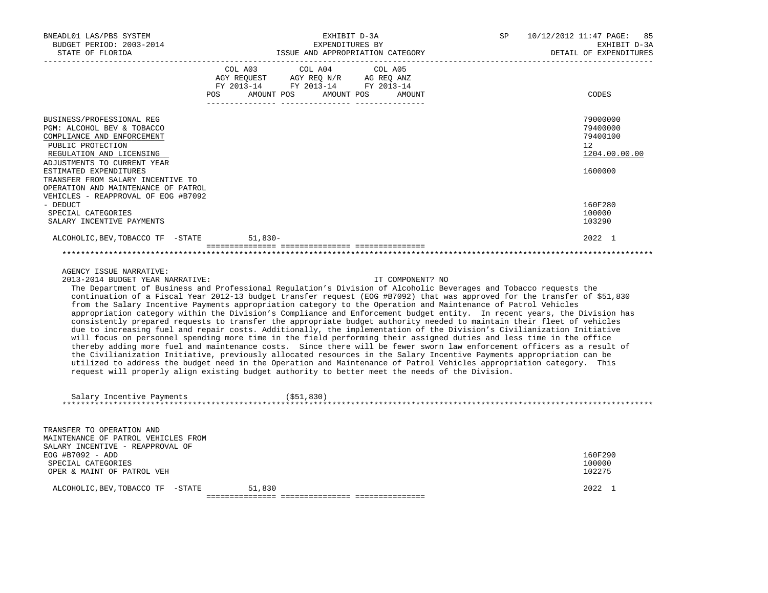| BNEADL01 LAS/PBS SYSTEM<br>BUDGET PERIOD: 2003-2014                                                                                                                                                                                                                                                                                                                                                                                                                                                                                                                                                                                                                                                                                                                                                                                                                                                                                                                                                                                                                                                                                                                                                                                                                                                                                                                                                                                               |                       | EXHIBIT D-3A<br>EXPENDITURES BY                                                                               | SP<br>10/12/2012 11:47 PAGE:<br>EXHIBIT D-3A |                        |                                                         |
|---------------------------------------------------------------------------------------------------------------------------------------------------------------------------------------------------------------------------------------------------------------------------------------------------------------------------------------------------------------------------------------------------------------------------------------------------------------------------------------------------------------------------------------------------------------------------------------------------------------------------------------------------------------------------------------------------------------------------------------------------------------------------------------------------------------------------------------------------------------------------------------------------------------------------------------------------------------------------------------------------------------------------------------------------------------------------------------------------------------------------------------------------------------------------------------------------------------------------------------------------------------------------------------------------------------------------------------------------------------------------------------------------------------------------------------------------|-----------------------|---------------------------------------------------------------------------------------------------------------|----------------------------------------------|------------------------|---------------------------------------------------------|
| STATE OF FLORIDA                                                                                                                                                                                                                                                                                                                                                                                                                                                                                                                                                                                                                                                                                                                                                                                                                                                                                                                                                                                                                                                                                                                                                                                                                                                                                                                                                                                                                                  |                       | ISSUE AND APPROPRIATION CATEGORY                                                                              |                                              | DETAIL OF EXPENDITURES |                                                         |
|                                                                                                                                                                                                                                                                                                                                                                                                                                                                                                                                                                                                                                                                                                                                                                                                                                                                                                                                                                                                                                                                                                                                                                                                                                                                                                                                                                                                                                                   | COL A03<br><b>POS</b> | COL A04<br>AGY REQUEST AGY REQ N/R AG REQ ANZ<br>FY 2013-14 FY 2013-14 FY 2013-14<br>AMOUNT POS<br>AMOUNT POS | COL A05<br>AMOUNT                            |                        | CODES                                                   |
| BUSINESS/PROFESSIONAL REG<br>PGM: ALCOHOL BEV & TOBACCO<br>COMPLIANCE AND ENFORCEMENT<br>PUBLIC PROTECTION<br>REGULATION AND LICENSING<br>ADJUSTMENTS TO CURRENT YEAR                                                                                                                                                                                                                                                                                                                                                                                                                                                                                                                                                                                                                                                                                                                                                                                                                                                                                                                                                                                                                                                                                                                                                                                                                                                                             |                       |                                                                                                               |                                              |                        | 79000000<br>79400000<br>79400100<br>12<br>1204.00.00.00 |
| ESTIMATED EXPENDITURES<br>TRANSFER FROM SALARY INCENTIVE TO<br>OPERATION AND MAINTENANCE OF PATROL<br>VEHICLES - REAPPROVAL OF EOG #B7092                                                                                                                                                                                                                                                                                                                                                                                                                                                                                                                                                                                                                                                                                                                                                                                                                                                                                                                                                                                                                                                                                                                                                                                                                                                                                                         |                       |                                                                                                               |                                              |                        | 1600000                                                 |
| - DEDUCT<br>SPECIAL CATEGORIES<br>SALARY INCENTIVE PAYMENTS                                                                                                                                                                                                                                                                                                                                                                                                                                                                                                                                                                                                                                                                                                                                                                                                                                                                                                                                                                                                                                                                                                                                                                                                                                                                                                                                                                                       |                       |                                                                                                               |                                              |                        | 160F280<br>100000<br>103290                             |
| ALCOHOLIC, BEV, TOBACCO TF -STATE                                                                                                                                                                                                                                                                                                                                                                                                                                                                                                                                                                                                                                                                                                                                                                                                                                                                                                                                                                                                                                                                                                                                                                                                                                                                                                                                                                                                                 | $51,830-$             |                                                                                                               |                                              |                        | 2022 1                                                  |
| AGENCY ISSUE NARRATIVE:<br>2013-2014 BUDGET YEAR NARRATIVE:<br>The Department of Business and Professional Regulation's Division of Alcoholic Beverages and Tobacco requests the<br>continuation of a Fiscal Year 2012-13 budget transfer request (EOG #B7092) that was approved for the transfer of \$51,830<br>from the Salary Incentive Payments appropriation category to the Operation and Maintenance of Patrol Vehicles<br>appropriation category within the Division's Compliance and Enforcement budget entity. In recent years, the Division has<br>consistently prepared requests to transfer the appropriate budget authority needed to maintain their fleet of vehicles<br>due to increasing fuel and repair costs. Additionally, the implementation of the Division's Civilianization Initiative<br>will focus on personnel spending more time in the field performing their assigned duties and less time in the office<br>thereby adding more fuel and maintenance costs. Since there will be fewer sworn law enforcement officers as a result of<br>the Civilianization Initiative, previously allocated resources in the Salary Incentive Payments appropriation can be<br>utilized to address the budget need in the Operation and Maintenance of Patrol Vehicles appropriation category. This<br>request will properly align existing budget authority to better meet the needs of the Division.<br>Salary Incentive Payments |                       | (S51, 830)                                                                                                    | IT COMPONENT? NO                             |                        |                                                         |
| TRANSFER TO OPERATION AND<br>MAINTENANCE OF PATROL VEHICLES FROM                                                                                                                                                                                                                                                                                                                                                                                                                                                                                                                                                                                                                                                                                                                                                                                                                                                                                                                                                                                                                                                                                                                                                                                                                                                                                                                                                                                  |                       |                                                                                                               |                                              |                        |                                                         |
| SALARY INCENTIVE - REAPPROVAL OF<br>EOG #B7092 - ADD<br>SPECIAL CATEGORIES<br>OPER & MAINT OF PATROL VEH                                                                                                                                                                                                                                                                                                                                                                                                                                                                                                                                                                                                                                                                                                                                                                                                                                                                                                                                                                                                                                                                                                                                                                                                                                                                                                                                          |                       |                                                                                                               |                                              |                        | 160F290<br>100000<br>102275                             |
| ALCOHOLIC, BEV, TOBACCO TF -STATE                                                                                                                                                                                                                                                                                                                                                                                                                                                                                                                                                                                                                                                                                                                                                                                                                                                                                                                                                                                                                                                                                                                                                                                                                                                                                                                                                                                                                 | 51,830                |                                                                                                               |                                              |                        | 2022 1                                                  |
|                                                                                                                                                                                                                                                                                                                                                                                                                                                                                                                                                                                                                                                                                                                                                                                                                                                                                                                                                                                                                                                                                                                                                                                                                                                                                                                                                                                                                                                   |                       |                                                                                                               |                                              |                        |                                                         |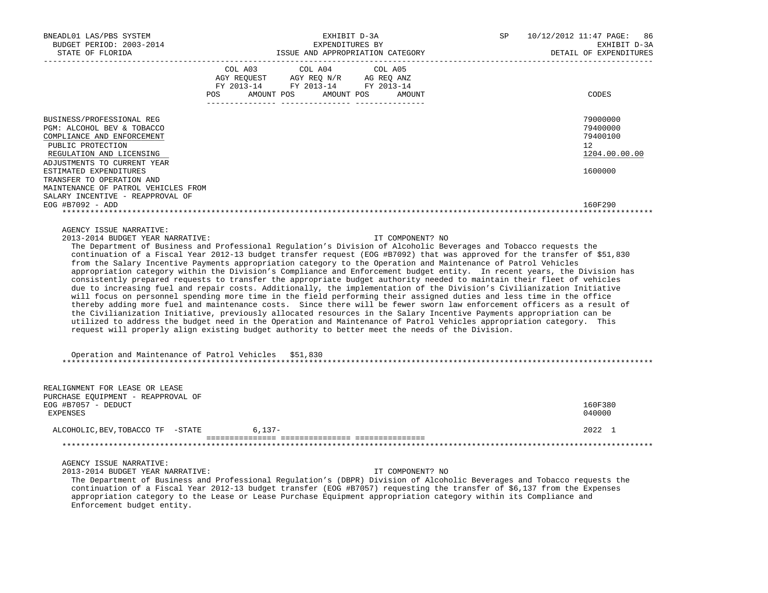| BNEADL01 LAS/PBS SYSTEM<br>BUDGET PERIOD: 2003-2014<br>STATE OF FLORIDA                                                                | EXHIBIT D-3A<br>EXPENDITURES BY                                                                                                                                                                                                                                                                                                                                                                                                                                                                                                                                                                                                                                                                                                                                                                                                                                                                                                                                                                                                                                                                                                                                                                                                                                                                                                                       | SP<br>ISSUE AND APPROPRIATION CATEGORY | 10/12/2012 11:47 PAGE:<br>86<br>EXHIBIT D-3A<br>DETAIL OF EXPENDITURES |
|----------------------------------------------------------------------------------------------------------------------------------------|-------------------------------------------------------------------------------------------------------------------------------------------------------------------------------------------------------------------------------------------------------------------------------------------------------------------------------------------------------------------------------------------------------------------------------------------------------------------------------------------------------------------------------------------------------------------------------------------------------------------------------------------------------------------------------------------------------------------------------------------------------------------------------------------------------------------------------------------------------------------------------------------------------------------------------------------------------------------------------------------------------------------------------------------------------------------------------------------------------------------------------------------------------------------------------------------------------------------------------------------------------------------------------------------------------------------------------------------------------|----------------------------------------|------------------------------------------------------------------------|
|                                                                                                                                        | $\begin{tabular}{lcccc} COL A03 & COL A04 & COL A05 \\ AGY REQUEST & AGY REQ N/R & AG REQ ANZ \\ FY & 2013-14 & FY & 2013-14 & FY & 2013-14 \end{tabular}$                                                                                                                                                                                                                                                                                                                                                                                                                                                                                                                                                                                                                                                                                                                                                                                                                                                                                                                                                                                                                                                                                                                                                                                            |                                        |                                                                        |
|                                                                                                                                        | POS AMOUNT POS AMOUNT POS AMOUNT                                                                                                                                                                                                                                                                                                                                                                                                                                                                                                                                                                                                                                                                                                                                                                                                                                                                                                                                                                                                                                                                                                                                                                                                                                                                                                                      |                                        | CODES                                                                  |
| BUSINESS/PROFESSIONAL REG<br>PGM: ALCOHOL BEV & TOBACCO<br>COMPLIANCE AND ENFORCEMENT<br>PUBLIC PROTECTION<br>REGULATION AND LICENSING |                                                                                                                                                                                                                                                                                                                                                                                                                                                                                                                                                                                                                                                                                                                                                                                                                                                                                                                                                                                                                                                                                                                                                                                                                                                                                                                                                       |                                        | 79000000<br>79400000<br>79400100<br>12<br>1204.00.00.00                |
| ADJUSTMENTS TO CURRENT YEAR<br>ESTIMATED EXPENDITURES<br>TRANSFER TO OPERATION AND<br>MAINTENANCE OF PATROL VEHICLES FROM              |                                                                                                                                                                                                                                                                                                                                                                                                                                                                                                                                                                                                                                                                                                                                                                                                                                                                                                                                                                                                                                                                                                                                                                                                                                                                                                                                                       |                                        | 1600000                                                                |
| SALARY INCENTIVE - REAPPROVAL OF<br>$EOG$ #B7092 - ADD                                                                                 |                                                                                                                                                                                                                                                                                                                                                                                                                                                                                                                                                                                                                                                                                                                                                                                                                                                                                                                                                                                                                                                                                                                                                                                                                                                                                                                                                       |                                        | 160F290                                                                |
|                                                                                                                                        |                                                                                                                                                                                                                                                                                                                                                                                                                                                                                                                                                                                                                                                                                                                                                                                                                                                                                                                                                                                                                                                                                                                                                                                                                                                                                                                                                       |                                        |                                                                        |
|                                                                                                                                        | The Department of Business and Professional Regulation's Division of Alcoholic Beverages and Tobacco requests the<br>continuation of a Fiscal Year 2012-13 budget transfer request (EOG #B7092) that was approved for the transfer of \$51,830<br>from the Salary Incentive Payments appropriation category to the Operation and Maintenance of Patrol Vehicles<br>appropriation category within the Division's Compliance and Enforcement budget entity. In recent years, the Division has<br>consistently prepared requests to transfer the appropriate budget authority needed to maintain their fleet of vehicles<br>due to increasing fuel and repair costs. Additionally, the implementation of the Division's Civilianization Initiative<br>will focus on personnel spending more time in the field performing their assigned duties and less time in the office<br>thereby adding more fuel and maintenance costs. Since there will be fewer sworn law enforcement officers as a result of<br>the Civilianization Initiative, previously allocated resources in the Salary Incentive Payments appropriation can be<br>utilized to address the budget need in the Operation and Maintenance of Patrol Vehicles appropriation category. This<br>request will properly align existing budget authority to better meet the needs of the Division. |                                        |                                                                        |
| Operation and Maintenance of Patrol Vehicles \$51,830                                                                                  |                                                                                                                                                                                                                                                                                                                                                                                                                                                                                                                                                                                                                                                                                                                                                                                                                                                                                                                                                                                                                                                                                                                                                                                                                                                                                                                                                       |                                        |                                                                        |
| REALIGNMENT FOR LEASE OR LEASE<br>PURCHASE EQUIPMENT - REAPPROVAL OF<br>EOG #B7057 - DEDUCT<br><b>EXPENSES</b>                         |                                                                                                                                                                                                                                                                                                                                                                                                                                                                                                                                                                                                                                                                                                                                                                                                                                                                                                                                                                                                                                                                                                                                                                                                                                                                                                                                                       |                                        | 160F380<br>040000                                                      |
| ALCOHOLIC, BEV, TOBACCO TF - STATE 6, 137-                                                                                             |                                                                                                                                                                                                                                                                                                                                                                                                                                                                                                                                                                                                                                                                                                                                                                                                                                                                                                                                                                                                                                                                                                                                                                                                                                                                                                                                                       |                                        | 2022 1                                                                 |
|                                                                                                                                        |                                                                                                                                                                                                                                                                                                                                                                                                                                                                                                                                                                                                                                                                                                                                                                                                                                                                                                                                                                                                                                                                                                                                                                                                                                                                                                                                                       |                                        |                                                                        |
| AGENCY ISSUE NARRATIVE:<br>2013-2014 BUDGET YEAR NARRATIVE:                                                                            | The Department of Business and Professional Regulation's (DBPR) Division of Alcoholic Beverages and Tobacco requests the<br>continuation of a Fiscal Year 2012-13 budget transfer (EOG #B7057) requesting the transfer of \$6,137 from the Expenses                                                                                                                                                                                                                                                                                                                                                                                                                                                                                                                                                                                                                                                                                                                                                                                                                                                                                                                                                                                                                                                                                                   | IT COMPONENT? NO                       |                                                                        |

 appropriation category to the Lease or Lease Purchase Equipment appropriation category within its Compliance and Enforcement budget entity.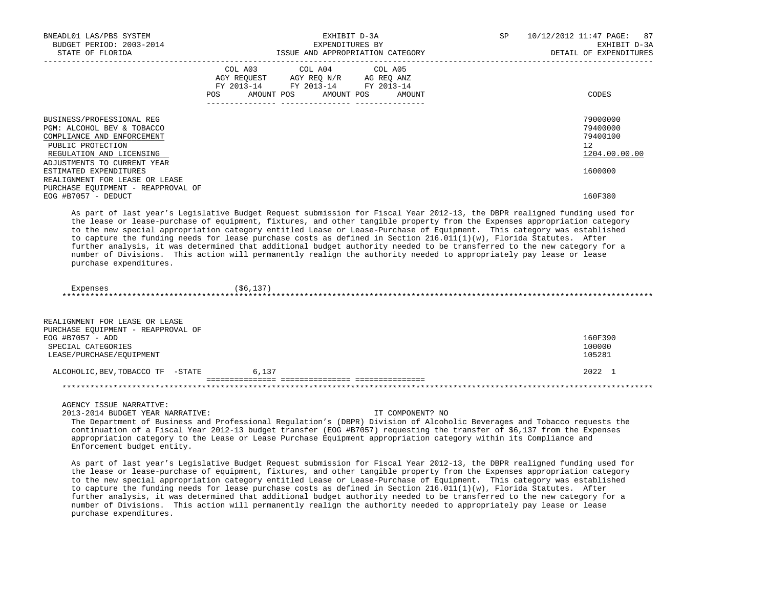| BNEADL01 LAS/PBS SYSTEM<br>BUDGET PERIOD: 2003-2014<br>STATE OF FLORIDA                                                                                               |     | EXHIBIT D-3A<br>EXPENDITURES BY<br>ISSUE AND APPROPRIATION CATEGORY                                                               | SP | 10/12/2012 11:47 PAGE: 87<br>EXHIBIT D-3A<br>DETAIL OF EXPENDITURES  |
|-----------------------------------------------------------------------------------------------------------------------------------------------------------------------|-----|-----------------------------------------------------------------------------------------------------------------------------------|----|----------------------------------------------------------------------|
|                                                                                                                                                                       | POS | COL A03 COL A04 COL A05<br>AGY REQUEST AGY REQ N/R AG REQ ANZ<br>FY 2013-14 FY 2013-14 FY 2013-14<br>AMOUNT POS AMOUNT POS AMOUNT |    | CODES                                                                |
| BUSINESS/PROFESSIONAL REG<br>PGM: ALCOHOL BEV & TOBACCO<br>COMPLIANCE AND ENFORCEMENT<br>PUBLIC PROTECTION<br>REGULATION AND LICENSING<br>ADJUSTMENTS TO CURRENT YEAR |     |                                                                                                                                   |    | 79000000<br>79400000<br>79400100<br>12 <sup>°</sup><br>1204.00.00.00 |
| ESTIMATED EXPENDITURES<br>REALIGNMENT FOR LEASE OR LEASE<br>PURCHASE EQUIPMENT - REAPPROVAL OF<br>$EOG$ #B7057 - DEDUCT                                               |     |                                                                                                                                   |    | 1600000<br>160F380                                                   |

 As part of last year's Legislative Budget Request submission for Fiscal Year 2012-13, the DBPR realigned funding used for the lease or lease-purchase of equipment, fixtures, and other tangible property from the Expenses appropriation category to the new special appropriation category entitled Lease or Lease-Purchase of Equipment. This category was established to capture the funding needs for lease purchase costs as defined in Section 216.011(1)(w), Florida Statutes. After further analysis, it was determined that additional budget authority needed to be transferred to the new category for a number of Divisions. This action will permanently realign the authority needed to appropriately pay lease or lease purchase expenditures.

Expenses (\$6,137) \*\*\*\*\*\*\*\*\*\*\*\*\*\*\*\*\*\*\*\*\*\*\*\*\*\*\*\*\*\*\*\*\*\*\*\*\*\*\*\*\*\*\*\*\*\*\*\*\*\*\*\*\*\*\*\*\*\*\*\*\*\*\*\*\*\*\*\*\*\*\*\*\*\*\*\*\*\*\*\*\*\*\*\*\*\*\*\*\*\*\*\*\*\*\*\*\*\*\*\*\*\*\*\*\*\*\*\*\*\*\*\*\*\*\*\*\*\*\*\*\*\*\*\*\*\*\*

| REALIGNMENT FOR LEASE OR LEASE     |       |         |
|------------------------------------|-------|---------|
| PURCHASE EOUIPMENT - REAPPROVAL OF |       |         |
| $EOG$ #B7057 - ADD                 |       | 160F390 |
| SPECIAL CATEGORIES                 |       | 100000  |
| LEASE/PURCHASE/EOUIPMENT           |       | 105281  |
| ALCOHOLIC, BEV, TOBACCO TF - STATE | 6,137 | 2022 1  |
|                                    |       |         |
|                                    |       |         |

AGENCY ISSUE NARRATIVE:

2013-2014 BUDGET YEAR NARRATIVE: IT COMPONENT? NO

 The Department of Business and Professional Regulation's (DBPR) Division of Alcoholic Beverages and Tobacco requests the continuation of a Fiscal Year 2012-13 budget transfer (EOG #B7057) requesting the transfer of \$6,137 from the Expenses appropriation category to the Lease or Lease Purchase Equipment appropriation category within its Compliance and Enforcement budget entity.

 As part of last year's Legislative Budget Request submission for Fiscal Year 2012-13, the DBPR realigned funding used for the lease or lease-purchase of equipment, fixtures, and other tangible property from the Expenses appropriation category to the new special appropriation category entitled Lease or Lease-Purchase of Equipment. This category was established to capture the funding needs for lease purchase costs as defined in Section 216.011(1)(w), Florida Statutes. After further analysis, it was determined that additional budget authority needed to be transferred to the new category for a number of Divisions. This action will permanently realign the authority needed to appropriately pay lease or lease purchase expenditures.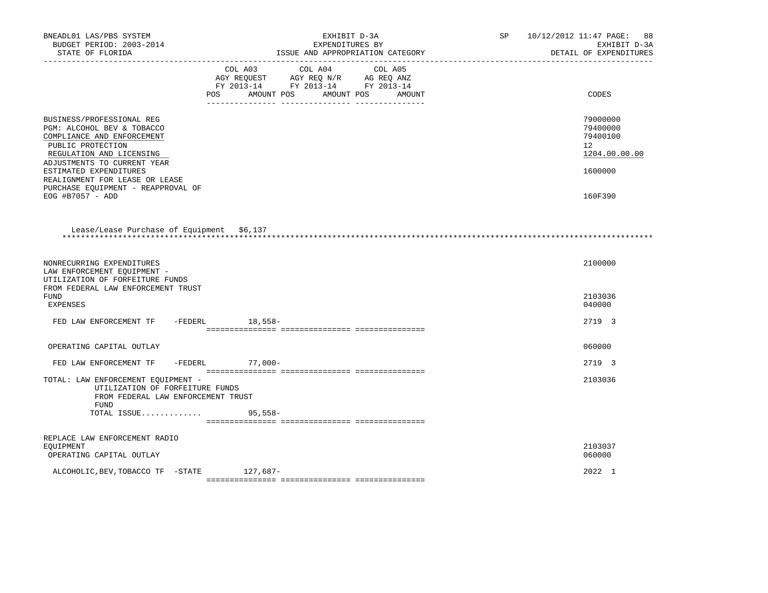| BNEADL01 LAS/PBS SYSTEM<br>BUDGET PERIOD: 2003-2014<br>STATE OF FLORIDA                                                                                               | EXHIBIT D-3A<br>EXPENDITURES BY<br>ISSUE AND APPROPRIATION CATEGORY                                                                                      | SP | 10/12/2012 11:47 PAGE: 88<br>EXHIBIT D-3A<br>DETAIL OF EXPENDITURES |
|-----------------------------------------------------------------------------------------------------------------------------------------------------------------------|----------------------------------------------------------------------------------------------------------------------------------------------------------|----|---------------------------------------------------------------------|
|                                                                                                                                                                       | COL A03 COL A04<br>COL A05<br>AGY REQUEST AGY REQ N/R AG REQ ANZ<br>FY 2013-14 FY 2013-14 FY 2013-14<br><b>POS</b><br>AMOUNT POS<br>AMOUNT POS<br>AMOUNT |    | CODES                                                               |
| BUSINESS/PROFESSIONAL REG<br>PGM: ALCOHOL BEV & TOBACCO<br>COMPLIANCE AND ENFORCEMENT<br>PUBLIC PROTECTION<br>REGULATION AND LICENSING<br>ADJUSTMENTS TO CURRENT YEAR |                                                                                                                                                          |    | 79000000<br>79400000<br>79400100<br>$12^{\circ}$<br>1204.00.00.00   |
| ESTIMATED EXPENDITURES<br>REALIGNMENT FOR LEASE OR LEASE<br>PURCHASE EQUIPMENT - REAPPROVAL OF<br>EOG #B7057 - ADD                                                    |                                                                                                                                                          |    | 1600000<br>160F390                                                  |
| Lease/Lease Purchase of Equipment \$6,137                                                                                                                             |                                                                                                                                                          |    |                                                                     |
| NONRECURRING EXPENDITURES<br>LAW ENFORCEMENT EQUIPMENT -<br>UTILIZATION OF FORFEITURE FUNDS<br>FROM FEDERAL LAW ENFORCEMENT TRUST<br>FUND<br><b>EXPENSES</b>          |                                                                                                                                                          |    | 2100000<br>2103036<br>040000                                        |
| FED LAW ENFORCEMENT TF -FEDERL 18,558-                                                                                                                                |                                                                                                                                                          |    | 2719 3                                                              |
| OPERATING CAPITAL OUTLAY                                                                                                                                              |                                                                                                                                                          |    | 060000                                                              |
| FED LAW ENFORCEMENT TF                                                                                                                                                | -FEDERL 77,000-                                                                                                                                          |    | 2719 3                                                              |
| TOTAL: LAW ENFORCEMENT EQUIPMENT -<br>UTILIZATION OF FORFEITURE FUNDS<br>FROM FEDERAL LAW ENFORCEMENT TRUST<br><b>FUND</b>                                            |                                                                                                                                                          |    | 2103036                                                             |
| TOTAL ISSUE                                                                                                                                                           | $95,558-$                                                                                                                                                |    |                                                                     |
| REPLACE LAW ENFORCEMENT RADIO<br>EOUIPMENT<br>OPERATING CAPITAL OUTLAY                                                                                                |                                                                                                                                                          |    | 2103037<br>060000                                                   |
| ALCOHOLIC, BEV, TOBACCO TF - STATE 127, 687-                                                                                                                          |                                                                                                                                                          |    | 2022 1                                                              |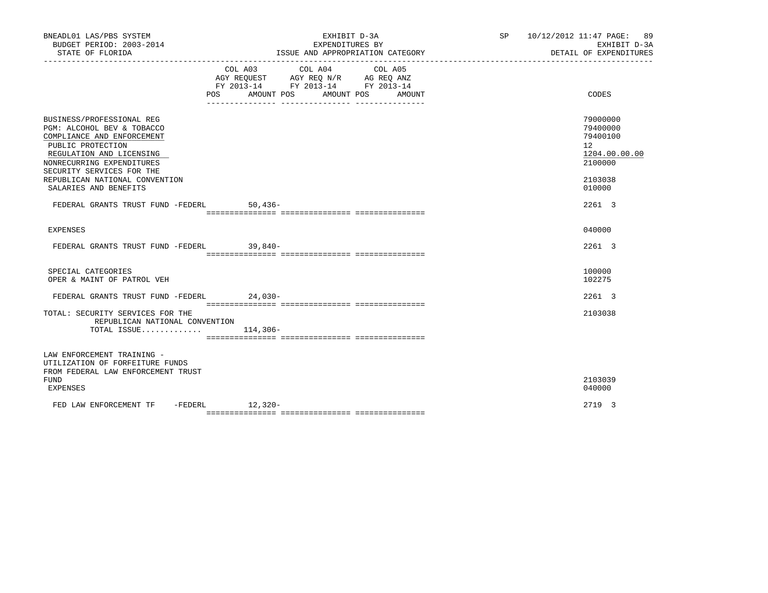| BNEADL01 LAS/PBS SYSTEM<br>BUDGET PERIOD: 2003-2014<br>STATE OF FLORIDA                                                                                                                                                                                     | EXHIBIT D-3A<br>EXPENDITURES BY<br>ISSUE AND APPROPRIATION CATEGORY                                                                      | SP 10/12/2012 11:47 PAGE: 89<br>EXHIBIT D-3A<br>DETAIL OF EXPENDITURES                                |
|-------------------------------------------------------------------------------------------------------------------------------------------------------------------------------------------------------------------------------------------------------------|------------------------------------------------------------------------------------------------------------------------------------------|-------------------------------------------------------------------------------------------------------|
|                                                                                                                                                                                                                                                             | COL A03 COL A04 COL A05<br>AGY REQUEST AGY REQ N/R AG REQ ANZ<br>FY 2013-14 FY 2013-14 FY 2013-14<br>AMOUNT POS AMOUNT POS AMOUNT<br>POS | CODES                                                                                                 |
| BUSINESS/PROFESSIONAL REG<br>PGM: ALCOHOL BEV & TOBACCO<br>COMPLIANCE AND ENFORCEMENT<br>PUBLIC PROTECTION<br>REGULATION AND LICENSING<br>NONRECURRING EXPENDITURES<br>SECURITY SERVICES FOR THE<br>REPUBLICAN NATIONAL CONVENTION<br>SALARIES AND BENEFITS |                                                                                                                                          | 79000000<br>79400000<br>79400100<br>12 <sup>12</sup><br>1204.00.00.00<br>2100000<br>2103038<br>010000 |
| FEDERAL GRANTS TRUST FUND -FEDERL                                                                                                                                                                                                                           | $50,436-$                                                                                                                                | 2261 3                                                                                                |
| <b>EXPENSES</b>                                                                                                                                                                                                                                             |                                                                                                                                          | 040000                                                                                                |
| FEDERAL GRANTS TRUST FUND -FEDERL 39,840-                                                                                                                                                                                                                   |                                                                                                                                          | 2261 3                                                                                                |
| SPECIAL CATEGORIES<br>OPER & MAINT OF PATROL VEH                                                                                                                                                                                                            |                                                                                                                                          | 100000<br>102275                                                                                      |
| FEDERAL GRANTS TRUST FUND -FEDERL 24,030-                                                                                                                                                                                                                   |                                                                                                                                          | 2261 3                                                                                                |
| TOTAL: SECURITY SERVICES FOR THE<br>REPUBLICAN NATIONAL CONVENTION<br>TOTAL ISSUE $114,306-$                                                                                                                                                                |                                                                                                                                          | 2103038                                                                                               |
| LAW ENFORCEMENT TRAINING -<br>UTILIZATION OF FORFEITURE FUNDS<br>FROM FEDERAL LAW ENFORCEMENT TRUST<br><b>FUND</b><br>EXPENSES                                                                                                                              |                                                                                                                                          | 2103039<br>040000                                                                                     |
| FED LAW ENFORCEMENT TF -FEDERL 12,320-                                                                                                                                                                                                                      |                                                                                                                                          | 2719 3                                                                                                |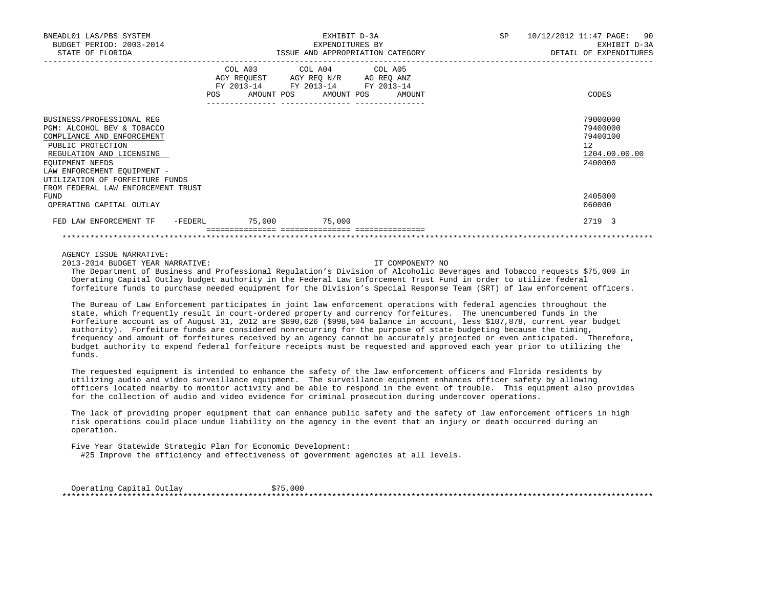| BNEADL01 LAS/PBS SYSTEM<br>BUDGET PERIOD: 2003-2014                                                                                                                                                                                                                                                                                                                                                                                                                                                                                                                                                                                                                                                                                                     |  | EXHIBIT D-3A                                                                                                                          | EXPENDITURES BY<br>ISSUE AND APPROPRIATION CATEGORY | SP 10/12/2012 11:47 PAGE: 90<br>EXHIBIT D-3A<br>DETAIL OF EXPENDITURES |
|---------------------------------------------------------------------------------------------------------------------------------------------------------------------------------------------------------------------------------------------------------------------------------------------------------------------------------------------------------------------------------------------------------------------------------------------------------------------------------------------------------------------------------------------------------------------------------------------------------------------------------------------------------------------------------------------------------------------------------------------------------|--|---------------------------------------------------------------------------------------------------------------------------------------|-----------------------------------------------------|------------------------------------------------------------------------|
|                                                                                                                                                                                                                                                                                                                                                                                                                                                                                                                                                                                                                                                                                                                                                         |  | COL A03 COL A04 COL A05<br>AGY REQUEST AGY REQ N/R AG REQ ANZ<br>FY 2013-14 FY 2013-14 FY 2013-14<br>POS AMOUNT POS AMOUNT POS AMOUNT |                                                     | CODES                                                                  |
| BUSINESS/PROFESSIONAL REG<br>PGM: ALCOHOL BEV & TOBACCO<br>COMPLIANCE AND ENFORCEMENT<br>PUBLIC PROTECTION<br>REGULATION AND LICENSING<br>EOUIPMENT NEEDS<br>LAW ENFORCEMENT EQUIPMENT -<br>UTILIZATION OF FORFEITURE FUNDS                                                                                                                                                                                                                                                                                                                                                                                                                                                                                                                             |  |                                                                                                                                       |                                                     | 79000000<br>79400000<br>79400100<br>12<br>1204.00.00.00<br>2400000     |
| FROM FEDERAL LAW ENFORCEMENT TRUST<br><b>FUND</b><br>OPERATING CAPITAL OUTLAY                                                                                                                                                                                                                                                                                                                                                                                                                                                                                                                                                                                                                                                                           |  |                                                                                                                                       |                                                     | 2405000<br>060000                                                      |
| FED LAW ENFORCEMENT TF -FEDERL 75,000 75,000                                                                                                                                                                                                                                                                                                                                                                                                                                                                                                                                                                                                                                                                                                            |  |                                                                                                                                       |                                                     | 2719 3                                                                 |
|                                                                                                                                                                                                                                                                                                                                                                                                                                                                                                                                                                                                                                                                                                                                                         |  |                                                                                                                                       |                                                     |                                                                        |
| AGENCY ISSUE NARRATIVE:<br>2013-2014 BUDGET YEAR NARRATIVE:<br>The Department of Business and Professional Regulation's Division of Alcoholic Beverages and Tobacco requests \$75,000 in<br>Operating Capital Outlay budget authority in the Federal Law Enforcement Trust Fund in order to utilize federal<br>forfeiture funds to purchase needed equipment for the Division's Special Response Team (SRT) of law enforcement officers.                                                                                                                                                                                                                                                                                                                |  |                                                                                                                                       | IT COMPONENT? NO                                    |                                                                        |
| The Bureau of Law Enforcement participates in joint law enforcement operations with federal agencies throughout the<br>state, which frequently result in court-ordered property and currency forfeitures. The unencumbered funds in the<br>Forfeiture account as of August 31, 2012 are \$890,626 (\$998,504 balance in account, less \$107,878, current year budget<br>authority). Forfeiture funds are considered nonrecurring for the purpose of state budgeting because the timing,<br>frequency and amount of forfeitures received by an agency cannot be accurately projected or even anticipated. Therefore,<br>budget authority to expend federal forfeiture receipts must be requested and approved each year prior to utilizing the<br>funds. |  |                                                                                                                                       |                                                     |                                                                        |
| The requested equipment is intended to enhance the safety of the law enforcement officers and Florida residents by<br>utilizing audio and video surveillance equipment. The surveillance equipment enhances officer safety by allowing                                                                                                                                                                                                                                                                                                                                                                                                                                                                                                                  |  |                                                                                                                                       |                                                     |                                                                        |

 utilizing audio and video surveillance equipment. The surveillance equipment enhances officer safety by allowing officers located nearby to monitor activity and be able to respond in the event of trouble. This equipment also provides for the collection of audio and video evidence for criminal prosecution during undercover operations.

 The lack of providing proper equipment that can enhance public safety and the safety of law enforcement officers in high risk operations could place undue liability on the agency in the event that an injury or death occurred during an operation.

 Five Year Statewide Strategic Plan for Economic Development: #25 Improve the efficiency and effectiveness of government agencies at all levels.

 Operating Capital Outlay \$75,000 \*\*\*\*\*\*\*\*\*\*\*\*\*\*\*\*\*\*\*\*\*\*\*\*\*\*\*\*\*\*\*\*\*\*\*\*\*\*\*\*\*\*\*\*\*\*\*\*\*\*\*\*\*\*\*\*\*\*\*\*\*\*\*\*\*\*\*\*\*\*\*\*\*\*\*\*\*\*\*\*\*\*\*\*\*\*\*\*\*\*\*\*\*\*\*\*\*\*\*\*\*\*\*\*\*\*\*\*\*\*\*\*\*\*\*\*\*\*\*\*\*\*\*\*\*\*\*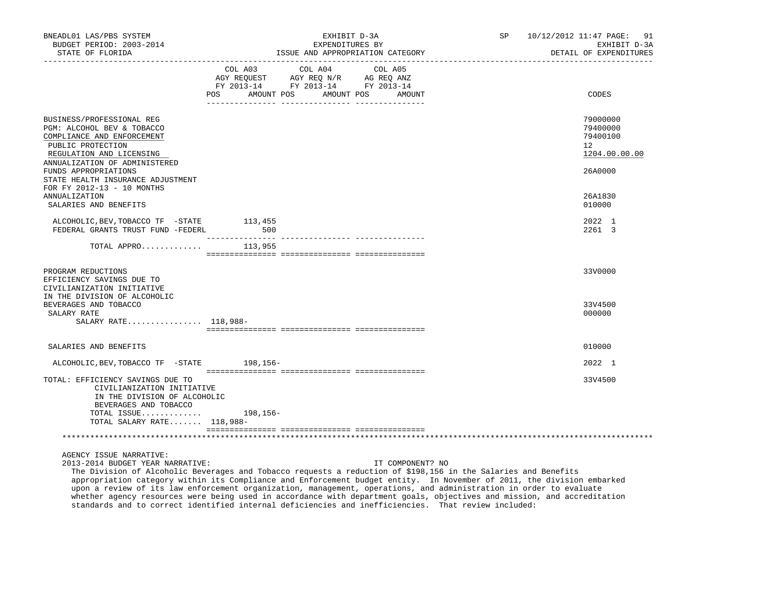| BNEADL01 LAS/PBS SYSTEM<br>BUDGET PERIOD: 2003-2014<br>STATE OF FLORIDA                                                                                                       | EXHIBIT D-3A<br>EXPENDITURES BY<br>ISSUE AND APPROPRIATION CATEGORY |                                                                                   |                              | SP 10/12/2012 11:47 PAGE: 91<br>EXHIBIT D-3A<br>DETAIL OF EXPENDITURES |
|-------------------------------------------------------------------------------------------------------------------------------------------------------------------------------|---------------------------------------------------------------------|-----------------------------------------------------------------------------------|------------------------------|------------------------------------------------------------------------|
|                                                                                                                                                                               | COL A03<br>POS AMOUNT POS                                           | COL A04<br>AGY REQUEST AGY REQ N/R AG REQ ANZ<br>FY 2013-14 FY 2013-14 FY 2013-14 | COL A05<br>AMOUNT POS AMOUNT | CODES                                                                  |
| BUSINESS/PROFESSIONAL REG<br>PGM: ALCOHOL BEV & TOBACCO<br>COMPLIANCE AND ENFORCEMENT<br>PUBLIC PROTECTION<br>REGULATION AND LICENSING<br>ANNUALIZATION OF ADMINISTERED       |                                                                     |                                                                                   |                              | 79000000<br>79400000<br>79400100<br>12<br>1204.00.00.00                |
| FUNDS APPROPRIATIONS<br>STATE HEALTH INSURANCE ADJUSTMENT<br>FOR FY 2012-13 - 10 MONTHS<br><b>ANNUALIZATION</b>                                                               |                                                                     |                                                                                   |                              | 26A0000<br>26A1830                                                     |
| SALARIES AND BENEFITS                                                                                                                                                         |                                                                     |                                                                                   |                              | 010000                                                                 |
| ALCOHOLIC, BEV, TOBACCO TF -STATE<br>FEDERAL GRANTS TRUST FUND -FEDERL                                                                                                        | 113,455<br>500                                                      |                                                                                   |                              | 2022 1<br>2261 3                                                       |
| TOTAL APPRO $113,955$                                                                                                                                                         |                                                                     |                                                                                   |                              |                                                                        |
| PROGRAM REDUCTIONS<br>EFFICIENCY SAVINGS DUE TO<br>CIVILIANIZATION INITIATIVE<br>IN THE DIVISION OF ALCOHOLIC                                                                 |                                                                     |                                                                                   |                              | 33V0000                                                                |
| BEVERAGES AND TOBACCO<br>SALARY RATE<br>SALARY RATE 118,988-                                                                                                                  |                                                                     |                                                                                   |                              | 33V4500<br>000000                                                      |
| SALARIES AND BENEFITS                                                                                                                                                         |                                                                     |                                                                                   |                              | 010000                                                                 |
| ALCOHOLIC, BEV, TOBACCO TF - STATE 198, 156-                                                                                                                                  |                                                                     |                                                                                   |                              | 2022 1                                                                 |
| TOTAL: EFFICIENCY SAVINGS DUE TO<br>CIVILIANIZATION INITIATIVE<br>IN THE DIVISION OF ALCOHOLIC                                                                                |                                                                     |                                                                                   |                              | 33V4500                                                                |
| BEVERAGES AND TOBACCO<br>TOTAL ISSUE $198,156-$<br>TOTAL SALARY RATE 118,988-                                                                                                 |                                                                     |                                                                                   |                              |                                                                        |
|                                                                                                                                                                               |                                                                     |                                                                                   |                              |                                                                        |
| AGENCY ISSUE NARRATIVE:<br>2013-2014 BUDGET YEAR NARRATIVE:<br>The Division of Alcoholic Beverages and Tobacco requests a reduction of \$198,156 in the Salaries and Benefits |                                                                     |                                                                                   | IT COMPONENT? NO             |                                                                        |

 appropriation category within its Compliance and Enforcement budget entity. In November of 2011, the division embarked upon a review of its law enforcement organization, management, operations, and administration in order to evaluate whether agency resources were being used in accordance with department goals, objectives and mission, and accreditation standards and to correct identified internal deficiencies and inefficiencies. That review included: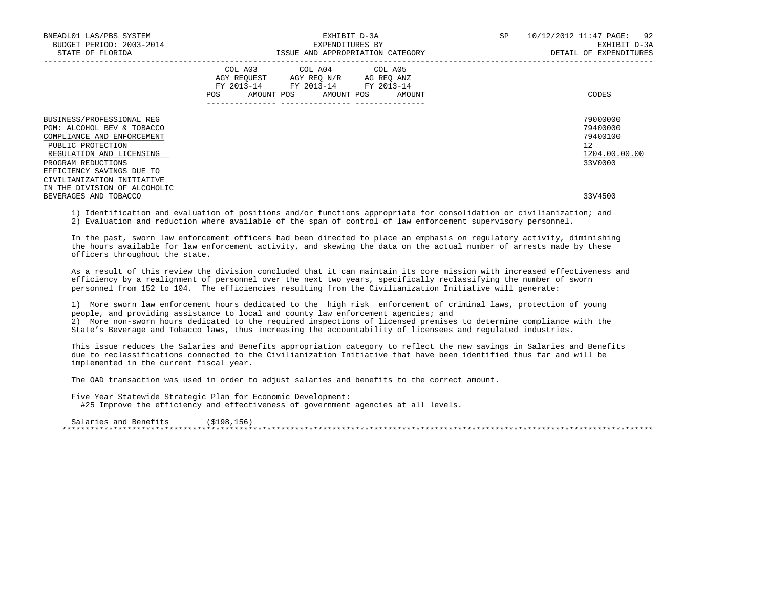| BNEADL01 LAS/PBS SYSTEM<br>BUDGET PERIOD: 2003-2014<br>STATE OF FLORIDA                                                                                                                                                 | EXHIBIT D-3A<br>EXPENDITURES BY<br>ISSUE AND APPROPRIATION CATEGORY                                                                   | SP<br>10/12/2012 11:47 PAGE: 92<br>EXHIBIT D-3A<br>DETAIL OF EXPENDITURES        |
|-------------------------------------------------------------------------------------------------------------------------------------------------------------------------------------------------------------------------|---------------------------------------------------------------------------------------------------------------------------------------|----------------------------------------------------------------------------------|
|                                                                                                                                                                                                                         | COL A03 COL A04 COL A05<br>AGY REQUEST AGY REQ N/R AG REQ ANZ<br>FY 2013-14 FY 2013-14 FY 2013-14<br>POS AMOUNT POS AMOUNT POS AMOUNT | CODES                                                                            |
| BUSINESS/PROFESSIONAL REG<br>PGM: ALCOHOL BEV & TOBACCO<br>COMPLIANCE AND ENFORCEMENT<br>PUBLIC PROTECTION<br>REGULATION AND LICENSING<br>PROGRAM REDUCTIONS<br>EFFICIENCY SAVINGS DUE TO<br>CIVILIANIZATION INITIATIVE |                                                                                                                                       | 79000000<br>79400000<br>79400100<br>12 <sup>12</sup><br>1204.00.00.00<br>33V0000 |
| IN THE DIVISION OF ALCOHOLIC<br>BEVERAGES AND TOBACCO                                                                                                                                                                   |                                                                                                                                       | 33V4500                                                                          |

 1) Identification and evaluation of positions and/or functions appropriate for consolidation or civilianization; and 2) Evaluation and reduction where available of the span of control of law enforcement supervisory personnel.

 In the past, sworn law enforcement officers had been directed to place an emphasis on regulatory activity, diminishing the hours available for law enforcement activity, and skewing the data on the actual number of arrests made by these officers throughout the state.

 As a result of this review the division concluded that it can maintain its core mission with increased effectiveness and efficiency by a realignment of personnel over the next two years, specifically reclassifying the number of sworn personnel from 152 to 104. The efficiencies resulting from the Civilianization Initiative will generate:

 1) More sworn law enforcement hours dedicated to the high risk enforcement of criminal laws, protection of young people, and providing assistance to local and county law enforcement agencies; and 2) More non-sworn hours dedicated to the required inspections of licensed premises to determine compliance with the State's Beverage and Tobacco laws, thus increasing the accountability of licensees and regulated industries.

 This issue reduces the Salaries and Benefits appropriation category to reflect the new savings in Salaries and Benefits due to reclassifications connected to the Civilianization Initiative that have been identified thus far and will be implemented in the current fiscal year.

The OAD transaction was used in order to adjust salaries and benefits to the correct amount.

Five Year Statewide Strategic Plan for Economic Development:

#25 Improve the efficiency and effectiveness of government agencies at all levels.

Salaries and Benefits (\$198,156) \*\*\*\*\*\*\*\*\*\*\*\*\*\*\*\*\*\*\*\*\*\*\*\*\*\*\*\*\*\*\*\*\*\*\*\*\*\*\*\*\*\*\*\*\*\*\*\*\*\*\*\*\*\*\*\*\*\*\*\*\*\*\*\*\*\*\*\*\*\*\*\*\*\*\*\*\*\*\*\*\*\*\*\*\*\*\*\*\*\*\*\*\*\*\*\*\*\*\*\*\*\*\*\*\*\*\*\*\*\*\*\*\*\*\*\*\*\*\*\*\*\*\*\*\*\*\*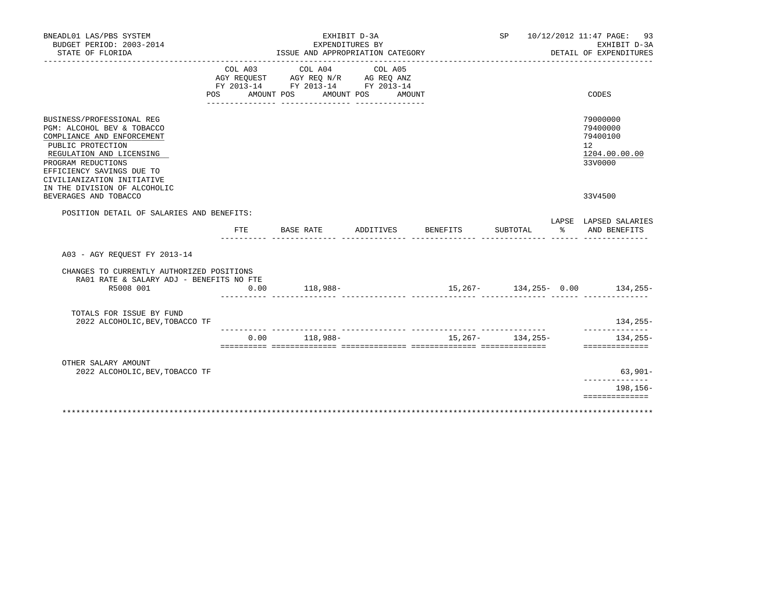| BNEADL01 LAS/PBS SYSTEM<br>BUDGET PERIOD: 2003-2014<br>STATE OF FLORIDA                                                                                                                                                                                 |      |                               | EXHIBIT D-3A<br>EXPENDITURES BY<br>ISSUE AND APPROPRIATION CATEGORY                                                                                                                                                                                           |                 |                   | SP 10/12/2012 11:47 PAGE: 93<br>EXHIBIT D-3A<br>DETAIL OF EXPENDITURES |
|---------------------------------------------------------------------------------------------------------------------------------------------------------------------------------------------------------------------------------------------------------|------|-------------------------------|---------------------------------------------------------------------------------------------------------------------------------------------------------------------------------------------------------------------------------------------------------------|-----------------|-------------------|------------------------------------------------------------------------|
| POS                                                                                                                                                                                                                                                     |      | COL A03 COL A04<br>AMOUNT POS | COL A05<br>$\begin{tabular}{lllllll} \bf AGY \;\; REQUEST \hspace{1cm} AGY \;\; REQ \;\; N/R \hspace{1cm} AG \;\; REQ \;\; ANZ \\ \hline \tt FY \;\; 2013-14 \hspace{1cm} FY \;\; 2013-14 \hspace{1cm} FY \;\; 2013-14 \end{tabular}$<br>AMOUNT POS<br>AMOUNT |                 |                   | CODES                                                                  |
| BUSINESS/PROFESSIONAL REG<br>PGM: ALCOHOL BEV & TOBACCO<br>COMPLIANCE AND ENFORCEMENT<br>PUBLIC PROTECTION<br>REGULATION AND LICENSING<br>PROGRAM REDUCTIONS<br>EFFICIENCY SAVINGS DUE TO<br>CIVILIANIZATION INITIATIVE<br>IN THE DIVISION OF ALCOHOLIC |      |                               |                                                                                                                                                                                                                                                               |                 |                   | 79000000<br>79400000<br>79400100<br>12<br>1204.00.00.00<br>33V0000     |
| BEVERAGES AND TOBACCO                                                                                                                                                                                                                                   |      |                               |                                                                                                                                                                                                                                                               |                 |                   | 33V4500                                                                |
| POSITION DETAIL OF SALARIES AND BENEFITS:                                                                                                                                                                                                               |      |                               |                                                                                                                                                                                                                                                               |                 |                   | LAPSE LAPSED SALARIES                                                  |
|                                                                                                                                                                                                                                                         |      | FTE BASE RATE                 | ADDITIVES                                                                                                                                                                                                                                                     | <b>BENEFITS</b> | SUBTOTAL          | % AND BENEFITS                                                         |
| A03 - AGY REOUEST FY 2013-14                                                                                                                                                                                                                            |      |                               |                                                                                                                                                                                                                                                               |                 |                   |                                                                        |
| CHANGES TO CURRENTLY AUTHORIZED POSITIONS<br>RA01 RATE & SALARY ADJ - BENEFITS NO FTE                                                                                                                                                                   |      |                               |                                                                                                                                                                                                                                                               |                 |                   |                                                                        |
| R5008 001                                                                                                                                                                                                                                               | 0.00 | $118,988-$                    |                                                                                                                                                                                                                                                               |                 |                   | $15,267 - 134,255 - 0.00$ 134,255-                                     |
| TOTALS FOR ISSUE BY FUND<br>2022 ALCOHOLIC, BEV, TOBACCO TF                                                                                                                                                                                             |      |                               |                                                                                                                                                                                                                                                               |                 |                   | $134, 255 -$<br>. _ _ _ _ _ _ _ _ _ _                                  |
|                                                                                                                                                                                                                                                         | 0.00 | 118,988-                      |                                                                                                                                                                                                                                                               |                 | $15,267-134,255-$ | $134, 255 -$<br>==============                                         |
| OTHER SALARY AMOUNT                                                                                                                                                                                                                                     |      |                               |                                                                                                                                                                                                                                                               |                 |                   |                                                                        |
| 2022 ALCOHOLIC, BEV, TOBACCO TF                                                                                                                                                                                                                         |      |                               |                                                                                                                                                                                                                                                               |                 |                   | 63,901-<br>______________                                              |
|                                                                                                                                                                                                                                                         |      |                               |                                                                                                                                                                                                                                                               |                 |                   | 198,156-<br>==============                                             |
|                                                                                                                                                                                                                                                         |      |                               |                                                                                                                                                                                                                                                               |                 |                   |                                                                        |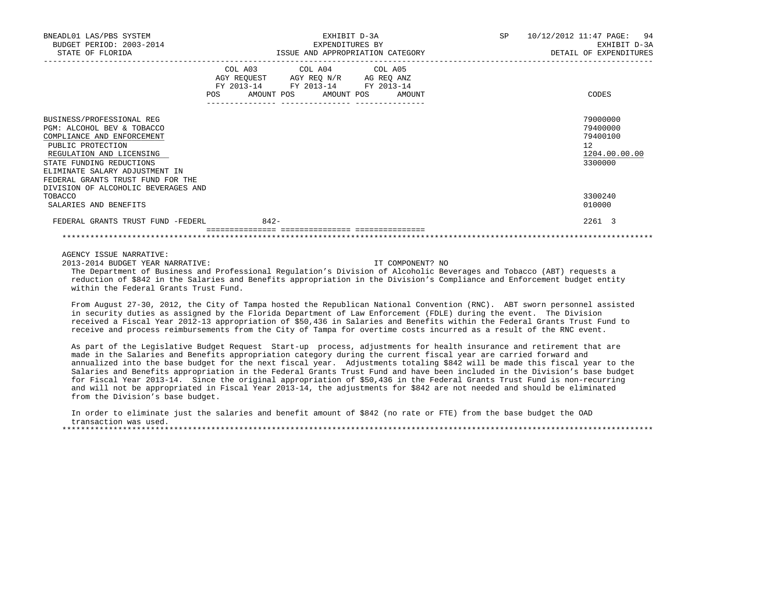| BNEADL01 LAS/PBS SYSTEM<br>BUDGET PERIOD: 2003-2014<br>STATE OF FLORIDA |        | EXHIBIT D-3A<br>EXPENDITURES BY                                        | ISSUE AND APPROPRIATION CATEGORY | SP 10/12/2012 11:47 PAGE: 94<br>EXHIBIT D-3A<br>DETAIL OF EXPENDITURES |
|-------------------------------------------------------------------------|--------|------------------------------------------------------------------------|----------------------------------|------------------------------------------------------------------------|
|                                                                         |        | COL A03 COL A04 COL A05                                                |                                  |                                                                        |
|                                                                         |        | AGY REQUEST AGY REQ N/R AG REQ ANZ<br>FY 2013-14 FY 2013-14 FY 2013-14 |                                  |                                                                        |
|                                                                         |        | POS AMOUNT POS AMOUNT POS                                              | AMOUNT                           | CODES                                                                  |
| BUSINESS/PROFESSIONAL REG                                               |        |                                                                        |                                  | 79000000                                                               |
| PGM: ALCOHOL BEV & TOBACCO                                              |        |                                                                        |                                  | 79400000                                                               |
| COMPLIANCE AND ENFORCEMENT                                              |        |                                                                        |                                  | 79400100                                                               |
| PUBLIC PROTECTION                                                       |        |                                                                        |                                  | $12^{\circ}$                                                           |
| REGULATION AND LICENSING                                                |        |                                                                        |                                  | 1204.00.00.00                                                          |
| STATE FUNDING REDUCTIONS                                                |        |                                                                        |                                  | 3300000                                                                |
| ELIMINATE SALARY ADJUSTMENT IN                                          |        |                                                                        |                                  |                                                                        |
| FEDERAL GRANTS TRUST FUND FOR THE                                       |        |                                                                        |                                  |                                                                        |
| DIVISION OF ALCOHOLIC BEVERAGES AND                                     |        |                                                                        |                                  |                                                                        |
| TOBACCO                                                                 |        |                                                                        |                                  | 3300240                                                                |
| SALARIES AND BENEFITS                                                   |        |                                                                        |                                  | 010000                                                                 |
| FEDERAL GRANTS TRUST FUND -FEDERL                                       | $842-$ |                                                                        |                                  | 2261 3                                                                 |
|                                                                         |        |                                                                        |                                  |                                                                        |
| AGENCY ISSUE NARRATIVE:                                                 |        |                                                                        |                                  |                                                                        |
| 2013-2014 BUDGET YEAR NARRATIVE:                                        |        |                                                                        | TT COMPONENT? NO                 |                                                                        |

 The Department of Business and Professional Regulation's Division of Alcoholic Beverages and Tobacco (ABT) requests a reduction of \$842 in the Salaries and Benefits appropriation in the Division's Compliance and Enforcement budget entity within the Federal Grants Trust Fund.

 From August 27-30, 2012, the City of Tampa hosted the Republican National Convention (RNC). ABT sworn personnel assisted in security duties as assigned by the Florida Department of Law Enforcement (FDLE) during the event. The Division received a Fiscal Year 2012-13 appropriation of \$50,436 in Salaries and Benefits within the Federal Grants Trust Fund to receive and process reimbursements from the City of Tampa for overtime costs incurred as a result of the RNC event.

 As part of the Legislative Budget Request Start-up process, adjustments for health insurance and retirement that are made in the Salaries and Benefits appropriation category during the current fiscal year are carried forward and annualized into the base budget for the next fiscal year. Adjustments totaling \$842 will be made this fiscal year to the Salaries and Benefits appropriation in the Federal Grants Trust Fund and have been included in the Division's base budget for Fiscal Year 2013-14. Since the original appropriation of \$50,436 in the Federal Grants Trust Fund is non-recurring and will not be appropriated in Fiscal Year 2013-14, the adjustments for \$842 are not needed and should be eliminated from the Division's base budget.

 In order to eliminate just the salaries and benefit amount of \$842 (no rate or FTE) from the base budget the OAD transaction was used. \*\*\*\*\*\*\*\*\*\*\*\*\*\*\*\*\*\*\*\*\*\*\*\*\*\*\*\*\*\*\*\*\*\*\*\*\*\*\*\*\*\*\*\*\*\*\*\*\*\*\*\*\*\*\*\*\*\*\*\*\*\*\*\*\*\*\*\*\*\*\*\*\*\*\*\*\*\*\*\*\*\*\*\*\*\*\*\*\*\*\*\*\*\*\*\*\*\*\*\*\*\*\*\*\*\*\*\*\*\*\*\*\*\*\*\*\*\*\*\*\*\*\*\*\*\*\*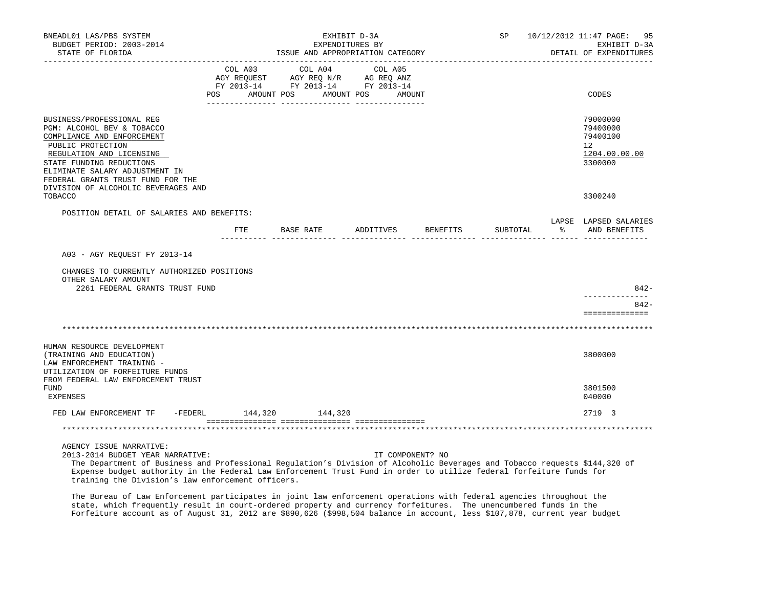| BNEADL01 LAS/PBS SYSTEM<br>BUDGET PERIOD: 2003-2014<br>STATE OF FLORIDA                                                                                                                                                                                                          |                           | ISSUE AND APPROPRIATION CATEGORY                                                  | EXHIBIT D-3A<br>EXPENDITURES BY<br>---------------- |          | SP 10/12/2012 11:47 PAGE: 95<br>EXHIBIT D-3A<br>DETAIL OF EXPENDITURES |
|----------------------------------------------------------------------------------------------------------------------------------------------------------------------------------------------------------------------------------------------------------------------------------|---------------------------|-----------------------------------------------------------------------------------|-----------------------------------------------------|----------|------------------------------------------------------------------------|
|                                                                                                                                                                                                                                                                                  | COL A03<br>POS AMOUNT POS | COL A04<br>AGY REQUEST AGY REQ N/R AG REQ ANZ<br>FY 2013-14 FY 2013-14 FY 2013-14 | COL A05<br>AMOUNT POS AMOUNT                        |          | CODES                                                                  |
| BUSINESS/PROFESSIONAL REG<br>PGM: ALCOHOL BEV & TOBACCO<br>COMPLIANCE AND ENFORCEMENT<br>PUBLIC PROTECTION<br>REGULATION AND LICENSING<br>STATE FUNDING REDUCTIONS<br>ELIMINATE SALARY ADJUSTMENT IN<br>FEDERAL GRANTS TRUST FUND FOR THE<br>DIVISION OF ALCOHOLIC BEVERAGES AND |                           |                                                                                   |                                                     |          | 79000000<br>79400000<br>79400100<br>12<br>1204.00.00.00<br>3300000     |
| TOBACCO                                                                                                                                                                                                                                                                          |                           |                                                                                   |                                                     |          | 3300240                                                                |
| POSITION DETAIL OF SALARIES AND BENEFITS:                                                                                                                                                                                                                                        |                           | FTE BASE RATE ADDITIVES BENEFITS                                                  |                                                     | SUBTOTAL | LAPSE LAPSED SALARIES<br>% AND BENEFITS                                |
| A03 - AGY REOUEST FY 2013-14<br>CHANGES TO CURRENTLY AUTHORIZED POSITIONS<br>OTHER SALARY AMOUNT<br>2261 FEDERAL GRANTS TRUST FUND                                                                                                                                               |                           |                                                                                   |                                                     |          | 842-                                                                   |
|                                                                                                                                                                                                                                                                                  |                           |                                                                                   |                                                     |          | $842 -$<br>==============                                              |
|                                                                                                                                                                                                                                                                                  |                           |                                                                                   |                                                     |          |                                                                        |
| HUMAN RESOURCE DEVELOPMENT<br>(TRAINING AND EDUCATION)<br>LAW ENFORCEMENT TRAINING -<br>UTILIZATION OF FORFEITURE FUNDS                                                                                                                                                          |                           |                                                                                   |                                                     |          | 3800000                                                                |
| FROM FEDERAL LAW ENFORCEMENT TRUST<br><b>FUND</b><br><b>EXPENSES</b>                                                                                                                                                                                                             |                           |                                                                                   |                                                     |          | 3801500<br>040000                                                      |
| FED LAW ENFORCEMENT TF -FEDERL 144,320 144,320                                                                                                                                                                                                                                   |                           |                                                                                   |                                                     |          | 2719 3                                                                 |
|                                                                                                                                                                                                                                                                                  |                           |                                                                                   |                                                     |          |                                                                        |
| AGENCY ISSUE NARRATIVE:                                                                                                                                                                                                                                                          |                           |                                                                                   |                                                     |          |                                                                        |

2013-2014 BUDGET YEAR NARRATIVE: IT COMPONENT? NO

 The Department of Business and Professional Regulation's Division of Alcoholic Beverages and Tobacco requests \$144,320 of Expense budget authority in the Federal Law Enforcement Trust Fund in order to utilize federal forfeiture funds for training the Division's law enforcement officers.

 The Bureau of Law Enforcement participates in joint law enforcement operations with federal agencies throughout the state, which frequently result in court-ordered property and currency forfeitures. The unencumbered funds in the Forfeiture account as of August 31, 2012 are \$890,626 (\$998,504 balance in account, less \$107,878, current year budget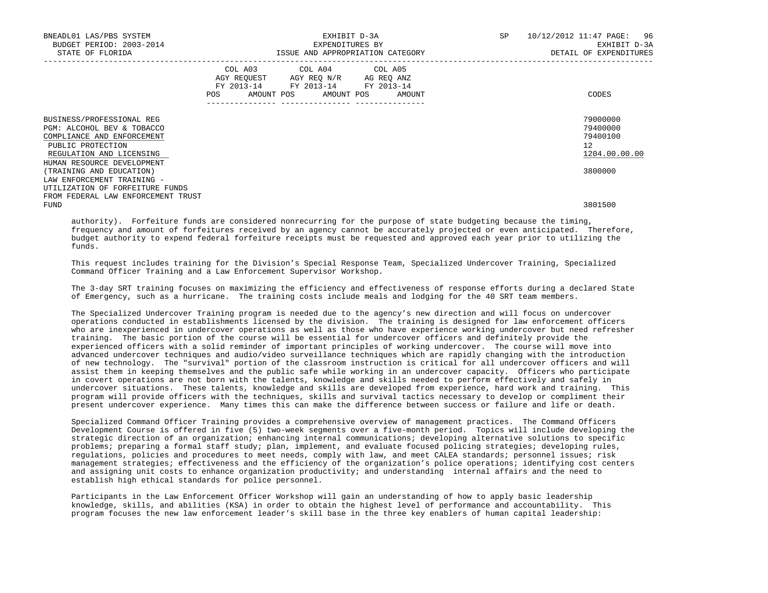| BNEADL01 LAS/PBS SYSTEM<br>BUDGET PERIOD: 2003-2014<br>STATE OF FLORIDA                                                                                                                          | EXHIBIT D-3A<br>EXPENDITURES BY<br>ISSUE AND APPROPRIATION CATEGORY                                                                                      | SP | 10/12/2012 11:47 PAGE: 96<br>EXHIBIT D-3A<br>DETAIL OF EXPENDITURES             |
|--------------------------------------------------------------------------------------------------------------------------------------------------------------------------------------------------|----------------------------------------------------------------------------------------------------------------------------------------------------------|----|---------------------------------------------------------------------------------|
|                                                                                                                                                                                                  | COL A03 COL A04 COL A05<br>AGY REQUEST AGY REQ N/R AG REQ ANZ<br>FY 2013-14 FY 2013-14 FY 2013-14<br>POS AMOUNT POS AMOUNT POS AMOUNT<br>--------------- |    | CODES                                                                           |
| BUSINESS/PROFESSIONAL REG<br>PGM: ALCOHOL BEV & TOBACCO<br>COMPLIANCE AND ENFORCEMENT<br>PUBLIC PROTECTION<br>REGULATION AND LICENSING<br>HUMAN RESOURCE DEVELOPMENT<br>(TRAINING AND EDUCATION) |                                                                                                                                                          |    | 79000000<br>79400000<br>79400100<br>12 <sup>°</sup><br>1204.00.00.00<br>3800000 |
| LAW ENFORCEMENT TRAINING -<br>UTILIZATION OF FORFEITURE FUNDS<br>FROM FEDERAL LAW ENFORCEMENT TRUST<br>FUND                                                                                      |                                                                                                                                                          |    | 3801500                                                                         |

 authority). Forfeiture funds are considered nonrecurring for the purpose of state budgeting because the timing, frequency and amount of forfeitures received by an agency cannot be accurately projected or even anticipated. Therefore, budget authority to expend federal forfeiture receipts must be requested and approved each year prior to utilizing the funds.

 This request includes training for the Division's Special Response Team, Specialized Undercover Training, Specialized Command Officer Training and a Law Enforcement Supervisor Workshop.

 The 3-day SRT training focuses on maximizing the efficiency and effectiveness of response efforts during a declared State of Emergency, such as a hurricane. The training costs include meals and lodging for the 40 SRT team members.

 The Specialized Undercover Training program is needed due to the agency's new direction and will focus on undercover operations conducted in establishments licensed by the division. The training is designed for law enforcement officers who are inexperienced in undercover operations as well as those who have experience working undercover but need refresher training. The basic portion of the course will be essential for undercover officers and definitely provide the experienced officers with a solid reminder of important principles of working undercover. The course will move into advanced undercover techniques and audio/video surveillance techniques which are rapidly changing with the introduction of new technology. The "survival" portion of the classroom instruction is critical for all undercover officers and will assist them in keeping themselves and the public safe while working in an undercover capacity. Officers who participate in covert operations are not born with the talents, knowledge and skills needed to perform effectively and safely in undercover situations. These talents, knowledge and skills are developed from experience, hard work and training. This program will provide officers with the techniques, skills and survival tactics necessary to develop or compliment their present undercover experience. Many times this can make the difference between success or failure and life or death.

 Specialized Command Officer Training provides a comprehensive overview of management practices. The Command Officers Development Course is offered in five (5) two-week segments over a five-month period. Topics will include developing the strategic direction of an organization; enhancing internal communications; developing alternative solutions to specific problems; preparing a formal staff study; plan, implement, and evaluate focused policing strategies; developing rules, regulations, policies and procedures to meet needs, comply with law, and meet CALEA standards; personnel issues; risk management strategies; effectiveness and the efficiency of the organization's police operations; identifying cost centers and assigning unit costs to enhance organization productivity; and understanding internal affairs and the need to establish high ethical standards for police personnel.

 Participants in the Law Enforcement Officer Workshop will gain an understanding of how to apply basic leadership knowledge, skills, and abilities (KSA) in order to obtain the highest level of performance and accountability. This program focuses the new law enforcement leader's skill base in the three key enablers of human capital leadership: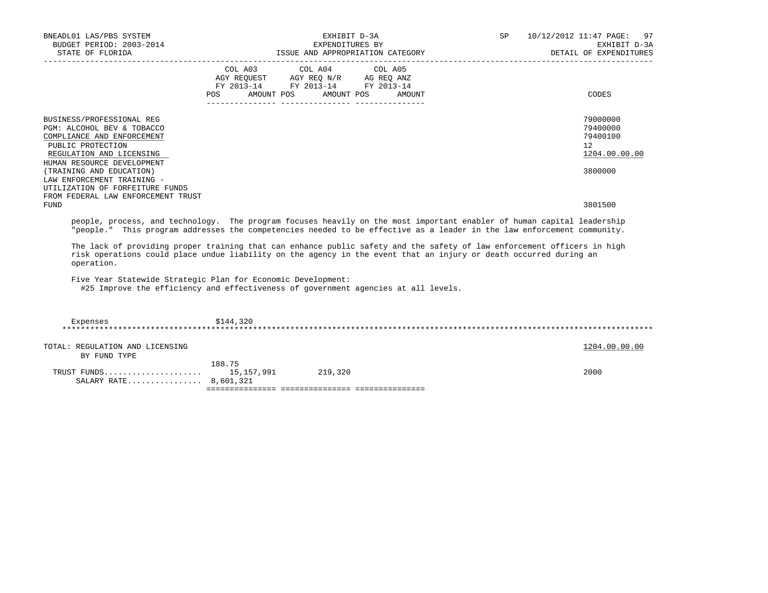| BNEADL01 LAS/PBS SYSTEM<br>BUDGET PERIOD: 2003-2014<br>STATE OF FLORIDA                                                                                                                                                                          |         | EXHIBIT D-3A<br>EXPENDITURES BY<br>ISSUE AND APPROPRIATION CATEGORY                               |  | SP | 10/12/2012 11:47 PAGE: 97<br>EXHIBIT D-3A<br>DETAIL OF EXPENDITURES |
|--------------------------------------------------------------------------------------------------------------------------------------------------------------------------------------------------------------------------------------------------|---------|---------------------------------------------------------------------------------------------------|--|----|---------------------------------------------------------------------|
|                                                                                                                                                                                                                                                  |         | COL A03 COL A04 COL A05<br>AGY REQUEST AGY REQ N/R AG REQ ANZ<br>FY 2013-14 FY 2013-14 FY 2013-14 |  |    |                                                                     |
|                                                                                                                                                                                                                                                  | POS FOR | AMOUNT POS AMOUNT POS AMOUNT                                                                      |  |    | CODES                                                               |
| BUSINESS/PROFESSIONAL REG                                                                                                                                                                                                                        |         |                                                                                                   |  |    | 79000000                                                            |
| PGM: ALCOHOL BEV & TOBACCO                                                                                                                                                                                                                       |         |                                                                                                   |  |    | 79400000                                                            |
| COMPLIANCE AND ENFORCEMENT<br>PUBLIC PROTECTION                                                                                                                                                                                                  |         |                                                                                                   |  |    | 79400100<br>$12^{\circ}$                                            |
| REGULATION AND LICENSING                                                                                                                                                                                                                         |         |                                                                                                   |  |    | 1204.00.00.00                                                       |
| HUMAN RESOURCE DEVELOPMENT                                                                                                                                                                                                                       |         |                                                                                                   |  |    |                                                                     |
| (TRAINING AND EDUCATION)                                                                                                                                                                                                                         |         |                                                                                                   |  |    | 3800000                                                             |
| LAW ENFORCEMENT TRAINING -                                                                                                                                                                                                                       |         |                                                                                                   |  |    |                                                                     |
| UTILIZATION OF FORFEITURE FUNDS                                                                                                                                                                                                                  |         |                                                                                                   |  |    |                                                                     |
| FROM FEDERAL LAW ENFORCEMENT TRUST                                                                                                                                                                                                               |         |                                                                                                   |  |    |                                                                     |
| FUND                                                                                                                                                                                                                                             |         |                                                                                                   |  |    | 3801500                                                             |
| people, process, and technology. The program focuses heavily on the most important enabler of human capital leadership<br>"people." This program addresses the competencies needed to be effective as a leader in the law enforcement community. |         |                                                                                                   |  |    |                                                                     |

 The lack of providing proper training that can enhance public safety and the safety of law enforcement officers in high risk operations could place undue liability on the agency in the event that an injury or death occurred during an operation.

Five Year Statewide Strategic Plan for Economic Development:

#25 Improve the efficiency and effectiveness of government agencies at all levels.

| Expenses                        | \$144,320  |         |               |
|---------------------------------|------------|---------|---------------|
|                                 |            |         |               |
| TOTAL: REGULATION AND LICENSING |            |         | 1204.00.00.00 |
| BY FUND TYPE                    |            |         |               |
|                                 | 188.75     |         |               |
| TRUST FUNDS                     | 15,157,991 | 219,320 | 2000          |
| SALARY RATE 8,601,321           |            |         |               |
|                                 |            |         |               |
|                                 |            |         |               |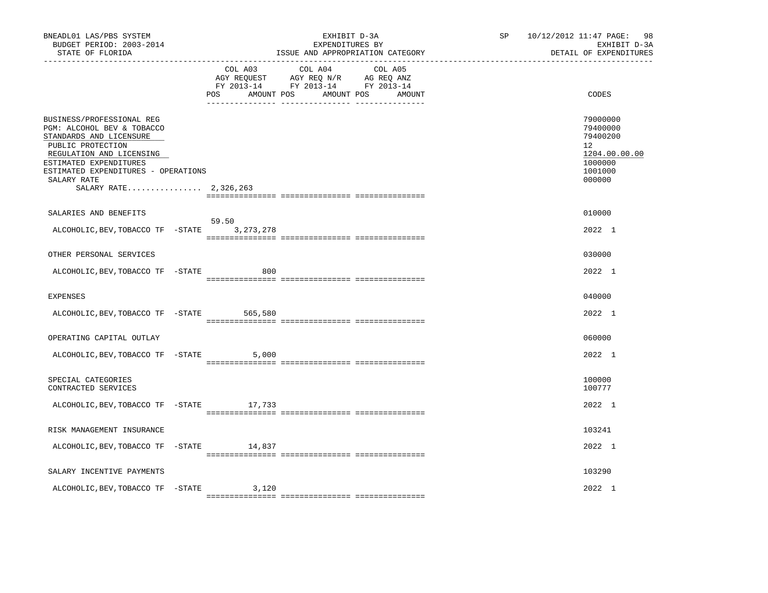| COL A03<br>COL A04<br>COL A05<br>AGY REQUEST AGY REQ N/R AG REQ ANZ<br>FY 2013-14 FY 2013-14 FY 2013-14<br>AMOUNT POS AMOUNT POS AMOUNT<br>CODES<br>POS<br>BUSINESS/PROFESSIONAL REG<br>PGM: ALCOHOL BEV & TOBACCO<br>STANDARDS AND LICENSURE<br>PUBLIC PROTECTION<br>12 <sup>°</sup><br>REGULATION AND LICENSING<br>ESTIMATED EXPENDITURES<br>ESTIMATED EXPENDITURES - OPERATIONS<br>SALARY RATE<br>000000<br>SALARY RATE 2,326,263<br>010000<br>SALARIES AND BENEFITS<br>59.50<br>ALCOHOLIC, BEV, TOBACCO TF - STATE 3, 273, 278<br>OTHER PERSONAL SERVICES<br>030000<br>ALCOHOLIC, BEV, TOBACCO TF -STATE<br>800<br>040000<br><b>EXPENSES</b><br>ALCOHOLIC, BEV, TOBACCO TF - STATE 565, 580<br>060000<br>OPERATING CAPITAL OUTLAY<br>ALCOHOLIC, BEV, TOBACCO TF - STATE<br>5,000<br>100000<br>SPECIAL CATEGORIES<br>100777<br>CONTRACTED SERVICES<br>ALCOHOLIC, BEV, TOBACCO TF - STATE 17, 733<br>103241<br>RISK MANAGEMENT INSURANCE<br>ALCOHOLIC, BEV, TOBACCO TF - STATE 14, 837<br>103290<br>SALARY INCENTIVE PAYMENTS | BNEADL01 LAS/PBS SYSTEM<br>BUDGET PERIOD: 2003-2014<br>STATE OF FLORIDA<br>_______________ |  | EXHIBIT D-3A<br>EXPENDITURES BY<br>ISSUE AND APPROPRIATION CATEGORY |  | SP | 10/12/2012 11:47 PAGE:<br>98<br>EXHIBIT D-3A<br>DETAIL OF EXPENDITURES  |
|---------------------------------------------------------------------------------------------------------------------------------------------------------------------------------------------------------------------------------------------------------------------------------------------------------------------------------------------------------------------------------------------------------------------------------------------------------------------------------------------------------------------------------------------------------------------------------------------------------------------------------------------------------------------------------------------------------------------------------------------------------------------------------------------------------------------------------------------------------------------------------------------------------------------------------------------------------------------------------------------------------------------------------|--------------------------------------------------------------------------------------------|--|---------------------------------------------------------------------|--|----|-------------------------------------------------------------------------|
|                                                                                                                                                                                                                                                                                                                                                                                                                                                                                                                                                                                                                                                                                                                                                                                                                                                                                                                                                                                                                                 |                                                                                            |  |                                                                     |  |    |                                                                         |
|                                                                                                                                                                                                                                                                                                                                                                                                                                                                                                                                                                                                                                                                                                                                                                                                                                                                                                                                                                                                                                 |                                                                                            |  |                                                                     |  |    | 79000000<br>79400000<br>79400200<br>1204.00.00.00<br>1000000<br>1001000 |
|                                                                                                                                                                                                                                                                                                                                                                                                                                                                                                                                                                                                                                                                                                                                                                                                                                                                                                                                                                                                                                 |                                                                                            |  |                                                                     |  |    |                                                                         |
|                                                                                                                                                                                                                                                                                                                                                                                                                                                                                                                                                                                                                                                                                                                                                                                                                                                                                                                                                                                                                                 |                                                                                            |  |                                                                     |  |    | 2022 1                                                                  |
|                                                                                                                                                                                                                                                                                                                                                                                                                                                                                                                                                                                                                                                                                                                                                                                                                                                                                                                                                                                                                                 |                                                                                            |  |                                                                     |  |    |                                                                         |
|                                                                                                                                                                                                                                                                                                                                                                                                                                                                                                                                                                                                                                                                                                                                                                                                                                                                                                                                                                                                                                 |                                                                                            |  |                                                                     |  |    | 2022 1                                                                  |
|                                                                                                                                                                                                                                                                                                                                                                                                                                                                                                                                                                                                                                                                                                                                                                                                                                                                                                                                                                                                                                 |                                                                                            |  |                                                                     |  |    |                                                                         |
|                                                                                                                                                                                                                                                                                                                                                                                                                                                                                                                                                                                                                                                                                                                                                                                                                                                                                                                                                                                                                                 |                                                                                            |  |                                                                     |  |    | 2022 1                                                                  |
|                                                                                                                                                                                                                                                                                                                                                                                                                                                                                                                                                                                                                                                                                                                                                                                                                                                                                                                                                                                                                                 |                                                                                            |  |                                                                     |  |    |                                                                         |
|                                                                                                                                                                                                                                                                                                                                                                                                                                                                                                                                                                                                                                                                                                                                                                                                                                                                                                                                                                                                                                 |                                                                                            |  |                                                                     |  |    | 2022 1                                                                  |
|                                                                                                                                                                                                                                                                                                                                                                                                                                                                                                                                                                                                                                                                                                                                                                                                                                                                                                                                                                                                                                 |                                                                                            |  |                                                                     |  |    |                                                                         |
|                                                                                                                                                                                                                                                                                                                                                                                                                                                                                                                                                                                                                                                                                                                                                                                                                                                                                                                                                                                                                                 |                                                                                            |  |                                                                     |  |    | 2022 1                                                                  |
|                                                                                                                                                                                                                                                                                                                                                                                                                                                                                                                                                                                                                                                                                                                                                                                                                                                                                                                                                                                                                                 |                                                                                            |  |                                                                     |  |    |                                                                         |
|                                                                                                                                                                                                                                                                                                                                                                                                                                                                                                                                                                                                                                                                                                                                                                                                                                                                                                                                                                                                                                 |                                                                                            |  |                                                                     |  |    | 2022 1                                                                  |
|                                                                                                                                                                                                                                                                                                                                                                                                                                                                                                                                                                                                                                                                                                                                                                                                                                                                                                                                                                                                                                 |                                                                                            |  |                                                                     |  |    |                                                                         |
| ALCOHOLIC, BEV, TOBACCO TF - STATE<br>3,120                                                                                                                                                                                                                                                                                                                                                                                                                                                                                                                                                                                                                                                                                                                                                                                                                                                                                                                                                                                     |                                                                                            |  |                                                                     |  |    | 2022 1                                                                  |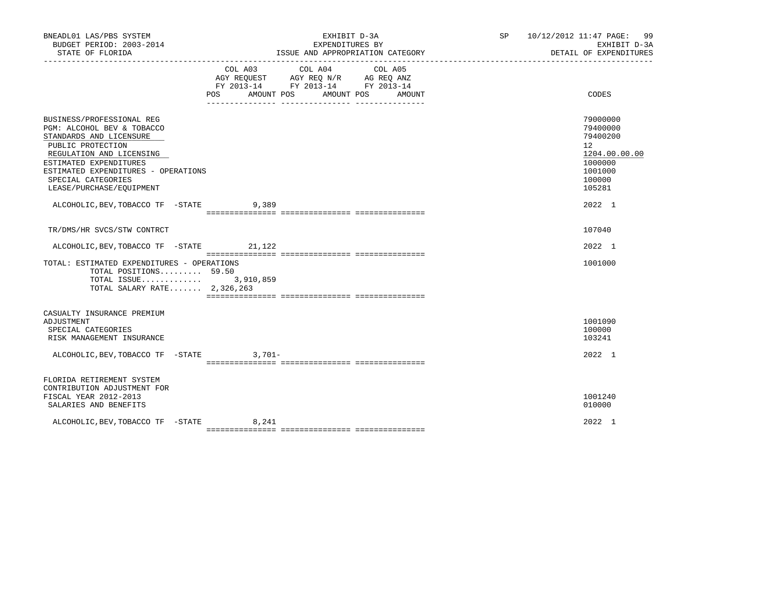| BNEADL01 LAS/PBS SYSTEM<br>BUDGET PERIOD: 2003-2014<br>STATE OF FLORIDA                                                                                                                                                                                                                             | EXHIBIT D-3A<br>EXPENDITURES BY<br>ISSUE AND APPROPRIATION CATEGORY                                                                      | SP 10/12/2012 11:47 PAGE: 99 | EXHIBIT D-3A<br>DETAIL OF EXPENDITURES                                                                                   |
|-----------------------------------------------------------------------------------------------------------------------------------------------------------------------------------------------------------------------------------------------------------------------------------------------------|------------------------------------------------------------------------------------------------------------------------------------------|------------------------------|--------------------------------------------------------------------------------------------------------------------------|
|                                                                                                                                                                                                                                                                                                     | COL A03 COL A04<br>COL A05<br>AGY REQUEST AGY REQ N/R AG REQ ANZ<br>FY 2013-14 FY 2013-14 FY 2013-14<br>POS AMOUNT POS AMOUNT POS AMOUNT |                              | CODES                                                                                                                    |
| BUSINESS/PROFESSIONAL REG<br>PGM: ALCOHOL BEV & TOBACCO<br>STANDARDS AND LICENSURE<br>PUBLIC PROTECTION<br>REGULATION AND LICENSING<br>ESTIMATED EXPENDITURES<br>ESTIMATED EXPENDITURES - OPERATIONS<br>SPECIAL CATEGORIES<br>LEASE/PURCHASE/EQUIPMENT<br>ALCOHOLIC, BEV, TOBACCO TF - STATE 9, 389 |                                                                                                                                          |                              | 79000000<br>79400000<br>79400200<br>12 <sup>7</sup><br>1204.00.00.00<br>1000000<br>1001000<br>100000<br>105281<br>2022 1 |
| TR/DMS/HR SVCS/STW CONTRCT                                                                                                                                                                                                                                                                          |                                                                                                                                          |                              | 107040                                                                                                                   |
| ALCOHOLIC, BEV, TOBACCO TF - STATE 21, 122                                                                                                                                                                                                                                                          |                                                                                                                                          |                              | $2022 \quad 1$                                                                                                           |
| TOTAL: ESTIMATED EXPENDITURES - OPERATIONS<br>TOTAL POSITIONS 59.50<br>TOTAL ISSUE 3,910,859<br>TOTAL SALARY RATE 2,326,263                                                                                                                                                                         |                                                                                                                                          |                              | 1001000                                                                                                                  |
| CASUALTY INSURANCE PREMIUM<br>ADJUSTMENT<br>SPECIAL CATEGORIES<br>RISK MANAGEMENT INSURANCE<br>ALCOHOLIC, BEV, TOBACCO TF - STATE 3,701-                                                                                                                                                            |                                                                                                                                          |                              | 1001090<br>100000<br>103241<br>2022 1                                                                                    |
| FLORIDA RETIREMENT SYSTEM<br>CONTRIBUTION ADJUSTMENT FOR<br>FISCAL YEAR 2012-2013<br>SALARIES AND BENEFITS                                                                                                                                                                                          |                                                                                                                                          |                              | 1001240<br>010000                                                                                                        |
| ALCOHOLIC, BEV, TOBACCO TF - STATE 8, 241                                                                                                                                                                                                                                                           |                                                                                                                                          |                              | 2022 1                                                                                                                   |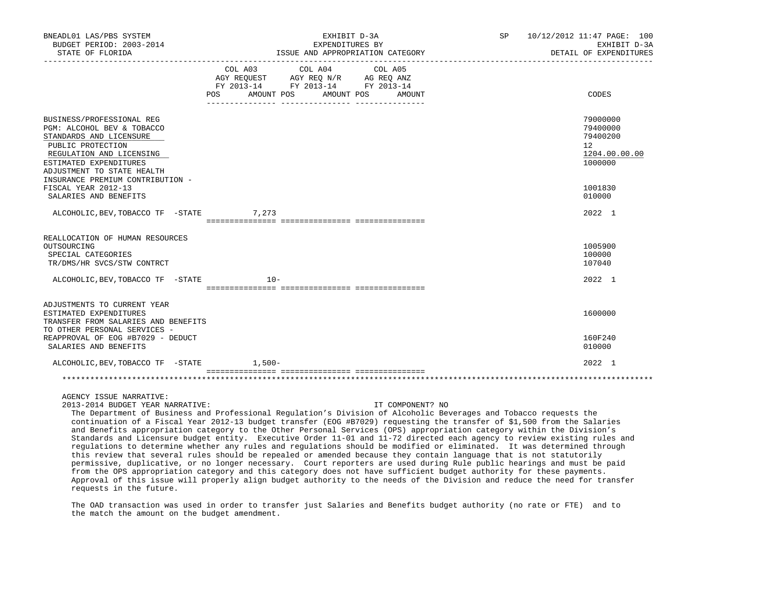| BNEADL01 LAS/PBS SYSTEM<br>BUDGET PERIOD: 2003-2014<br>STATE OF FLORIDA                                                                                                                                                         |                                                                                                                                                                              | EXHIBIT D-3A<br>EXPENDITURES BY<br>ISSUE AND APPROPRIATION CATEGORY | SP 10/12/2012 11:47 PAGE: 100<br>EXHIBIT D-3A<br>DETAIL OF EXPENDITURES |
|---------------------------------------------------------------------------------------------------------------------------------------------------------------------------------------------------------------------------------|------------------------------------------------------------------------------------------------------------------------------------------------------------------------------|---------------------------------------------------------------------|-------------------------------------------------------------------------|
|                                                                                                                                                                                                                                 | $\begin{tabular}{lcccc} COL A03 & COL A04 & COL A05 \\ AGY REQUEST & AGY REQ N/R & AG REQ ANZ \\ FY & 2013-14 & FY & 2013-14 & FY & 2013-14 \end{tabular}$<br>POS AMOUNT POS | AMOUNT POS AMOUNT                                                   | CODES                                                                   |
| BUSINESS/PROFESSIONAL REG<br>PGM: ALCOHOL BEV & TOBACCO<br>STANDARDS AND LICENSURE<br>PUBLIC PROTECTION<br>REGULATION AND LICENSING<br>ESTIMATED EXPENDITURES<br>ADJUSTMENT TO STATE HEALTH<br>INSURANCE PREMIUM CONTRIBUTION - |                                                                                                                                                                              |                                                                     | 79000000<br>79400000<br>79400200<br>12<br>1204.00.00.00<br>1000000      |
| FISCAL YEAR 2012-13<br>SALARIES AND BENEFITS                                                                                                                                                                                    |                                                                                                                                                                              |                                                                     | 1001830<br>010000                                                       |
| ALCOHOLIC, BEV, TOBACCO TF - STATE 7, 273                                                                                                                                                                                       |                                                                                                                                                                              |                                                                     | 2022 1                                                                  |
| REALLOCATION OF HUMAN RESOURCES<br>OUTSOURCING<br>SPECIAL CATEGORIES<br>TR/DMS/HR SVCS/STW CONTRCT                                                                                                                              |                                                                                                                                                                              |                                                                     | 1005900<br>100000<br>107040                                             |
| ALCOHOLIC, BEV, TOBACCO TF - STATE 10-                                                                                                                                                                                          |                                                                                                                                                                              |                                                                     | 2022 1                                                                  |
| ADJUSTMENTS TO CURRENT YEAR<br>ESTIMATED EXPENDITURES<br>TRANSFER FROM SALARIES AND BENEFITS<br>TO OTHER PERSONAL SERVICES -                                                                                                    |                                                                                                                                                                              |                                                                     | 1600000                                                                 |
| REAPPROVAL OF EOG #B7029 - DEDUCT<br>SALARIES AND BENEFITS                                                                                                                                                                      |                                                                                                                                                                              |                                                                     | 160F240<br>010000                                                       |
| ALCOHOLIC, BEV, TOBACCO TF - STATE 1,500-                                                                                                                                                                                       |                                                                                                                                                                              |                                                                     | $2022 \quad 1$                                                          |
|                                                                                                                                                                                                                                 |                                                                                                                                                                              |                                                                     |                                                                         |

AGENCY ISSUE NARRATIVE:

2013-2014 BUDGET YEAR NARRATIVE: IT COMPONENT? NO

 The Department of Business and Professional Regulation's Division of Alcoholic Beverages and Tobacco requests the continuation of a Fiscal Year 2012-13 budget transfer (EOG #B7029) requesting the transfer of \$1,500 from the Salaries and Benefits appropriation category to the Other Personal Services (OPS) appropriation category within the Division's Standards and Licensure budget entity. Executive Order 11-01 and 11-72 directed each agency to review existing rules and regulations to determine whether any rules and regulations should be modified or eliminated. It was determined through this review that several rules should be repealed or amended because they contain language that is not statutorily permissive, duplicative, or no longer necessary. Court reporters are used during Rule public hearings and must be paid from the OPS appropriation category and this category does not have sufficient budget authority for these payments. Approval of this issue will properly align budget authority to the needs of the Division and reduce the need for transfer requests in the future.

 The OAD transaction was used in order to transfer just Salaries and Benefits budget authority (no rate or FTE) and to the match the amount on the budget amendment.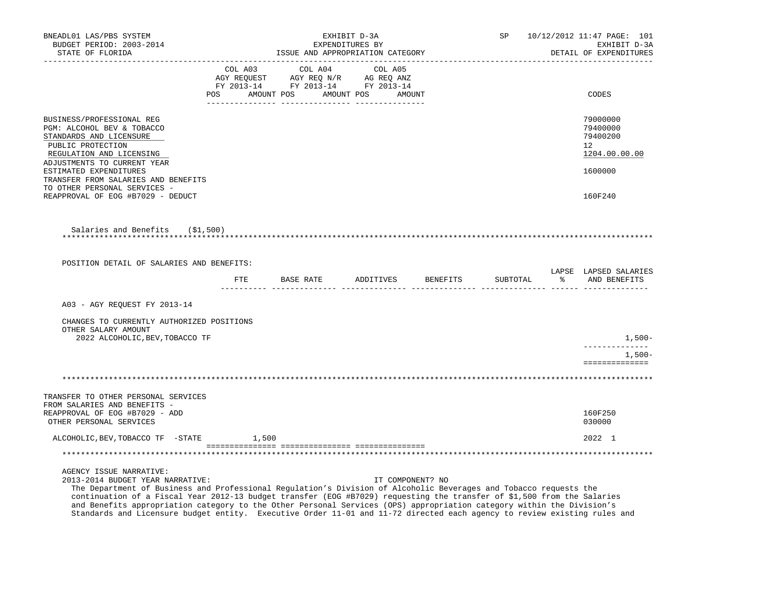| BNEADL01 LAS/PBS SYSTEM<br>BUDGET PERIOD: 2003-2014<br>STATE OF FLORIDA                                                                                                                                                                                                                                     |                                                                                                                                                                                         | EXHIBIT D-3A<br>EXPENDITURES BY |                  | ISSUE AND APPROPRIATION CATEGORY |          | SP 10/12/2012 11:47 PAGE: 101<br>EXHIBIT D-3A<br>DETAIL OF EXPENDITURES |                                                         |
|-------------------------------------------------------------------------------------------------------------------------------------------------------------------------------------------------------------------------------------------------------------------------------------------------------------|-----------------------------------------------------------------------------------------------------------------------------------------------------------------------------------------|---------------------------------|------------------|----------------------------------|----------|-------------------------------------------------------------------------|---------------------------------------------------------|
|                                                                                                                                                                                                                                                                                                             | $\begin{tabular}{lcccc} COL A03 & COL A04 & COL A05 \\ AGY REQUEST & AGY REQ N/R & AG REQ ANZ \\ FY & 2013-14 & FY & 2013-14 & FY & 2013-14 \end{tabular}$<br>POS AMOUNT POS AMOUNT POS |                                 | AMOUNT           |                                  |          |                                                                         | CODES                                                   |
|                                                                                                                                                                                                                                                                                                             |                                                                                                                                                                                         |                                 |                  |                                  |          |                                                                         |                                                         |
| BUSINESS/PROFESSIONAL REG<br>PGM: ALCOHOL BEV & TOBACCO<br>STANDARDS AND LICENSURE<br>PUBLIC PROTECTION<br>REGULATION AND LICENSING                                                                                                                                                                         |                                                                                                                                                                                         |                                 |                  |                                  |          |                                                                         | 79000000<br>79400000<br>79400200<br>12<br>1204.00.00.00 |
| ADJUSTMENTS TO CURRENT YEAR<br>ESTIMATED EXPENDITURES<br>TRANSFER FROM SALARIES AND BENEFITS<br>TO OTHER PERSONAL SERVICES -                                                                                                                                                                                |                                                                                                                                                                                         |                                 |                  |                                  |          |                                                                         | 1600000                                                 |
| REAPPROVAL OF EOG #B7029 - DEDUCT                                                                                                                                                                                                                                                                           |                                                                                                                                                                                         |                                 |                  |                                  |          |                                                                         | 160F240                                                 |
| Salaries and Benefits (\$1,500)                                                                                                                                                                                                                                                                             |                                                                                                                                                                                         |                                 |                  |                                  |          |                                                                         |                                                         |
| POSITION DETAIL OF SALARIES AND BENEFITS:                                                                                                                                                                                                                                                                   |                                                                                                                                                                                         |                                 |                  |                                  |          |                                                                         |                                                         |
|                                                                                                                                                                                                                                                                                                             | FTE BASE RATE ADDITIVES BENEFITS                                                                                                                                                        |                                 |                  |                                  | SUBTOTAL |                                                                         | LAPSE LAPSED SALARIES<br>% AND BENEFITS                 |
| A03 - AGY REQUEST FY 2013-14                                                                                                                                                                                                                                                                                |                                                                                                                                                                                         |                                 |                  |                                  |          |                                                                         |                                                         |
| CHANGES TO CURRENTLY AUTHORIZED POSITIONS<br>OTHER SALARY AMOUNT                                                                                                                                                                                                                                            |                                                                                                                                                                                         |                                 |                  |                                  |          |                                                                         |                                                         |
| 2022 ALCOHOLIC, BEV, TOBACCO TF                                                                                                                                                                                                                                                                             |                                                                                                                                                                                         |                                 |                  |                                  |          |                                                                         | 1,500-<br>-------------                                 |
|                                                                                                                                                                                                                                                                                                             |                                                                                                                                                                                         |                                 |                  |                                  |          |                                                                         | $1,500-$<br>==============                              |
|                                                                                                                                                                                                                                                                                                             |                                                                                                                                                                                         |                                 |                  |                                  |          |                                                                         |                                                         |
| TRANSFER TO OTHER PERSONAL SERVICES<br>FROM SALARIES AND BENEFITS -                                                                                                                                                                                                                                         |                                                                                                                                                                                         |                                 |                  |                                  |          |                                                                         |                                                         |
| REAPPROVAL OF EOG #B7029 - ADD<br>OTHER PERSONAL SERVICES                                                                                                                                                                                                                                                   |                                                                                                                                                                                         |                                 |                  |                                  |          |                                                                         | 160F250<br>030000                                       |
| ALCOHOLIC, BEV, TOBACCO TF - STATE 1,500                                                                                                                                                                                                                                                                    |                                                                                                                                                                                         |                                 |                  |                                  |          |                                                                         | 2022 1                                                  |
|                                                                                                                                                                                                                                                                                                             |                                                                                                                                                                                         |                                 |                  |                                  |          |                                                                         |                                                         |
| AGENCY ISSUE NARRATIVE:<br>2013-2014 BUDGET YEAR NARRATIVE:<br>The Department of Business and Professional Regulation's Division of Alcoholic Beverages and Tobacco requests the<br>continuation of a Fiscal Year 2012-13 budget transfer (EOG #B7029) requesting the transfer of \$1,500 from the Salaries |                                                                                                                                                                                         |                                 | IT COMPONENT? NO |                                  |          |                                                                         |                                                         |

 and Benefits appropriation category to the Other Personal Services (OPS) appropriation category within the Division's Standards and Licensure budget entity. Executive Order 11-01 and 11-72 directed each agency to review existing rules and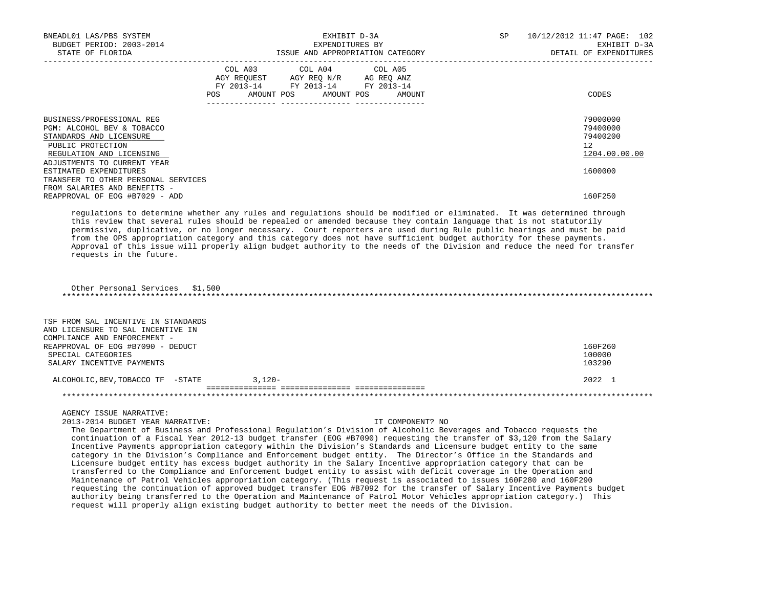| BNEADL01 LAS/PBS SYSTEM<br>BUDGET PERIOD: 2003-2014<br>STATE OF FLORIDA                                                                                                                                                                                             | EXHIBIT D-3A<br>EXPENDITURES BY<br>ISSUE AND APPROPRIATION CATEGORY                                                                                                                                                                                                                                                                                                                                                                                                                                                                                                                                                                                                                                                                                                                                                                                                                                                                                                                                                                                                                                                                                                                                                   | SP | 10/12/2012 11:47 PAGE: 102<br>EXHIBIT D-3A<br>DETAIL OF EXPENDITURES         |
|---------------------------------------------------------------------------------------------------------------------------------------------------------------------------------------------------------------------------------------------------------------------|-----------------------------------------------------------------------------------------------------------------------------------------------------------------------------------------------------------------------------------------------------------------------------------------------------------------------------------------------------------------------------------------------------------------------------------------------------------------------------------------------------------------------------------------------------------------------------------------------------------------------------------------------------------------------------------------------------------------------------------------------------------------------------------------------------------------------------------------------------------------------------------------------------------------------------------------------------------------------------------------------------------------------------------------------------------------------------------------------------------------------------------------------------------------------------------------------------------------------|----|------------------------------------------------------------------------------|
|                                                                                                                                                                                                                                                                     | COL A03<br>COL A04<br>COL A05<br>AGY REQUEST AGY REQ N/R AG REQ ANZ<br>FY 2013-14 FY 2013-14 FY 2013-14<br>POS AMOUNT POS AMOUNT POS AMOUNT                                                                                                                                                                                                                                                                                                                                                                                                                                                                                                                                                                                                                                                                                                                                                                                                                                                                                                                                                                                                                                                                           |    | CODES                                                                        |
| BUSINESS/PROFESSIONAL REG<br>PGM: ALCOHOL BEV & TOBACCO<br>STANDARDS AND LICENSURE<br>PUBLIC PROTECTION<br>REGULATION AND LICENSING<br>ADJUSTMENTS TO CURRENT YEAR<br>ESTIMATED EXPENDITURES<br>TRANSFER TO OTHER PERSONAL SERVICES<br>FROM SALARIES AND BENEFITS - |                                                                                                                                                                                                                                                                                                                                                                                                                                                                                                                                                                                                                                                                                                                                                                                                                                                                                                                                                                                                                                                                                                                                                                                                                       |    | 79000000<br>79400000<br>79400200<br>$12^{\circ}$<br>1204.00.00.00<br>1600000 |
| REAPPROVAL OF EOG #B7029 - ADD                                                                                                                                                                                                                                      |                                                                                                                                                                                                                                                                                                                                                                                                                                                                                                                                                                                                                                                                                                                                                                                                                                                                                                                                                                                                                                                                                                                                                                                                                       |    | 160F250                                                                      |
| requests in the future.<br>Other Personal Services \$1,500                                                                                                                                                                                                          | regulations to determine whether any rules and regulations should be modified or eliminated. It was determined through<br>this review that several rules should be repealed or amended because they contain language that is not statutorily<br>permissive, duplicative, or no longer necessary. Court reporters are used during Rule public hearings and must be paid<br>from the OPS appropriation category and this category does not have sufficient budget authority for these payments.<br>Approval of this issue will properly align budget authority to the needs of the Division and reduce the need for transfer                                                                                                                                                                                                                                                                                                                                                                                                                                                                                                                                                                                            |    |                                                                              |
| TSF FROM SAL INCENTIVE IN STANDARDS<br>AND LICENSURE TO SAL INCENTIVE IN<br>COMPLIANCE AND ENFORCEMENT -                                                                                                                                                            |                                                                                                                                                                                                                                                                                                                                                                                                                                                                                                                                                                                                                                                                                                                                                                                                                                                                                                                                                                                                                                                                                                                                                                                                                       |    |                                                                              |
| REAPPROVAL OF EOG #B7090 - DEDUCT<br>SPECIAL CATEGORIES<br>SALARY INCENTIVE PAYMENTS                                                                                                                                                                                |                                                                                                                                                                                                                                                                                                                                                                                                                                                                                                                                                                                                                                                                                                                                                                                                                                                                                                                                                                                                                                                                                                                                                                                                                       |    | 160F260<br>100000<br>103290                                                  |
| ALCOHOLIC, BEV, TOBACCO TF -STATE                                                                                                                                                                                                                                   | $3.120 -$                                                                                                                                                                                                                                                                                                                                                                                                                                                                                                                                                                                                                                                                                                                                                                                                                                                                                                                                                                                                                                                                                                                                                                                                             |    | 2022 1                                                                       |
|                                                                                                                                                                                                                                                                     |                                                                                                                                                                                                                                                                                                                                                                                                                                                                                                                                                                                                                                                                                                                                                                                                                                                                                                                                                                                                                                                                                                                                                                                                                       |    |                                                                              |
| AGENCY ISSUE NARRATIVE:<br>2013-2014 BUDGET YEAR NARRATIVE:                                                                                                                                                                                                         | IT COMPONENT? NO<br>The Department of Business and Professional Regulation's Division of Alcoholic Beverages and Tobacco requests the<br>continuation of a Fiscal Year 2012-13 budget transfer (EOG #B7090) requesting the transfer of \$3,120 from the Salary<br>Incentive Payments appropriation category within the Division's Standards and Licensure budget entity to the same<br>category in the Division's Compliance and Enforcement budget entity. The Director's Office in the Standards and<br>Licensure budget entity has excess budget authority in the Salary Incentive appropriation category that can be<br>transferred to the Compliance and Enforcement budget entity to assist with deficit coverage in the Operation and<br>Maintenance of Patrol Vehicles appropriation category. (This request is associated to issues 160F280 and 160F290<br>requesting the continuation of approved budget transfer EOG #B7092 for the transfer of Salary Incentive Payments budget<br>authority being transferred to the Operation and Maintenance of Patrol Motor Vehicles appropriation category.) This<br>request will properly align existing budget authority to better meet the needs of the Division. |    |                                                                              |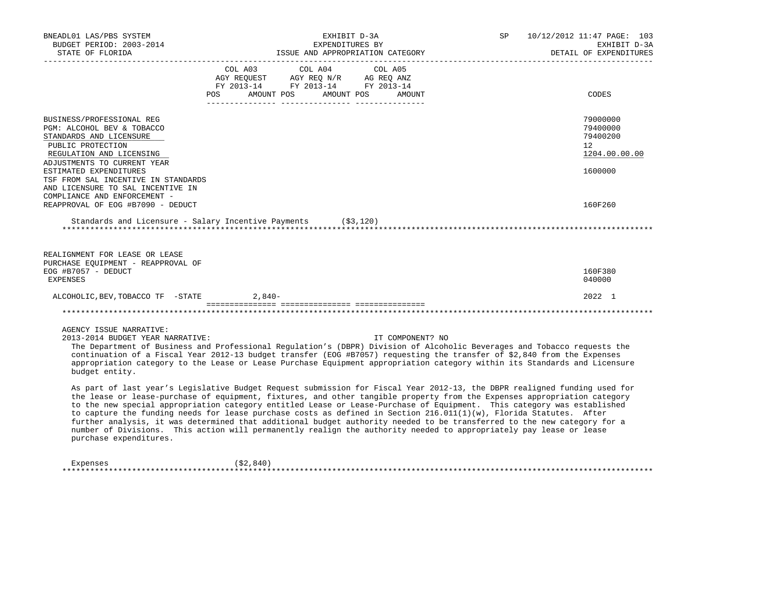| BNEADL01 LAS/PBS SYSTEM<br>BUDGET PERIOD: 2003-2014<br>STATE OF FLORIDA                                                                                                                                                                                                                                                                                                                                                                                                                                                                                                                                                                                                                                                                                                                                                                                                                                                                                                                                                                                                                                                                                                                                                                               |         | EXHIBIT D-3A<br>EXPENDITURES BY<br>ISSUE AND APPROPRIATION CATEGORY             |                  | SP | ________________________ | 10/12/2012 11:47 PAGE: 103<br>EXHIBIT D-3A<br>DETAIL OF EXPENDITURES |
|-------------------------------------------------------------------------------------------------------------------------------------------------------------------------------------------------------------------------------------------------------------------------------------------------------------------------------------------------------------------------------------------------------------------------------------------------------------------------------------------------------------------------------------------------------------------------------------------------------------------------------------------------------------------------------------------------------------------------------------------------------------------------------------------------------------------------------------------------------------------------------------------------------------------------------------------------------------------------------------------------------------------------------------------------------------------------------------------------------------------------------------------------------------------------------------------------------------------------------------------------------|---------|---------------------------------------------------------------------------------|------------------|----|--------------------------|----------------------------------------------------------------------|
|                                                                                                                                                                                                                                                                                                                                                                                                                                                                                                                                                                                                                                                                                                                                                                                                                                                                                                                                                                                                                                                                                                                                                                                                                                                       | COL A03 | COL A04<br>FY 2013-14 FY 2013-14 FY 2013-14<br>POS AMOUNT POS AMOUNT POS AMOUNT | COL A05          |    |                          | CODES                                                                |
| BUSINESS/PROFESSIONAL REG<br>PGM: ALCOHOL BEV & TOBACCO<br>STANDARDS AND LICENSURE<br>PUBLIC PROTECTION<br>REGULATION AND LICENSING<br>ADJUSTMENTS TO CURRENT YEAR                                                                                                                                                                                                                                                                                                                                                                                                                                                                                                                                                                                                                                                                                                                                                                                                                                                                                                                                                                                                                                                                                    |         |                                                                                 |                  |    |                          | 79000000<br>79400000<br>79400200<br>12<br>1204.00.00.00              |
| ESTIMATED EXPENDITURES<br>TSF FROM SAL INCENTIVE IN STANDARDS<br>AND LICENSURE TO SAL INCENTIVE IN<br>COMPLIANCE AND ENFORCEMENT -<br>REAPPROVAL OF EOG #B7090 - DEDUCT                                                                                                                                                                                                                                                                                                                                                                                                                                                                                                                                                                                                                                                                                                                                                                                                                                                                                                                                                                                                                                                                               |         |                                                                                 |                  |    |                          | 1600000<br>160F260                                                   |
| Standards and Licensure - Salary Incentive Payments (\$3,120)                                                                                                                                                                                                                                                                                                                                                                                                                                                                                                                                                                                                                                                                                                                                                                                                                                                                                                                                                                                                                                                                                                                                                                                         |         |                                                                                 |                  |    |                          |                                                                      |
| REALIGNMENT FOR LEASE OR LEASE<br>PURCHASE EQUIPMENT - REAPPROVAL OF<br>EOG #B7057 - DEDUCT<br>EXPENSES                                                                                                                                                                                                                                                                                                                                                                                                                                                                                                                                                                                                                                                                                                                                                                                                                                                                                                                                                                                                                                                                                                                                               |         |                                                                                 |                  |    |                          | 160F380<br>040000                                                    |
| ALCOHOLIC, BEV, TOBACCO TF - STATE 2,840-                                                                                                                                                                                                                                                                                                                                                                                                                                                                                                                                                                                                                                                                                                                                                                                                                                                                                                                                                                                                                                                                                                                                                                                                             |         |                                                                                 |                  |    |                          | 2022 1                                                               |
|                                                                                                                                                                                                                                                                                                                                                                                                                                                                                                                                                                                                                                                                                                                                                                                                                                                                                                                                                                                                                                                                                                                                                                                                                                                       |         |                                                                                 |                  |    |                          |                                                                      |
| AGENCY ISSUE NARRATIVE:<br>2013-2014 BUDGET YEAR NARRATIVE:<br>The Department of Business and Professional Requlation's (DBPR) Division of Alcoholic Beverages and Tobacco requests the<br>continuation of a Fiscal Year 2012-13 budget transfer (EOG #B7057) requesting the transfer of \$2,840 from the Expenses<br>appropriation category to the Lease or Lease Purchase Equipment appropriation category within its Standards and Licensure<br>budget entity.<br>As part of last year's Legislative Budget Request submission for Fiscal Year 2012-13, the DBPR realigned funding used for<br>the lease or lease-purchase of equipment, fixtures, and other tangible property from the Expenses appropriation category<br>to the new special appropriation category entitled Lease or Lease-Purchase of Equipment. This category was established<br>to capture the funding needs for lease purchase costs as defined in Section 216.011(1)(w), Florida Statutes. After<br>further analysis, it was determined that additional budget authority needed to be transferred to the new category for a<br>number of Divisions. This action will permanently realign the authority needed to appropriately pay lease or lease<br>purchase expenditures. |         |                                                                                 | IT COMPONENT? NO |    |                          |                                                                      |

Expenses (\$2,840) \*\*\*\*\*\*\*\*\*\*\*\*\*\*\*\*\*\*\*\*\*\*\*\*\*\*\*\*\*\*\*\*\*\*\*\*\*\*\*\*\*\*\*\*\*\*\*\*\*\*\*\*\*\*\*\*\*\*\*\*\*\*\*\*\*\*\*\*\*\*\*\*\*\*\*\*\*\*\*\*\*\*\*\*\*\*\*\*\*\*\*\*\*\*\*\*\*\*\*\*\*\*\*\*\*\*\*\*\*\*\*\*\*\*\*\*\*\*\*\*\*\*\*\*\*\*\*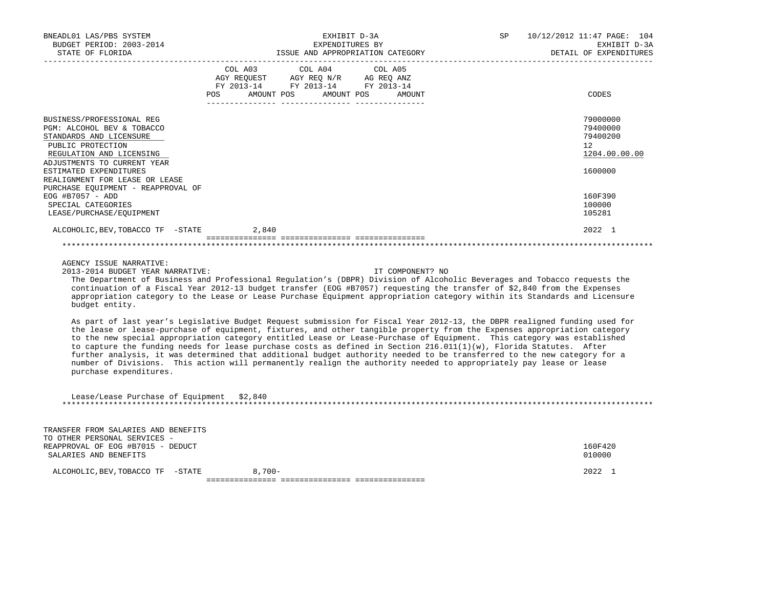| BNEADL01 LAS/PBS SYSTEM<br>BUDGET PERIOD: 2003-2014<br>STATE OF FLORIDA                                                                                                                                                                                                                                                                                                                                                                                                                                                                                                                                                                                                                                                                                                          |                              | EXHIBIT D-3A<br>EXPENDITURES BY                                                   | ISSUE AND APPROPRIATION CATEGORY | SP. | 10/12/2012 11:47 PAGE: 104<br>EXHIBIT D-3A<br>DETAIL OF EXPENDITURES |
|----------------------------------------------------------------------------------------------------------------------------------------------------------------------------------------------------------------------------------------------------------------------------------------------------------------------------------------------------------------------------------------------------------------------------------------------------------------------------------------------------------------------------------------------------------------------------------------------------------------------------------------------------------------------------------------------------------------------------------------------------------------------------------|------------------------------|-----------------------------------------------------------------------------------|----------------------------------|-----|----------------------------------------------------------------------|
|                                                                                                                                                                                                                                                                                                                                                                                                                                                                                                                                                                                                                                                                                                                                                                                  | COL A03<br>AMOUNT POS<br>POS | COL A04<br>AGY REQUEST AGY REQ N/R AG REQ ANZ<br>FY 2013-14 FY 2013-14 FY 2013-14 | COL A05<br>AMOUNT POS<br>AMOUNT  |     | CODES                                                                |
|                                                                                                                                                                                                                                                                                                                                                                                                                                                                                                                                                                                                                                                                                                                                                                                  |                              |                                                                                   |                                  |     |                                                                      |
| BUSINESS/PROFESSIONAL REG<br>PGM: ALCOHOL BEV & TOBACCO<br>STANDARDS AND LICENSURE<br>PUBLIC PROTECTION<br>REGULATION AND LICENSING                                                                                                                                                                                                                                                                                                                                                                                                                                                                                                                                                                                                                                              |                              |                                                                                   |                                  |     | 79000000<br>79400000<br>79400200<br>12<br>1204.00.00.00              |
| ADJUSTMENTS TO CURRENT YEAR<br>ESTIMATED EXPENDITURES                                                                                                                                                                                                                                                                                                                                                                                                                                                                                                                                                                                                                                                                                                                            |                              |                                                                                   |                                  |     | 1600000                                                              |
| REALIGNMENT FOR LEASE OR LEASE                                                                                                                                                                                                                                                                                                                                                                                                                                                                                                                                                                                                                                                                                                                                                   |                              |                                                                                   |                                  |     |                                                                      |
| PURCHASE EQUIPMENT - REAPPROVAL OF<br>EOG #B7057 - ADD<br>SPECIAL CATEGORIES<br>LEASE/PURCHASE/EQUIPMENT                                                                                                                                                                                                                                                                                                                                                                                                                                                                                                                                                                                                                                                                         |                              |                                                                                   |                                  |     | 160F390<br>100000<br>105281                                          |
| ALCOHOLIC, BEV, TOBACCO TF - STATE                                                                                                                                                                                                                                                                                                                                                                                                                                                                                                                                                                                                                                                                                                                                               | 2,840                        |                                                                                   |                                  |     | 2022 1                                                               |
|                                                                                                                                                                                                                                                                                                                                                                                                                                                                                                                                                                                                                                                                                                                                                                                  |                              |                                                                                   |                                  |     |                                                                      |
| AGENCY ISSUE NARRATIVE:<br>2013-2014 BUDGET YEAR NARRATIVE:<br>The Department of Business and Professional Regulation's (DBPR) Division of Alcoholic Beverages and Tobacco requests the<br>continuation of a Fiscal Year 2012-13 budget transfer (EOG #B7057) requesting the transfer of \$2,840 from the Expenses<br>appropriation category to the Lease or Lease Purchase Equipment appropriation category within its Standards and Licensure<br>budget entity.                                                                                                                                                                                                                                                                                                                |                              |                                                                                   | IT COMPONENT? NO                 |     |                                                                      |
| As part of last year's Legislative Budget Request submission for Fiscal Year 2012-13, the DBPR realigned funding used for<br>the lease or lease-purchase of equipment, fixtures, and other tangible property from the Expenses appropriation category<br>to the new special appropriation category entitled Lease or Lease-Purchase of Equipment. This category was established<br>to capture the funding needs for lease purchase costs as defined in Section 216.011(1)(w), Florida Statutes. After<br>further analysis, it was determined that additional budget authority needed to be transferred to the new category for a<br>number of Divisions. This action will permanently realign the authority needed to appropriately pay lease or lease<br>purchase expenditures. |                              |                                                                                   |                                  |     |                                                                      |
| Lease/Lease Purchase of Equipment \$2,840                                                                                                                                                                                                                                                                                                                                                                                                                                                                                                                                                                                                                                                                                                                                        |                              |                                                                                   |                                  |     |                                                                      |
| TRANSFER FROM SALARIES AND BENEFITS<br>TO OTHER PERSONAL SERVICES -<br>REAPPROVAL OF EOG #B7015 - DEDUCT<br>SALARIES AND BENEFITS                                                                                                                                                                                                                                                                                                                                                                                                                                                                                                                                                                                                                                                |                              |                                                                                   |                                  |     | 160F420<br>010000                                                    |
| ALCOHOLIC, BEV, TOBACCO TF -STATE                                                                                                                                                                                                                                                                                                                                                                                                                                                                                                                                                                                                                                                                                                                                                | $8,700-$                     |                                                                                   |                                  |     | 2022 1                                                               |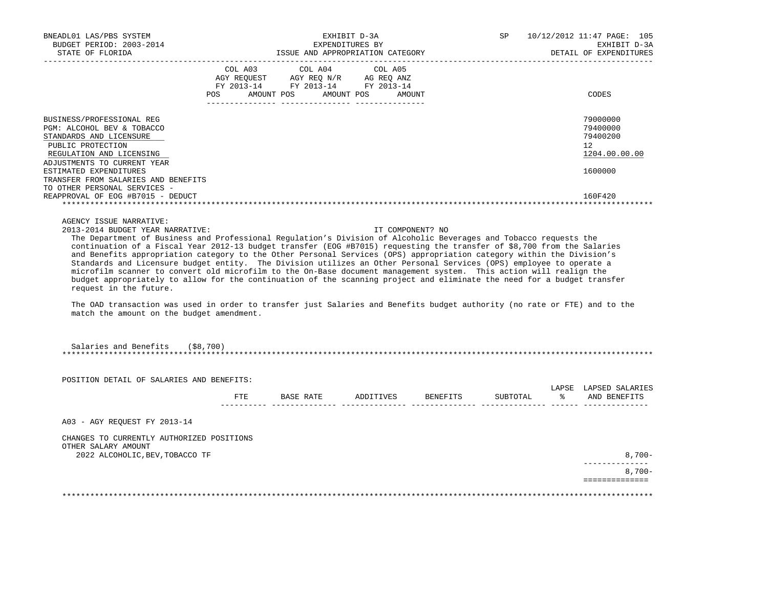| BNEADL01 LAS/PBS SYSTEM<br>BUDGET PERIOD: 2003-2014<br>STATE OF FLORIDA                                                                                                                                                                                                                                                                                                                                                                                                                                                                                                                                                                                                                                                                                                                                                                                                                                                                                                                                                                   |                |                                                                                                 | EXHIBIT D-3A<br>EXPENDITURES BY<br>ISSUE AND APPROPRIATION CATEGORY |                  | SP       |      | 10/12/2012 11:47 PAGE: 105<br>EXHIBIT D-3A<br>DETAIL OF EXPENDITURES |
|-------------------------------------------------------------------------------------------------------------------------------------------------------------------------------------------------------------------------------------------------------------------------------------------------------------------------------------------------------------------------------------------------------------------------------------------------------------------------------------------------------------------------------------------------------------------------------------------------------------------------------------------------------------------------------------------------------------------------------------------------------------------------------------------------------------------------------------------------------------------------------------------------------------------------------------------------------------------------------------------------------------------------------------------|----------------|-------------------------------------------------------------------------------------------------|---------------------------------------------------------------------|------------------|----------|------|----------------------------------------------------------------------|
|                                                                                                                                                                                                                                                                                                                                                                                                                                                                                                                                                                                                                                                                                                                                                                                                                                                                                                                                                                                                                                           | COL A03<br>POS | COL A04<br>AGY REQUEST AGY REQ N/R AG REQ ANZ<br>FY 2013-14 FY 2013-14 FY 2013-14<br>AMOUNT POS | COL A05<br>AMOUNT POS                                               | AMOUNT           |          |      | CODES                                                                |
| BUSINESS/PROFESSIONAL REG<br>PGM: ALCOHOL BEV & TOBACCO<br>STANDARDS AND LICENSURE<br>PUBLIC PROTECTION<br>REGULATION AND LICENSING<br>ADJUSTMENTS TO CURRENT YEAR<br>ESTIMATED EXPENDITURES                                                                                                                                                                                                                                                                                                                                                                                                                                                                                                                                                                                                                                                                                                                                                                                                                                              |                |                                                                                                 |                                                                     |                  |          |      | 79000000<br>79400000<br>79400200<br>12<br>1204.00.00.00<br>1600000   |
| TRANSFER FROM SALARIES AND BENEFITS<br>TO OTHER PERSONAL SERVICES -<br>REAPPROVAL OF EOG #B7015 - DEDUCT                                                                                                                                                                                                                                                                                                                                                                                                                                                                                                                                                                                                                                                                                                                                                                                                                                                                                                                                  |                |                                                                                                 |                                                                     |                  |          |      | 160F420                                                              |
| AGENCY ISSUE NARRATIVE:<br>2013-2014 BUDGET YEAR NARRATIVE:<br>The Department of Business and Professional Regulation's Division of Alcoholic Beverages and Tobacco requests the<br>continuation of a Fiscal Year 2012-13 budget transfer (EOG #B7015) requesting the transfer of \$8,700 from the Salaries<br>and Benefits appropriation category to the Other Personal Services (OPS) appropriation category within the Division's<br>Standards and Licensure budget entity. The Division utilizes an Other Personal Services (OPS) employee to operate a<br>microfilm scanner to convert old microfilm to the On-Base document management system. This action will realign the<br>budget appropriately to allow for the continuation of the scanning project and eliminate the need for a budget transfer<br>request in the future.<br>The OAD transaction was used in order to transfer just Salaries and Benefits budget authority (no rate or FTE) and to the<br>match the amount on the budget amendment.<br>Salaries and Benefits | ( \$8, 700)    |                                                                                                 |                                                                     | IT COMPONENT? NO |          |      |                                                                      |
| POSITION DETAIL OF SALARIES AND BENEFITS:                                                                                                                                                                                                                                                                                                                                                                                                                                                                                                                                                                                                                                                                                                                                                                                                                                                                                                                                                                                                 |                |                                                                                                 |                                                                     |                  |          |      |                                                                      |
|                                                                                                                                                                                                                                                                                                                                                                                                                                                                                                                                                                                                                                                                                                                                                                                                                                                                                                                                                                                                                                           | FTE.           | BASE RATE                                                                                       | ADDITIVES                                                           | <b>BENEFITS</b>  | SUBTOTAL | ော ေ | LAPSE LAPSED SALARIES<br>AND BENEFITS                                |
| A03 - AGY REQUEST FY 2013-14                                                                                                                                                                                                                                                                                                                                                                                                                                                                                                                                                                                                                                                                                                                                                                                                                                                                                                                                                                                                              |                |                                                                                                 |                                                                     |                  |          |      |                                                                      |
| CHANGES TO CURRENTLY AUTHORIZED POSITIONS<br>OTHER SALARY AMOUNT                                                                                                                                                                                                                                                                                                                                                                                                                                                                                                                                                                                                                                                                                                                                                                                                                                                                                                                                                                          |                |                                                                                                 |                                                                     |                  |          |      |                                                                      |
| 2022 ALCOHOLIC, BEV, TOBACCO TF                                                                                                                                                                                                                                                                                                                                                                                                                                                                                                                                                                                                                                                                                                                                                                                                                                                                                                                                                                                                           |                |                                                                                                 |                                                                     |                  |          |      | $8,700-$                                                             |
|                                                                                                                                                                                                                                                                                                                                                                                                                                                                                                                                                                                                                                                                                                                                                                                                                                                                                                                                                                                                                                           |                |                                                                                                 |                                                                     |                  |          |      | $8,700-$<br>==============                                           |
|                                                                                                                                                                                                                                                                                                                                                                                                                                                                                                                                                                                                                                                                                                                                                                                                                                                                                                                                                                                                                                           |                |                                                                                                 |                                                                     |                  |          |      |                                                                      |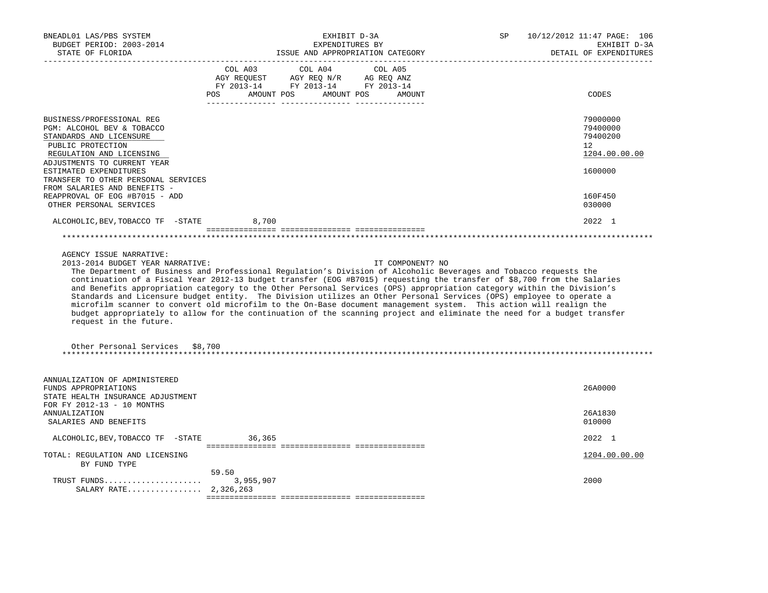| BNEADL01 LAS/PBS SYSTEM<br>BUDGET PERIOD: 2003-2014<br>STATE OF FLORIDA                                                                                                                                                                                             | EXHIBIT D-3A<br>EXPENDITURES BY<br>ISSUE AND APPROPRIATION CATEGORY                                                                                                                                                                                                                                                                                                                                                                                                                                                                                                                                                                                                                                                                                               | 10/12/2012 11:47 PAGE: 106<br>SP<br>EXHIBIT D-3A<br>DETAIL OF EXPENDITURES |
|---------------------------------------------------------------------------------------------------------------------------------------------------------------------------------------------------------------------------------------------------------------------|-------------------------------------------------------------------------------------------------------------------------------------------------------------------------------------------------------------------------------------------------------------------------------------------------------------------------------------------------------------------------------------------------------------------------------------------------------------------------------------------------------------------------------------------------------------------------------------------------------------------------------------------------------------------------------------------------------------------------------------------------------------------|----------------------------------------------------------------------------|
|                                                                                                                                                                                                                                                                     | COL A03<br>COL A04<br>COL A05<br>AGY REQUEST AGY REQ N/R AG REQ ANZ<br>FY 2013-14 FY 2013-14 FY 2013-14<br>AMOUNT POS AMOUNT POS<br>POS FOR<br>AMOUNT                                                                                                                                                                                                                                                                                                                                                                                                                                                                                                                                                                                                             | CODES                                                                      |
| BUSINESS/PROFESSIONAL REG<br>PGM: ALCOHOL BEV & TOBACCO<br>STANDARDS AND LICENSURE<br>PUBLIC PROTECTION<br>REGULATION AND LICENSING<br>ADJUSTMENTS TO CURRENT YEAR<br>ESTIMATED EXPENDITURES<br>TRANSFER TO OTHER PERSONAL SERVICES<br>FROM SALARIES AND BENEFITS - |                                                                                                                                                                                                                                                                                                                                                                                                                                                                                                                                                                                                                                                                                                                                                                   | 79000000<br>79400000<br>79400200<br>12<br>1204.00.00.00<br>1600000         |
| REAPPROVAL OF EOG #B7015 - ADD<br>OTHER PERSONAL SERVICES                                                                                                                                                                                                           |                                                                                                                                                                                                                                                                                                                                                                                                                                                                                                                                                                                                                                                                                                                                                                   | 160F450<br>030000                                                          |
| ALCOHOLIC, BEV, TOBACCO TF -STATE                                                                                                                                                                                                                                   | 8,700                                                                                                                                                                                                                                                                                                                                                                                                                                                                                                                                                                                                                                                                                                                                                             | 2022 1                                                                     |
|                                                                                                                                                                                                                                                                     |                                                                                                                                                                                                                                                                                                                                                                                                                                                                                                                                                                                                                                                                                                                                                                   |                                                                            |
| AGENCY ISSUE NARRATIVE:<br>2013-2014 BUDGET YEAR NARRATIVE:<br>request in the future.                                                                                                                                                                               | IT COMPONENT? NO<br>The Department of Business and Professional Regulation's Division of Alcoholic Beverages and Tobacco requests the<br>continuation of a Fiscal Year 2012-13 budget transfer (EOG #B7015) requesting the transfer of \$8,700 from the Salaries<br>and Benefits appropriation category to the Other Personal Services (OPS) appropriation category within the Division's<br>Standards and Licensure budget entity. The Division utilizes an Other Personal Services (OPS) employee to operate a<br>microfilm scanner to convert old microfilm to the On-Base document management system. This action will realign the<br>budget appropriately to allow for the continuation of the scanning project and eliminate the need for a budget transfer |                                                                            |
| Other Personal Services \$8,700                                                                                                                                                                                                                                     |                                                                                                                                                                                                                                                                                                                                                                                                                                                                                                                                                                                                                                                                                                                                                                   |                                                                            |
| ANNUALIZATION OF ADMINISTERED<br>FUNDS APPROPRIATIONS<br>STATE HEALTH INSURANCE ADJUSTMENT<br>FOR FY 2012-13 - 10 MONTHS                                                                                                                                            |                                                                                                                                                                                                                                                                                                                                                                                                                                                                                                                                                                                                                                                                                                                                                                   | 26A0000                                                                    |
| <b>ANNUALIZATION</b><br>SALARIES AND BENEFITS                                                                                                                                                                                                                       |                                                                                                                                                                                                                                                                                                                                                                                                                                                                                                                                                                                                                                                                                                                                                                   | 26A1830<br>010000                                                          |
| ALCOHOLIC, BEV, TOBACCO TF - STATE                                                                                                                                                                                                                                  | 36,365                                                                                                                                                                                                                                                                                                                                                                                                                                                                                                                                                                                                                                                                                                                                                            | 2022 1                                                                     |
| TOTAL: REGULATION AND LICENSING<br>BY FUND TYPE                                                                                                                                                                                                                     |                                                                                                                                                                                                                                                                                                                                                                                                                                                                                                                                                                                                                                                                                                                                                                   | 1204.00.00.00                                                              |
| TRUST FUNDS<br>SALARY RATE 2,326,263                                                                                                                                                                                                                                | 59.50<br>3,955,907                                                                                                                                                                                                                                                                                                                                                                                                                                                                                                                                                                                                                                                                                                                                                | 2000                                                                       |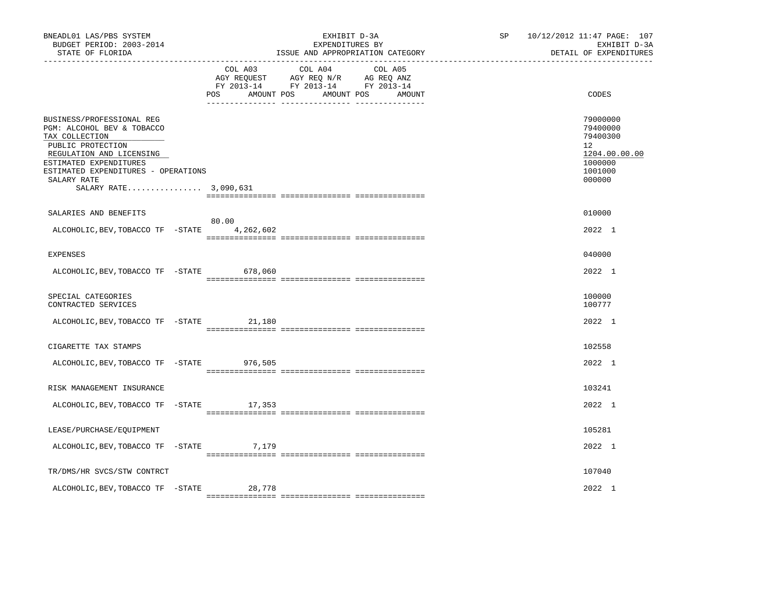| BNEADL01 LAS/PBS SYSTEM<br>BUDGET PERIOD: 2003-2014<br>STATE OF FLORIDA<br>---------------                                                                                                                                          |  |                | EXHIBIT D-3A<br>EXPENDITURES BY<br>ISSUE AND APPROPRIATION CATEGORY                                                                                                                                                                                                                                                                                                                                                                 | SP | 10/12/2012 11:47 PAGE: 107<br>EXHIBIT D-3A<br>DETAIL OF EXPENDITURES                                 |  |
|-------------------------------------------------------------------------------------------------------------------------------------------------------------------------------------------------------------------------------------|--|----------------|-------------------------------------------------------------------------------------------------------------------------------------------------------------------------------------------------------------------------------------------------------------------------------------------------------------------------------------------------------------------------------------------------------------------------------------|----|------------------------------------------------------------------------------------------------------|--|
|                                                                                                                                                                                                                                     |  | COL A03<br>POS | COL A04<br>COL A05<br>AGY REQUEST AGY REQ N/R AG REQ ANZ<br>FY 2013-14 FY 2013-14 FY 2013-14<br>AMOUNT POS AMOUNT POS AMOUNT                                                                                                                                                                                                                                                                                                        |    | CODES                                                                                                |  |
| BUSINESS/PROFESSIONAL REG<br>PGM: ALCOHOL BEV & TOBACCO<br>TAX COLLECTION<br>PUBLIC PROTECTION<br>REGULATION AND LICENSING<br>ESTIMATED EXPENDITURES<br>ESTIMATED EXPENDITURES - OPERATIONS<br>SALARY RATE<br>SALARY RATE 3,090,631 |  |                |                                                                                                                                                                                                                                                                                                                                                                                                                                     |    | 79000000<br>79400000<br>79400300<br>12 <sup>°</sup><br>1204.00.00.00<br>1000000<br>1001000<br>000000 |  |
| SALARIES AND BENEFITS                                                                                                                                                                                                               |  |                |                                                                                                                                                                                                                                                                                                                                                                                                                                     |    | 010000                                                                                               |  |
| ALCOHOLIC, BEV, TOBACCO TF - STATE 4, 262, 602                                                                                                                                                                                      |  | 80.00          | $\begin{minipage}{0.03\textwidth} \begin{tabular}{l} \textbf{1} & \textbf{2} & \textbf{3} & \textbf{5} & \textbf{5} & \textbf{6} & \textbf{6} & \textbf{7} & \textbf{8} & \textbf{8} & \textbf{9} & \textbf{9} & \textbf{9} & \textbf{9} & \textbf{9} & \textbf{9} & \textbf{9} & \textbf{9} & \textbf{9} & \textbf{9} & \textbf{9} & \textbf{9} & \textbf{9} & \textbf{9} & \textbf{9} & \textbf{9} & \textbf{9} & \textbf{9} & \$ |    | 2022 1                                                                                               |  |
| <b>EXPENSES</b>                                                                                                                                                                                                                     |  |                |                                                                                                                                                                                                                                                                                                                                                                                                                                     |    | 040000                                                                                               |  |
| ALCOHOLIC, BEV, TOBACCO TF - STATE 678, 060                                                                                                                                                                                         |  |                |                                                                                                                                                                                                                                                                                                                                                                                                                                     |    | 2022 1                                                                                               |  |
| SPECIAL CATEGORIES<br>CONTRACTED SERVICES                                                                                                                                                                                           |  |                |                                                                                                                                                                                                                                                                                                                                                                                                                                     |    | 100000<br>100777                                                                                     |  |
| ALCOHOLIC, BEV, TOBACCO TF - STATE 21, 180                                                                                                                                                                                          |  |                |                                                                                                                                                                                                                                                                                                                                                                                                                                     |    | 2022 1                                                                                               |  |
| CIGARETTE TAX STAMPS                                                                                                                                                                                                                |  |                |                                                                                                                                                                                                                                                                                                                                                                                                                                     |    | 102558                                                                                               |  |
| ALCOHOLIC, BEV, TOBACCO TF - STATE                                                                                                                                                                                                  |  | 976,505        |                                                                                                                                                                                                                                                                                                                                                                                                                                     |    | 2022 1                                                                                               |  |
| RISK MANAGEMENT INSURANCE                                                                                                                                                                                                           |  |                |                                                                                                                                                                                                                                                                                                                                                                                                                                     |    | 103241                                                                                               |  |
| ALCOHOLIC, BEV, TOBACCO TF - STATE 17, 353                                                                                                                                                                                          |  |                |                                                                                                                                                                                                                                                                                                                                                                                                                                     |    | 2022 1                                                                                               |  |
| LEASE/PURCHASE/EQUIPMENT                                                                                                                                                                                                            |  |                |                                                                                                                                                                                                                                                                                                                                                                                                                                     |    | 105281                                                                                               |  |
| ALCOHOLIC, BEV, TOBACCO TF - STATE 7, 179                                                                                                                                                                                           |  |                |                                                                                                                                                                                                                                                                                                                                                                                                                                     |    | 2022 1                                                                                               |  |
| TR/DMS/HR SVCS/STW CONTRCT                                                                                                                                                                                                          |  |                |                                                                                                                                                                                                                                                                                                                                                                                                                                     |    | 107040                                                                                               |  |
| ALCOHOLIC, BEV, TOBACCO TF -STATE                                                                                                                                                                                                   |  | 28,778         |                                                                                                                                                                                                                                                                                                                                                                                                                                     |    | 2022 1                                                                                               |  |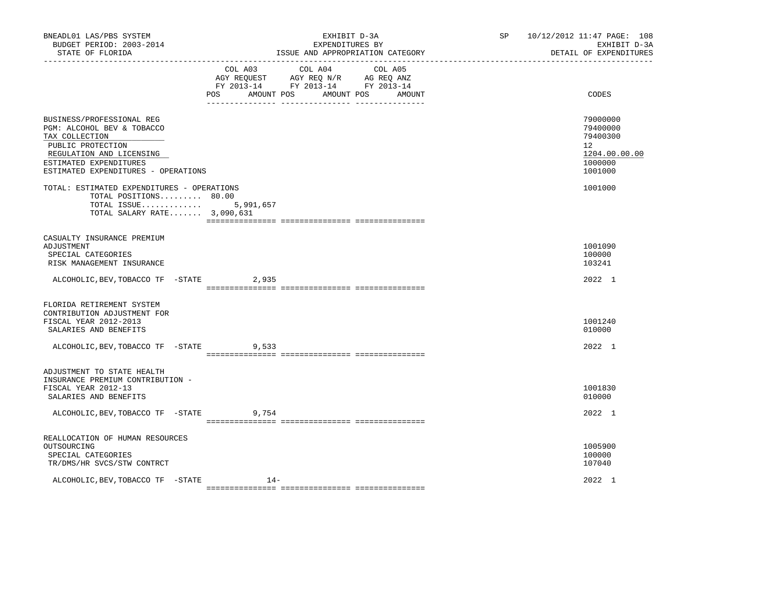| BNEADL01 LAS/PBS SYSTEM<br>BUDGET PERIOD: 2003-2014<br>STATE OF FLORIDA                                                                                                                     | EXHIBIT D-3A<br>EXPENDITURES BY<br>ISSUE AND APPROPRIATION CATEGORY                                                                   | SP <sub>2</sub> | 10/12/2012 11:47 PAGE: 108<br>EXHIBIT D-3A<br>DETAIL OF EXPENDITURES          |  |
|---------------------------------------------------------------------------------------------------------------------------------------------------------------------------------------------|---------------------------------------------------------------------------------------------------------------------------------------|-----------------|-------------------------------------------------------------------------------|--|
|                                                                                                                                                                                             | COL A03 COL A04 COL A05<br>AGY REQUEST AGY REQ N/R AG REQ ANZ<br>FY 2013-14 FY 2013-14 FY 2013-14<br>POS AMOUNT POS AMOUNT POS AMOUNT |                 | CODES                                                                         |  |
| BUSINESS/PROFESSIONAL REG<br>PGM: ALCOHOL BEV & TOBACCO<br>TAX COLLECTION<br>PUBLIC PROTECTION<br>REGULATION AND LICENSING<br>ESTIMATED EXPENDITURES<br>ESTIMATED EXPENDITURES - OPERATIONS |                                                                                                                                       |                 | 79000000<br>79400000<br>79400300<br>12<br>1204.00.00.00<br>1000000<br>1001000 |  |
| TOTAL: ESTIMATED EXPENDITURES - OPERATIONS<br>TOTAL POSITIONS 80.00<br>TOTAL ISSUE 5,991,657<br>TOTAL SALARY RATE 3,090,631                                                                 |                                                                                                                                       |                 | 1001000                                                                       |  |
| CASUALTY INSURANCE PREMIUM<br>ADJUSTMENT<br>SPECIAL CATEGORIES<br>RISK MANAGEMENT INSURANCE                                                                                                 |                                                                                                                                       |                 | 1001090<br>100000<br>103241                                                   |  |
| ALCOHOLIC, BEV, TOBACCO TF - STATE 2, 935                                                                                                                                                   |                                                                                                                                       |                 | 2022 1                                                                        |  |
| FLORIDA RETIREMENT SYSTEM<br>CONTRIBUTION ADJUSTMENT FOR<br>FISCAL YEAR 2012-2013<br>SALARIES AND BENEFITS<br>ALCOHOLIC, BEV, TOBACCO TF - STATE                                            | 9,533                                                                                                                                 |                 | 1001240<br>010000<br>2022 1                                                   |  |
| ADJUSTMENT TO STATE HEALTH<br>INSURANCE PREMIUM CONTRIBUTION -<br>FISCAL YEAR 2012-13<br>SALARIES AND BENEFITS                                                                              |                                                                                                                                       |                 | 1001830<br>010000                                                             |  |
| ALCOHOLIC, BEV, TOBACCO TF - STATE 9, 754                                                                                                                                                   |                                                                                                                                       |                 | 2022 1                                                                        |  |
| REALLOCATION OF HUMAN RESOURCES<br>OUTSOURCING<br>SPECIAL CATEGORIES<br>TR/DMS/HR SVCS/STW CONTRCT                                                                                          |                                                                                                                                       |                 | 1005900<br>100000<br>107040                                                   |  |
| ALCOHOLIC, BEV, TOBACCO TF -STATE                                                                                                                                                           | $14-$                                                                                                                                 |                 | 2022 1                                                                        |  |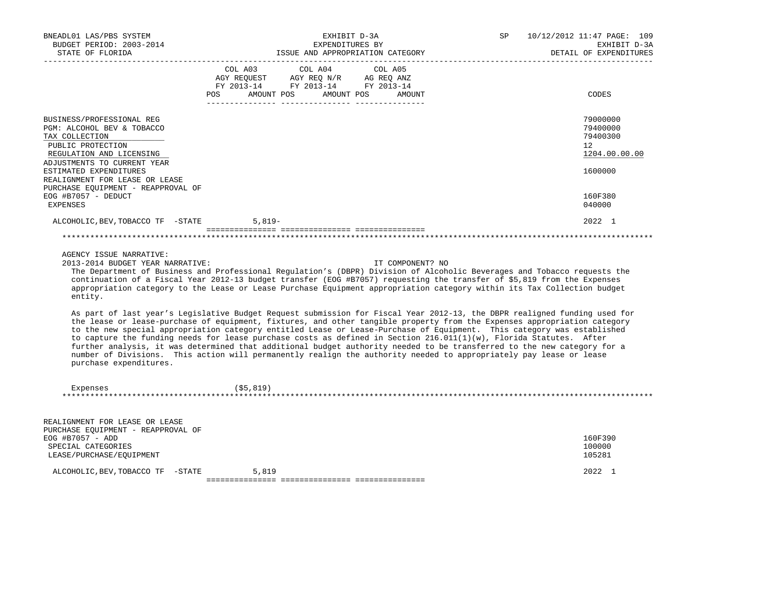| BNEADL01 LAS/PBS SYSTEM<br>BUDGET PERIOD: 2003-2014<br>STATE OF FLORIDA                                                                                                                                                                                                                                                                                                                                                                                                                                                                                                                                                                                                                                                                                                                                                                                                                                                                                                                                                                                                                                                                                                                                                                      | EXHIBIT D-3A<br>EXPENDITURES BY<br>ISSUE AND APPROPRIATION CATEGORY |                                                            |                       |                  | SP | 10/12/2012 11:47 PAGE: 109<br>EXHIBIT D-3A<br>DETAIL OF EXPENDITURES |
|----------------------------------------------------------------------------------------------------------------------------------------------------------------------------------------------------------------------------------------------------------------------------------------------------------------------------------------------------------------------------------------------------------------------------------------------------------------------------------------------------------------------------------------------------------------------------------------------------------------------------------------------------------------------------------------------------------------------------------------------------------------------------------------------------------------------------------------------------------------------------------------------------------------------------------------------------------------------------------------------------------------------------------------------------------------------------------------------------------------------------------------------------------------------------------------------------------------------------------------------|---------------------------------------------------------------------|------------------------------------------------------------|-----------------------|------------------|----|----------------------------------------------------------------------|
|                                                                                                                                                                                                                                                                                                                                                                                                                                                                                                                                                                                                                                                                                                                                                                                                                                                                                                                                                                                                                                                                                                                                                                                                                                              | COL A03<br>AGY REQUEST                                              | COL A04<br>AGY REQ N/R<br>FY 2013-14 FY 2013-14 FY 2013-14 | COL A05<br>AG REQ ANZ |                  |    |                                                                      |
|                                                                                                                                                                                                                                                                                                                                                                                                                                                                                                                                                                                                                                                                                                                                                                                                                                                                                                                                                                                                                                                                                                                                                                                                                                              | POS.<br>AMOUNT POS                                                  | AMOUNT POS                                                 |                       | AMOUNT           |    | CODES                                                                |
| BUSINESS/PROFESSIONAL REG<br>PGM: ALCOHOL BEV & TOBACCO<br>TAX COLLECTION<br>PUBLIC PROTECTION<br>REGULATION AND LICENSING                                                                                                                                                                                                                                                                                                                                                                                                                                                                                                                                                                                                                                                                                                                                                                                                                                                                                                                                                                                                                                                                                                                   |                                                                     |                                                            |                       |                  |    | 79000000<br>79400000<br>79400300<br>12<br>1204.00.00.00              |
| ADJUSTMENTS TO CURRENT YEAR<br>ESTIMATED EXPENDITURES<br>REALIGNMENT FOR LEASE OR LEASE                                                                                                                                                                                                                                                                                                                                                                                                                                                                                                                                                                                                                                                                                                                                                                                                                                                                                                                                                                                                                                                                                                                                                      |                                                                     |                                                            |                       |                  |    | 1600000                                                              |
| PURCHASE EQUIPMENT - REAPPROVAL OF<br>EOG #B7057 - DEDUCT<br>EXPENSES                                                                                                                                                                                                                                                                                                                                                                                                                                                                                                                                                                                                                                                                                                                                                                                                                                                                                                                                                                                                                                                                                                                                                                        |                                                                     |                                                            |                       |                  |    | 160F380<br>040000                                                    |
| ALCOHOLIC, BEV, TOBACCO TF -STATE                                                                                                                                                                                                                                                                                                                                                                                                                                                                                                                                                                                                                                                                                                                                                                                                                                                                                                                                                                                                                                                                                                                                                                                                            | $5.819-$                                                            |                                                            |                       |                  |    | 2022 1                                                               |
|                                                                                                                                                                                                                                                                                                                                                                                                                                                                                                                                                                                                                                                                                                                                                                                                                                                                                                                                                                                                                                                                                                                                                                                                                                              |                                                                     |                                                            |                       |                  |    |                                                                      |
| AGENCY ISSUE NARRATIVE:<br>2013-2014 BUDGET YEAR NARRATIVE:<br>The Department of Business and Professional Regulation's (DBPR) Division of Alcoholic Beverages and Tobacco requests the<br>continuation of a Fiscal Year 2012-13 budget transfer (EOG #B7057) requesting the transfer of \$5,819 from the Expenses<br>appropriation category to the Lease or Lease Purchase Equipment appropriation category within its Tax Collection budget<br>entity.<br>As part of last year's Legislative Budget Request submission for Fiscal Year 2012-13, the DBPR realigned funding used for<br>the lease or lease-purchase of equipment, fixtures, and other tangible property from the Expenses appropriation category<br>to the new special appropriation category entitled Lease or Lease-Purchase of Equipment. This category was established<br>to capture the funding needs for lease purchase costs as defined in Section 216.011(1)(w), Florida Statutes. After<br>further analysis, it was determined that additional budget authority needed to be transferred to the new category for a<br>number of Divisions. This action will permanently realign the authority needed to appropriately pay lease or lease<br>purchase expenditures. |                                                                     |                                                            |                       | IT COMPONENT? NO |    |                                                                      |
| Expenses                                                                                                                                                                                                                                                                                                                                                                                                                                                                                                                                                                                                                                                                                                                                                                                                                                                                                                                                                                                                                                                                                                                                                                                                                                     | ( \$5, 819)                                                         |                                                            |                       |                  |    |                                                                      |
| REALIGNMENT FOR LEASE OR LEASE<br>PURCHASE EQUIPMENT - REAPPROVAL OF<br>EOG #B7057 - ADD<br>SPECIAL CATEGORIES<br>LEASE/PURCHASE/EQUIPMENT                                                                                                                                                                                                                                                                                                                                                                                                                                                                                                                                                                                                                                                                                                                                                                                                                                                                                                                                                                                                                                                                                                   |                                                                     |                                                            |                       |                  |    | 160F390<br>100000<br>105281                                          |
| ALCOHOLIC, BEV, TOBACCO TF -STATE                                                                                                                                                                                                                                                                                                                                                                                                                                                                                                                                                                                                                                                                                                                                                                                                                                                                                                                                                                                                                                                                                                                                                                                                            | 5,819                                                               |                                                            |                       |                  |    | 2022 1                                                               |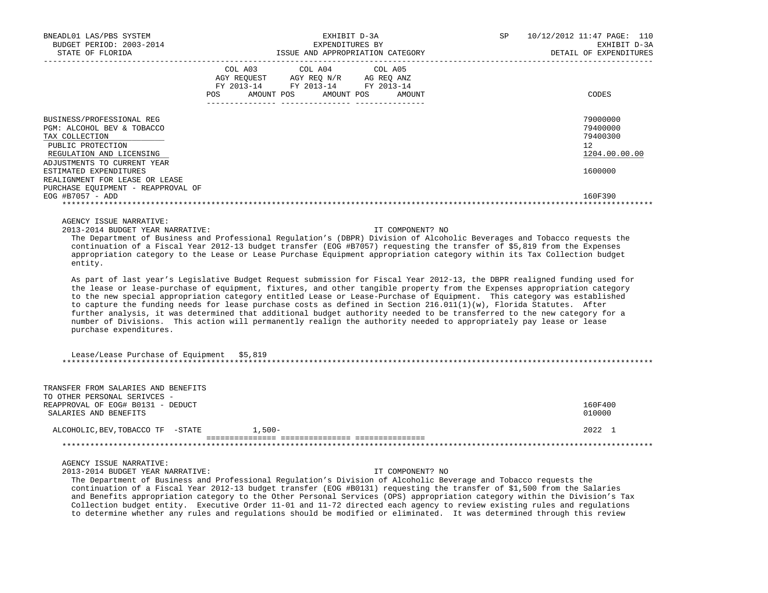| BNEADL01 LAS/PBS SYSTEM<br>BUDGET PERIOD: 2003-2014                                                                                                                                                                                                                                                                                                                                                                                                                                                                                                                                                                                                                                                                                                                                                                                                                                                                                                                                                                                                                                                                                                                                                                                                                                       |         | EXPENDITURES BY                                                                   | EXHIBIT D-3A                                                                                                   | SP | 10/12/2012 11:47 PAGE: 110<br>EXHIBIT D-3A                         |  |  |
|-------------------------------------------------------------------------------------------------------------------------------------------------------------------------------------------------------------------------------------------------------------------------------------------------------------------------------------------------------------------------------------------------------------------------------------------------------------------------------------------------------------------------------------------------------------------------------------------------------------------------------------------------------------------------------------------------------------------------------------------------------------------------------------------------------------------------------------------------------------------------------------------------------------------------------------------------------------------------------------------------------------------------------------------------------------------------------------------------------------------------------------------------------------------------------------------------------------------------------------------------------------------------------------------|---------|-----------------------------------------------------------------------------------|----------------------------------------------------------------------------------------------------------------|----|--------------------------------------------------------------------|--|--|
| STATE OF FLORIDA                                                                                                                                                                                                                                                                                                                                                                                                                                                                                                                                                                                                                                                                                                                                                                                                                                                                                                                                                                                                                                                                                                                                                                                                                                                                          |         |                                                                                   | ISSUE AND APPROPRIATION CATEGORY DESCRIPTION OF THE SERIES OF THE SERIES OF THE SERIES OF THE SERIES OF THE SE |    | DETAIL OF EXPENDITURES                                             |  |  |
|                                                                                                                                                                                                                                                                                                                                                                                                                                                                                                                                                                                                                                                                                                                                                                                                                                                                                                                                                                                                                                                                                                                                                                                                                                                                                           | COL A03 | COL A04<br>POS AMOUNT POS AMOUNT POS AMOUNT<br>--------- -----<br>_________ _____ | COL A05                                                                                                        |    | CODES                                                              |  |  |
| BUSINESS/PROFESSIONAL REG<br>PGM: ALCOHOL BEV & TOBACCO<br>TAX COLLECTION<br>PUBLIC PROTECTION<br>REGULATION AND LICENSING<br>ADJUSTMENTS TO CURRENT YEAR<br>ESTIMATED EXPENDITURES<br>REALIGNMENT FOR LEASE OR LEASE<br>PURCHASE EQUIPMENT - REAPPROVAL OF                                                                                                                                                                                                                                                                                                                                                                                                                                                                                                                                                                                                                                                                                                                                                                                                                                                                                                                                                                                                                               |         |                                                                                   |                                                                                                                |    | 79000000<br>79400000<br>79400300<br>12<br>1204.00.00.00<br>1600000 |  |  |
| EOG #B7057 - ADD                                                                                                                                                                                                                                                                                                                                                                                                                                                                                                                                                                                                                                                                                                                                                                                                                                                                                                                                                                                                                                                                                                                                                                                                                                                                          |         |                                                                                   |                                                                                                                |    | 160F390                                                            |  |  |
| AGENCY ISSUE NARRATIVE:<br>2013-2014 BUDGET YEAR NARRATIVE:<br>The Department of Business and Professional Regulation's (DBPR) Division of Alcoholic Beverages and Tobacco requests the<br>continuation of a Fiscal Year 2012-13 budget transfer (EOG #B7057) requesting the transfer of \$5,819 from the Expenses<br>appropriation category to the Lease or Lease Purchase Equipment appropriation category within its Tax Collection budget<br>entity.<br>As part of last year's Legislative Budget Request submission for Fiscal Year 2012-13, the DBPR realigned funding used for<br>the lease or lease-purchase of equipment, fixtures, and other tangible property from the Expenses appropriation category<br>to the new special appropriation category entitled Lease or Lease-Purchase of Equipment. This category was established<br>to capture the funding needs for lease purchase costs as defined in Section 216.011(1)(w), Florida Statutes. After<br>further analysis, it was determined that additional budget authority needed to be transferred to the new category for a<br>number of Divisions. This action will permanently realign the authority needed to appropriately pay lease or lease<br>purchase expenditures.<br>Lease/Lease Purchase of Equipment \$5,819 |         |                                                                                   | IT COMPONENT? NO                                                                                               |    |                                                                    |  |  |
|                                                                                                                                                                                                                                                                                                                                                                                                                                                                                                                                                                                                                                                                                                                                                                                                                                                                                                                                                                                                                                                                                                                                                                                                                                                                                           |         |                                                                                   |                                                                                                                |    |                                                                    |  |  |
| TRANSFER FROM SALARIES AND BENEFITS<br>TO OTHER PERSONAL SERIVCES -<br>REAPPROVAL OF EOG# B0131 - DEDUCT<br>SALARIES AND BENEFITS                                                                                                                                                                                                                                                                                                                                                                                                                                                                                                                                                                                                                                                                                                                                                                                                                                                                                                                                                                                                                                                                                                                                                         |         |                                                                                   |                                                                                                                |    | 160F400<br>010000                                                  |  |  |
| ALCOHOLIC, BEV, TOBACCO TF - STATE 1, 500-                                                                                                                                                                                                                                                                                                                                                                                                                                                                                                                                                                                                                                                                                                                                                                                                                                                                                                                                                                                                                                                                                                                                                                                                                                                |         |                                                                                   |                                                                                                                |    | 2022 1                                                             |  |  |
|                                                                                                                                                                                                                                                                                                                                                                                                                                                                                                                                                                                                                                                                                                                                                                                                                                                                                                                                                                                                                                                                                                                                                                                                                                                                                           |         |                                                                                   |                                                                                                                |    |                                                                    |  |  |
| AGENCY ISSUE NARRATIVE:<br>2013-2014 BUDGET YEAR NARRATIVE:<br>The Department of Business and Professional Requlation's Division of Alcoholic Beverage and Tobacco requests the<br>continuation of a Fiscal Year 2012-13 budget transfer (EOG #B0131) requesting the transfer of \$1,500 from the Salaries<br>and Benefits appropriation category to the Other Personal Services (OPS) appropriation category within the Division's Tax<br>Collection budget entity. Executive Order 11-01 and 11-72 directed each agency to review existing rules and regulations                                                                                                                                                                                                                                                                                                                                                                                                                                                                                                                                                                                                                                                                                                                        |         |                                                                                   | IT COMPONENT? NO                                                                                               |    |                                                                    |  |  |

to determine whether any rules and regulations should be modified or eliminated. It was determined through this review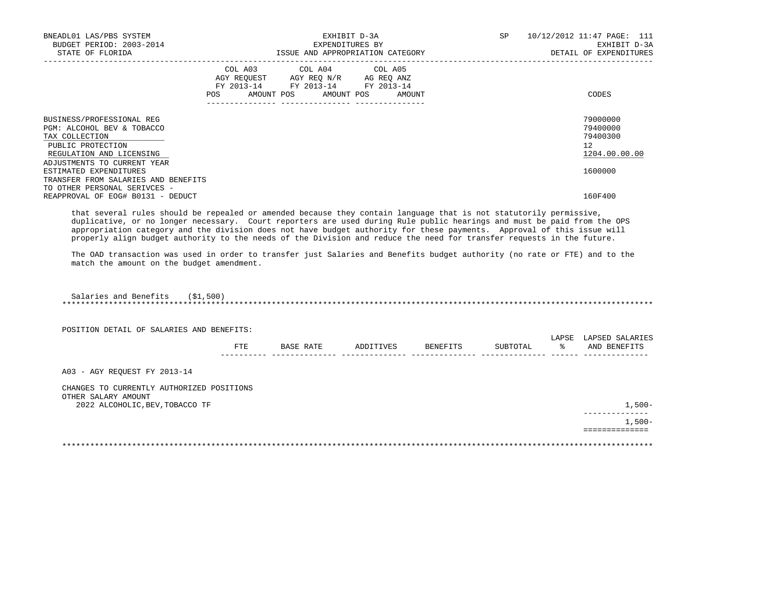| BNEADL01 LAS/PBS SYSTEM<br>BUDGET PERIOD: 2003-2014<br>STATE OF FLORIDA                                            |     | EXHIBIT D-3A<br>EXPENDITURES BY<br>ISSUE AND APPROPRIATION CATEGORY                                                        | SP     | 10/12/2012 11:47 PAGE: 111<br>EXHIBIT D-3A<br>DETAIL OF EXPENDITURES |                      |
|--------------------------------------------------------------------------------------------------------------------|-----|----------------------------------------------------------------------------------------------------------------------------|--------|----------------------------------------------------------------------|----------------------|
|                                                                                                                    | POS | COL A03 COL A04 COL A05<br>AGY REQUEST AGY REO N/R AG REO ANZ<br>FY 2013-14 FY 2013-14 FY 2013-14<br>AMOUNT POS AMOUNT POS | AMOUNT |                                                                      | CODES                |
| BUSINESS/PROFESSIONAL REG                                                                                          |     |                                                                                                                            |        |                                                                      | 79000000             |
| PGM: ALCOHOL BEV & TOBACCO<br>TAX COLLECTION                                                                       |     |                                                                                                                            |        |                                                                      | 79400000<br>79400300 |
| PUBLIC PROTECTION                                                                                                  |     |                                                                                                                            |        |                                                                      | 12                   |
| REGULATION AND LICENSING                                                                                           |     |                                                                                                                            |        |                                                                      | 1204.00.00.00        |
| ADJUSTMENTS TO CURRENT YEAR                                                                                        |     |                                                                                                                            |        |                                                                      |                      |
| ESTIMATED EXPENDITURES                                                                                             |     |                                                                                                                            |        |                                                                      | 1600000              |
| TRANSFER FROM SALARIES AND BENEFITS                                                                                |     |                                                                                                                            |        |                                                                      |                      |
| TO OTHER PERSONAL SERIVCES -<br>REAPPROVAL OF EOG# B0131 - DEDUCT                                                  |     |                                                                                                                            |        |                                                                      | 160F400              |
| that several rules should be repealed or amended because they contain language that is not statutorily permissive, |     |                                                                                                                            |        |                                                                      |                      |

 duplicative, or no longer necessary. Court reporters are used during Rule public hearings and must be paid from the OPS appropriation category and the division does not have budget authority for these payments. Approval of this issue will properly align budget authority to the needs of the Division and reduce the need for transfer requests in the future.

 The OAD transaction was used in order to transfer just Salaries and Benefits budget authority (no rate or FTE) and to the match the amount on the budget amendment.

\*\*\*\*\*\*\*\*\*\*\*\*\*\*\*\*\*\*\*\*\*\*\*\*\*\*\*\*\*\*\*\*\*\*\*\*\*\*\*\*\*\*\*\*\*\*\*\*\*\*\*\*\*\*\*\*\*\*\*\*\*\*\*\*\*\*\*\*\*\*\*\*\*\*\*\*\*\*\*\*\*\*\*\*\*\*\*\*\*\*\*\*\*\*\*\*\*\*\*\*\*\*\*\*\*\*\*\*\*\*\*\*\*\*\*\*\*\*\*\*\*\*\*\*\*\*\*

Salaries and Benefits (\$1,500)

| POSITION DETAIL OF SALARIES AND BENEFITS:              |     |           |           |          |          |            |                                 |
|--------------------------------------------------------|-----|-----------|-----------|----------|----------|------------|---------------------------------|
|                                                        | FTE | BASE RATE | ADDITIVES | BENEFITS | SUBTOTAL | LAPSE<br>ዱ | LAPSED SALARIES<br>AND BENEFITS |
| A03 - AGY REOUEST FY 2013-14                           |     |           |           |          |          |            |                                 |
| CHANGES TO CURRENTLY AUTHORIZED POSITIONS              |     |           |           |          |          |            |                                 |
| OTHER SALARY AMOUNT<br>2022 ALCOHOLIC, BEV, TOBACCO TF |     |           |           |          |          |            | $1,500-$                        |
|                                                        |     |           |           |          |          |            | -----------<br>$1,500-$         |
|                                                        |     |           |           |          |          |            |                                 |
|                                                        |     |           |           |          |          |            |                                 |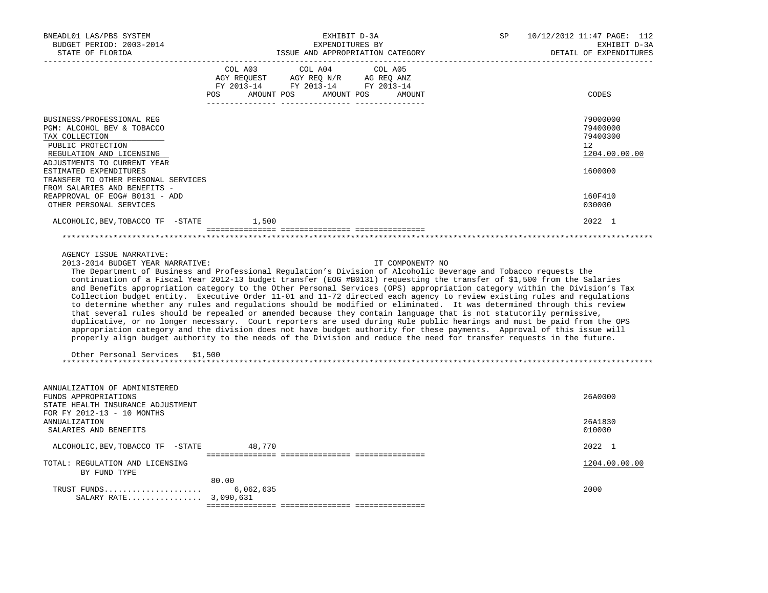| BNEADL01 LAS/PBS SYSTEM<br>BUDGET PERIOD: 2003-2014<br>STATE OF FLORIDA                                                                                                                                                                                                                      | EXHIBIT D-3A<br>EXPENDITURES BY<br>ISSUE AND APPROPRIATION CATEGORY                                                                                                                                                                                                                                                                                                                                                                                                                                                                                                                                                                                                                                                                                                                                                                                                                                                                                                                                                                                                                                                                                   | SP | 10/12/2012 11:47 PAGE: 112<br>EXHIBIT D-3A<br>DETAIL OF EXPENDITURES          |
|----------------------------------------------------------------------------------------------------------------------------------------------------------------------------------------------------------------------------------------------------------------------------------------------|-------------------------------------------------------------------------------------------------------------------------------------------------------------------------------------------------------------------------------------------------------------------------------------------------------------------------------------------------------------------------------------------------------------------------------------------------------------------------------------------------------------------------------------------------------------------------------------------------------------------------------------------------------------------------------------------------------------------------------------------------------------------------------------------------------------------------------------------------------------------------------------------------------------------------------------------------------------------------------------------------------------------------------------------------------------------------------------------------------------------------------------------------------|----|-------------------------------------------------------------------------------|
| __________________                                                                                                                                                                                                                                                                           | $\begin{tabular}{lcccc} COL A03 & COL A04 & COL A05 \\ AGY REQUEST & AGY REQ N/R & AG REQ ANZ \\ FY & 2013-14 & FY & 2013-14 & FY & 2013-14 \end{tabular}$<br>POS AMOUNT POS AMOUNT POS AMOUNT                                                                                                                                                                                                                                                                                                                                                                                                                                                                                                                                                                                                                                                                                                                                                                                                                                                                                                                                                        |    | CODES                                                                         |
| BUSINESS/PROFESSIONAL REG<br>PGM: ALCOHOL BEV & TOBACCO<br>TAX COLLECTION<br>PUBLIC PROTECTION<br>REGULATION AND LICENSING<br>ADJUSTMENTS TO CURRENT YEAR<br>ESTIMATED EXPENDITURES<br>TRANSFER TO OTHER PERSONAL SERVICES<br>FROM SALARIES AND BENEFITS -<br>REAPPROVAL OF EOG# B0131 - ADD |                                                                                                                                                                                                                                                                                                                                                                                                                                                                                                                                                                                                                                                                                                                                                                                                                                                                                                                                                                                                                                                                                                                                                       |    | 79000000<br>79400000<br>79400300<br>12<br>1204.00.00.00<br>1600000<br>160F410 |
| OTHER PERSONAL SERVICES                                                                                                                                                                                                                                                                      |                                                                                                                                                                                                                                                                                                                                                                                                                                                                                                                                                                                                                                                                                                                                                                                                                                                                                                                                                                                                                                                                                                                                                       |    | 030000                                                                        |
| ALCOHOLIC, BEV, TOBACCO TF -STATE                                                                                                                                                                                                                                                            | 1,500                                                                                                                                                                                                                                                                                                                                                                                                                                                                                                                                                                                                                                                                                                                                                                                                                                                                                                                                                                                                                                                                                                                                                 |    | 2022 1                                                                        |
|                                                                                                                                                                                                                                                                                              |                                                                                                                                                                                                                                                                                                                                                                                                                                                                                                                                                                                                                                                                                                                                                                                                                                                                                                                                                                                                                                                                                                                                                       |    |                                                                               |
| AGENCY ISSUE NARRATIVE:<br>2013-2014 BUDGET YEAR NARRATIVE:<br>Other Personal Services \$1,500                                                                                                                                                                                               | IT COMPONENT? NO<br>The Department of Business and Professional Regulation's Division of Alcoholic Beverage and Tobacco requests the<br>continuation of a Fiscal Year 2012-13 budget transfer (EOG #B0131) requesting the transfer of \$1,500 from the Salaries<br>and Benefits appropriation category to the Other Personal Services (OPS) appropriation category within the Division's Tax<br>Collection budget entity. Executive Order 11-01 and 11-72 directed each agency to review existing rules and regulations<br>to determine whether any rules and regulations should be modified or eliminated. It was determined through this review<br>that several rules should be repealed or amended because they contain language that is not statutorily permissive,<br>duplicative, or no longer necessary. Court reporters are used during Rule public hearings and must be paid from the OPS<br>appropriation category and the division does not have budget authority for these payments. Approval of this issue will<br>properly align budget authority to the needs of the Division and reduce the need for transfer requests in the future. |    |                                                                               |
| ANNUALIZATION OF ADMINISTERED<br>FUNDS APPROPRIATIONS<br>STATE HEALTH INSURANCE ADJUSTMENT<br>FOR FY 2012-13 - 10 MONTHS<br><b>ANNUALIZATION</b>                                                                                                                                             |                                                                                                                                                                                                                                                                                                                                                                                                                                                                                                                                                                                                                                                                                                                                                                                                                                                                                                                                                                                                                                                                                                                                                       |    | 26A0000<br>26A1830                                                            |
| SALARIES AND BENEFITS                                                                                                                                                                                                                                                                        |                                                                                                                                                                                                                                                                                                                                                                                                                                                                                                                                                                                                                                                                                                                                                                                                                                                                                                                                                                                                                                                                                                                                                       |    | 010000                                                                        |
| ALCOHOLIC, BEV, TOBACCO TF - STATE                                                                                                                                                                                                                                                           | 48,770                                                                                                                                                                                                                                                                                                                                                                                                                                                                                                                                                                                                                                                                                                                                                                                                                                                                                                                                                                                                                                                                                                                                                |    | 2022 1                                                                        |
| TOTAL: REGULATION AND LICENSING<br>BY FUND TYPE                                                                                                                                                                                                                                              |                                                                                                                                                                                                                                                                                                                                                                                                                                                                                                                                                                                                                                                                                                                                                                                                                                                                                                                                                                                                                                                                                                                                                       |    | 1204.00.00.00                                                                 |
| TRUST FUNDS<br>SALARY RATE 3,090,631                                                                                                                                                                                                                                                         | 80.00<br>6,062,635                                                                                                                                                                                                                                                                                                                                                                                                                                                                                                                                                                                                                                                                                                                                                                                                                                                                                                                                                                                                                                                                                                                                    |    | 2000                                                                          |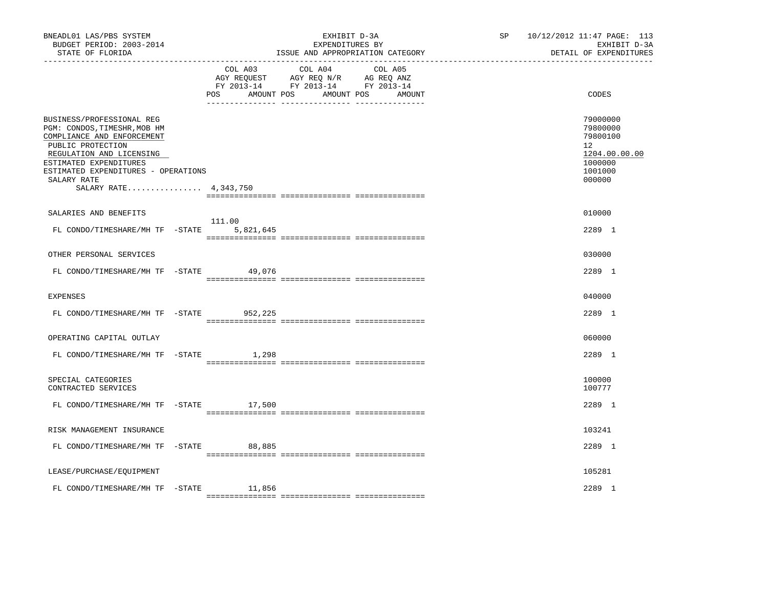| BNEADL01 LAS/PBS SYSTEM<br>BUDGET PERIOD: 2003-2014<br>STATE OF FLORIDA                                                                                                                                                                           |                     | EXHIBIT D-3A<br>EXPENDITURES BY<br>ISSUE AND APPROPRIATION CATEGORY                                                          | SP | 10/12/2012 11:47 PAGE: 113<br>EXHIBIT D-3A<br>DETAIL OF EXPENDITURES                    |
|---------------------------------------------------------------------------------------------------------------------------------------------------------------------------------------------------------------------------------------------------|---------------------|------------------------------------------------------------------------------------------------------------------------------|----|-----------------------------------------------------------------------------------------|
|                                                                                                                                                                                                                                                   | COL A03<br>POS      | COL A04<br>COL A05<br>AGY REQUEST AGY REQ N/R AG REQ ANZ<br>FY 2013-14 FY 2013-14 FY 2013-14<br>AMOUNT POS AMOUNT POS AMOUNT |    | CODES                                                                                   |
| BUSINESS/PROFESSIONAL REG<br>PGM: CONDOS, TIMESHR, MOB HM<br>COMPLIANCE AND ENFORCEMENT<br>PUBLIC PROTECTION<br>REGULATION AND LICENSING<br>ESTIMATED EXPENDITURES<br>ESTIMATED EXPENDITURES - OPERATIONS<br>SALARY RATE<br>SALARY RATE 4,343,750 |                     |                                                                                                                              |    | 79000000<br>79800000<br>79800100<br>12<br>1204.00.00.00<br>1000000<br>1001000<br>000000 |
| SALARIES AND BENEFITS                                                                                                                                                                                                                             |                     |                                                                                                                              |    | 010000                                                                                  |
| FL CONDO/TIMESHARE/MH TF -STATE                                                                                                                                                                                                                   | 111.00<br>5,821,645 |                                                                                                                              |    | 2289 1                                                                                  |
| OTHER PERSONAL SERVICES                                                                                                                                                                                                                           |                     |                                                                                                                              |    | 030000                                                                                  |
| FL CONDO/TIMESHARE/MH TF -STATE 49,076                                                                                                                                                                                                            |                     |                                                                                                                              |    | 2289 1                                                                                  |
| <b>EXPENSES</b>                                                                                                                                                                                                                                   |                     |                                                                                                                              |    | 040000                                                                                  |
| FL CONDO/TIMESHARE/MH TF -STATE                                                                                                                                                                                                                   | 952,225             |                                                                                                                              |    | 2289 1                                                                                  |
| OPERATING CAPITAL OUTLAY                                                                                                                                                                                                                          |                     |                                                                                                                              |    | 060000                                                                                  |
| FL CONDO/TIMESHARE/MH TF -STATE                                                                                                                                                                                                                   | 1,298               |                                                                                                                              |    | 2289 1                                                                                  |
| SPECIAL CATEGORIES<br>CONTRACTED SERVICES                                                                                                                                                                                                         |                     |                                                                                                                              |    | 100000<br>100777                                                                        |
| FL CONDO/TIMESHARE/MH TF -STATE 17,500                                                                                                                                                                                                            |                     |                                                                                                                              |    | 2289 1                                                                                  |
| RISK MANAGEMENT INSURANCE                                                                                                                                                                                                                         |                     |                                                                                                                              |    | 103241                                                                                  |
| FL CONDO/TIMESHARE/MH TF -STATE 88,885                                                                                                                                                                                                            |                     |                                                                                                                              |    | 2289 1                                                                                  |
| LEASE/PURCHASE/EQUIPMENT                                                                                                                                                                                                                          |                     |                                                                                                                              |    | 105281                                                                                  |
| FL CONDO/TIMESHARE/MH TF -STATE                                                                                                                                                                                                                   | 11,856              |                                                                                                                              |    | 2289 1                                                                                  |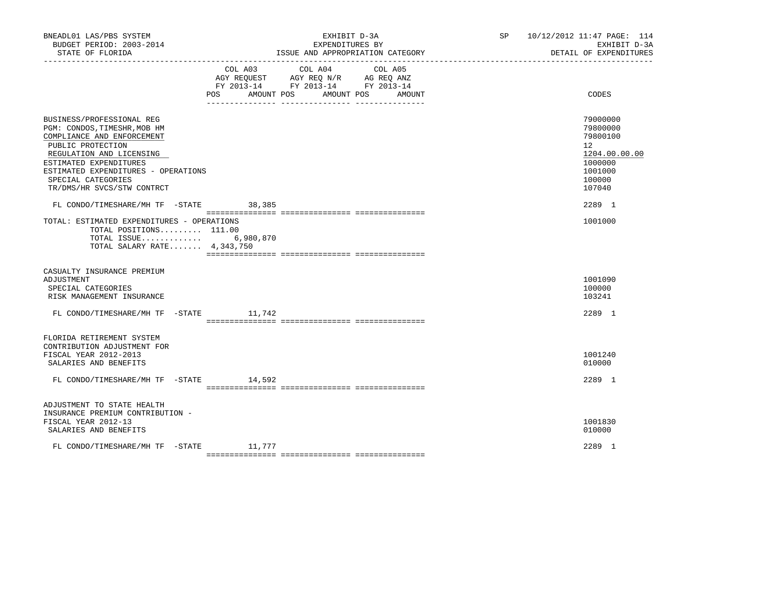| BNEADL01 LAS/PBS SYSTEM<br>BUDGET PERIOD: 2003-2014<br>STATE OF FLORIDA                                                                                                                                                                                       |                              | EXHIBIT D-3A<br>EXPENDITURES BY<br>ISSUE AND APPROPRIATION CATEGORY                             |                   | SP 10/12/2012 11:47 PAGE: 114<br>EXHIBIT D-3A<br>DETAIL OF EXPENDITURES                           |
|---------------------------------------------------------------------------------------------------------------------------------------------------------------------------------------------------------------------------------------------------------------|------------------------------|-------------------------------------------------------------------------------------------------|-------------------|---------------------------------------------------------------------------------------------------|
|                                                                                                                                                                                                                                                               | COL A03<br>AMOUNT POS<br>POS | COL A04<br>AGY REQUEST AGY REQ N/R AG REQ ANZ<br>FY 2013-14 FY 2013-14 FY 2013-14<br>AMOUNT POS | COL A05<br>AMOUNT | CODES                                                                                             |
| BUSINESS/PROFESSIONAL REG<br>PGM: CONDOS, TIMESHR, MOB HM<br>COMPLIANCE AND ENFORCEMENT<br>PUBLIC PROTECTION<br>REGULATION AND LICENSING<br>ESTIMATED EXPENDITURES<br>ESTIMATED EXPENDITURES - OPERATIONS<br>SPECIAL CATEGORIES<br>TR/DMS/HR SVCS/STW CONTRCT |                              |                                                                                                 |                   | 79000000<br>79800000<br>79800100<br>12<br>1204.00.00.00<br>1000000<br>1001000<br>100000<br>107040 |
| FL CONDO/TIMESHARE/MH TF -STATE 38,385                                                                                                                                                                                                                        |                              |                                                                                                 |                   | 2289 1                                                                                            |
| TOTAL: ESTIMATED EXPENDITURES - OPERATIONS<br>TOTAL POSITIONS 111.00<br>TOTAL ISSUE 6,980,870<br>TOTAL SALARY RATE 4,343,750                                                                                                                                  |                              |                                                                                                 |                   | 1001000                                                                                           |
| CASUALTY INSURANCE PREMIUM<br>ADJUSTMENT<br>SPECIAL CATEGORIES<br>RISK MANAGEMENT INSURANCE                                                                                                                                                                   |                              |                                                                                                 |                   | 1001090<br>100000<br>103241                                                                       |
| FL CONDO/TIMESHARE/MH TF -STATE 11,742                                                                                                                                                                                                                        |                              |                                                                                                 |                   | 2289 1                                                                                            |
| FLORIDA RETIREMENT SYSTEM<br>CONTRIBUTION ADJUSTMENT FOR<br>FISCAL YEAR 2012-2013<br>SALARIES AND BENEFITS<br>FL CONDO/TIMESHARE/MH TF -STATE 14,592                                                                                                          |                              |                                                                                                 |                   | 1001240<br>010000<br>2289 1                                                                       |
| ADJUSTMENT TO STATE HEALTH<br>INSURANCE PREMIUM CONTRIBUTION -<br>FISCAL YEAR 2012-13<br>SALARIES AND BENEFITS                                                                                                                                                |                              |                                                                                                 |                   | 1001830<br>010000                                                                                 |
| FL CONDO/TIMESHARE/MH TF -STATE 11,777                                                                                                                                                                                                                        |                              |                                                                                                 |                   | 2289 1                                                                                            |